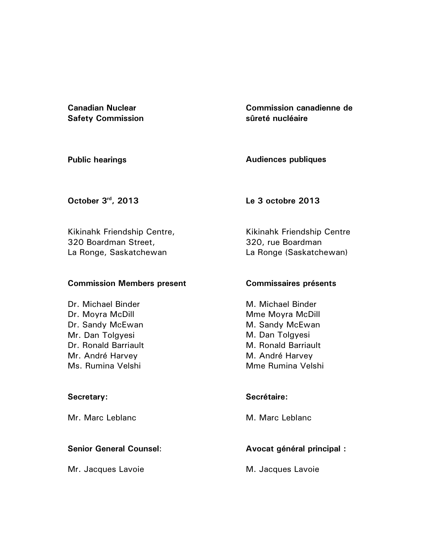**Canadian Nuclear Safety Commission**  **Commission canadienne de sûreté nucléaire** 

**Public hearings** 

**Audiences publiques** 

**October 3rd, 2013** 

**Le 3 octobre 2013** 

Kikinahk Friendship Centre, 320 Boardman Street, La Ronge, Saskatchewan

## **Commission Members present**

Dr. Michael Binder Dr. Moyra McDill Dr. Sandy McEwan Mr. Dan Tolgyesi Dr. Ronald Barriault Mr. André Harvey Ms. Rumina Velshi

# **Secretary:**

Mr. Marc Leblanc

# **Senior General Counsel**:

Mr. Jacques Lavoie

Kikinahk Friendship Centre 320, rue Boardman La Ronge (Saskatchewan)

# **Commissaires présents**

M. Michael Binder Mme Moyra McDill M. Sandy McEwan M. Dan Tolgyesi M. Ronald Barriault M. André Harvey Mme Rumina Velshi

# **Secrétaire:**

M. Marc Leblanc

# **Avocat général principal :**

M. Jacques Lavoie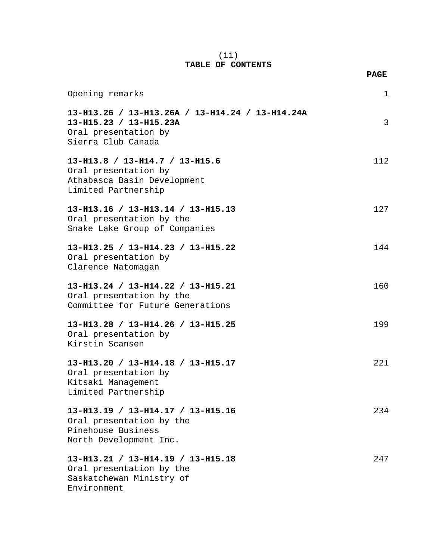### (ii) **TABLE OF CONTENTS**

**PAGE**

| Opening remarks                                                                                                         | $\mathbf 1$ |
|-------------------------------------------------------------------------------------------------------------------------|-------------|
| 13-H13.26 / 13-H13.26A / 13-H14.24 / 13-H14.24A<br>13-H15.23 / 13-H15.23A<br>Oral presentation by<br>Sierra Club Canada | 3           |
| 13-H13.8 / 13-H14.7 / 13-H15.6<br>Oral presentation by<br>Athabasca Basin Development<br>Limited Partnership            | 112         |
| 13-H13.16 / 13-H13.14 / 13-H15.13<br>Oral presentation by the<br>Snake Lake Group of Companies                          | 127         |
| 13-H13.25 / 13-H14.23 / 13-H15.22<br>Oral presentation by<br>Clarence Natomagan                                         | 144         |
| 13-H13.24 / 13-H14.22 / 13-H15.21<br>Oral presentation by the<br>Committee for Future Generations                       | 160         |
| 13-H13.28 / 13-H14.26 / 13-H15.25<br>Oral presentation by<br>Kirstin Scansen                                            | 199         |
| 13-H13.20 / 13-H14.18 / 13-H15.17<br>Oral presentation by<br>Kitsaki Management<br>Limited Partnership                  | 221         |
| 13-H13.19 / 13-H14.17 / 13-H15.16<br>Oral presentation by the<br>Pinehouse Business<br>North Development Inc.           | 234         |
| 13-H13.21 / 13-H14.19 / 13-H15.18<br>Oral presentation by the<br>Saskatchewan Ministry of<br>Environment                | 247         |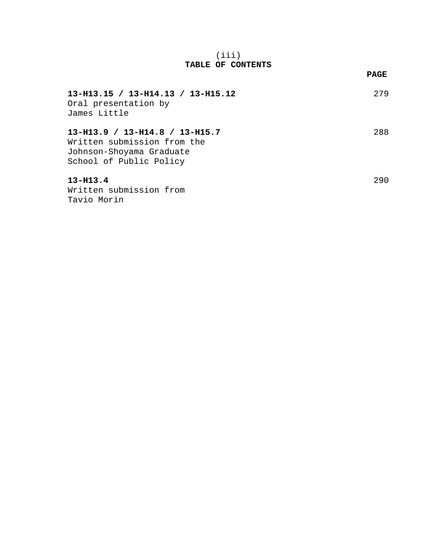### (iii) **TABLE OF CONTENTS**

|                                                                                                                        | PAGE |
|------------------------------------------------------------------------------------------------------------------------|------|
| $13-H13.15 / 13-H14.13 / 13-H15.12$<br>Oral presentation by<br>James Little                                            | 279  |
| $13-H13.9 / 13-H14.8 / 13-H15.7$<br>Written submission from the<br>Johnson-Shoyama Graduate<br>School of Public Policy | 288  |
| $13 - H13.4$<br>Written submission from<br>Tavio Morin                                                                 | 290  |

## $\mathbf{r}$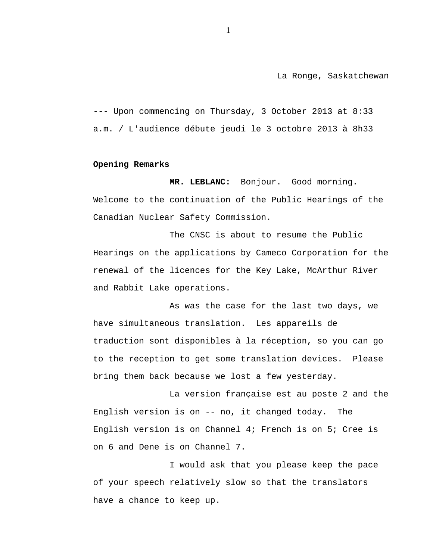La Ronge, Saskatchewan

--- Upon commencing on Thursday, 3 October 2013 at 8:33 a.m. / L'audience débute jeudi le 3 octobre 2013 à 8h33

#### **Opening Remarks**

**MR. LEBLANC:** Bonjour. Good morning. Welcome to the continuation of the Public Hearings of the Canadian Nuclear Safety Commission.

The CNSC is about to resume the Public Hearings on the applications by Cameco Corporation for the renewal of the licences for the Key Lake, McArthur River and Rabbit Lake operations.

As was the case for the last two days, we have simultaneous translation. Les appareils de traduction sont disponibles à la réception, so you can go to the reception to get some translation devices. Please bring them back because we lost a few yesterday.

La version française est au poste 2 and the English version is on -- no, it changed today. The English version is on Channel 4; French is on 5; Cree is on 6 and Dene is on Channel 7.

I would ask that you please keep the pace of your speech relatively slow so that the translators have a chance to keep up.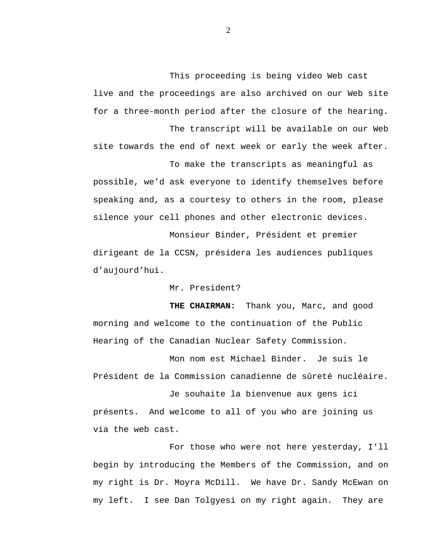This proceeding is being video Web cast live and the proceedings are also archived on our Web site for a three-month period after the closure of the hearing.

The transcript will be available on our Web site towards the end of next week or early the week after.

To make the transcripts as meaningful as

possible, we'd ask everyone to identify themselves before speaking and, as a courtesy to others in the room, please silence your cell phones and other electronic devices.

Monsieur Binder, Président et premier dirigeant de la CCSN, présidera les audiences publiques d'aujourd'hui.

Mr. President?

**THE CHAIRMAN:** Thank you, Marc, and good morning and welcome to the continuation of the Public Hearing of the Canadian Nuclear Safety Commission.

Mon nom est Michael Binder. Je suis le Président de la Commission canadienne de sûreté nucléaire.

Je souhaite la bienvenue aux gens ici présents. And welcome to all of you who are joining us via the web cast.

For those who were not here yesterday, I'll begin by introducing the Members of the Commission, and on my right is Dr. Moyra McDill. We have Dr. Sandy McEwan on my left. I see Dan Tolgyesi on my right again. They are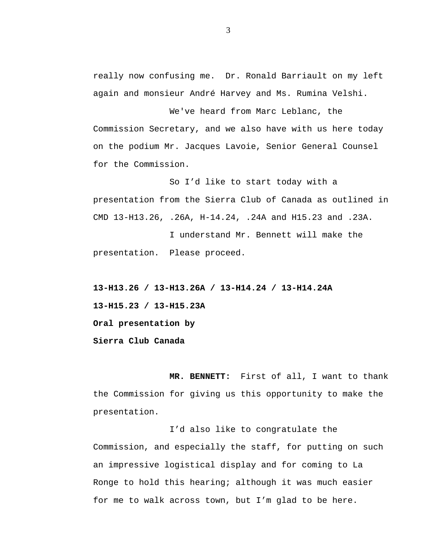really now confusing me. Dr. Ronald Barriault on my left again and monsieur André Harvey and Ms. Rumina Velshi.

We've heard from Marc Leblanc, the Commission Secretary, and we also have with us here today on the podium Mr. Jacques Lavoie, Senior General Counsel for the Commission.

So I'd like to start today with a presentation from the Sierra Club of Canada as outlined in CMD 13-H13.26, .26A, H-14.24, .24A and H15.23 and .23A.

I understand Mr. Bennett will make the presentation. Please proceed.

**13-H13.26 / 13-H13.26A / 13-H14.24 / 13-H14.24A 13-H15.23 / 13-H15.23A Oral presentation by Sierra Club Canada** 

**MR. BENNETT:** First of all, I want to thank the Commission for giving us this opportunity to make the presentation.

I'd also like to congratulate the Commission, and especially the staff, for putting on such an impressive logistical display and for coming to La Ronge to hold this hearing; although it was much easier for me to walk across town, but I'm glad to be here.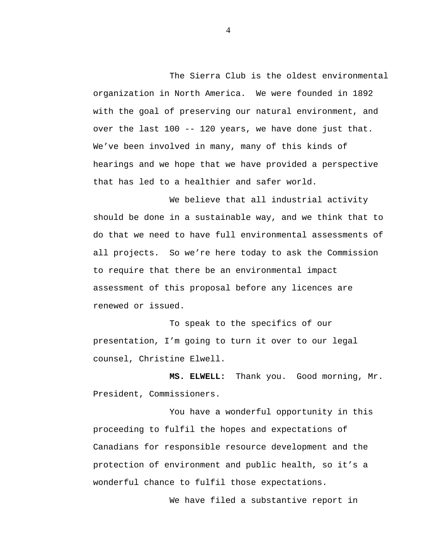The Sierra Club is the oldest environmental organization in North America. We were founded in 1892 with the goal of preserving our natural environment, and over the last 100 -- 120 years, we have done just that. We've been involved in many, many of this kinds of hearings and we hope that we have provided a perspective that has led to a healthier and safer world.

We believe that all industrial activity should be done in a sustainable way, and we think that to do that we need to have full environmental assessments of all projects. So we're here today to ask the Commission to require that there be an environmental impact assessment of this proposal before any licences are renewed or issued.

To speak to the specifics of our presentation, I'm going to turn it over to our legal counsel, Christine Elwell.

**MS. ELWELL:** Thank you. Good morning, Mr. President, Commissioners.

You have a wonderful opportunity in this proceeding to fulfil the hopes and expectations of Canadians for responsible resource development and the protection of environment and public health, so it's a wonderful chance to fulfil those expectations.

We have filed a substantive report in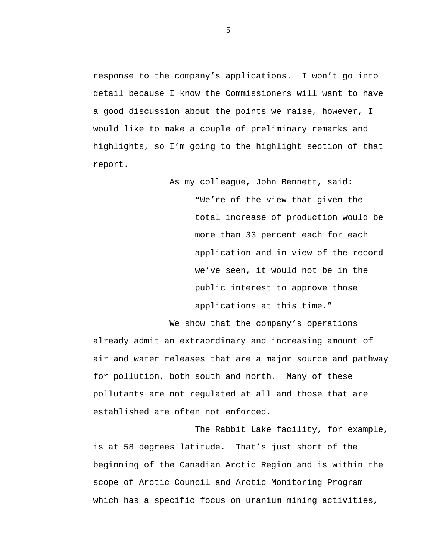response to the company's applications. I won't go into detail because I know the Commissioners will want to have a good discussion about the points we raise, however, I would like to make a couple of preliminary remarks and highlights, so I'm going to the highlight section of that report.

> As my colleague, John Bennett, said: "We're of the view that given the total increase of production would be more than 33 percent each for each application and in view of the record we've seen, it would not be in the public interest to approve those applications at this time."

We show that the company's operations

already admit an extraordinary and increasing amount of air and water releases that are a major source and pathway for pollution, both south and north. Many of these pollutants are not regulated at all and those that are established are often not enforced.

The Rabbit Lake facility, for example, is at 58 degrees latitude. That's just short of the beginning of the Canadian Arctic Region and is within the scope of Arctic Council and Arctic Monitoring Program which has a specific focus on uranium mining activities,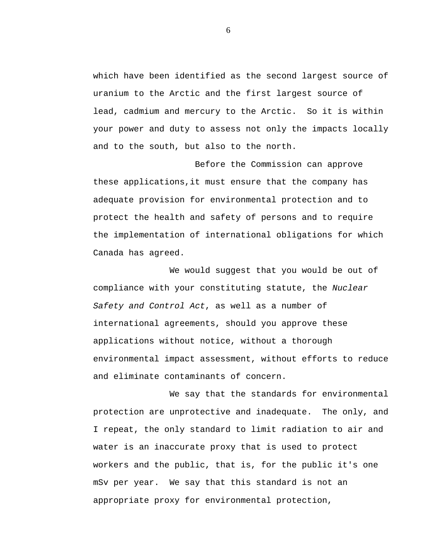which have been identified as the second largest source of uranium to the Arctic and the first largest source of lead, cadmium and mercury to the Arctic. So it is within your power and duty to assess not only the impacts locally and to the south, but also to the north.

Before the Commission can approve these applications,it must ensure that the company has adequate provision for environmental protection and to protect the health and safety of persons and to require the implementation of international obligations for which Canada has agreed.

We would suggest that you would be out of compliance with your constituting statute, the *Nuclear Safety and Control Act*, as well as a number of international agreements, should you approve these applications without notice, without a thorough environmental impact assessment, without efforts to reduce and eliminate contaminants of concern.

We say that the standards for environmental protection are unprotective and inadequate. The only, and I repeat, the only standard to limit radiation to air and water is an inaccurate proxy that is used to protect workers and the public, that is, for the public it's one mSv per year. We say that this standard is not an appropriate proxy for environmental protection,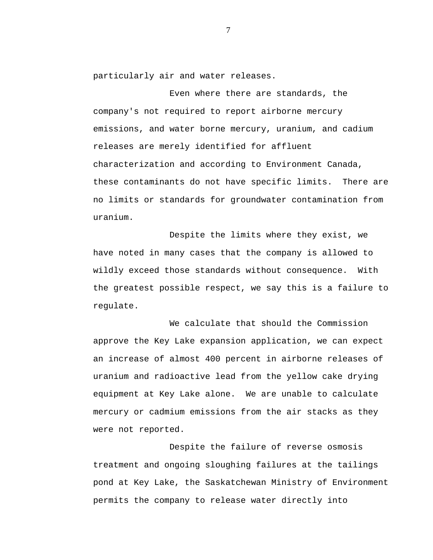particularly air and water releases.

Even where there are standards, the company's not required to report airborne mercury emissions, and water borne mercury, uranium, and cadium releases are merely identified for affluent characterization and according to Environment Canada, these contaminants do not have specific limits. There are no limits or standards for groundwater contamination from uranium.

Despite the limits where they exist, we have noted in many cases that the company is allowed to wildly exceed those standards without consequence. With the greatest possible respect, we say this is a failure to regulate.

We calculate that should the Commission approve the Key Lake expansion application, we can expect an increase of almost 400 percent in airborne releases of uranium and radioactive lead from the yellow cake drying equipment at Key Lake alone. We are unable to calculate mercury or cadmium emissions from the air stacks as they were not reported.

Despite the failure of reverse osmosis treatment and ongoing sloughing failures at the tailings pond at Key Lake, the Saskatchewan Ministry of Environment permits the company to release water directly into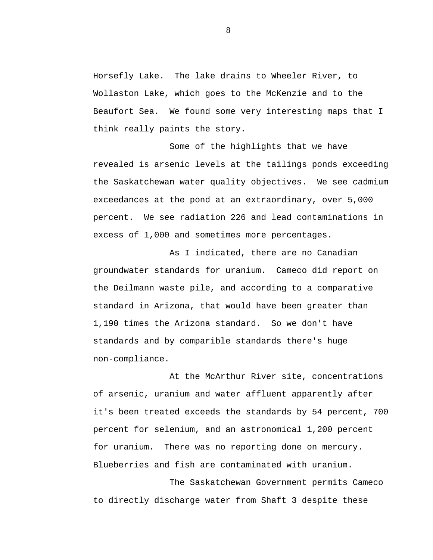Horsefly Lake. The lake drains to Wheeler River, to Wollaston Lake, which goes to the McKenzie and to the Beaufort Sea. We found some very interesting maps that I think really paints the story.

Some of the highlights that we have revealed is arsenic levels at the tailings ponds exceeding the Saskatchewan water quality objectives. We see cadmium exceedances at the pond at an extraordinary, over 5,000 percent. We see radiation 226 and lead contaminations in excess of 1,000 and sometimes more percentages.

As I indicated, there are no Canadian groundwater standards for uranium. Cameco did report on the Deilmann waste pile, and according to a comparative standard in Arizona, that would have been greater than 1,190 times the Arizona standard. So we don't have standards and by comparible standards there's huge non-compliance.

At the McArthur River site, concentrations of arsenic, uranium and water affluent apparently after it's been treated exceeds the standards by 54 percent, 700 percent for selenium, and an astronomical 1,200 percent for uranium. There was no reporting done on mercury. Blueberries and fish are contaminated with uranium.

The Saskatchewan Government permits Cameco to directly discharge water from Shaft 3 despite these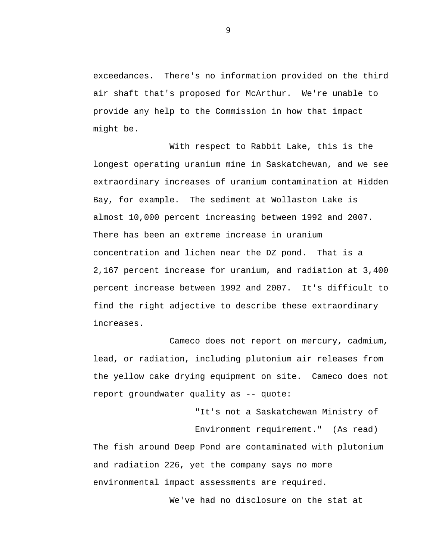exceedances. There's no information provided on the third air shaft that's proposed for McArthur. We're unable to provide any help to the Commission in how that impact might be.

With respect to Rabbit Lake, this is the longest operating uranium mine in Saskatchewan, and we see extraordinary increases of uranium contamination at Hidden Bay, for example. The sediment at Wollaston Lake is almost 10,000 percent increasing between 1992 and 2007. There has been an extreme increase in uranium concentration and lichen near the DZ pond. That is a 2,167 percent increase for uranium, and radiation at 3,400 percent increase between 1992 and 2007. It's difficult to find the right adjective to describe these extraordinary increases.

Cameco does not report on mercury, cadmium, lead, or radiation, including plutonium air releases from the yellow cake drying equipment on site. Cameco does not report groundwater quality as -- quote:

"It's not a Saskatchewan Ministry of Environment requirement." (As read) The fish around Deep Pond are contaminated with plutonium and radiation 226, yet the company says no more environmental impact assessments are required.

We've had no disclosure on the stat at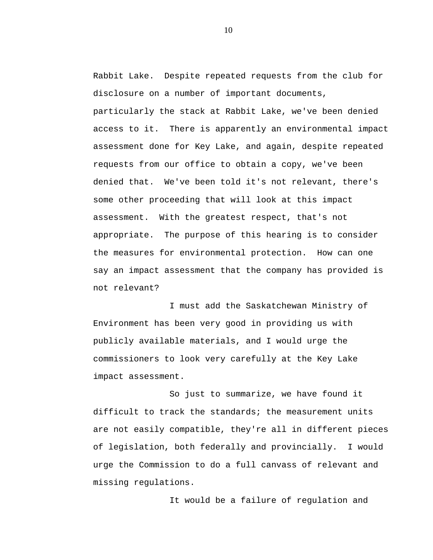Rabbit Lake. Despite repeated requests from the club for disclosure on a number of important documents, particularly the stack at Rabbit Lake, we've been denied access to it. There is apparently an environmental impact assessment done for Key Lake, and again, despite repeated requests from our office to obtain a copy, we've been denied that. We've been told it's not relevant, there's some other proceeding that will look at this impact assessment. With the greatest respect, that's not appropriate. The purpose of this hearing is to consider the measures for environmental protection. How can one say an impact assessment that the company has provided is not relevant?

I must add the Saskatchewan Ministry of Environment has been very good in providing us with publicly available materials, and I would urge the commissioners to look very carefully at the Key Lake impact assessment.

So just to summarize, we have found it difficult to track the standards; the measurement units are not easily compatible, they're all in different pieces of legislation, both federally and provincially. I would urge the Commission to do a full canvass of relevant and missing regulations.

It would be a failure of regulation and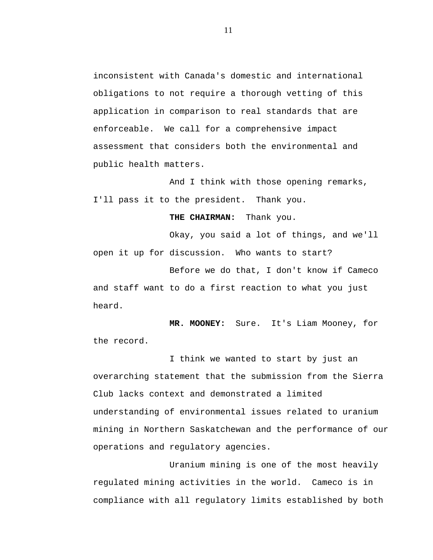inconsistent with Canada's domestic and international obligations to not require a thorough vetting of this application in comparison to real standards that are enforceable. We call for a comprehensive impact assessment that considers both the environmental and public health matters.

And I think with those opening remarks, I'll pass it to the president. Thank you.

**THE CHAIRMAN:** Thank you.

Okay, you said a lot of things, and we'll open it up for discussion. Who wants to start?

Before we do that, I don't know if Cameco and staff want to do a first reaction to what you just heard.

**MR. MOONEY:** Sure. It's Liam Mooney, for the record.

I think we wanted to start by just an overarching statement that the submission from the Sierra Club lacks context and demonstrated a limited understanding of environmental issues related to uranium mining in Northern Saskatchewan and the performance of our operations and regulatory agencies.

Uranium mining is one of the most heavily regulated mining activities in the world. Cameco is in compliance with all regulatory limits established by both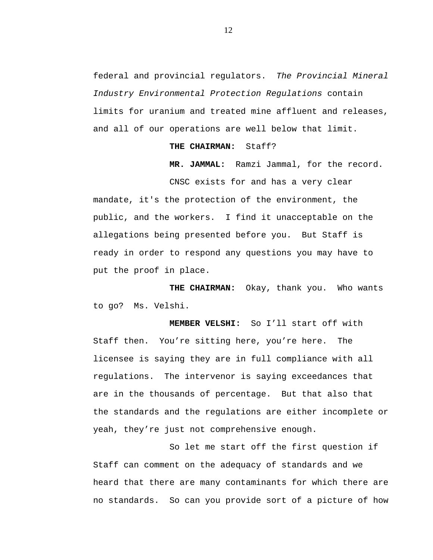federal and provincial regulators. *The Provincial Mineral Industry Environmental Protection Regulations* contain limits for uranium and treated mine affluent and releases, and all of our operations are well below that limit.

#### **THE CHAIRMAN:** Staff?

**MR. JAMMAL:** Ramzi Jammal, for the record. CNSC exists for and has a very clear

mandate, it's the protection of the environment, the public, and the workers. I find it unacceptable on the allegations being presented before you. But Staff is ready in order to respond any questions you may have to put the proof in place.

**THE CHAIRMAN:** Okay, thank you. Who wants to go? Ms. Velshi.

**MEMBER VELSHI:** So I'll start off with Staff then. You're sitting here, you're here. The licensee is saying they are in full compliance with all regulations. The intervenor is saying exceedances that are in the thousands of percentage. But that also that the standards and the regulations are either incomplete or yeah, they're just not comprehensive enough.

So let me start off the first question if Staff can comment on the adequacy of standards and we heard that there are many contaminants for which there are no standards. So can you provide sort of a picture of how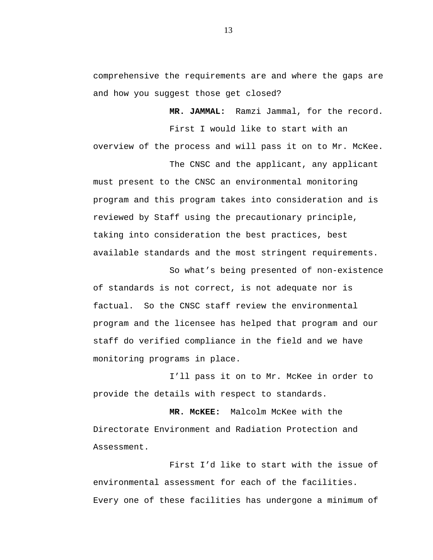comprehensive the requirements are and where the gaps are and how you suggest those get closed?

> **MR. JAMMAL:** Ramzi Jammal, for the record. First I would like to start with an

overview of the process and will pass it on to Mr. McKee. The CNSC and the applicant, any applicant

must present to the CNSC an environmental monitoring program and this program takes into consideration and is reviewed by Staff using the precautionary principle, taking into consideration the best practices, best available standards and the most stringent requirements.

So what's being presented of non-existence of standards is not correct, is not adequate nor is factual. So the CNSC staff review the environmental program and the licensee has helped that program and our staff do verified compliance in the field and we have monitoring programs in place.

I'll pass it on to Mr. McKee in order to provide the details with respect to standards.

**MR. McKEE:** Malcolm McKee with the Directorate Environment and Radiation Protection and Assessment.

First I'd like to start with the issue of environmental assessment for each of the facilities. Every one of these facilities has undergone a minimum of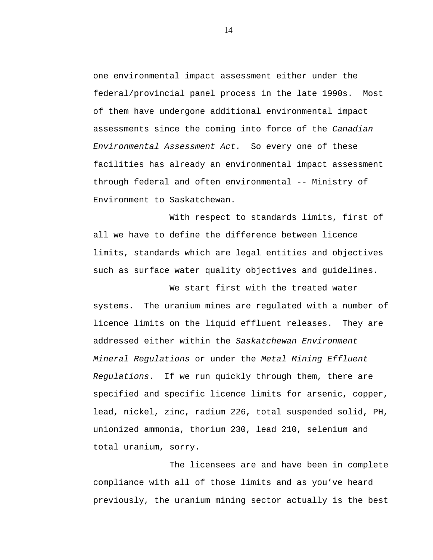one environmental impact assessment either under the federal/provincial panel process in the late 1990s. Most of them have undergone additional environmental impact assessments since the coming into force of the *Canadian Environmental Assessment Act.* So every one of these facilities has already an environmental impact assessment through federal and often environmental -- Ministry of Environment to Saskatchewan.

With respect to standards limits, first of all we have to define the difference between licence limits, standards which are legal entities and objectives such as surface water quality objectives and guidelines.

We start first with the treated water systems. The uranium mines are regulated with a number of licence limits on the liquid effluent releases. They are addressed either within the *Saskatchewan Environment Mineral Regulations* or under the *Metal Mining Effluent Regulations*. If we run quickly through them, there are specified and specific licence limits for arsenic, copper, lead, nickel, zinc, radium 226, total suspended solid, PH, unionized ammonia, thorium 230, lead 210, selenium and total uranium, sorry.

The licensees are and have been in complete compliance with all of those limits and as you've heard previously, the uranium mining sector actually is the best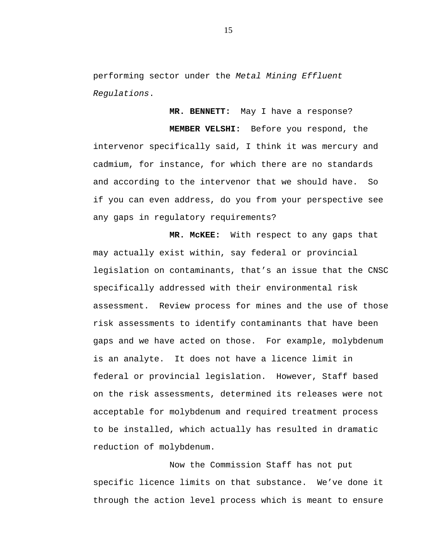performing sector under the *Metal Mining Effluent Regulations*.

**MR. BENNETT:** May I have a response?

**MEMBER VELSHI:** Before you respond, the intervenor specifically said, I think it was mercury and cadmium, for instance, for which there are no standards and according to the intervenor that we should have. So if you can even address, do you from your perspective see any gaps in regulatory requirements?

**MR. McKEE:** With respect to any gaps that may actually exist within, say federal or provincial legislation on contaminants, that's an issue that the CNSC specifically addressed with their environmental risk assessment. Review process for mines and the use of those risk assessments to identify contaminants that have been gaps and we have acted on those. For example, molybdenum is an analyte. It does not have a licence limit in federal or provincial legislation. However, Staff based on the risk assessments, determined its releases were not acceptable for molybdenum and required treatment process to be installed, which actually has resulted in dramatic reduction of molybdenum.

Now the Commission Staff has not put specific licence limits on that substance. We've done it through the action level process which is meant to ensure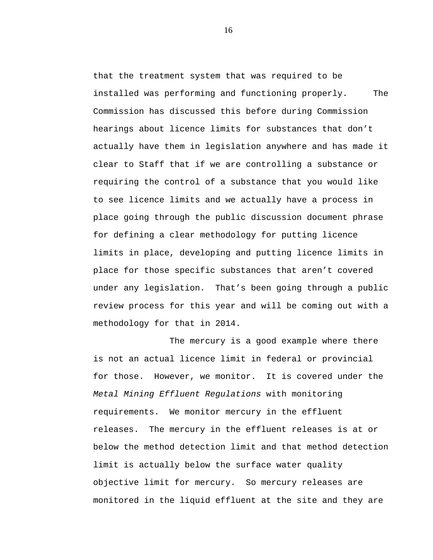that the treatment system that was required to be installed was performing and functioning properly. The Commission has discussed this before during Commission hearings about licence limits for substances that don't actually have them in legislation anywhere and has made it clear to Staff that if we are controlling a substance or requiring the control of a substance that you would like to see licence limits and we actually have a process in place going through the public discussion document phrase for defining a clear methodology for putting licence limits in place, developing and putting licence limits in place for those specific substances that aren't covered under any legislation. That's been going through a public review process for this year and will be coming out with a methodology for that in 2014.

The mercury is a good example where there is not an actual licence limit in federal or provincial for those. However, we monitor. It is covered under the *Metal Mining Effluent Regulations* with monitoring requirements. We monitor mercury in the effluent releases. The mercury in the effluent releases is at or below the method detection limit and that method detection limit is actually below the surface water quality objective limit for mercury. So mercury releases are monitored in the liquid effluent at the site and they are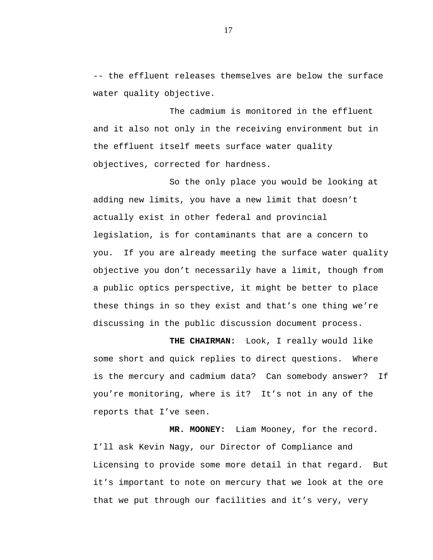-- the effluent releases themselves are below the surface water quality objective.

The cadmium is monitored in the effluent and it also not only in the receiving environment but in the effluent itself meets surface water quality objectives, corrected for hardness.

So the only place you would be looking at adding new limits, you have a new limit that doesn't actually exist in other federal and provincial legislation, is for contaminants that are a concern to you. If you are already meeting the surface water quality objective you don't necessarily have a limit, though from a public optics perspective, it might be better to place these things in so they exist and that's one thing we're discussing in the public discussion document process.

**THE CHAIRMAN:** Look, I really would like some short and quick replies to direct questions. Where is the mercury and cadmium data? Can somebody answer? If you're monitoring, where is it? It's not in any of the reports that I've seen.

**MR. MOONEY:** Liam Mooney, for the record. I'll ask Kevin Nagy, our Director of Compliance and Licensing to provide some more detail in that regard. But it's important to note on mercury that we look at the ore that we put through our facilities and it's very, very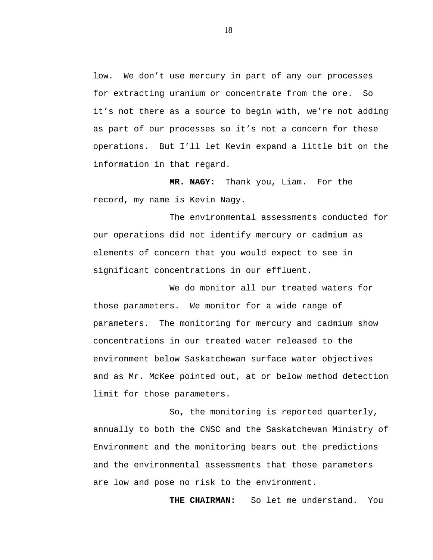low. We don't use mercury in part of any our processes for extracting uranium or concentrate from the ore. So it's not there as a source to begin with, we're not adding as part of our processes so it's not a concern for these operations. But I'll let Kevin expand a little bit on the information in that regard.

**MR. NAGY:** Thank you, Liam. For the record, my name is Kevin Nagy.

The environmental assessments conducted for our operations did not identify mercury or cadmium as elements of concern that you would expect to see in significant concentrations in our effluent.

We do monitor all our treated waters for those parameters. We monitor for a wide range of parameters. The monitoring for mercury and cadmium show concentrations in our treated water released to the environment below Saskatchewan surface water objectives and as Mr. McKee pointed out, at or below method detection limit for those parameters.

So, the monitoring is reported quarterly, annually to both the CNSC and the Saskatchewan Ministry of Environment and the monitoring bears out the predictions and the environmental assessments that those parameters are low and pose no risk to the environment.

**THE CHAIRMAN:** So let me understand. You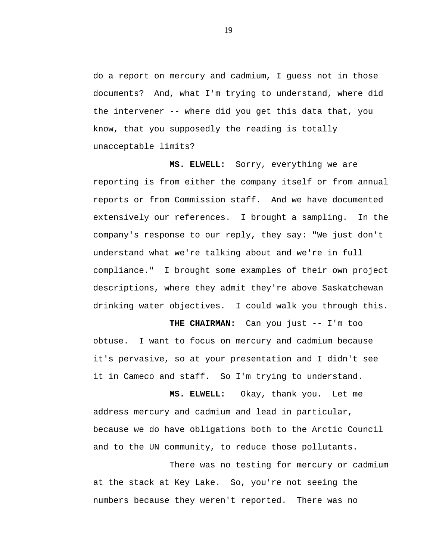do a report on mercury and cadmium, I guess not in those documents? And, what I'm trying to understand, where did the intervener -- where did you get this data that, you know, that you supposedly the reading is totally unacceptable limits?

**MS. ELWELL:** Sorry, everything we are reporting is from either the company itself or from annual reports or from Commission staff. And we have documented extensively our references. I brought a sampling. In the company's response to our reply, they say: "We just don't understand what we're talking about and we're in full compliance." I brought some examples of their own project descriptions, where they admit they're above Saskatchewan drinking water objectives. I could walk you through this.

**THE CHAIRMAN:** Can you just -- I'm too obtuse. I want to focus on mercury and cadmium because it's pervasive, so at your presentation and I didn't see it in Cameco and staff. So I'm trying to understand.

**MS. ELWELL:** Okay, thank you. Let me address mercury and cadmium and lead in particular, because we do have obligations both to the Arctic Council and to the UN community, to reduce those pollutants.

There was no testing for mercury or cadmium at the stack at Key Lake. So, you're not seeing the numbers because they weren't reported. There was no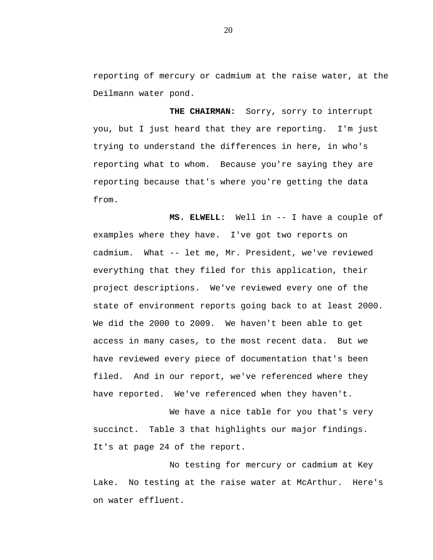reporting of mercury or cadmium at the raise water, at the Deilmann water pond.

**THE CHAIRMAN:** Sorry, sorry to interrupt you, but I just heard that they are reporting. I'm just trying to understand the differences in here, in who's reporting what to whom. Because you're saying they are reporting because that's where you're getting the data from.

**MS. ELWELL:** Well in -- I have a couple of examples where they have. I've got two reports on cadmium. What -- let me, Mr. President, we've reviewed everything that they filed for this application, their project descriptions. We've reviewed every one of the state of environment reports going back to at least 2000. We did the 2000 to 2009. We haven't been able to get access in many cases, to the most recent data. But we have reviewed every piece of documentation that's been filed. And in our report, we've referenced where they have reported. We've referenced when they haven't.

We have a nice table for you that's very succinct. Table 3 that highlights our major findings. It's at page 24 of the report.

No testing for mercury or cadmium at Key Lake. No testing at the raise water at McArthur. Here's on water effluent.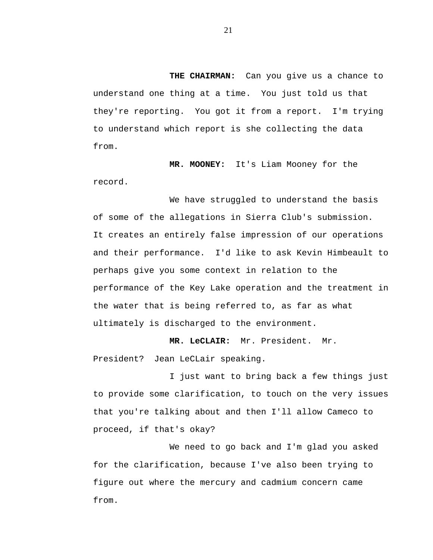**THE CHAIRMAN:** Can you give us a chance to understand one thing at a time. You just told us that they're reporting. You got it from a report. I'm trying to understand which report is she collecting the data from.

**MR. MOONEY:** It's Liam Mooney for the record.

We have struggled to understand the basis of some of the allegations in Sierra Club's submission. It creates an entirely false impression of our operations and their performance. I'd like to ask Kevin Himbeault to perhaps give you some context in relation to the performance of the Key Lake operation and the treatment in the water that is being referred to, as far as what ultimately is discharged to the environment.

**MR. LeCLAIR:** Mr. President. Mr. President? Jean LeCLair speaking.

I just want to bring back a few things just to provide some clarification, to touch on the very issues that you're talking about and then I'll allow Cameco to proceed, if that's okay?

We need to go back and I'm glad you asked for the clarification, because I've also been trying to figure out where the mercury and cadmium concern came from.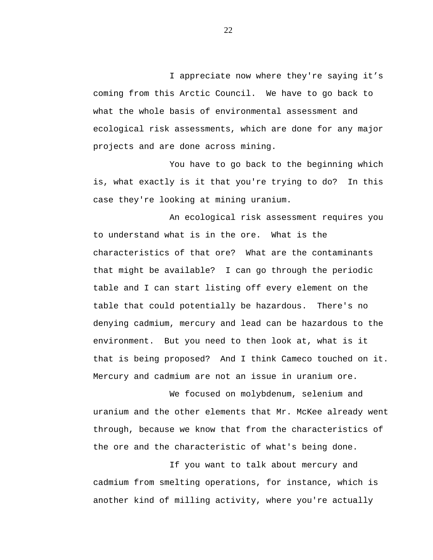I appreciate now where they're saying it's coming from this Arctic Council. We have to go back to what the whole basis of environmental assessment and ecological risk assessments, which are done for any major projects and are done across mining.

You have to go back to the beginning which is, what exactly is it that you're trying to do? In this case they're looking at mining uranium.

An ecological risk assessment requires you to understand what is in the ore. What is the characteristics of that ore? What are the contaminants that might be available? I can go through the periodic table and I can start listing off every element on the table that could potentially be hazardous. There's no denying cadmium, mercury and lead can be hazardous to the environment. But you need to then look at, what is it that is being proposed? And I think Cameco touched on it. Mercury and cadmium are not an issue in uranium ore.

We focused on molybdenum, selenium and uranium and the other elements that Mr. McKee already went through, because we know that from the characteristics of the ore and the characteristic of what's being done.

If you want to talk about mercury and cadmium from smelting operations, for instance, which is another kind of milling activity, where you're actually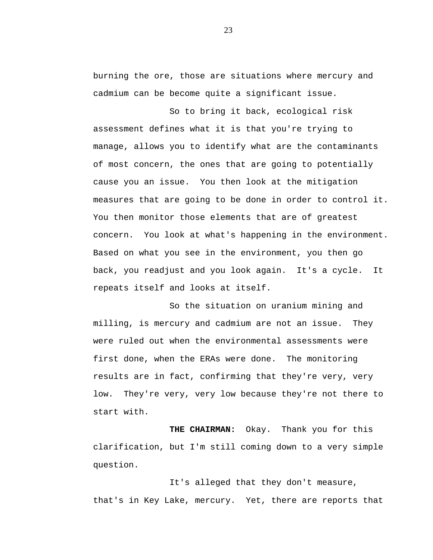burning the ore, those are situations where mercury and cadmium can be become quite a significant issue.

So to bring it back, ecological risk assessment defines what it is that you're trying to manage, allows you to identify what are the contaminants of most concern, the ones that are going to potentially cause you an issue. You then look at the mitigation measures that are going to be done in order to control it. You then monitor those elements that are of greatest concern. You look at what's happening in the environment. Based on what you see in the environment, you then go back, you readjust and you look again. It's a cycle. It repeats itself and looks at itself.

So the situation on uranium mining and milling, is mercury and cadmium are not an issue. They were ruled out when the environmental assessments were first done, when the ERAs were done. The monitoring results are in fact, confirming that they're very, very low. They're very, very low because they're not there to start with.

**THE CHAIRMAN:** Okay. Thank you for this clarification, but I'm still coming down to a very simple question.

It's alleged that they don't measure, that's in Key Lake, mercury. Yet, there are reports that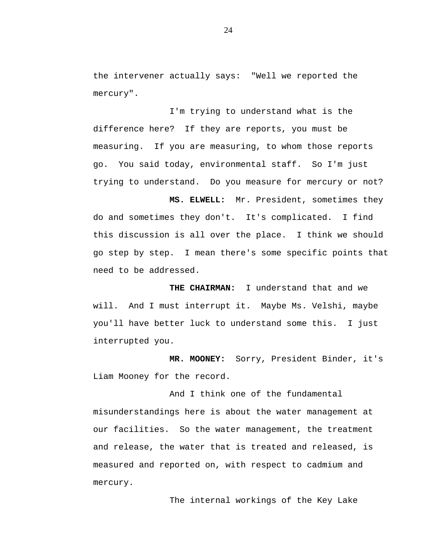the intervener actually says: "Well we reported the mercury".

I'm trying to understand what is the difference here? If they are reports, you must be measuring. If you are measuring, to whom those reports go. You said today, environmental staff. So I'm just trying to understand. Do you measure for mercury or not?

**MS. ELWELL:** Mr. President, sometimes they do and sometimes they don't. It's complicated. I find this discussion is all over the place. I think we should go step by step. I mean there's some specific points that need to be addressed.

**THE CHAIRMAN:** I understand that and we will. And I must interrupt it. Maybe Ms. Velshi, maybe you'll have better luck to understand some this. I just interrupted you.

**MR. MOONEY:** Sorry, President Binder, it's Liam Mooney for the record.

And I think one of the fundamental misunderstandings here is about the water management at our facilities. So the water management, the treatment and release, the water that is treated and released, is measured and reported on, with respect to cadmium and mercury.

The internal workings of the Key Lake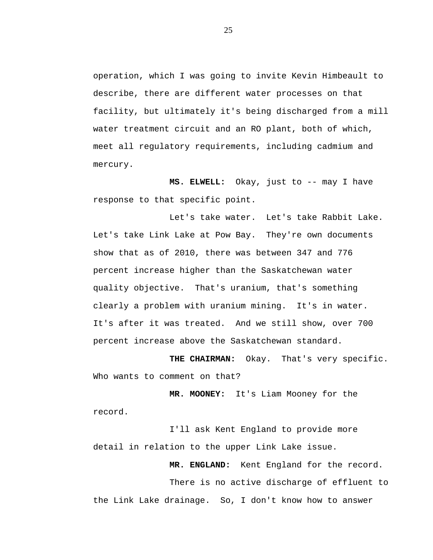operation, which I was going to invite Kevin Himbeault to describe, there are different water processes on that facility, but ultimately it's being discharged from a mill water treatment circuit and an RO plant, both of which, meet all regulatory requirements, including cadmium and mercury.

**MS. ELWELL:** Okay, just to -- may I have response to that specific point.

Let's take water. Let's take Rabbit Lake. Let's take Link Lake at Pow Bay. They're own documents show that as of 2010, there was between 347 and 776 percent increase higher than the Saskatchewan water quality objective. That's uranium, that's something clearly a problem with uranium mining. It's in water. It's after it was treated. And we still show, over 700 percent increase above the Saskatchewan standard.

**THE CHAIRMAN:** Okay. That's very specific. Who wants to comment on that?

**MR. MOONEY:** It's Liam Mooney for the record.

I'll ask Kent England to provide more detail in relation to the upper Link Lake issue.

**MR. ENGLAND:** Kent England for the record.

There is no active discharge of effluent to the Link Lake drainage. So, I don't know how to answer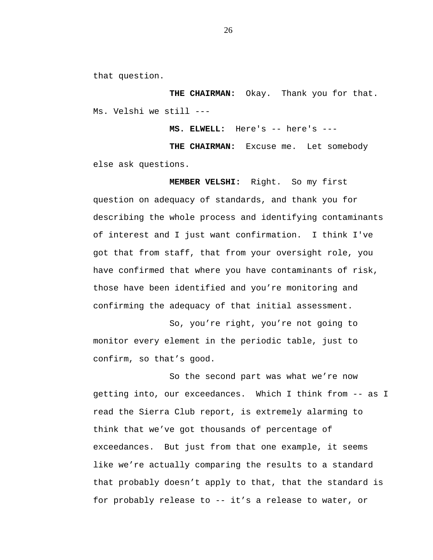that question.

**THE CHAIRMAN:** Okay. Thank you for that. Ms. Velshi we still ---

**MS. ELWELL:** Here's -- here's ---

**THE CHAIRMAN:** Excuse me. Let somebody else ask questions.

**MEMBER VELSHI:** Right. So my first question on adequacy of standards, and thank you for describing the whole process and identifying contaminants of interest and I just want confirmation. I think I've got that from staff, that from your oversight role, you have confirmed that where you have contaminants of risk, those have been identified and you're monitoring and confirming the adequacy of that initial assessment.

So, you're right, you're not going to monitor every element in the periodic table, just to confirm, so that's good.

So the second part was what we're now getting into, our exceedances. Which I think from -- as I read the Sierra Club report, is extremely alarming to think that we've got thousands of percentage of exceedances. But just from that one example, it seems like we're actually comparing the results to a standard that probably doesn't apply to that, that the standard is for probably release to -- it's a release to water, or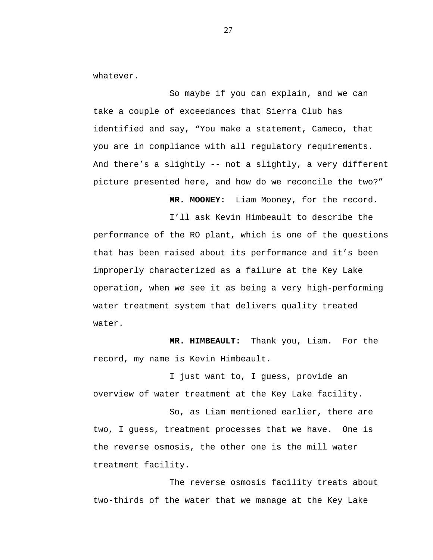whatever.

So maybe if you can explain, and we can take a couple of exceedances that Sierra Club has identified and say, "You make a statement, Cameco, that you are in compliance with all regulatory requirements. And there's a slightly -- not a slightly, a very different picture presented here, and how do we reconcile the two?"

**MR. MOONEY:** Liam Mooney, for the record.

I'll ask Kevin Himbeault to describe the performance of the RO plant, which is one of the questions that has been raised about its performance and it's been improperly characterized as a failure at the Key Lake operation, when we see it as being a very high-performing water treatment system that delivers quality treated water.

**MR. HIMBEAULT:** Thank you, Liam. For the record, my name is Kevin Himbeault.

I just want to, I guess, provide an overview of water treatment at the Key Lake facility.

So, as Liam mentioned earlier, there are two, I guess, treatment processes that we have. One is the reverse osmosis, the other one is the mill water treatment facility.

The reverse osmosis facility treats about two-thirds of the water that we manage at the Key Lake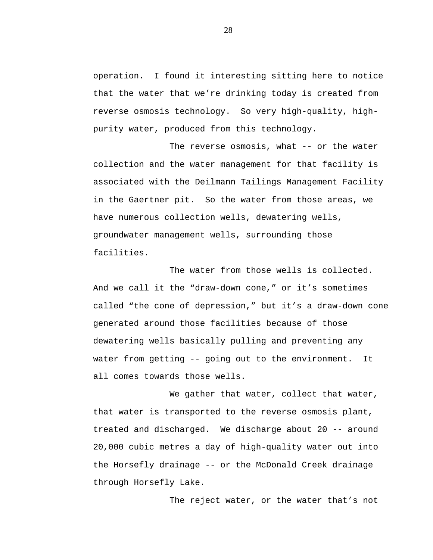operation. I found it interesting sitting here to notice that the water that we're drinking today is created from reverse osmosis technology. So very high-quality, highpurity water, produced from this technology.

The reverse osmosis, what -- or the water collection and the water management for that facility is associated with the Deilmann Tailings Management Facility in the Gaertner pit. So the water from those areas, we have numerous collection wells, dewatering wells, groundwater management wells, surrounding those facilities.

The water from those wells is collected. And we call it the "draw-down cone," or it's sometimes called "the cone of depression," but it's a draw-down cone generated around those facilities because of those dewatering wells basically pulling and preventing any water from getting -- going out to the environment. It all comes towards those wells.

We gather that water, collect that water, that water is transported to the reverse osmosis plant, treated and discharged. We discharge about 20 -- around 20,000 cubic metres a day of high-quality water out into the Horsefly drainage -- or the McDonald Creek drainage through Horsefly Lake.

The reject water, or the water that's not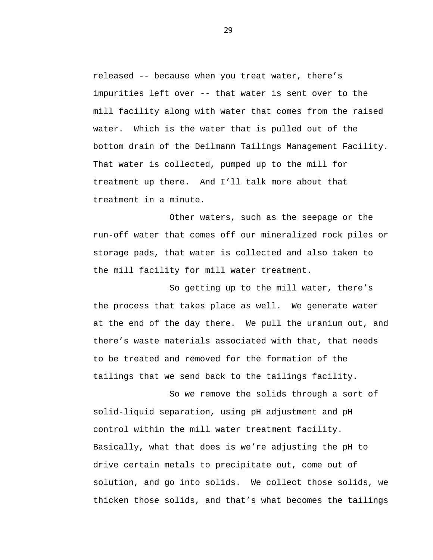released -- because when you treat water, there's impurities left over -- that water is sent over to the mill facility along with water that comes from the raised water. Which is the water that is pulled out of the bottom drain of the Deilmann Tailings Management Facility. That water is collected, pumped up to the mill for treatment up there. And I'll talk more about that treatment in a minute.

Other waters, such as the seepage or the run-off water that comes off our mineralized rock piles or storage pads, that water is collected and also taken to the mill facility for mill water treatment.

So getting up to the mill water, there's the process that takes place as well. We generate water at the end of the day there. We pull the uranium out, and there's waste materials associated with that, that needs to be treated and removed for the formation of the tailings that we send back to the tailings facility.

So we remove the solids through a sort of solid-liquid separation, using pH adjustment and pH control within the mill water treatment facility. Basically, what that does is we're adjusting the pH to drive certain metals to precipitate out, come out of solution, and go into solids. We collect those solids, we thicken those solids, and that's what becomes the tailings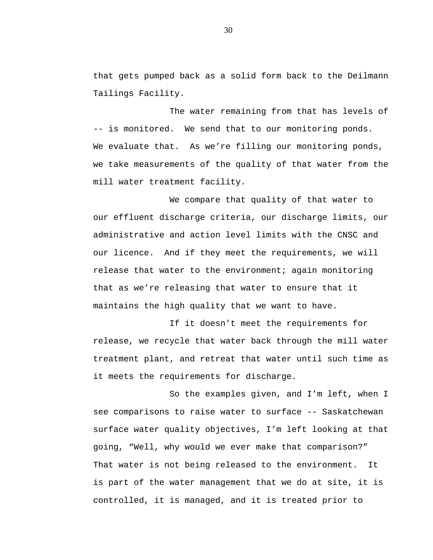that gets pumped back as a solid form back to the Deilmann Tailings Facility.

The water remaining from that has levels of -- is monitored. We send that to our monitoring ponds. We evaluate that. As we're filling our monitoring ponds, we take measurements of the quality of that water from the mill water treatment facility.

We compare that quality of that water to our effluent discharge criteria, our discharge limits, our administrative and action level limits with the CNSC and our licence. And if they meet the requirements, we will release that water to the environment; again monitoring that as we're releasing that water to ensure that it maintains the high quality that we want to have.

If it doesn't meet the requirements for release, we recycle that water back through the mill water treatment plant, and retreat that water until such time as it meets the requirements for discharge.

So the examples given, and I'm left, when I see comparisons to raise water to surface -- Saskatchewan surface water quality objectives, I'm left looking at that going, "Well, why would we ever make that comparison?" That water is not being released to the environment. It is part of the water management that we do at site, it is controlled, it is managed, and it is treated prior to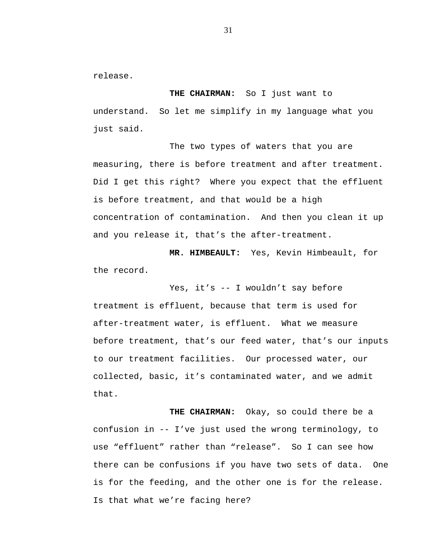release.

**THE CHAIRMAN:** So I just want to understand. So let me simplify in my language what you just said.

The two types of waters that you are measuring, there is before treatment and after treatment. Did I get this right? Where you expect that the effluent is before treatment, and that would be a high concentration of contamination. And then you clean it up and you release it, that's the after-treatment.

**MR. HIMBEAULT:** Yes, Kevin Himbeault, for the record.

Yes, it's -- I wouldn't say before treatment is effluent, because that term is used for after-treatment water, is effluent. What we measure before treatment, that's our feed water, that's our inputs to our treatment facilities. Our processed water, our collected, basic, it's contaminated water, and we admit that.

**THE CHAIRMAN:** Okay, so could there be a confusion in -- I've just used the wrong terminology, to use "effluent" rather than "release". So I can see how there can be confusions if you have two sets of data. One is for the feeding, and the other one is for the release. Is that what we're facing here?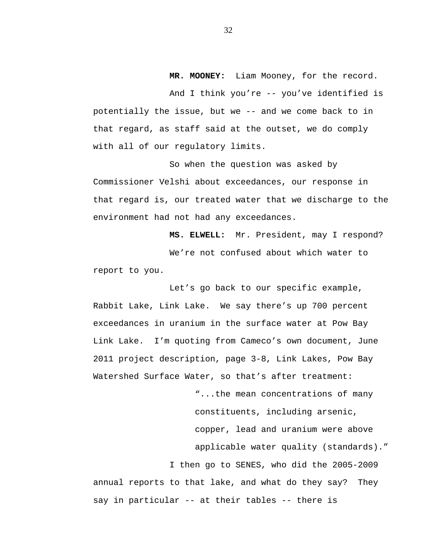**MR. MOONEY:** Liam Mooney, for the record.

And I think you're -- you've identified is potentially the issue, but we -- and we come back to in that regard, as staff said at the outset, we do comply with all of our regulatory limits.

So when the question was asked by Commissioner Velshi about exceedances, our response in that regard is, our treated water that we discharge to the environment had not had any exceedances.

**MS. ELWELL:** Mr. President, may I respond? We're not confused about which water to report to you.

Let's go back to our specific example, Rabbit Lake, Link Lake. We say there's up 700 percent exceedances in uranium in the surface water at Pow Bay Link Lake. I'm quoting from Cameco's own document, June 2011 project description, page 3-8, Link Lakes, Pow Bay Watershed Surface Water, so that's after treatment:

> "...the mean concentrations of many constituents, including arsenic, copper, lead and uranium were above applicable water quality (standards)."

I then go to SENES, who did the 2005-2009 annual reports to that lake, and what do they say? They say in particular -- at their tables -- there is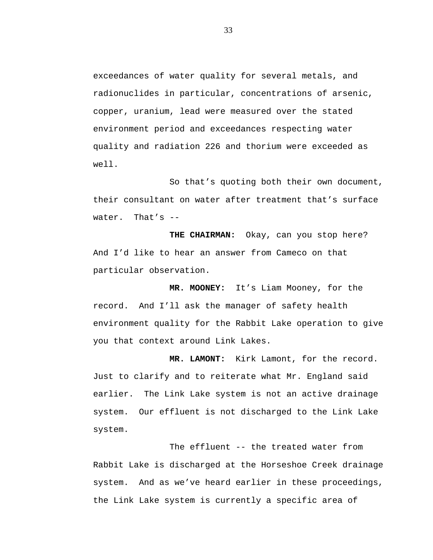exceedances of water quality for several metals, and radionuclides in particular, concentrations of arsenic, copper, uranium, lead were measured over the stated environment period and exceedances respecting water quality and radiation 226 and thorium were exceeded as well.

So that's quoting both their own document, their consultant on water after treatment that's surface water. That's --

**THE CHAIRMAN:** Okay, can you stop here? And I'd like to hear an answer from Cameco on that particular observation.

**MR. MOONEY:** It's Liam Mooney, for the record. And I'll ask the manager of safety health environment quality for the Rabbit Lake operation to give you that context around Link Lakes.

**MR. LAMONT:** Kirk Lamont, for the record. Just to clarify and to reiterate what Mr. England said earlier. The Link Lake system is not an active drainage system. Our effluent is not discharged to the Link Lake system.

The effluent -- the treated water from Rabbit Lake is discharged at the Horseshoe Creek drainage system. And as we've heard earlier in these proceedings, the Link Lake system is currently a specific area of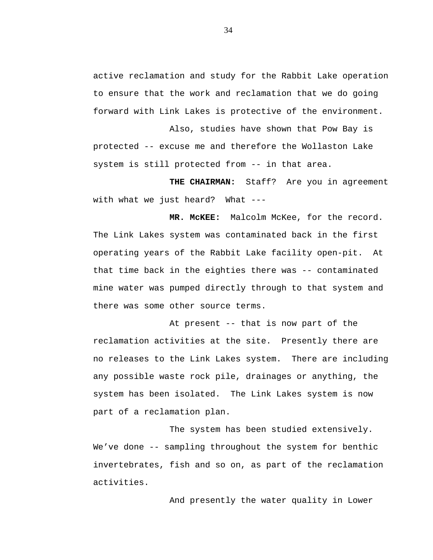active reclamation and study for the Rabbit Lake operation to ensure that the work and reclamation that we do going forward with Link Lakes is protective of the environment.

Also, studies have shown that Pow Bay is protected -- excuse me and therefore the Wollaston Lake system is still protected from -- in that area.

**THE CHAIRMAN:** Staff? Are you in agreement with what we just heard? What ---

**MR. McKEE:** Malcolm McKee, for the record. The Link Lakes system was contaminated back in the first operating years of the Rabbit Lake facility open-pit. At that time back in the eighties there was -- contaminated mine water was pumped directly through to that system and there was some other source terms.

At present -- that is now part of the reclamation activities at the site. Presently there are no releases to the Link Lakes system. There are including any possible waste rock pile, drainages or anything, the system has been isolated. The Link Lakes system is now part of a reclamation plan.

The system has been studied extensively. We've done -- sampling throughout the system for benthic invertebrates, fish and so on, as part of the reclamation activities.

And presently the water quality in Lower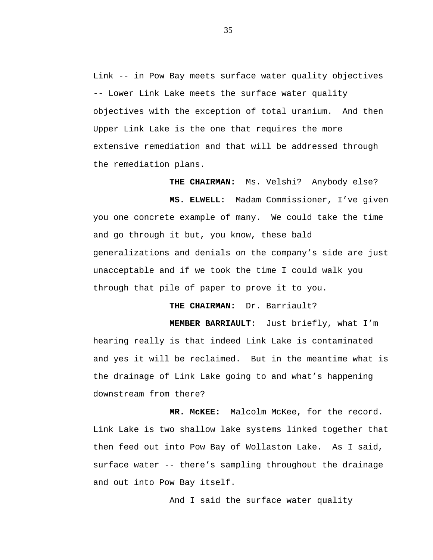Link -- in Pow Bay meets surface water quality objectives -- Lower Link Lake meets the surface water quality objectives with the exception of total uranium. And then Upper Link Lake is the one that requires the more extensive remediation and that will be addressed through the remediation plans.

**THE CHAIRMAN:** Ms. Velshi? Anybody else?

**MS. ELWELL:** Madam Commissioner, I've given you one concrete example of many. We could take the time and go through it but, you know, these bald generalizations and denials on the company's side are just unacceptable and if we took the time I could walk you through that pile of paper to prove it to you.

**THE CHAIRMAN:** Dr. Barriault?

**MEMBER BARRIAULT:** Just briefly, what I'm hearing really is that indeed Link Lake is contaminated and yes it will be reclaimed. But in the meantime what is the drainage of Link Lake going to and what's happening downstream from there?

**MR. McKEE:** Malcolm McKee, for the record. Link Lake is two shallow lake systems linked together that then feed out into Pow Bay of Wollaston Lake. As I said, surface water -- there's sampling throughout the drainage and out into Pow Bay itself.

And I said the surface water quality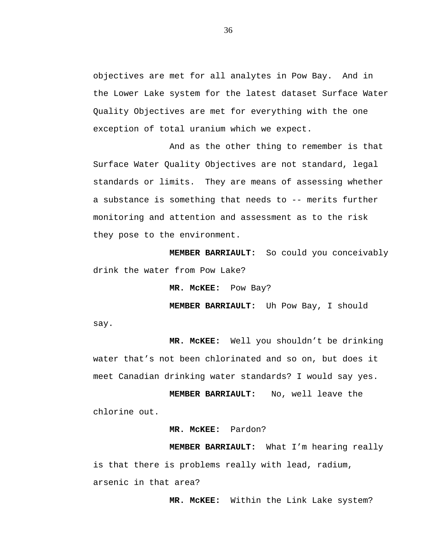objectives are met for all analytes in Pow Bay. And in the Lower Lake system for the latest dataset Surface Water Quality Objectives are met for everything with the one exception of total uranium which we expect.

And as the other thing to remember is that Surface Water Quality Objectives are not standard, legal standards or limits. They are means of assessing whether a substance is something that needs to -- merits further monitoring and attention and assessment as to the risk they pose to the environment.

**MEMBER BARRIAULT:** So could you conceivably drink the water from Pow Lake?

**MR. McKEE:** Pow Bay?

**MEMBER BARRIAULT:** Uh Pow Bay, I should say.

**MR. McKEE:** Well you shouldn't be drinking water that's not been chlorinated and so on, but does it meet Canadian drinking water standards? I would say yes.

**MEMBER BARRIAULT:** No, well leave the chlorine out.

## **MR. McKEE:** Pardon?

**MEMBER BARRIAULT:** What I'm hearing really is that there is problems really with lead, radium, arsenic in that area?

**MR. McKEE:** Within the Link Lake system?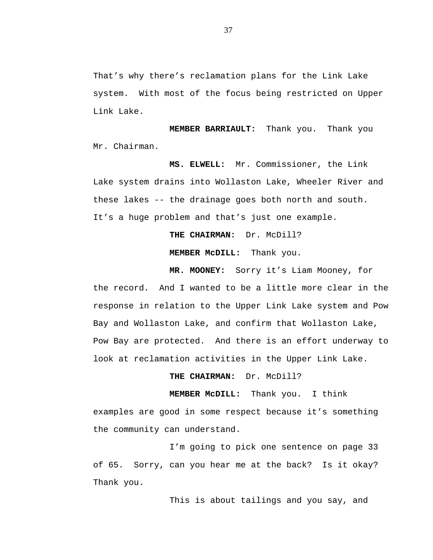That's why there's reclamation plans for the Link Lake system. With most of the focus being restricted on Upper Link Lake.

**MEMBER BARRIAULT:** Thank you. Thank you Mr. Chairman.

**MS. ELWELL:** Mr. Commissioner, the Link Lake system drains into Wollaston Lake, Wheeler River and these lakes -- the drainage goes both north and south. It's a huge problem and that's just one example.

**THE CHAIRMAN:** Dr. McDill?

**MEMBER McDILL:** Thank you.

**MR. MOONEY:** Sorry it's Liam Mooney, for the record. And I wanted to be a little more clear in the response in relation to the Upper Link Lake system and Pow Bay and Wollaston Lake, and confirm that Wollaston Lake, Pow Bay are protected. And there is an effort underway to look at reclamation activities in the Upper Link Lake.

**THE CHAIRMAN:** Dr. McDill?

**MEMBER McDILL:** Thank you. I think examples are good in some respect because it's something the community can understand.

I'm going to pick one sentence on page 33 of 65. Sorry, can you hear me at the back? Is it okay? Thank you.

This is about tailings and you say, and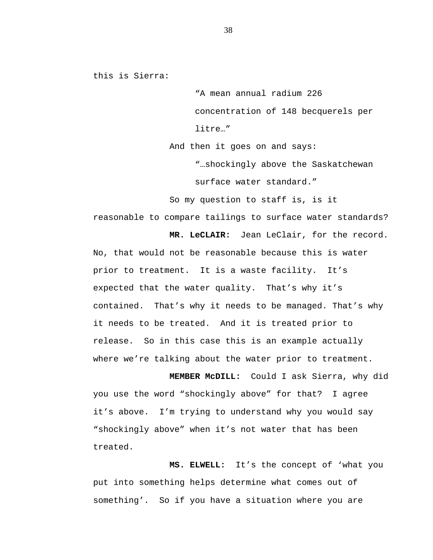this is Sierra:

"A mean annual radium 226 concentration of 148 becquerels per litre…"

And then it goes on and says:

"…shockingly above the Saskatchewan surface water standard."

So my question to staff is, is it

reasonable to compare tailings to surface water standards?

**MR. LeCLAIR:** Jean LeClair, for the record. No, that would not be reasonable because this is water prior to treatment. It is a waste facility. It's expected that the water quality. That's why it's contained. That's why it needs to be managed. That's why it needs to be treated. And it is treated prior to release. So in this case this is an example actually where we're talking about the water prior to treatment.

**MEMBER McDILL:** Could I ask Sierra, why did you use the word "shockingly above" for that? I agree it's above. I'm trying to understand why you would say "shockingly above" when it's not water that has been treated.

**MS. ELWELL:** It's the concept of 'what you put into something helps determine what comes out of something'. So if you have a situation where you are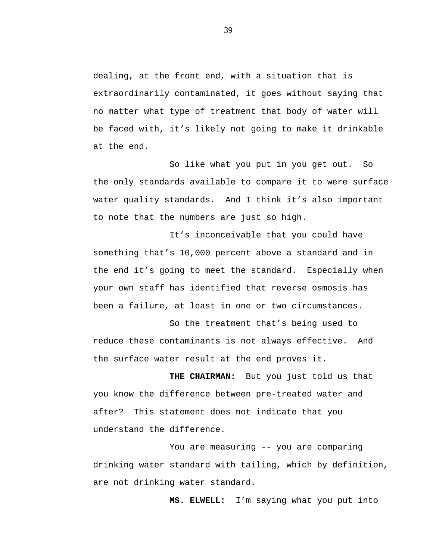dealing, at the front end, with a situation that is extraordinarily contaminated, it goes without saying that no matter what type of treatment that body of water will be faced with, it's likely not going to make it drinkable at the end.

So like what you put in you get out. So the only standards available to compare it to were surface water quality standards. And I think it's also important to note that the numbers are just so high.

It's inconceivable that you could have something that's 10,000 percent above a standard and in the end it's going to meet the standard. Especially when your own staff has identified that reverse osmosis has been a failure, at least in one or two circumstances.

So the treatment that's being used to reduce these contaminants is not always effective. And the surface water result at the end proves it.

**THE CHAIRMAN:** But you just told us that you know the difference between pre-treated water and after? This statement does not indicate that you understand the difference.

You are measuring -- you are comparing drinking water standard with tailing, which by definition, are not drinking water standard.

**MS. ELWELL:** I'm saying what you put into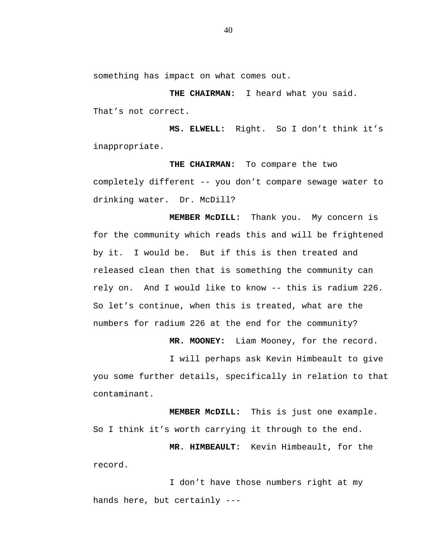something has impact on what comes out.

**THE CHAIRMAN:** I heard what you said. That's not correct.

**MS. ELWELL:** Right. So I don't think it's inappropriate.

**THE CHAIRMAN:** To compare the two completely different -- you don't compare sewage water to drinking water. Dr. McDill?

**MEMBER McDILL:** Thank you. My concern is for the community which reads this and will be frightened by it. I would be. But if this is then treated and released clean then that is something the community can rely on. And I would like to know -- this is radium 226. So let's continue, when this is treated, what are the numbers for radium 226 at the end for the community?

**MR. MOONEY:** Liam Mooney, for the record.

I will perhaps ask Kevin Himbeault to give you some further details, specifically in relation to that contaminant.

**MEMBER McDILL:** This is just one example. So I think it's worth carrying it through to the end.

**MR. HIMBEAULT:** Kevin Himbeault, for the record.

I don't have those numbers right at my hands here, but certainly ---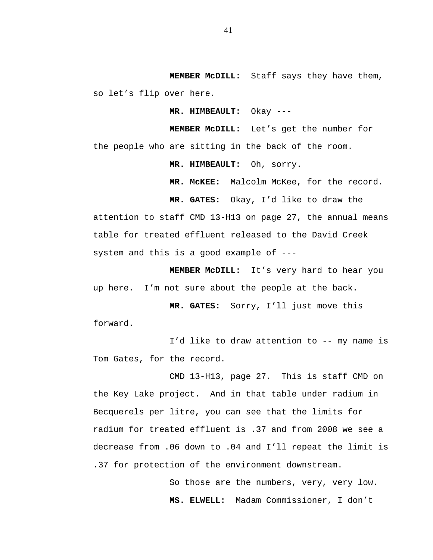**MEMBER McDILL:** Staff says they have them, so let's flip over here.

**MR. HIMBEAULT:** Okay ---

**MEMBER McDILL:** Let's get the number for the people who are sitting in the back of the room.

**MR. HIMBEAULT:** Oh, sorry.

**MR. McKEE:** Malcolm McKee, for the record.

**MR. GATES:** Okay, I'd like to draw the

attention to staff CMD 13-H13 on page 27, the annual means table for treated effluent released to the David Creek system and this is a good example of ---

**MEMBER McDILL:** It's very hard to hear you up here. I'm not sure about the people at the back.

**MR. GATES:** Sorry, I'll just move this forward.

I'd like to draw attention to -- my name is Tom Gates, for the record.

CMD 13-H13, page 27. This is staff CMD on the Key Lake project. And in that table under radium in Becquerels per litre, you can see that the limits for radium for treated effluent is .37 and from 2008 we see a decrease from .06 down to .04 and I'll repeat the limit is .37 for protection of the environment downstream.

> So those are the numbers, very, very low. **MS. ELWELL:** Madam Commissioner, I don't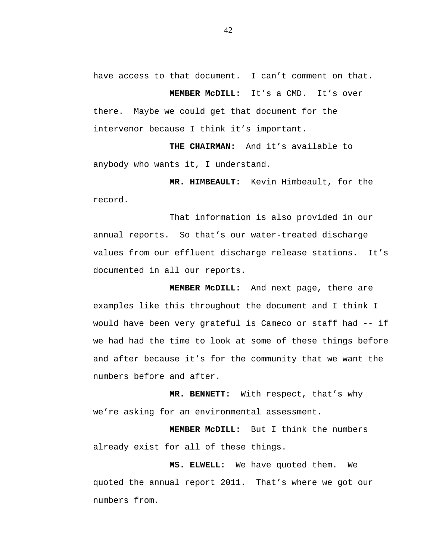have access to that document. I can't comment on that. **MEMBER McDILL:** It's a CMD. It's over

there. Maybe we could get that document for the intervenor because I think it's important.

**THE CHAIRMAN:** And it's available to anybody who wants it, I understand.

**MR. HIMBEAULT:** Kevin Himbeault, for the record.

That information is also provided in our annual reports. So that's our water-treated discharge values from our effluent discharge release stations. It's documented in all our reports.

**MEMBER McDILL:** And next page, there are examples like this throughout the document and I think I would have been very grateful is Cameco or staff had -- if we had had the time to look at some of these things before and after because it's for the community that we want the numbers before and after.

**MR. BENNETT:** With respect, that's why we're asking for an environmental assessment.

**MEMBER McDILL:** But I think the numbers already exist for all of these things.

**MS. ELWELL:** We have quoted them. We quoted the annual report 2011. That's where we got our numbers from.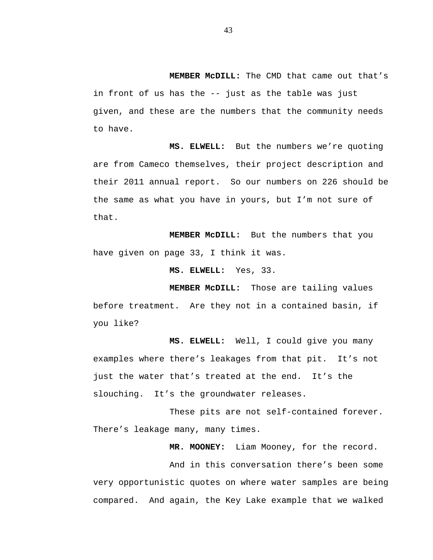**MEMBER McDILL:** The CMD that came out that's in front of us has the -- just as the table was just given, and these are the numbers that the community needs to have.

**MS. ELWELL:** But the numbers we're quoting are from Cameco themselves, their project description and their 2011 annual report. So our numbers on 226 should be the same as what you have in yours, but I'm not sure of that.

**MEMBER McDILL:** But the numbers that you have given on page 33, I think it was.

**MS. ELWELL:** Yes, 33.

**MEMBER McDILL:** Those are tailing values before treatment. Are they not in a contained basin, if you like?

**MS. ELWELL:** Well, I could give you many examples where there's leakages from that pit. It's not just the water that's treated at the end. It's the slouching. It's the groundwater releases.

These pits are not self-contained forever. There's leakage many, many times.

**MR. MOONEY:** Liam Mooney, for the record.

And in this conversation there's been some very opportunistic quotes on where water samples are being compared. And again, the Key Lake example that we walked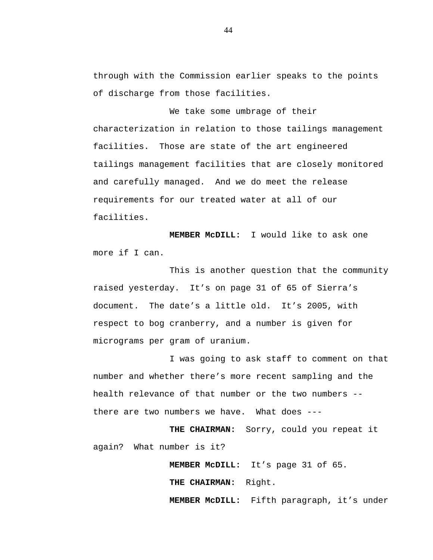through with the Commission earlier speaks to the points of discharge from those facilities.

We take some umbrage of their characterization in relation to those tailings management facilities. Those are state of the art engineered tailings management facilities that are closely monitored and carefully managed. And we do meet the release requirements for our treated water at all of our facilities.

**MEMBER McDILL:** I would like to ask one more if I can.

This is another question that the community raised yesterday. It's on page 31 of 65 of Sierra's document. The date's a little old. It's 2005, with respect to bog cranberry, and a number is given for micrograms per gram of uranium.

I was going to ask staff to comment on that number and whether there's more recent sampling and the health relevance of that number or the two numbers - there are two numbers we have. What does ---

**THE CHAIRMAN:** Sorry, could you repeat it again? What number is it?

**MEMBER McDILL:** It's page 31 of 65.

**THE CHAIRMAN:** Right.

**MEMBER McDILL:** Fifth paragraph, it's under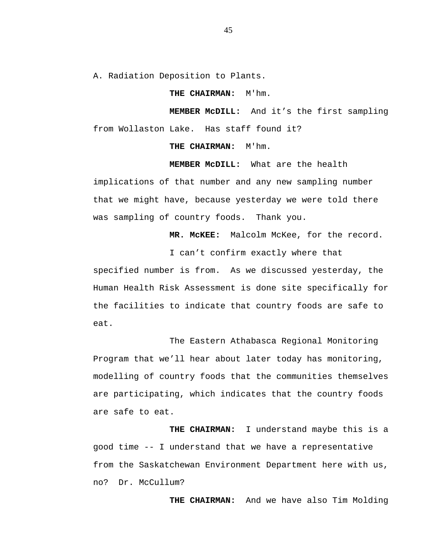A. Radiation Deposition to Plants.

## **THE CHAIRMAN:** M'hm.

**MEMBER McDILL:** And it's the first sampling from Wollaston Lake. Has staff found it?

**THE CHAIRMAN:** M'hm.

**MEMBER McDILL:** What are the health

implications of that number and any new sampling number that we might have, because yesterday we were told there was sampling of country foods. Thank you.

**MR. McKEE:** Malcolm McKee, for the record.

I can't confirm exactly where that

specified number is from. As we discussed yesterday, the Human Health Risk Assessment is done site specifically for the facilities to indicate that country foods are safe to eat.

The Eastern Athabasca Regional Monitoring Program that we'll hear about later today has monitoring, modelling of country foods that the communities themselves are participating, which indicates that the country foods are safe to eat.

**THE CHAIRMAN:** I understand maybe this is a good time -- I understand that we have a representative from the Saskatchewan Environment Department here with us, no? Dr. McCullum?

**THE CHAIRMAN:** And we have also Tim Molding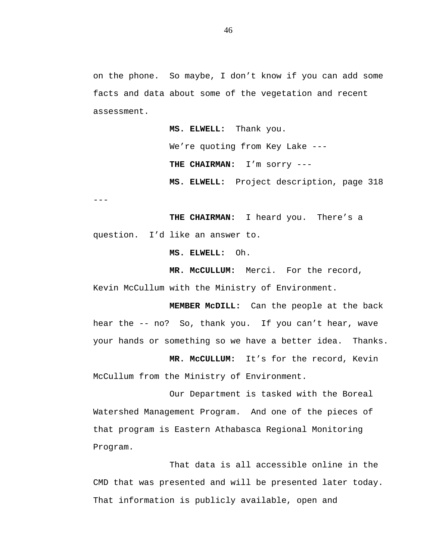on the phone. So maybe, I don't know if you can add some facts and data about some of the vegetation and recent assessment.

> **MS. ELWELL:** Thank you. We're quoting from Key Lake ---**THE CHAIRMAN:** I'm sorry --- **MS. ELWELL:** Project description, page 318

---

**THE CHAIRMAN:** I heard you. There's a question. I'd like an answer to.

**MS. ELWELL:** Oh.

**MR. McCULLUM:** Merci. For the record, Kevin McCullum with the Ministry of Environment.

**MEMBER McDILL:** Can the people at the back hear the -- no? So, thank you. If you can't hear, wave your hands or something so we have a better idea. Thanks.

**MR. McCULLUM:** It's for the record, Kevin McCullum from the Ministry of Environment.

Our Department is tasked with the Boreal Watershed Management Program. And one of the pieces of that program is Eastern Athabasca Regional Monitoring Program.

That data is all accessible online in the CMD that was presented and will be presented later today. That information is publicly available, open and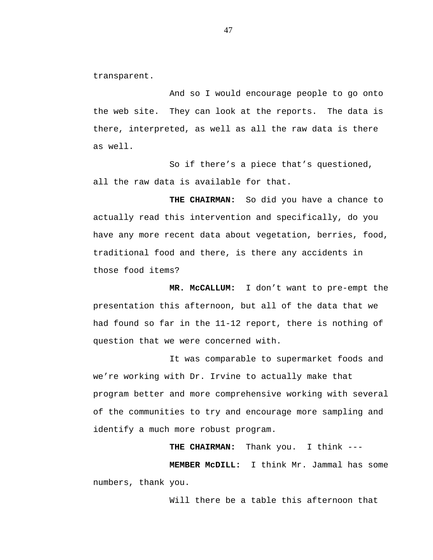transparent.

And so I would encourage people to go onto the web site. They can look at the reports. The data is there, interpreted, as well as all the raw data is there as well.

So if there's a piece that's questioned, all the raw data is available for that.

**THE CHAIRMAN:** So did you have a chance to actually read this intervention and specifically, do you have any more recent data about vegetation, berries, food, traditional food and there, is there any accidents in those food items?

**MR. McCALLUM:** I don't want to pre-empt the presentation this afternoon, but all of the data that we had found so far in the 11-12 report, there is nothing of question that we were concerned with.

It was comparable to supermarket foods and we're working with Dr. Irvine to actually make that program better and more comprehensive working with several of the communities to try and encourage more sampling and identify a much more robust program.

**THE CHAIRMAN:** Thank you. I think ---

**MEMBER McDILL:** I think Mr. Jammal has some numbers, thank you.

Will there be a table this afternoon that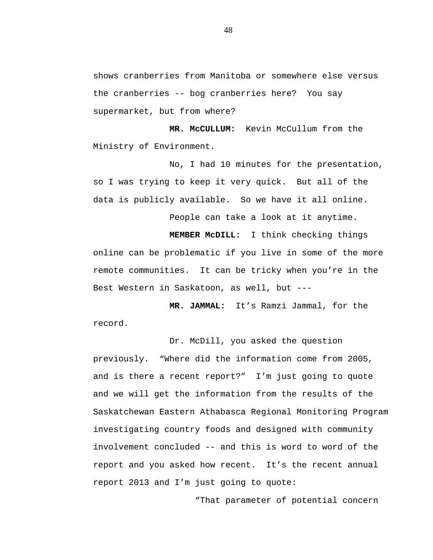shows cranberries from Manitoba or somewhere else versus the cranberries -- bog cranberries here? You say supermarket, but from where?

**MR. McCULLUM:** Kevin McCullum from the Ministry of Environment.

No, I had 10 minutes for the presentation, so I was trying to keep it very quick. But all of the data is publicly available. So we have it all online.

People can take a look at it anytime.

**MEMBER McDILL:** I think checking things online can be problematic if you live in some of the more remote communities. It can be tricky when you're in the Best Western in Saskatoon, as well, but ---

**MR. JAMMAL:** It's Ramzi Jammal, for the record.

Dr. McDill, you asked the question previously. "Where did the information come from 2005, and is there a recent report?" I'm just going to quote and we will get the information from the results of the Saskatchewan Eastern Athabasca Regional Monitoring Program investigating country foods and designed with community involvement concluded -- and this is word to word of the report and you asked how recent. It's the recent annual report 2013 and I'm just going to quote:

"That parameter of potential concern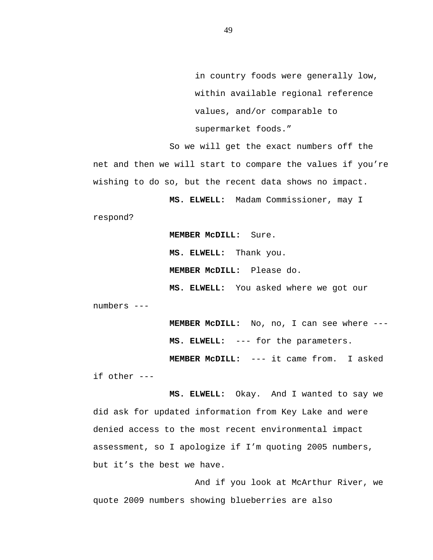in country foods were generally low, within available regional reference values, and/or comparable to supermarket foods."

So we will get the exact numbers off the net and then we will start to compare the values if you're wishing to do so, but the recent data shows no impact.

**MS. ELWELL:** Madam Commissioner, may I

respond?

**MEMBER McDILL:** Sure. **MS. ELWELL:** Thank you. **MEMBER McDILL:** Please do.

**MS. ELWELL:** You asked where we got our

numbers ---

**MEMBER McDILL:** No, no, I can see where --- **MS. ELWELL:** --- for the parameters. **MEMBER McDILL:** --- it came from. I asked

if other ---

**MS. ELWELL:** Okay. And I wanted to say we did ask for updated information from Key Lake and were denied access to the most recent environmental impact assessment, so I apologize if I'm quoting 2005 numbers, but it's the best we have.

And if you look at McArthur River, we quote 2009 numbers showing blueberries are also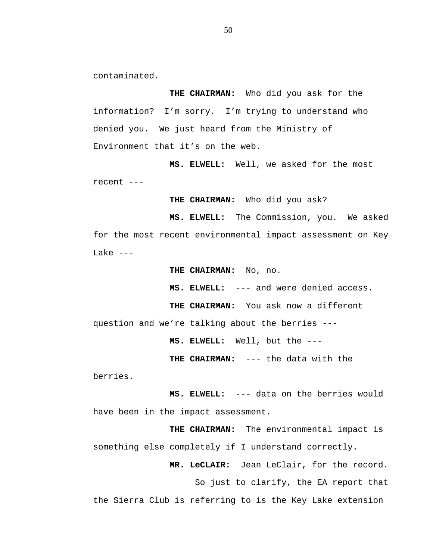contaminated.

**THE CHAIRMAN:** Who did you ask for the information? I'm sorry. I'm trying to understand who denied you. We just heard from the Ministry of Environment that it's on the web.

**MS. ELWELL:** Well, we asked for the most recent ---

**THE CHAIRMAN:** Who did you ask?

**MS. ELWELL:** The Commission, you. We asked for the most recent environmental impact assessment on Key Lake  $---$ 

**THE CHAIRMAN:** No, no.

**MS. ELWELL:** --- and were denied access.

**THE CHAIRMAN:** You ask now a different

question and we're talking about the berries ---

**MS. ELWELL:** Well, but the --- **THE CHAIRMAN:** --- the data with the

berries.

**MS. ELWELL:** --- data on the berries would have been in the impact assessment.

**THE CHAIRMAN:** The environmental impact is something else completely if I understand correctly.

**MR. LeCLAIR:** Jean LeClair, for the record.

So just to clarify, the EA report that

the Sierra Club is referring to is the Key Lake extension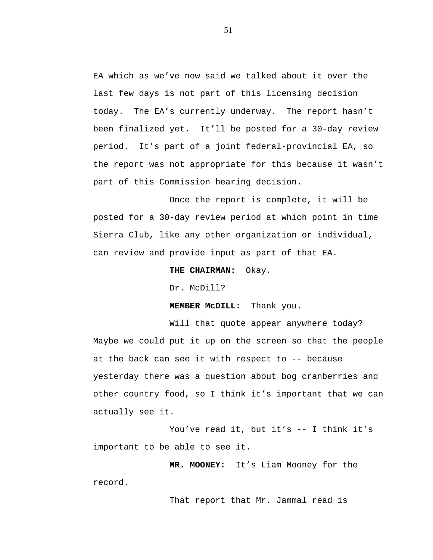EA which as we've now said we talked about it over the last few days is not part of this licensing decision today. The EA's currently underway. The report hasn't been finalized yet. It'll be posted for a 30-day review period. It's part of a joint federal-provincial EA, so the report was not appropriate for this because it wasn't part of this Commission hearing decision.

Once the report is complete, it will be posted for a 30-day review period at which point in time Sierra Club, like any other organization or individual, can review and provide input as part of that EA.

**THE CHAIRMAN:** Okay.

Dr. McDill?

**MEMBER McDILL:** Thank you.

Will that quote appear anywhere today? Maybe we could put it up on the screen so that the people at the back can see it with respect to -- because yesterday there was a question about bog cranberries and other country food, so I think it's important that we can actually see it.

You've read it, but it's -- I think it's important to be able to see it.

**MR. MOONEY:** It's Liam Mooney for the record.

That report that Mr. Jammal read is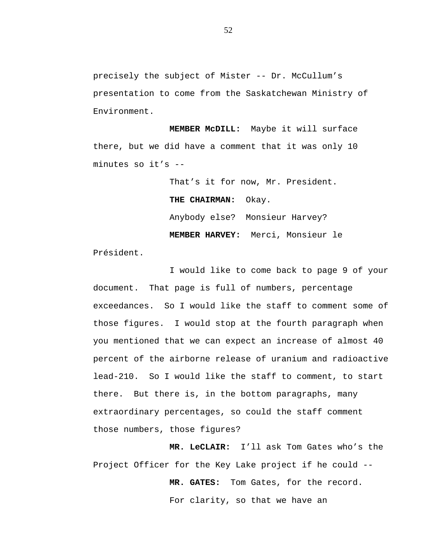precisely the subject of Mister -- Dr. McCullum's presentation to come from the Saskatchewan Ministry of Environment.

**MEMBER McDILL:** Maybe it will surface there, but we did have a comment that it was only 10 minutes so it's --

> That's it for now, Mr. President. **THE CHAIRMAN:** Okay. Anybody else? Monsieur Harvey? **MEMBER HARVEY:** Merci, Monsieur le

Président.

I would like to come back to page 9 of your document. That page is full of numbers, percentage exceedances. So I would like the staff to comment some of those figures. I would stop at the fourth paragraph when you mentioned that we can expect an increase of almost 40 percent of the airborne release of uranium and radioactive lead-210. So I would like the staff to comment, to start there. But there is, in the bottom paragraphs, many extraordinary percentages, so could the staff comment those numbers, those figures?

**MR. LeCLAIR:** I'll ask Tom Gates who's the Project Officer for the Key Lake project if he could --

> **MR. GATES:** Tom Gates, for the record. For clarity, so that we have an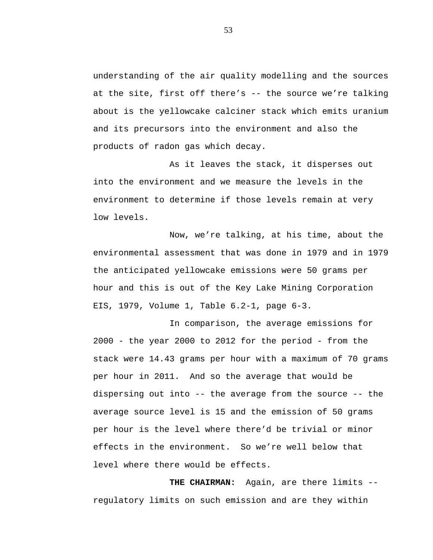understanding of the air quality modelling and the sources at the site, first off there's -- the source we're talking about is the yellowcake calciner stack which emits uranium and its precursors into the environment and also the products of radon gas which decay.

As it leaves the stack, it disperses out into the environment and we measure the levels in the environment to determine if those levels remain at very low levels.

Now, we're talking, at his time, about the environmental assessment that was done in 1979 and in 1979 the anticipated yellowcake emissions were 50 grams per hour and this is out of the Key Lake Mining Corporation EIS, 1979, Volume 1, Table 6.2-1, page 6-3.

In comparison, the average emissions for 2000 - the year 2000 to 2012 for the period - from the stack were 14.43 grams per hour with a maximum of 70 grams per hour in 2011. And so the average that would be dispersing out into -- the average from the source -- the average source level is 15 and the emission of 50 grams per hour is the level where there'd be trivial or minor effects in the environment. So we're well below that level where there would be effects.

**THE CHAIRMAN:** Again, are there limits - regulatory limits on such emission and are they within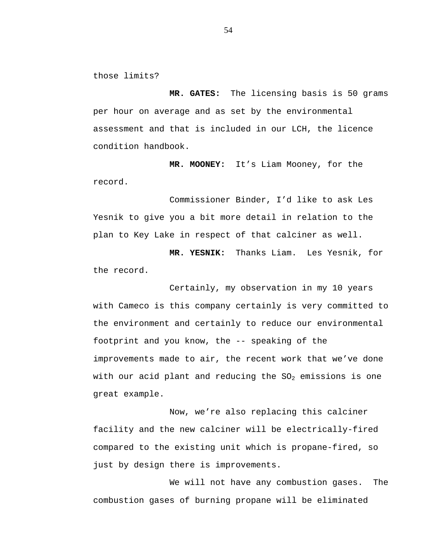those limits?

**MR. GATES:** The licensing basis is 50 grams per hour on average and as set by the environmental assessment and that is included in our LCH, the licence condition handbook.

**MR. MOONEY:** It's Liam Mooney, for the record.

Commissioner Binder, I'd like to ask Les Yesnik to give you a bit more detail in relation to the plan to Key Lake in respect of that calciner as well.

**MR. YESNIK:** Thanks Liam. Les Yesnik, for the record.

Certainly, my observation in my 10 years with Cameco is this company certainly is very committed to the environment and certainly to reduce our environmental footprint and you know, the -- speaking of the improvements made to air, the recent work that we've done with our acid plant and reducing the  $SO_2$  emissions is one great example.

Now, we're also replacing this calciner facility and the new calciner will be electrically-fired compared to the existing unit which is propane-fired, so just by design there is improvements.

We will not have any combustion gases. The combustion gases of burning propane will be eliminated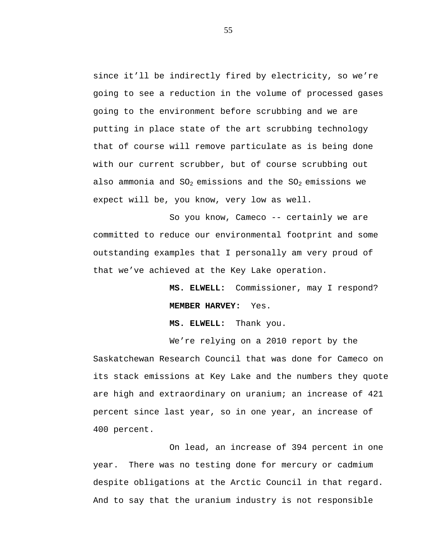since it'll be indirectly fired by electricity, so we're going to see a reduction in the volume of processed gases going to the environment before scrubbing and we are putting in place state of the art scrubbing technology that of course will remove particulate as is being done with our current scrubber, but of course scrubbing out also ammonia and  $SO_2$  emissions and the  $SO_2$  emissions we expect will be, you know, very low as well.

So you know, Cameco -- certainly we are committed to reduce our environmental footprint and some outstanding examples that I personally am very proud of that we've achieved at the Key Lake operation.

> **MS. ELWELL:** Commissioner, may I respond? **MEMBER HARVEY:** Yes.

**MS. ELWELL:** Thank you.

We're relying on a 2010 report by the Saskatchewan Research Council that was done for Cameco on its stack emissions at Key Lake and the numbers they quote are high and extraordinary on uranium; an increase of 421 percent since last year, so in one year, an increase of 400 percent.

On lead, an increase of 394 percent in one year. There was no testing done for mercury or cadmium despite obligations at the Arctic Council in that regard. And to say that the uranium industry is not responsible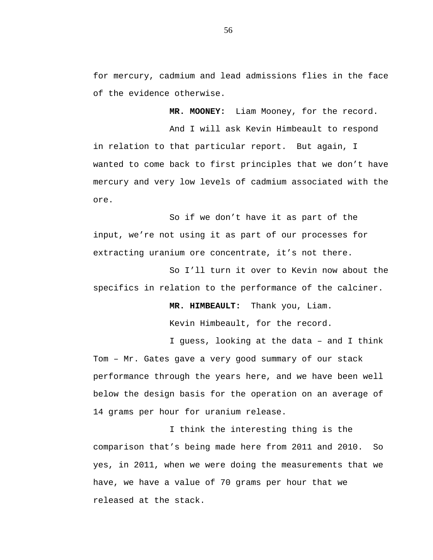for mercury, cadmium and lead admissions flies in the face of the evidence otherwise.

**MR. MOONEY:** Liam Mooney, for the record.

And I will ask Kevin Himbeault to respond in relation to that particular report. But again, I wanted to come back to first principles that we don't have mercury and very low levels of cadmium associated with the ore.

So if we don't have it as part of the input, we're not using it as part of our processes for extracting uranium ore concentrate, it's not there.

So I'll turn it over to Kevin now about the specifics in relation to the performance of the calciner.

**MR. HIMBEAULT:** Thank you, Liam.

Kevin Himbeault, for the record.

I guess, looking at the data – and I think Tom – Mr. Gates gave a very good summary of our stack performance through the years here, and we have been well below the design basis for the operation on an average of 14 grams per hour for uranium release.

I think the interesting thing is the comparison that's being made here from 2011 and 2010. So yes, in 2011, when we were doing the measurements that we have, we have a value of 70 grams per hour that we released at the stack.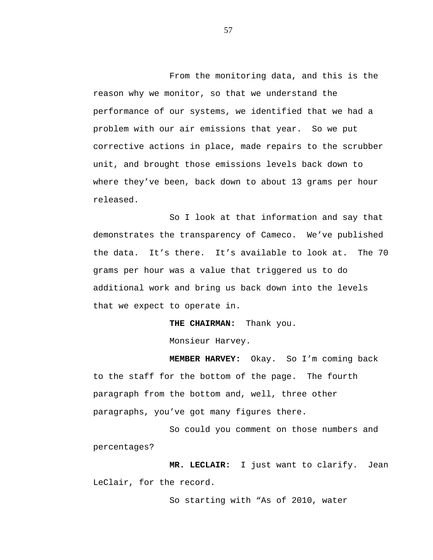From the monitoring data, and this is the reason why we monitor, so that we understand the performance of our systems, we identified that we had a problem with our air emissions that year. So we put corrective actions in place, made repairs to the scrubber unit, and brought those emissions levels back down to where they've been, back down to about 13 grams per hour released.

So I look at that information and say that demonstrates the transparency of Cameco. We've published the data. It's there. It's available to look at. The 70 grams per hour was a value that triggered us to do additional work and bring us back down into the levels that we expect to operate in.

**THE CHAIRMAN:** Thank you.

Monsieur Harvey.

**MEMBER HARVEY:** Okay. So I'm coming back to the staff for the bottom of the page. The fourth paragraph from the bottom and, well, three other paragraphs, you've got many figures there.

So could you comment on those numbers and percentages?

**MR. LECLAIR:** I just want to clarify. Jean LeClair, for the record.

So starting with "As of 2010, water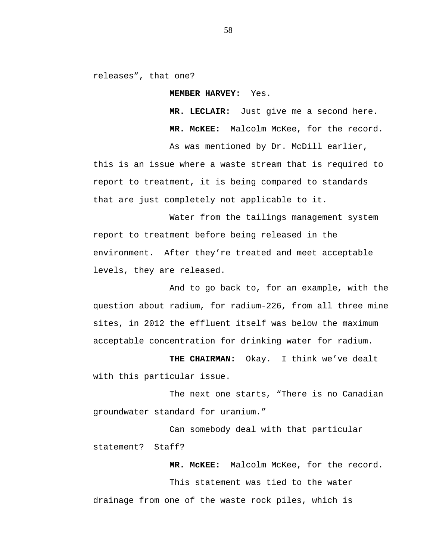releases", that one?

**MEMBER HARVEY:** Yes.

**MR. LECLAIR:** Just give me a second here. **MR. McKEE:** Malcolm McKee, for the record.

As was mentioned by Dr. McDill earlier,

this is an issue where a waste stream that is required to report to treatment, it is being compared to standards that are just completely not applicable to it.

Water from the tailings management system report to treatment before being released in the environment. After they're treated and meet acceptable levels, they are released.

And to go back to, for an example, with the question about radium, for radium-226, from all three mine sites, in 2012 the effluent itself was below the maximum acceptable concentration for drinking water for radium.

**THE CHAIRMAN:** Okay. I think we've dealt with this particular issue.

The next one starts, "There is no Canadian groundwater standard for uranium."

Can somebody deal with that particular statement? Staff?

**MR. McKEE:** Malcolm McKee, for the record. This statement was tied to the water drainage from one of the waste rock piles, which is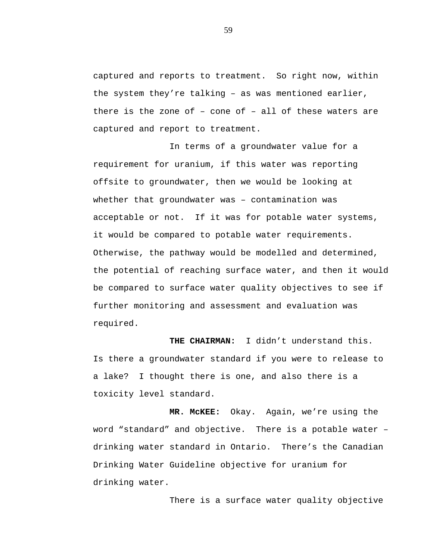captured and reports to treatment. So right now, within the system they're talking – as was mentioned earlier, there is the zone of – cone of – all of these waters are captured and report to treatment.

In terms of a groundwater value for a requirement for uranium, if this water was reporting offsite to groundwater, then we would be looking at whether that groundwater was – contamination was acceptable or not. If it was for potable water systems, it would be compared to potable water requirements. Otherwise, the pathway would be modelled and determined, the potential of reaching surface water, and then it would be compared to surface water quality objectives to see if further monitoring and assessment and evaluation was required.

**THE CHAIRMAN:** I didn't understand this. Is there a groundwater standard if you were to release to a lake? I thought there is one, and also there is a toxicity level standard.

**MR. McKEE:** Okay. Again, we're using the word "standard" and objective. There is a potable water – drinking water standard in Ontario. There's the Canadian Drinking Water Guideline objective for uranium for drinking water.

There is a surface water quality objective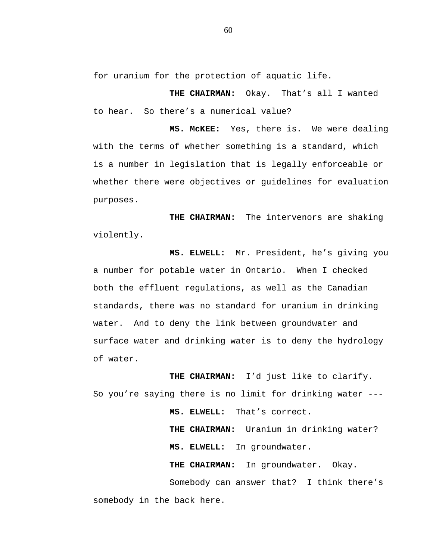for uranium for the protection of aquatic life.

**THE CHAIRMAN:** Okay. That's all I wanted to hear. So there's a numerical value?

**MS. McKEE:** Yes, there is. We were dealing with the terms of whether something is a standard, which is a number in legislation that is legally enforceable or whether there were objectives or guidelines for evaluation purposes.

**THE CHAIRMAN:** The intervenors are shaking violently.

**MS. ELWELL:** Mr. President, he's giving you a number for potable water in Ontario. When I checked both the effluent regulations, as well as the Canadian standards, there was no standard for uranium in drinking water. And to deny the link between groundwater and surface water and drinking water is to deny the hydrology of water.

**THE CHAIRMAN:** I'd just like to clarify. So you're saying there is no limit for drinking water --- **MS. ELWELL:** That's correct. **THE CHAIRMAN:** Uranium in drinking water? **MS. ELWELL:** In groundwater. **THE CHAIRMAN:** In groundwater. Okay. Somebody can answer that? I think there's somebody in the back here.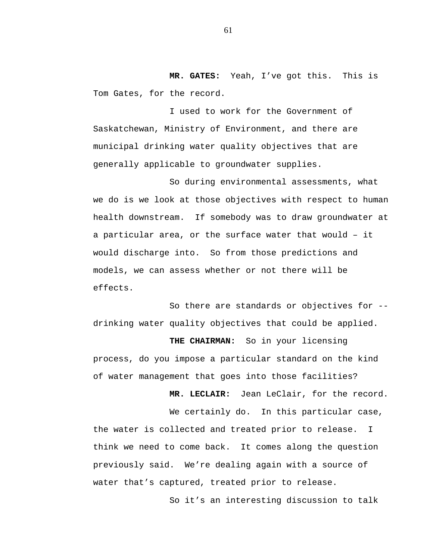**MR. GATES:** Yeah, I've got this. This is Tom Gates, for the record.

I used to work for the Government of Saskatchewan, Ministry of Environment, and there are municipal drinking water quality objectives that are generally applicable to groundwater supplies.

So during environmental assessments, what we do is we look at those objectives with respect to human health downstream. If somebody was to draw groundwater at a particular area, or the surface water that would – it would discharge into. So from those predictions and models, we can assess whether or not there will be effects.

So there are standards or objectives for - drinking water quality objectives that could be applied.

**THE CHAIRMAN:** So in your licensing process, do you impose a particular standard on the kind of water management that goes into those facilities?

**MR. LECLAIR:** Jean LeClair, for the record.

We certainly do. In this particular case, the water is collected and treated prior to release. I think we need to come back. It comes along the question previously said. We're dealing again with a source of water that's captured, treated prior to release.

So it's an interesting discussion to talk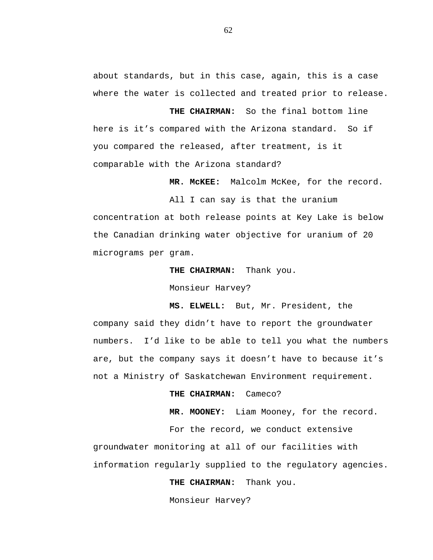about standards, but in this case, again, this is a case where the water is collected and treated prior to release.

**THE CHAIRMAN:** So the final bottom line here is it's compared with the Arizona standard. So if you compared the released, after treatment, is it comparable with the Arizona standard?

**MR. McKEE:** Malcolm McKee, for the record.

All I can say is that the uranium concentration at both release points at Key Lake is below the Canadian drinking water objective for uranium of 20 micrograms per gram.

**THE CHAIRMAN:** Thank you.

Monsieur Harvey?

**MS. ELWELL:** But, Mr. President, the company said they didn't have to report the groundwater numbers. I'd like to be able to tell you what the numbers are, but the company says it doesn't have to because it's not a Ministry of Saskatchewan Environment requirement.

**THE CHAIRMAN:** Cameco?

**MR. MOONEY:** Liam Mooney, for the record.

For the record, we conduct extensive groundwater monitoring at all of our facilities with information regularly supplied to the regulatory agencies.

**THE CHAIRMAN:** Thank you.

Monsieur Harvey?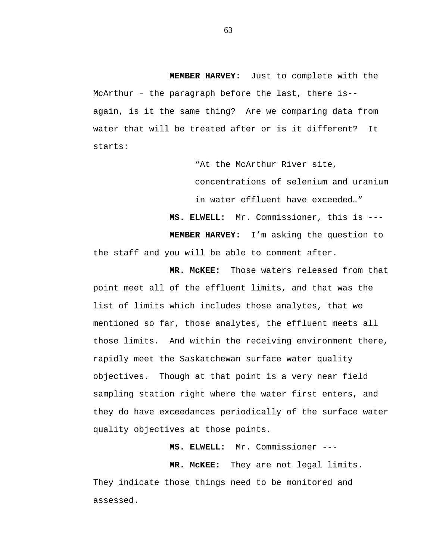**MEMBER HARVEY:** Just to complete with the McArthur – the paragraph before the last, there is- again, is it the same thing? Are we comparing data from water that will be treated after or is it different? It starts:

"At the McArthur River site,

concentrations of selenium and uranium in water effluent have exceeded…"

**MS. ELWELL:** Mr. Commissioner, this is --- **MEMBER HARVEY:** I'm asking the question to the staff and you will be able to comment after.

**MR. McKEE:** Those waters released from that point meet all of the effluent limits, and that was the list of limits which includes those analytes, that we mentioned so far, those analytes, the effluent meets all those limits. And within the receiving environment there, rapidly meet the Saskatchewan surface water quality objectives. Though at that point is a very near field sampling station right where the water first enters, and they do have exceedances periodically of the surface water quality objectives at those points.

**MS. ELWELL:** Mr. Commissioner ---

**MR. McKEE:** They are not legal limits. They indicate those things need to be monitored and assessed.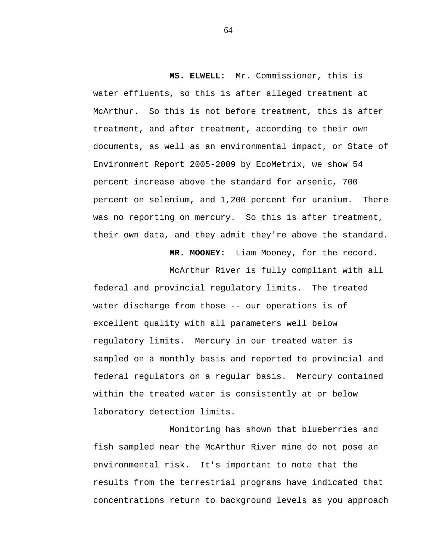**MS. ELWELL:** Mr. Commissioner, this is water effluents, so this is after alleged treatment at McArthur. So this is not before treatment, this is after treatment, and after treatment, according to their own documents, as well as an environmental impact, or State of Environment Report 2005-2009 by EcoMetrix, we show 54 percent increase above the standard for arsenic, 700 percent on selenium, and 1,200 percent for uranium. There was no reporting on mercury. So this is after treatment, their own data, and they admit they're above the standard.

**MR. MOONEY:** Liam Mooney, for the record.

McArthur River is fully compliant with all federal and provincial regulatory limits. The treated water discharge from those -- our operations is of excellent quality with all parameters well below regulatory limits. Mercury in our treated water is sampled on a monthly basis and reported to provincial and federal regulators on a regular basis. Mercury contained within the treated water is consistently at or below laboratory detection limits.

Monitoring has shown that blueberries and fish sampled near the McArthur River mine do not pose an environmental risk. It's important to note that the results from the terrestrial programs have indicated that concentrations return to background levels as you approach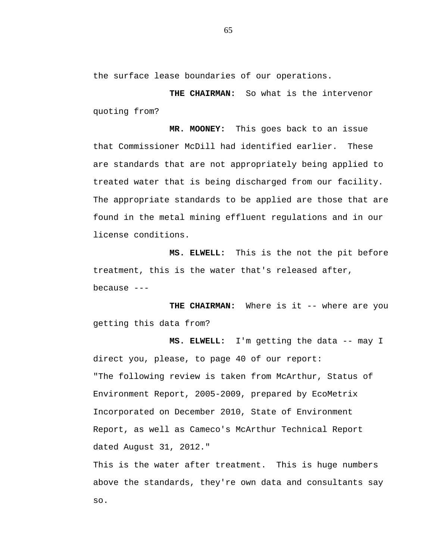the surface lease boundaries of our operations.

**THE CHAIRMAN:** So what is the intervenor quoting from?

**MR. MOONEY:** This goes back to an issue that Commissioner McDill had identified earlier. These are standards that are not appropriately being applied to treated water that is being discharged from our facility. The appropriate standards to be applied are those that are found in the metal mining effluent regulations and in our license conditions.

**MS. ELWELL:** This is the not the pit before treatment, this is the water that's released after, because  $---$ 

THE CHAIRMAN: Where is it -- where are you getting this data from?

**MS. ELWELL:** I'm getting the data -- may I direct you, please, to page 40 of our report: "The following review is taken from McArthur, Status of Environment Report, 2005-2009, prepared by EcoMetrix Incorporated on December 2010, State of Environment Report, as well as Cameco's McArthur Technical Report dated August 31, 2012."

This is the water after treatment. This is huge numbers above the standards, they're own data and consultants say so.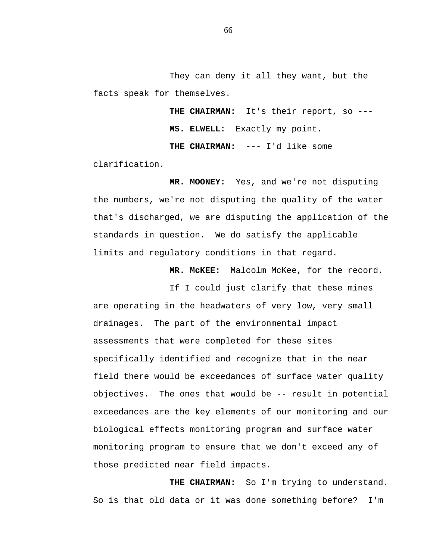They can deny it all they want, but the facts speak for themselves.

> **THE CHAIRMAN:** It's their report, so --- **MS. ELWELL:** Exactly my point.

**THE CHAIRMAN:** --- I'd like some

clarification.

**MR. MOONEY:** Yes, and we're not disputing the numbers, we're not disputing the quality of the water that's discharged, we are disputing the application of the standards in question. We do satisfy the applicable limits and regulatory conditions in that regard.

**MR. McKEE:** Malcolm McKee, for the record.

If I could just clarify that these mines are operating in the headwaters of very low, very small drainages. The part of the environmental impact assessments that were completed for these sites specifically identified and recognize that in the near field there would be exceedances of surface water quality objectives. The ones that would be -- result in potential exceedances are the key elements of our monitoring and our biological effects monitoring program and surface water monitoring program to ensure that we don't exceed any of those predicted near field impacts.

THE CHAIRMAN: So I'm trying to understand. So is that old data or it was done something before? I'm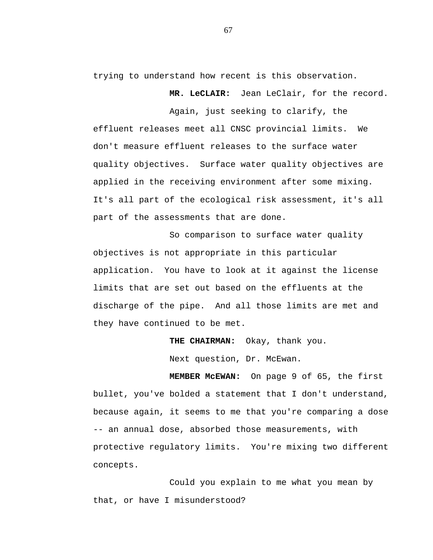trying to understand how recent is this observation.

**MR. LeCLAIR:** Jean LeClair, for the record.

Again, just seeking to clarify, the effluent releases meet all CNSC provincial limits. We don't measure effluent releases to the surface water quality objectives. Surface water quality objectives are applied in the receiving environment after some mixing. It's all part of the ecological risk assessment, it's all part of the assessments that are done.

So comparison to surface water quality objectives is not appropriate in this particular application. You have to look at it against the license limits that are set out based on the effluents at the discharge of the pipe. And all those limits are met and they have continued to be met.

**THE CHAIRMAN:** Okay, thank you.

Next question, Dr. McEwan.

**MEMBER McEWAN:** On page 9 of 65, the first bullet, you've bolded a statement that I don't understand, because again, it seems to me that you're comparing a dose -- an annual dose, absorbed those measurements, with protective regulatory limits. You're mixing two different concepts.

Could you explain to me what you mean by that, or have I misunderstood?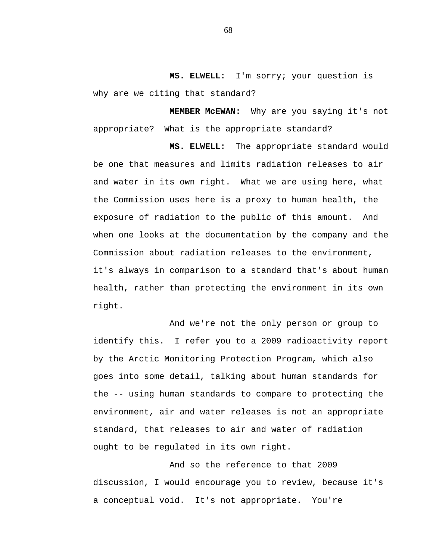**MS. ELWELL:** I'm sorry; your question is why are we citing that standard?

**MEMBER McEWAN:** Why are you saying it's not appropriate? What is the appropriate standard?

**MS. ELWELL:** The appropriate standard would be one that measures and limits radiation releases to air and water in its own right. What we are using here, what the Commission uses here is a proxy to human health, the exposure of radiation to the public of this amount. And when one looks at the documentation by the company and the Commission about radiation releases to the environment, it's always in comparison to a standard that's about human health, rather than protecting the environment in its own right.

And we're not the only person or group to identify this. I refer you to a 2009 radioactivity report by the Arctic Monitoring Protection Program, which also goes into some detail, talking about human standards for the -- using human standards to compare to protecting the environment, air and water releases is not an appropriate standard, that releases to air and water of radiation ought to be regulated in its own right.

And so the reference to that 2009 discussion, I would encourage you to review, because it's a conceptual void. It's not appropriate. You're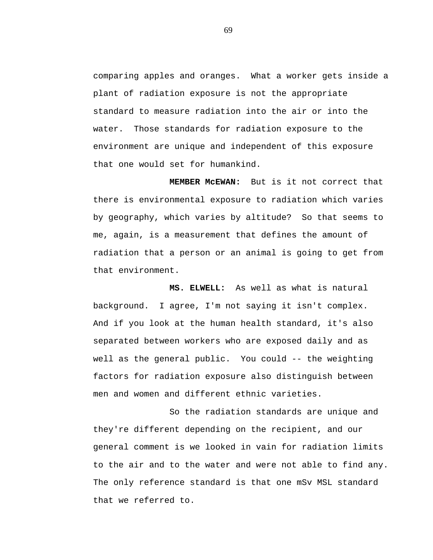comparing apples and oranges. What a worker gets inside a plant of radiation exposure is not the appropriate standard to measure radiation into the air or into the water. Those standards for radiation exposure to the environment are unique and independent of this exposure that one would set for humankind.

**MEMBER McEWAN:** But is it not correct that there is environmental exposure to radiation which varies by geography, which varies by altitude? So that seems to me, again, is a measurement that defines the amount of radiation that a person or an animal is going to get from that environment.

**MS. ELWELL:** As well as what is natural background. I agree, I'm not saying it isn't complex. And if you look at the human health standard, it's also separated between workers who are exposed daily and as well as the general public. You could -- the weighting factors for radiation exposure also distinguish between men and women and different ethnic varieties.

So the radiation standards are unique and they're different depending on the recipient, and our general comment is we looked in vain for radiation limits to the air and to the water and were not able to find any. The only reference standard is that one mSv MSL standard that we referred to.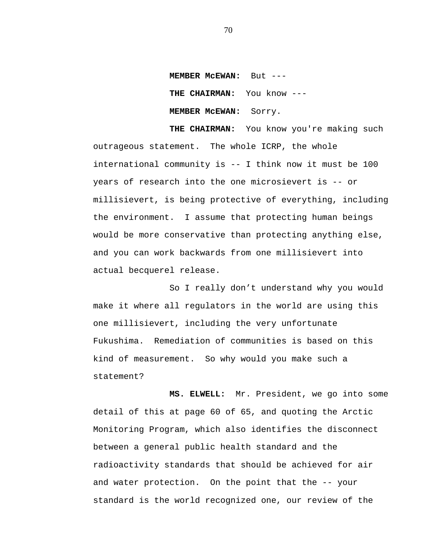**MEMBER McEWAN:** But --- **THE CHAIRMAN:** You know --- **MEMBER McEWAN:** Sorry.

**THE CHAIRMAN:** You know you're making such outrageous statement. The whole ICRP, the whole international community is -- I think now it must be 100 years of research into the one microsievert is -- or millisievert, is being protective of everything, including the environment. I assume that protecting human beings would be more conservative than protecting anything else, and you can work backwards from one millisievert into actual becquerel release.

So I really don't understand why you would make it where all regulators in the world are using this one millisievert, including the very unfortunate Fukushima. Remediation of communities is based on this kind of measurement. So why would you make such a statement?

**MS. ELWELL:** Mr. President, we go into some detail of this at page 60 of 65, and quoting the Arctic Monitoring Program, which also identifies the disconnect between a general public health standard and the radioactivity standards that should be achieved for air and water protection. On the point that the -- your standard is the world recognized one, our review of the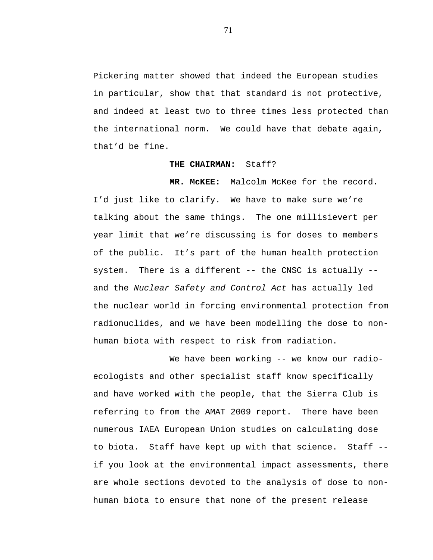Pickering matter showed that indeed the European studies in particular, show that that standard is not protective, and indeed at least two to three times less protected than the international norm. We could have that debate again, that'd be fine.

## **THE CHAIRMAN:** Staff?

**MR. McKEE:** Malcolm McKee for the record. I'd just like to clarify. We have to make sure we're talking about the same things. The one millisievert per year limit that we're discussing is for doses to members of the public. It's part of the human health protection system. There is a different -- the CNSC is actually -and the *Nuclear Safety and Control Act* has actually led the nuclear world in forcing environmental protection from radionuclides, and we have been modelling the dose to nonhuman biota with respect to risk from radiation.

We have been working -- we know our radioecologists and other specialist staff know specifically and have worked with the people, that the Sierra Club is referring to from the AMAT 2009 report. There have been numerous IAEA European Union studies on calculating dose to biota. Staff have kept up with that science. Staff - if you look at the environmental impact assessments, there are whole sections devoted to the analysis of dose to nonhuman biota to ensure that none of the present release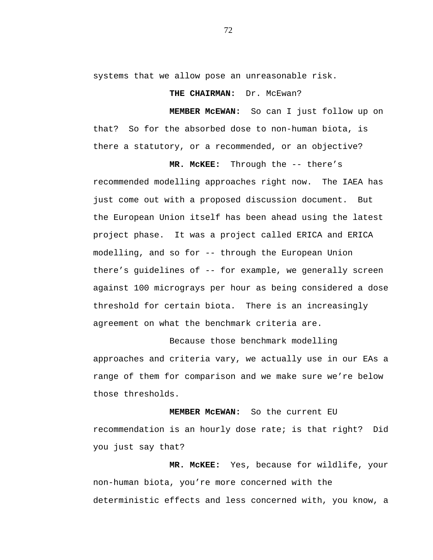systems that we allow pose an unreasonable risk.

THE CHAIRMAN: Dr. McEwan?

**MEMBER McEWAN:** So can I just follow up on that? So for the absorbed dose to non-human biota, is there a statutory, or a recommended, or an objective?

**MR. McKEE:** Through the -- there's recommended modelling approaches right now. The IAEA has just come out with a proposed discussion document. But the European Union itself has been ahead using the latest project phase. It was a project called ERICA and ERICA modelling, and so for -- through the European Union there's guidelines of -- for example, we generally screen against 100 micrograys per hour as being considered a dose threshold for certain biota. There is an increasingly agreement on what the benchmark criteria are.

Because those benchmark modelling approaches and criteria vary, we actually use in our EAs a range of them for comparison and we make sure we're below those thresholds.

**MEMBER McEWAN:** So the current EU recommendation is an hourly dose rate; is that right? Did you just say that?

**MR. McKEE:** Yes, because for wildlife, your non-human biota, you're more concerned with the deterministic effects and less concerned with, you know, a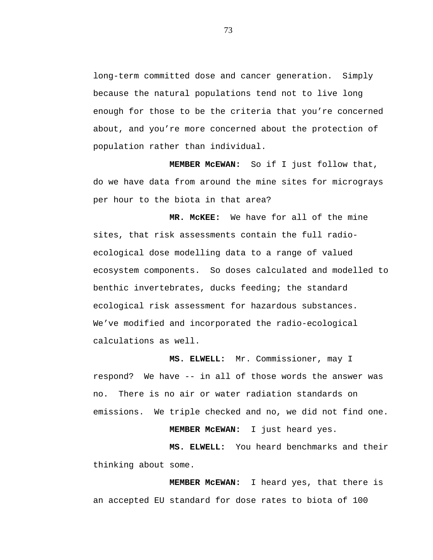long-term committed dose and cancer generation. Simply because the natural populations tend not to live long enough for those to be the criteria that you're concerned about, and you're more concerned about the protection of population rather than individual.

**MEMBER McEWAN:** So if I just follow that, do we have data from around the mine sites for micrograys per hour to the biota in that area?

**MR. McKEE:** We have for all of the mine sites, that risk assessments contain the full radioecological dose modelling data to a range of valued ecosystem components. So doses calculated and modelled to benthic invertebrates, ducks feeding; the standard ecological risk assessment for hazardous substances. We've modified and incorporated the radio-ecological calculations as well.

**MS. ELWELL:** Mr. Commissioner, may I respond? We have -- in all of those words the answer was no. There is no air or water radiation standards on emissions. We triple checked and no, we did not find one.

**MEMBER McEWAN:** I just heard yes.

**MS. ELWELL:** You heard benchmarks and their thinking about some.

**MEMBER McEWAN:** I heard yes, that there is an accepted EU standard for dose rates to biota of 100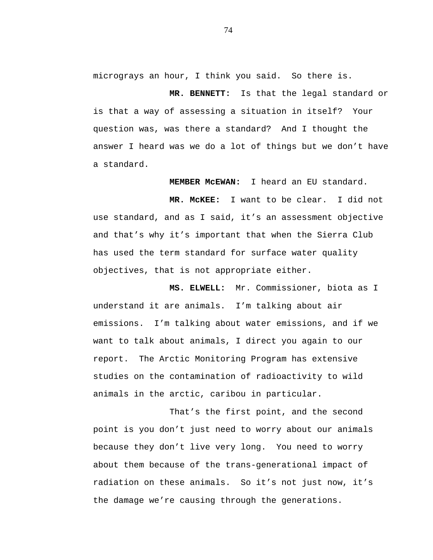micrograys an hour, I think you said. So there is.

**MR. BENNETT:** Is that the legal standard or is that a way of assessing a situation in itself? Your question was, was there a standard? And I thought the answer I heard was we do a lot of things but we don't have a standard.

**MEMBER McEWAN:** I heard an EU standard.

**MR. McKEE:** I want to be clear. I did not use standard, and as I said, it's an assessment objective and that's why it's important that when the Sierra Club has used the term standard for surface water quality objectives, that is not appropriate either.

**MS. ELWELL:** Mr. Commissioner, biota as I understand it are animals. I'm talking about air emissions. I'm talking about water emissions, and if we want to talk about animals, I direct you again to our report. The Arctic Monitoring Program has extensive studies on the contamination of radioactivity to wild animals in the arctic, caribou in particular.

That's the first point, and the second point is you don't just need to worry about our animals because they don't live very long. You need to worry about them because of the trans-generational impact of radiation on these animals. So it's not just now, it's the damage we're causing through the generations.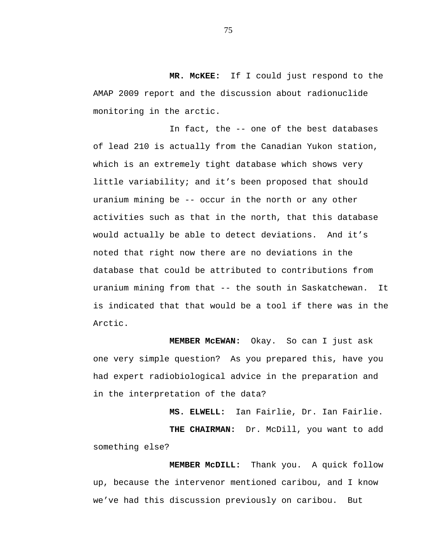**MR. McKEE:** If I could just respond to the AMAP 2009 report and the discussion about radionuclide monitoring in the arctic.

In fact, the -- one of the best databases of lead 210 is actually from the Canadian Yukon station, which is an extremely tight database which shows very little variability; and it's been proposed that should uranium mining be -- occur in the north or any other activities such as that in the north, that this database would actually be able to detect deviations. And it's noted that right now there are no deviations in the database that could be attributed to contributions from uranium mining from that -- the south in Saskatchewan. It is indicated that that would be a tool if there was in the Arctic.

**MEMBER McEWAN:** Okay. So can I just ask one very simple question? As you prepared this, have you had expert radiobiological advice in the preparation and in the interpretation of the data?

**MS. ELWELL:** Ian Fairlie, Dr. Ian Fairlie. **THE CHAIRMAN:** Dr. McDill, you want to add something else?

**MEMBER McDILL:** Thank you. A quick follow up, because the intervenor mentioned caribou, and I know we've had this discussion previously on caribou. But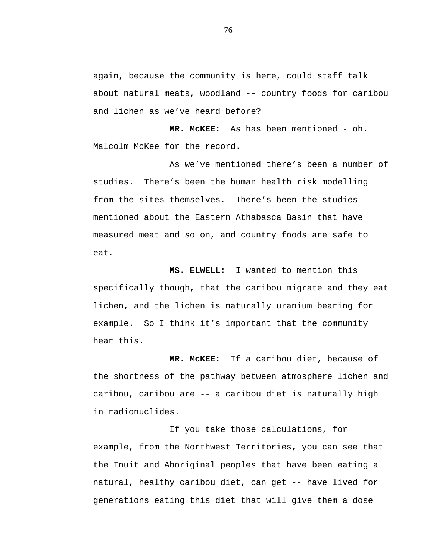again, because the community is here, could staff talk about natural meats, woodland -- country foods for caribou and lichen as we've heard before?

**MR. McKEE:** As has been mentioned - oh. Malcolm McKee for the record.

As we've mentioned there's been a number of studies. There's been the human health risk modelling from the sites themselves. There's been the studies mentioned about the Eastern Athabasca Basin that have measured meat and so on, and country foods are safe to eat.

**MS. ELWELL:** I wanted to mention this specifically though, that the caribou migrate and they eat lichen, and the lichen is naturally uranium bearing for example. So I think it's important that the community hear this.

**MR. McKEE:** If a caribou diet, because of the shortness of the pathway between atmosphere lichen and caribou, caribou are -- a caribou diet is naturally high in radionuclides.

If you take those calculations, for example, from the Northwest Territories, you can see that the Inuit and Aboriginal peoples that have been eating a natural, healthy caribou diet, can get -- have lived for generations eating this diet that will give them a dose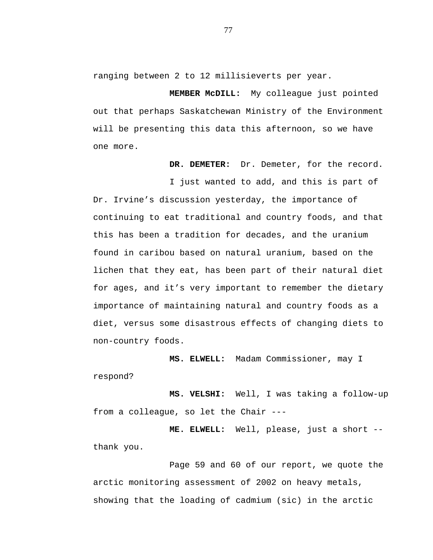ranging between 2 to 12 millisieverts per year.

**MEMBER McDILL:** My colleague just pointed out that perhaps Saskatchewan Ministry of the Environment will be presenting this data this afternoon, so we have one more.

**DR. DEMETER:** Dr. Demeter, for the record.

I just wanted to add, and this is part of Dr. Irvine's discussion yesterday, the importance of continuing to eat traditional and country foods, and that this has been a tradition for decades, and the uranium found in caribou based on natural uranium, based on the lichen that they eat, has been part of their natural diet for ages, and it's very important to remember the dietary importance of maintaining natural and country foods as a diet, versus some disastrous effects of changing diets to non-country foods.

**MS. ELWELL:** Madam Commissioner, may I respond?

**MS. VELSHI:** Well, I was taking a follow-up from a colleague, so let the Chair ---

**ME. ELWELL:** Well, please, just a short - thank you.

Page 59 and 60 of our report, we quote the arctic monitoring assessment of 2002 on heavy metals, showing that the loading of cadmium (sic) in the arctic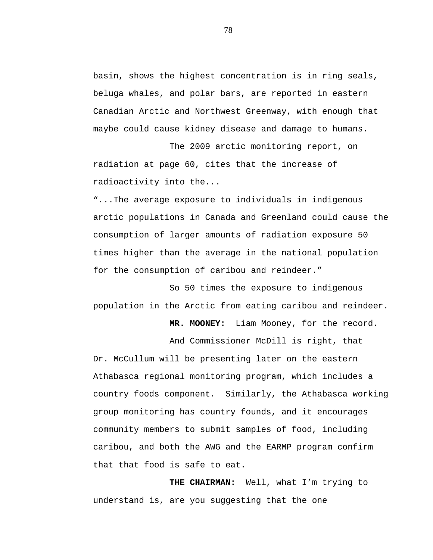basin, shows the highest concentration is in ring seals, beluga whales, and polar bars, are reported in eastern Canadian Arctic and Northwest Greenway, with enough that maybe could cause kidney disease and damage to humans.

The 2009 arctic monitoring report, on radiation at page 60, cites that the increase of radioactivity into the...

"...The average exposure to individuals in indigenous arctic populations in Canada and Greenland could cause the consumption of larger amounts of radiation exposure 50 times higher than the average in the national population for the consumption of caribou and reindeer."

So 50 times the exposure to indigenous population in the Arctic from eating caribou and reindeer.

**MR. MOONEY:** Liam Mooney, for the record.

And Commissioner McDill is right, that Dr. McCullum will be presenting later on the eastern Athabasca regional monitoring program, which includes a country foods component. Similarly, the Athabasca working group monitoring has country founds, and it encourages community members to submit samples of food, including caribou, and both the AWG and the EARMP program confirm that that food is safe to eat.

**THE CHAIRMAN:** Well, what I'm trying to understand is, are you suggesting that the one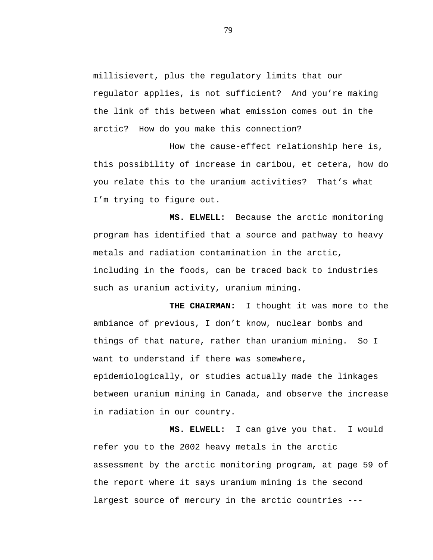millisievert, plus the regulatory limits that our regulator applies, is not sufficient? And you're making the link of this between what emission comes out in the arctic? How do you make this connection?

How the cause-effect relationship here is, this possibility of increase in caribou, et cetera, how do you relate this to the uranium activities? That's what I'm trying to figure out.

**MS. ELWELL:** Because the arctic monitoring program has identified that a source and pathway to heavy metals and radiation contamination in the arctic, including in the foods, can be traced back to industries such as uranium activity, uranium mining.

**THE CHAIRMAN:** I thought it was more to the ambiance of previous, I don't know, nuclear bombs and things of that nature, rather than uranium mining. So I want to understand if there was somewhere, epidemiologically, or studies actually made the linkages between uranium mining in Canada, and observe the increase in radiation in our country.

**MS. ELWELL:** I can give you that. I would refer you to the 2002 heavy metals in the arctic assessment by the arctic monitoring program, at page 59 of the report where it says uranium mining is the second largest source of mercury in the arctic countries ---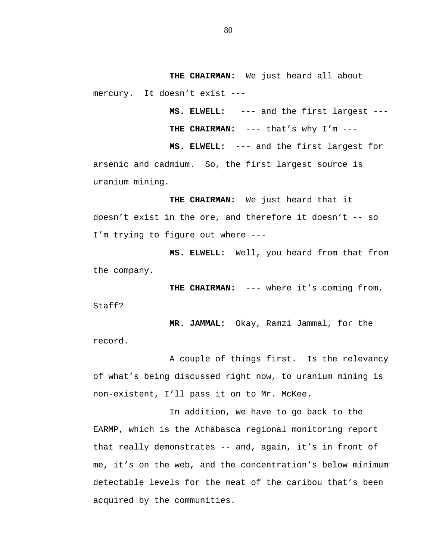**THE CHAIRMAN:** We just heard all about mercury. It doesn't exist ---

> **MS. ELWELL:** --- and the first largest --- **THE CHAIRMAN:** --- that's why I'm ---

**MS. ELWELL:** --- and the first largest for arsenic and cadmium. So, the first largest source is uranium mining.

**THE CHAIRMAN:** We just heard that it doesn't exist in the ore, and therefore it doesn't -- so I'm trying to figure out where ---

**MS. ELWELL:** Well, you heard from that from the company.

THE CHAIRMAN: --- where it's coming from.

Staff?

**MR. JAMMAL:** Okay, Ramzi Jammal, for the record.

A couple of things first. Is the relevancy of what's being discussed right now, to uranium mining is non-existent, I'll pass it on to Mr. McKee.

In addition, we have to go back to the EARMP, which is the Athabasca regional monitoring report that really demonstrates -- and, again, it's in front of me, it's on the web, and the concentration's below minimum detectable levels for the meat of the caribou that's been acquired by the communities.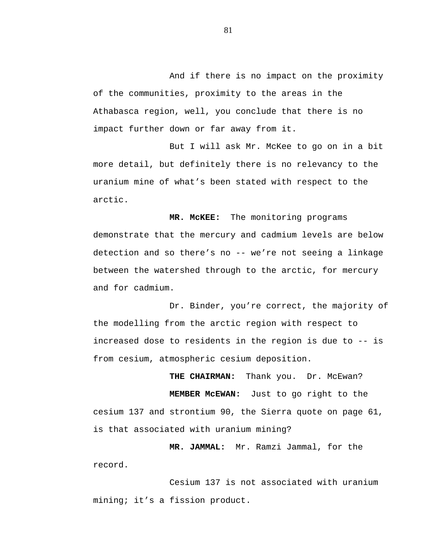And if there is no impact on the proximity of the communities, proximity to the areas in the Athabasca region, well, you conclude that there is no impact further down or far away from it.

But I will ask Mr. McKee to go on in a bit more detail, but definitely there is no relevancy to the uranium mine of what's been stated with respect to the arctic.

**MR. McKEE:** The monitoring programs demonstrate that the mercury and cadmium levels are below detection and so there's no -- we're not seeing a linkage between the watershed through to the arctic, for mercury and for cadmium.

Dr. Binder, you're correct, the majority of the modelling from the arctic region with respect to increased dose to residents in the region is due to -- is from cesium, atmospheric cesium deposition.

THE CHAIRMAN: Thank you. Dr. McEwan? **MEMBER McEWAN:** Just to go right to the cesium 137 and strontium 90, the Sierra quote on page 61, is that associated with uranium mining?

**MR. JAMMAL:** Mr. Ramzi Jammal, for the record.

Cesium 137 is not associated with uranium mining; it's a fission product.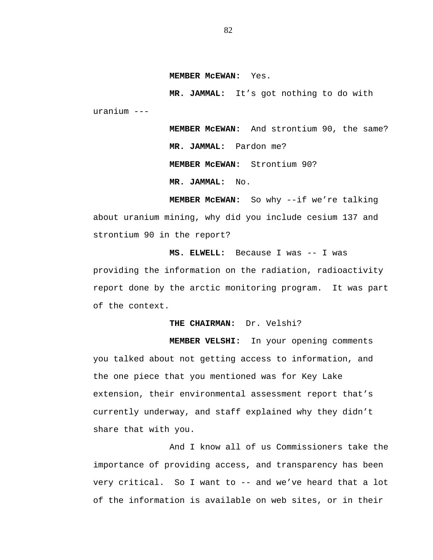**MEMBER McEWAN:** Yes.

**MR. JAMMAL:** It's got nothing to do with uranium ---

> **MEMBER McEWAN:** And strontium 90, the same? **MR. JAMMAL:** Pardon me? **MEMBER McEWAN:** Strontium 90? **MR. JAMMAL:** No.

**MEMBER McEWAN:** So why --if we're talking about uranium mining, why did you include cesium 137 and strontium 90 in the report?

**MS. ELWELL:** Because I was -- I was providing the information on the radiation, radioactivity report done by the arctic monitoring program. It was part of the context.

**THE CHAIRMAN:** Dr. Velshi?

**MEMBER VELSHI:** In your opening comments you talked about not getting access to information, and the one piece that you mentioned was for Key Lake extension, their environmental assessment report that's currently underway, and staff explained why they didn't share that with you.

And I know all of us Commissioners take the importance of providing access, and transparency has been very critical. So I want to -- and we've heard that a lot of the information is available on web sites, or in their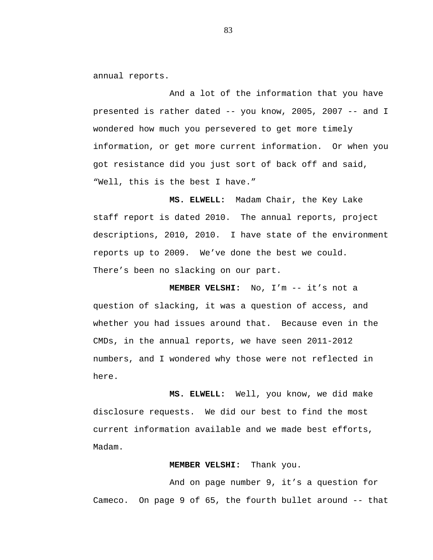annual reports.

And a lot of the information that you have presented is rather dated -- you know, 2005, 2007 -- and I wondered how much you persevered to get more timely information, or get more current information. Or when you got resistance did you just sort of back off and said, "Well, this is the best I have."

**MS. ELWELL:** Madam Chair, the Key Lake staff report is dated 2010. The annual reports, project descriptions, 2010, 2010. I have state of the environment reports up to 2009. We've done the best we could. There's been no slacking on our part.

**MEMBER VELSHI:** No, I'm -- it's not a question of slacking, it was a question of access, and whether you had issues around that. Because even in the CMDs, in the annual reports, we have seen 2011-2012 numbers, and I wondered why those were not reflected in here.

**MS. ELWELL:** Well, you know, we did make disclosure requests. We did our best to find the most current information available and we made best efforts, Madam.

# **MEMBER VELSHI:** Thank you.

And on page number 9, it's a question for Cameco. On page 9 of 65, the fourth bullet around -- that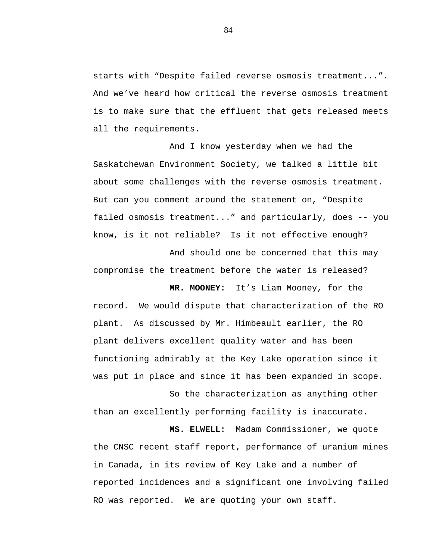starts with "Despite failed reverse osmosis treatment...". And we've heard how critical the reverse osmosis treatment is to make sure that the effluent that gets released meets all the requirements.

And I know yesterday when we had the Saskatchewan Environment Society, we talked a little bit about some challenges with the reverse osmosis treatment. But can you comment around the statement on, "Despite failed osmosis treatment..." and particularly, does -- you know, is it not reliable? Is it not effective enough?

And should one be concerned that this may compromise the treatment before the water is released?

**MR. MOONEY:** It's Liam Mooney, for the record. We would dispute that characterization of the RO plant. As discussed by Mr. Himbeault earlier, the RO plant delivers excellent quality water and has been functioning admirably at the Key Lake operation since it was put in place and since it has been expanded in scope.

So the characterization as anything other than an excellently performing facility is inaccurate.

**MS. ELWELL:** Madam Commissioner, we quote the CNSC recent staff report, performance of uranium mines in Canada, in its review of Key Lake and a number of reported incidences and a significant one involving failed RO was reported. We are quoting your own staff.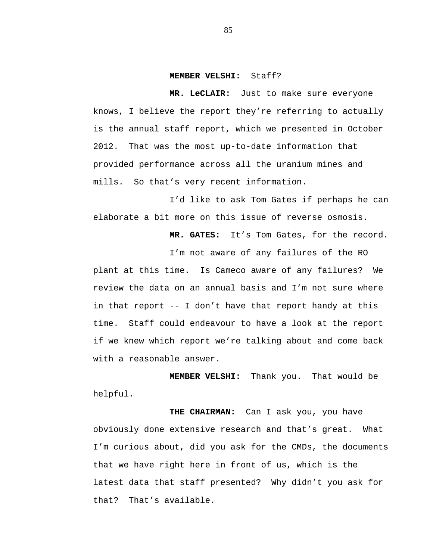#### **MEMBER VELSHI:** Staff?

**MR. LeCLAIR:** Just to make sure everyone knows, I believe the report they're referring to actually is the annual staff report, which we presented in October 2012. That was the most up-to-date information that provided performance across all the uranium mines and mills. So that's very recent information.

I'd like to ask Tom Gates if perhaps he can elaborate a bit more on this issue of reverse osmosis.

**MR. GATES:** It's Tom Gates, for the record.

I'm not aware of any failures of the RO plant at this time. Is Cameco aware of any failures? We review the data on an annual basis and I'm not sure where in that report -- I don't have that report handy at this time. Staff could endeavour to have a look at the report if we knew which report we're talking about and come back with a reasonable answer.

**MEMBER VELSHI:** Thank you. That would be helpful.

**THE CHAIRMAN:** Can I ask you, you have obviously done extensive research and that's great. What I'm curious about, did you ask for the CMDs, the documents that we have right here in front of us, which is the latest data that staff presented? Why didn't you ask for that? That's available.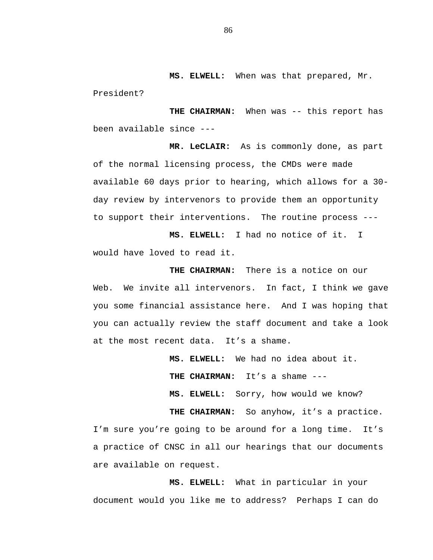**MS. ELWELL:** When was that prepared, Mr.

President?

**THE CHAIRMAN:** When was -- this report has been available since ---

**MR. LeCLAIR:** As is commonly done, as part of the normal licensing process, the CMDs were made available 60 days prior to hearing, which allows for a 30 day review by intervenors to provide them an opportunity to support their interventions. The routine process ---

**MS. ELWELL:** I had no notice of it. I would have loved to read it.

**THE CHAIRMAN:** There is a notice on our Web. We invite all intervenors. In fact, I think we gave you some financial assistance here. And I was hoping that you can actually review the staff document and take a look at the most recent data. It's a shame.

> **MS. ELWELL:** We had no idea about it. **THE CHAIRMAN:** It's a shame ---

**MS. ELWELL:** Sorry, how would we know?

THE CHAIRMAN: So anyhow, it's a practice. I'm sure you're going to be around for a long time. It's a practice of CNSC in all our hearings that our documents are available on request.

**MS. ELWELL:** What in particular in your document would you like me to address? Perhaps I can do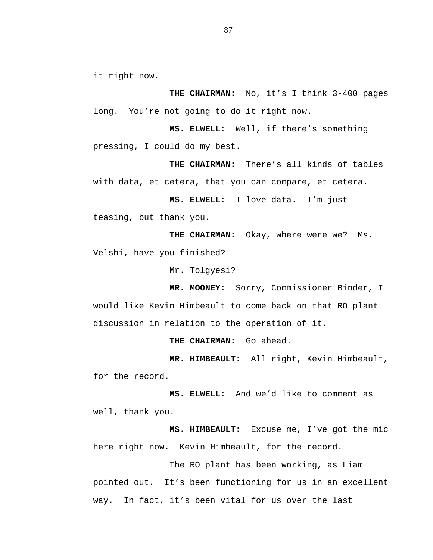it right now.

**THE CHAIRMAN:** No, it's I think 3-400 pages long. You're not going to do it right now.

**MS. ELWELL:** Well, if there's something pressing, I could do my best.

**THE CHAIRMAN:** There's all kinds of tables with data, et cetera, that you can compare, et cetera.

**MS. ELWELL:** I love data. I'm just teasing, but thank you.

THE CHAIRMAN: Okay, where were we? Ms. Velshi, have you finished?

Mr. Tolgyesi?

**MR. MOONEY:** Sorry, Commissioner Binder, I would like Kevin Himbeault to come back on that RO plant discussion in relation to the operation of it.

**THE CHAIRMAN:** Go ahead.

**MR. HIMBEAULT:** All right, Kevin Himbeault, for the record.

**MS. ELWELL:** And we'd like to comment as well, thank you.

**MS. HIMBEAULT:** Excuse me, I've got the mic here right now. Kevin Himbeault, for the record.

The RO plant has been working, as Liam pointed out. It's been functioning for us in an excellent way. In fact, it's been vital for us over the last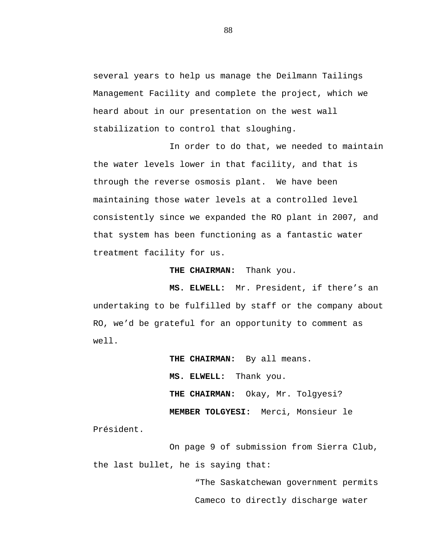several years to help us manage the Deilmann Tailings Management Facility and complete the project, which we heard about in our presentation on the west wall stabilization to control that sloughing.

In order to do that, we needed to maintain the water levels lower in that facility, and that is through the reverse osmosis plant. We have been maintaining those water levels at a controlled level consistently since we expanded the RO plant in 2007, and that system has been functioning as a fantastic water treatment facility for us.

**THE CHAIRMAN:** Thank you.

**MS. ELWELL:** Mr. President, if there's an undertaking to be fulfilled by staff or the company about RO, we'd be grateful for an opportunity to comment as well.

> **THE CHAIRMAN:** By all means. **MS. ELWELL:** Thank you. **THE CHAIRMAN:** Okay, Mr. Tolgyesi? **MEMBER TOLGYESI:** Merci, Monsieur le

Président.

On page 9 of submission from Sierra Club, the last bullet, he is saying that:

> "The Saskatchewan government permits Cameco to directly discharge water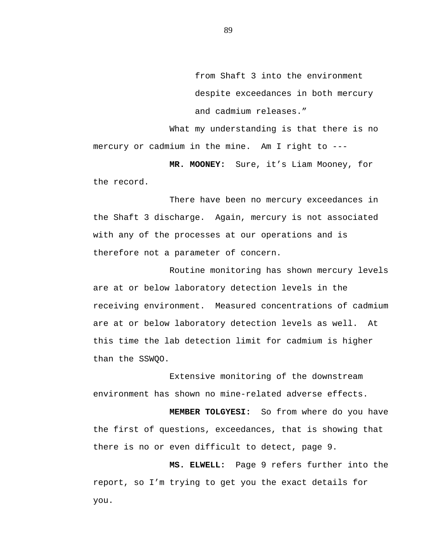from Shaft 3 into the environment despite exceedances in both mercury and cadmium releases."

What my understanding is that there is no mercury or cadmium in the mine. Am I right to ---

**MR. MOONEY:** Sure, it's Liam Mooney, for the record.

There have been no mercury exceedances in the Shaft 3 discharge. Again, mercury is not associated with any of the processes at our operations and is therefore not a parameter of concern.

Routine monitoring has shown mercury levels are at or below laboratory detection levels in the receiving environment. Measured concentrations of cadmium are at or below laboratory detection levels as well. At this time the lab detection limit for cadmium is higher than the SSWQO.

Extensive monitoring of the downstream environment has shown no mine-related adverse effects.

**MEMBER TOLGYESI:** So from where do you have the first of questions, exceedances, that is showing that there is no or even difficult to detect, page 9.

**MS. ELWELL:** Page 9 refers further into the report, so I'm trying to get you the exact details for you.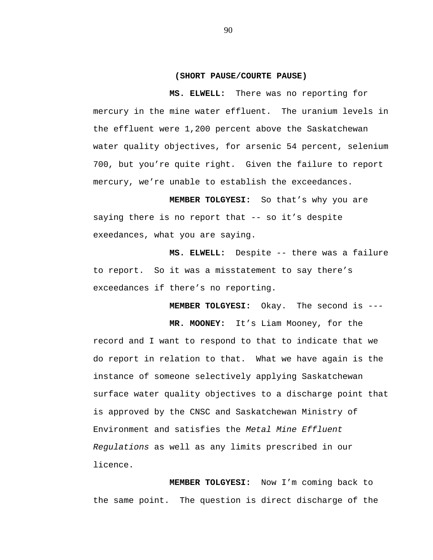#### **(SHORT PAUSE/COURTE PAUSE)**

**MS. ELWELL:** There was no reporting for mercury in the mine water effluent. The uranium levels in the effluent were 1,200 percent above the Saskatchewan water quality objectives, for arsenic 54 percent, selenium 700, but you're quite right. Given the failure to report mercury, we're unable to establish the exceedances.

**MEMBER TOLGYESI:** So that's why you are saying there is no report that -- so it's despite exeedances, what you are saying.

**MS. ELWELL:** Despite -- there was a failure to report. So it was a misstatement to say there's exceedances if there's no reporting.

**MEMBER TOLGYESI:** Okay. The second is ---

**MR. MOONEY:** It's Liam Mooney, for the

record and I want to respond to that to indicate that we do report in relation to that. What we have again is the instance of someone selectively applying Saskatchewan surface water quality objectives to a discharge point that is approved by the CNSC and Saskatchewan Ministry of Environment and satisfies the *Metal Mine Effluent Regulations* as well as any limits prescribed in our licence.

**MEMBER TOLGYESI:** Now I'm coming back to the same point. The question is direct discharge of the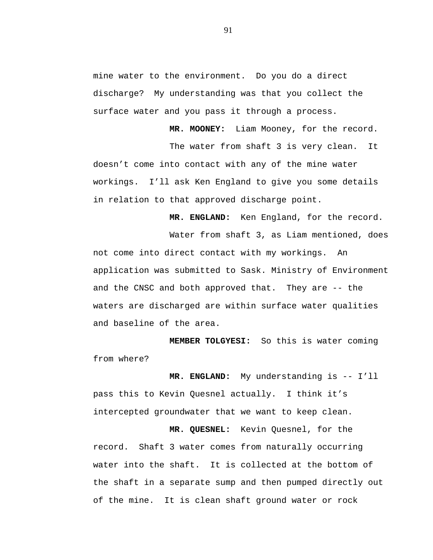mine water to the environment. Do you do a direct discharge? My understanding was that you collect the surface water and you pass it through a process.

The water from shaft 3 is very clean. It doesn't come into contact with any of the mine water workings. I'll ask Ken England to give you some details in relation to that approved discharge point.

**MR. ENGLAND:** Ken England, for the record.

**MR. MOONEY:** Liam Mooney, for the record.

Water from shaft 3, as Liam mentioned, does not come into direct contact with my workings. An application was submitted to Sask. Ministry of Environment and the CNSC and both approved that. They are -- the waters are discharged are within surface water qualities and baseline of the area.

**MEMBER TOLGYESI:** So this is water coming from where?

**MR. ENGLAND:** My understanding is -- I'll pass this to Kevin Quesnel actually. I think it's intercepted groundwater that we want to keep clean.

**MR. QUESNEL:** Kevin Quesnel, for the record. Shaft 3 water comes from naturally occurring water into the shaft. It is collected at the bottom of the shaft in a separate sump and then pumped directly out of the mine. It is clean shaft ground water or rock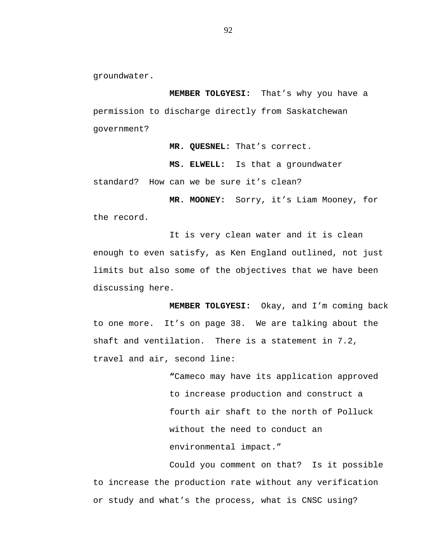groundwater.

**MEMBER TOLGYESI:** That's why you have a permission to discharge directly from Saskatchewan government?

**MR. QUESNEL:** That's correct.

**MS. ELWELL:** Is that a groundwater standard? How can we be sure it's clean?

**MR. MOONEY:** Sorry, it's Liam Mooney, for the record.

It is very clean water and it is clean enough to even satisfy, as Ken England outlined, not just limits but also some of the objectives that we have been discussing here.

**MEMBER TOLGYESI:** Okay, and I'm coming back to one more. It's on page 38. We are talking about the shaft and ventilation. There is a statement in 7.2, travel and air, second line:

> **"**Cameco may have its application approved to increase production and construct a fourth air shaft to the north of Polluck without the need to conduct an environmental impact."

Could you comment on that? Is it possible to increase the production rate without any verification or study and what's the process, what is CNSC using?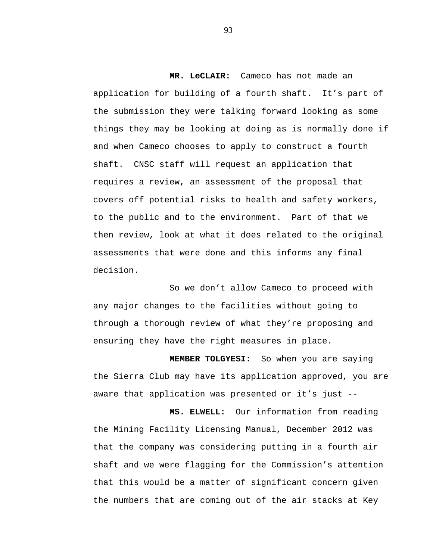**MR. LeCLAIR:** Cameco has not made an application for building of a fourth shaft. It's part of the submission they were talking forward looking as some things they may be looking at doing as is normally done if and when Cameco chooses to apply to construct a fourth shaft. CNSC staff will request an application that requires a review, an assessment of the proposal that covers off potential risks to health and safety workers, to the public and to the environment. Part of that we then review, look at what it does related to the original assessments that were done and this informs any final decision.

So we don't allow Cameco to proceed with any major changes to the facilities without going to through a thorough review of what they're proposing and ensuring they have the right measures in place.

**MEMBER TOLGYESI:** So when you are saying the Sierra Club may have its application approved, you are aware that application was presented or it's just --

**MS. ELWELL:** Our information from reading the Mining Facility Licensing Manual, December 2012 was that the company was considering putting in a fourth air shaft and we were flagging for the Commission's attention that this would be a matter of significant concern given the numbers that are coming out of the air stacks at Key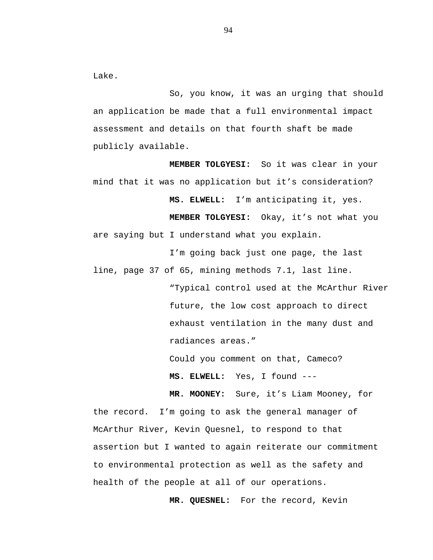Lake.

So, you know, it was an urging that should an application be made that a full environmental impact assessment and details on that fourth shaft be made publicly available.

**MEMBER TOLGYESI:** So it was clear in your mind that it was no application but it's consideration? **MS. ELWELL:** I'm anticipating it, yes. **MEMBER TOLGYESI:** Okay, it's not what you are saying but I understand what you explain.

I'm going back just one page, the last line, page 37 of 65, mining methods 7.1, last line.

> "Typical control used at the McArthur River future, the low cost approach to direct exhaust ventilation in the many dust and radiances areas."

Could you comment on that, Cameco?

**MS. ELWELL:** Yes, I found ---

**MR. MOONEY:** Sure, it's Liam Mooney, for the record. I'm going to ask the general manager of McArthur River, Kevin Quesnel, to respond to that assertion but I wanted to again reiterate our commitment to environmental protection as well as the safety and health of the people at all of our operations.

**MR. QUESNEL:** For the record, Kevin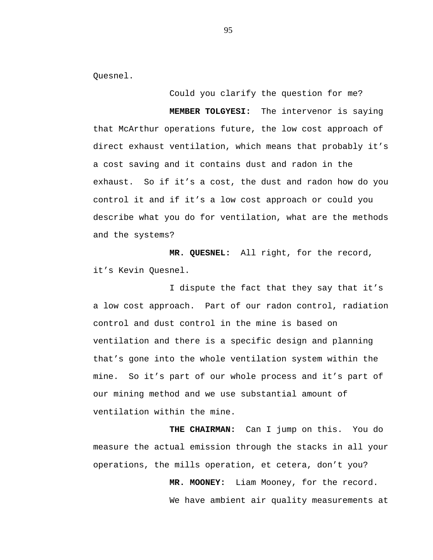Quesnel.

Could you clarify the question for me? **MEMBER TOLGYESI:** The intervenor is saying that McArthur operations future, the low cost approach of direct exhaust ventilation, which means that probably it's a cost saving and it contains dust and radon in the exhaust. So if it's a cost, the dust and radon how do you control it and if it's a low cost approach or could you describe what you do for ventilation, what are the methods and the systems?

**MR. QUESNEL:** All right, for the record, it's Kevin Quesnel.

I dispute the fact that they say that it's a low cost approach. Part of our radon control, radiation control and dust control in the mine is based on ventilation and there is a specific design and planning that's gone into the whole ventilation system within the mine. So it's part of our whole process and it's part of our mining method and we use substantial amount of ventilation within the mine.

**THE CHAIRMAN:** Can I jump on this. You do measure the actual emission through the stacks in all your operations, the mills operation, et cetera, don't you?

> **MR. MOONEY:** Liam Mooney, for the record. We have ambient air quality measurements at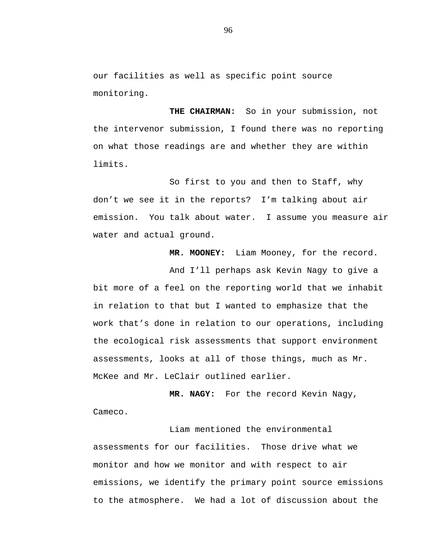our facilities as well as specific point source monitoring.

**THE CHAIRMAN:** So in your submission, not the intervenor submission, I found there was no reporting on what those readings are and whether they are within limits.

So first to you and then to Staff, why don't we see it in the reports? I'm talking about air emission. You talk about water. I assume you measure air water and actual ground.

**MR. MOONEY:** Liam Mooney, for the record.

And I'll perhaps ask Kevin Nagy to give a bit more of a feel on the reporting world that we inhabit in relation to that but I wanted to emphasize that the work that's done in relation to our operations, including the ecological risk assessments that support environment assessments, looks at all of those things, much as Mr. McKee and Mr. LeClair outlined earlier.

**MR. NAGY:** For the record Kevin Nagy, Cameco.

Liam mentioned the environmental assessments for our facilities. Those drive what we monitor and how we monitor and with respect to air emissions, we identify the primary point source emissions to the atmosphere. We had a lot of discussion about the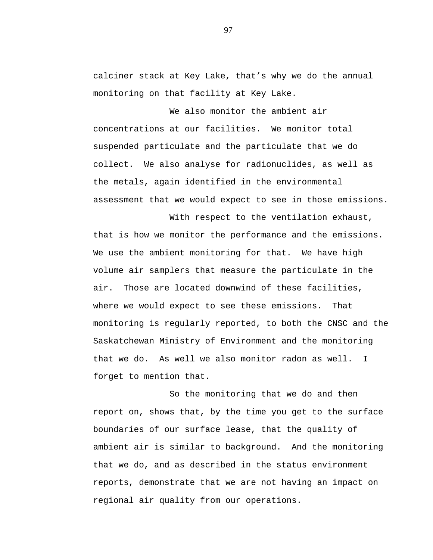calciner stack at Key Lake, that's why we do the annual monitoring on that facility at Key Lake.

We also monitor the ambient air concentrations at our facilities. We monitor total suspended particulate and the particulate that we do collect. We also analyse for radionuclides, as well as the metals, again identified in the environmental assessment that we would expect to see in those emissions.

With respect to the ventilation exhaust, that is how we monitor the performance and the emissions. We use the ambient monitoring for that. We have high volume air samplers that measure the particulate in the air. Those are located downwind of these facilities, where we would expect to see these emissions. That monitoring is regularly reported, to both the CNSC and the Saskatchewan Ministry of Environment and the monitoring that we do. As well we also monitor radon as well. I forget to mention that.

So the monitoring that we do and then report on, shows that, by the time you get to the surface boundaries of our surface lease, that the quality of ambient air is similar to background. And the monitoring that we do, and as described in the status environment reports, demonstrate that we are not having an impact on regional air quality from our operations.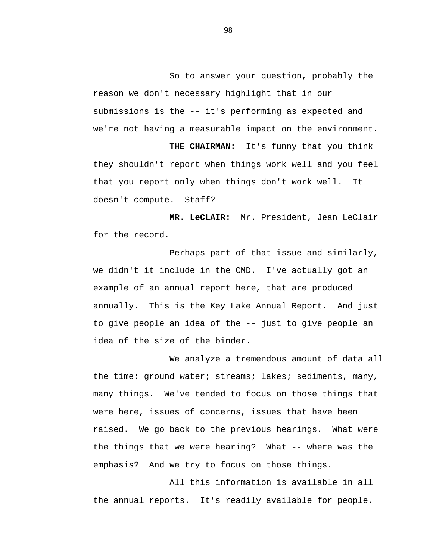So to answer your question, probably the reason we don't necessary highlight that in our submissions is the -- it's performing as expected and we're not having a measurable impact on the environment.

**THE CHAIRMAN:** It's funny that you think they shouldn't report when things work well and you feel that you report only when things don't work well. It doesn't compute. Staff?

**MR. LeCLAIR:** Mr. President, Jean LeClair for the record.

Perhaps part of that issue and similarly, we didn't it include in the CMD. I've actually got an example of an annual report here, that are produced annually. This is the Key Lake Annual Report. And just to give people an idea of the -- just to give people an idea of the size of the binder.

We analyze a tremendous amount of data all the time: ground water; streams; lakes; sediments, many, many things. We've tended to focus on those things that were here, issues of concerns, issues that have been raised. We go back to the previous hearings. What were the things that we were hearing? What -- where was the emphasis? And we try to focus on those things.

All this information is available in all the annual reports. It's readily available for people.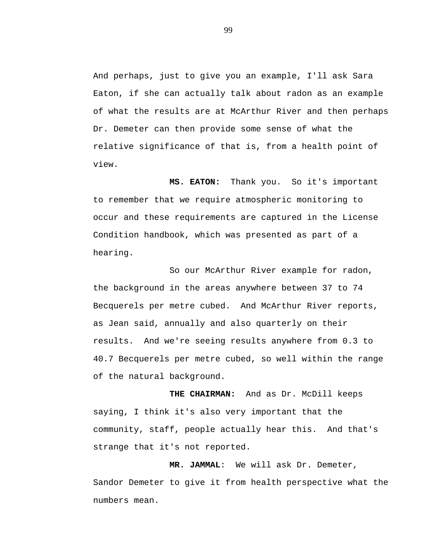And perhaps, just to give you an example, I'll ask Sara Eaton, if she can actually talk about radon as an example of what the results are at McArthur River and then perhaps Dr. Demeter can then provide some sense of what the relative significance of that is, from a health point of view.

**MS. EATON:** Thank you. So it's important to remember that we require atmospheric monitoring to occur and these requirements are captured in the License Condition handbook, which was presented as part of a hearing.

So our McArthur River example for radon, the background in the areas anywhere between 37 to 74 Becquerels per metre cubed. And McArthur River reports, as Jean said, annually and also quarterly on their results. And we're seeing results anywhere from 0.3 to 40.7 Becquerels per metre cubed, so well within the range of the natural background.

**THE CHAIRMAN:** And as Dr. McDill keeps saying, I think it's also very important that the community, staff, people actually hear this. And that's strange that it's not reported.

**MR. JAMMAL**: We will ask Dr. Demeter, Sandor Demeter to give it from health perspective what the numbers mean.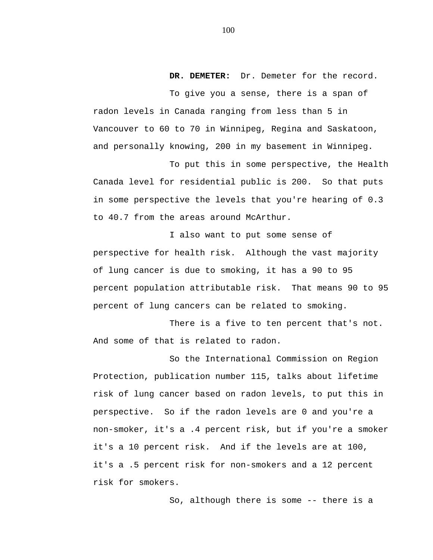**DR. DEMETER:** Dr. Demeter for the record.

To give you a sense, there is a span of radon levels in Canada ranging from less than 5 in Vancouver to 60 to 70 in Winnipeg, Regina and Saskatoon, and personally knowing, 200 in my basement in Winnipeg.

To put this in some perspective, the Health Canada level for residential public is 200. So that puts in some perspective the levels that you're hearing of 0.3 to 40.7 from the areas around McArthur.

I also want to put some sense of perspective for health risk. Although the vast majority of lung cancer is due to smoking, it has a 90 to 95 percent population attributable risk. That means 90 to 95 percent of lung cancers can be related to smoking.

There is a five to ten percent that's not. And some of that is related to radon.

So the International Commission on Region Protection, publication number 115, talks about lifetime risk of lung cancer based on radon levels, to put this in perspective. So if the radon levels are 0 and you're a non-smoker, it's a .4 percent risk, but if you're a smoker it's a 10 percent risk. And if the levels are at 100, it's a .5 percent risk for non-smokers and a 12 percent risk for smokers.

So, although there is some -- there is a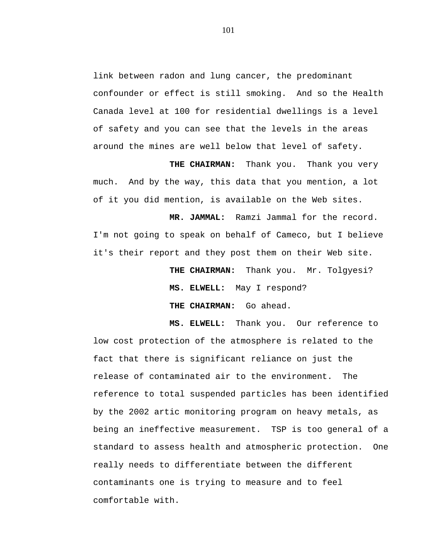link between radon and lung cancer, the predominant confounder or effect is still smoking. And so the Health Canada level at 100 for residential dwellings is a level of safety and you can see that the levels in the areas around the mines are well below that level of safety.

**THE CHAIRMAN:** Thank you. Thank you very much. And by the way, this data that you mention, a lot of it you did mention, is available on the Web sites.

**MR. JAMMAL:** Ramzi Jammal for the record. I'm not going to speak on behalf of Cameco, but I believe it's their report and they post them on their Web site.

> **THE CHAIRMAN:** Thank you. Mr. Tolgyesi? **MS. ELWELL:** May I respond? **THE CHAIRMAN:** Go ahead.

**MS. ELWELL:** Thank you. Our reference to low cost protection of the atmosphere is related to the fact that there is significant reliance on just the release of contaminated air to the environment. The reference to total suspended particles has been identified by the 2002 artic monitoring program on heavy metals, as being an ineffective measurement. TSP is too general of a standard to assess health and atmospheric protection. One really needs to differentiate between the different contaminants one is trying to measure and to feel comfortable with.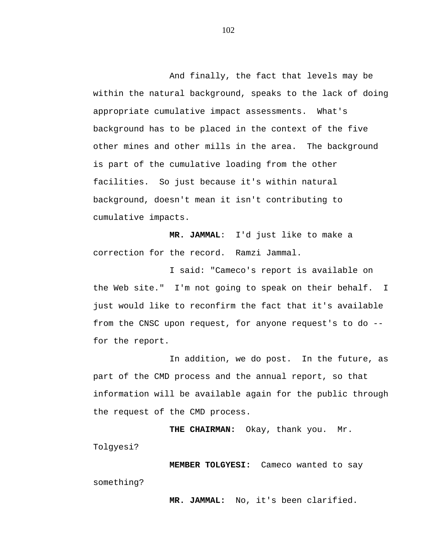And finally, the fact that levels may be within the natural background, speaks to the lack of doing appropriate cumulative impact assessments. What's background has to be placed in the context of the five other mines and other mills in the area. The background is part of the cumulative loading from the other facilities. So just because it's within natural background, doesn't mean it isn't contributing to cumulative impacts.

**MR. JAMMAL**: I'd just like to make a correction for the record. Ramzi Jammal.

I said: "Cameco's report is available on the Web site." I'm not going to speak on their behalf. I just would like to reconfirm the fact that it's available from the CNSC upon request, for anyone request's to do - for the report.

In addition, we do post. In the future, as part of the CMD process and the annual report, so that information will be available again for the public through the request of the CMD process.

**THE CHAIRMAN:** Okay, thank you. Mr. Tolgyesi?

**MEMBER TOLGYESI:** Cameco wanted to say something?

**MR. JAMMAL:** No, it's been clarified.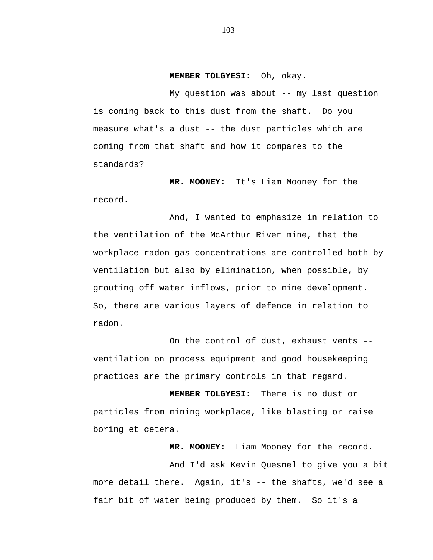**MEMBER TOLGYESI:** Oh, okay.

My question was about -- my last question is coming back to this dust from the shaft. Do you measure what's a dust -- the dust particles which are coming from that shaft and how it compares to the standards?

**MR. MOONEY:** It's Liam Mooney for the record.

And, I wanted to emphasize in relation to the ventilation of the McArthur River mine, that the workplace radon gas concentrations are controlled both by ventilation but also by elimination, when possible, by grouting off water inflows, prior to mine development. So, there are various layers of defence in relation to radon.

On the control of dust, exhaust vents - ventilation on process equipment and good housekeeping practices are the primary controls in that regard.

**MEMBER TOLGYESI:** There is no dust or particles from mining workplace, like blasting or raise boring et cetera.

**MR. MOONEY:** Liam Mooney for the record.

And I'd ask Kevin Quesnel to give you a bit more detail there. Again, it's -- the shafts, we'd see a fair bit of water being produced by them. So it's a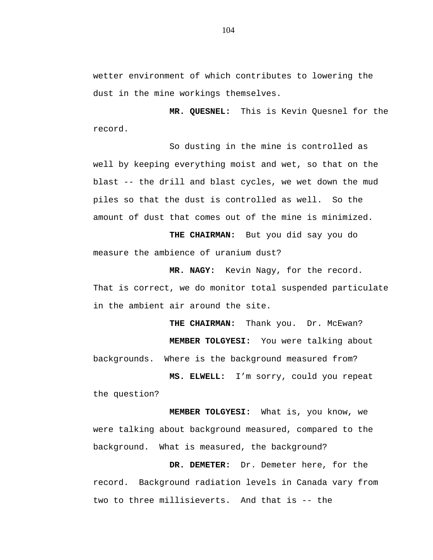wetter environment of which contributes to lowering the dust in the mine workings themselves.

**MR. QUESNEL:** This is Kevin Quesnel for the record.

So dusting in the mine is controlled as well by keeping everything moist and wet, so that on the blast -- the drill and blast cycles, we wet down the mud piles so that the dust is controlled as well. So the amount of dust that comes out of the mine is minimized.

**THE CHAIRMAN:** But you did say you do measure the ambience of uranium dust?

**MR. NAGY:** Kevin Nagy, for the record. That is correct, we do monitor total suspended particulate in the ambient air around the site.

THE CHAIRMAN: Thank you. Dr. McEwan? **MEMBER TOLGYESI:** You were talking about backgrounds. Where is the background measured from?

**MS. ELWELL:** I'm sorry, could you repeat the question?

**MEMBER TOLGYESI:** What is, you know, we were talking about background measured, compared to the background. What is measured, the background?

**DR. DEMETER:** Dr. Demeter here, for the record. Background radiation levels in Canada vary from two to three millisieverts. And that is -- the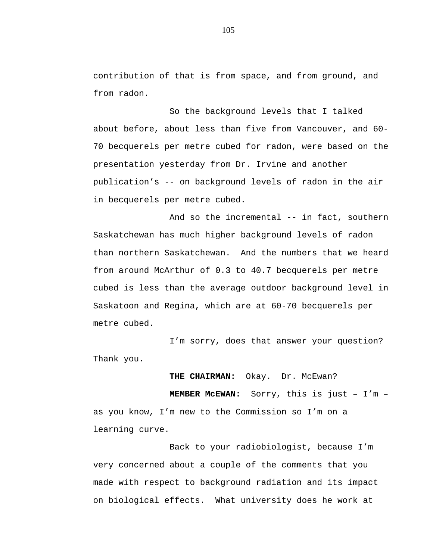contribution of that is from space, and from ground, and from radon.

So the background levels that I talked about before, about less than five from Vancouver, and 60- 70 becquerels per metre cubed for radon, were based on the presentation yesterday from Dr. Irvine and another publication's -- on background levels of radon in the air in becquerels per metre cubed.

And so the incremental -- in fact, southern Saskatchewan has much higher background levels of radon than northern Saskatchewan. And the numbers that we heard from around McArthur of 0.3 to 40.7 becquerels per metre cubed is less than the average outdoor background level in Saskatoon and Regina, which are at 60-70 becquerels per metre cubed.

I'm sorry, does that answer your question? Thank you.

## **THE CHAIRMAN:** Okay. Dr. McEwan?

**MEMBER McEWAN:** Sorry, this is just – I'm – as you know, I'm new to the Commission so I'm on a learning curve.

Back to your radiobiologist, because I'm very concerned about a couple of the comments that you made with respect to background radiation and its impact on biological effects. What university does he work at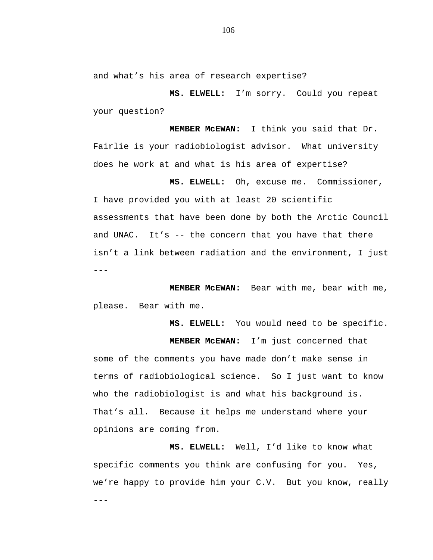and what's his area of research expertise?

**MS. ELWELL:** I'm sorry. Could you repeat your question?

**MEMBER McEWAN:** I think you said that Dr. Fairlie is your radiobiologist advisor. What university does he work at and what is his area of expertise?

**MS. ELWELL:** Oh, excuse me. Commissioner, I have provided you with at least 20 scientific assessments that have been done by both the Arctic Council and UNAC. It's -- the concern that you have that there isn't a link between radiation and the environment, I just ---

**MEMBER McEWAN:** Bear with me, bear with me, please. Bear with me.

**MS. ELWELL:** You would need to be specific.

**MEMBER McEWAN:** I'm just concerned that some of the comments you have made don't make sense in terms of radiobiological science. So I just want to know who the radiobiologist is and what his background is. That's all. Because it helps me understand where your opinions are coming from.

**MS. ELWELL:** Well, I'd like to know what specific comments you think are confusing for you. Yes, we're happy to provide him your C.V. But you know, really ---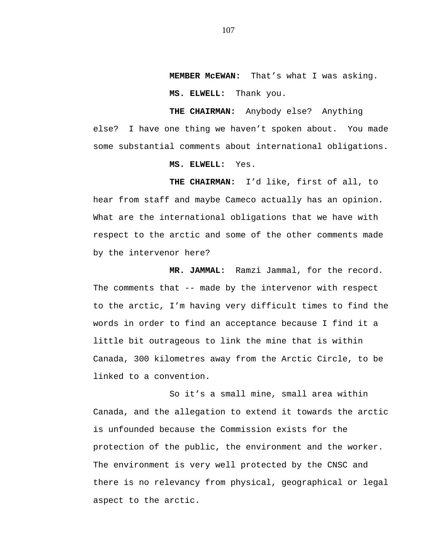**MEMBER McEWAN:** That's what I was asking.

**MS. ELWELL:** Thank you.

**THE CHAIRMAN:** Anybody else? Anything else? I have one thing we haven't spoken about. You made some substantial comments about international obligations.

## **MS. ELWELL:** Yes.

**THE CHAIRMAN:** I'd like, first of all, to hear from staff and maybe Cameco actually has an opinion. What are the international obligations that we have with respect to the arctic and some of the other comments made by the intervenor here?

**MR. JAMMAL:** Ramzi Jammal, for the record. The comments that -- made by the intervenor with respect to the arctic, I'm having very difficult times to find the words in order to find an acceptance because I find it a little bit outrageous to link the mine that is within Canada, 300 kilometres away from the Arctic Circle, to be linked to a convention.

So it's a small mine, small area within Canada, and the allegation to extend it towards the arctic is unfounded because the Commission exists for the protection of the public, the environment and the worker. The environment is very well protected by the CNSC and there is no relevancy from physical, geographical or legal aspect to the arctic.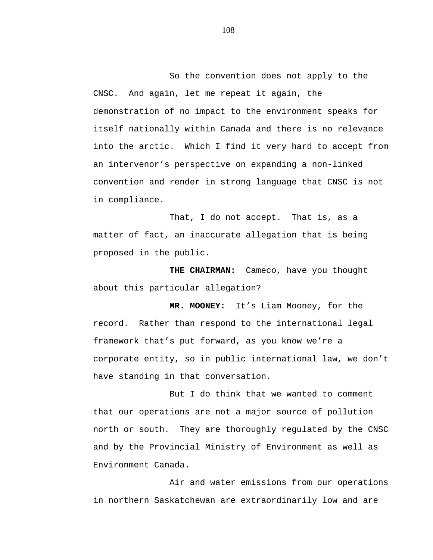So the convention does not apply to the CNSC. And again, let me repeat it again, the demonstration of no impact to the environment speaks for itself nationally within Canada and there is no relevance into the arctic. Which I find it very hard to accept from an intervenor's perspective on expanding a non-linked convention and render in strong language that CNSC is not in compliance.

That, I do not accept. That is, as a matter of fact, an inaccurate allegation that is being proposed in the public.

**THE CHAIRMAN:** Cameco, have you thought about this particular allegation?

**MR. MOONEY:** It's Liam Mooney, for the record. Rather than respond to the international legal framework that's put forward, as you know we're a corporate entity, so in public international law, we don't have standing in that conversation.

But I do think that we wanted to comment that our operations are not a major source of pollution north or south. They are thoroughly regulated by the CNSC and by the Provincial Ministry of Environment as well as Environment Canada.

Air and water emissions from our operations in northern Saskatchewan are extraordinarily low and are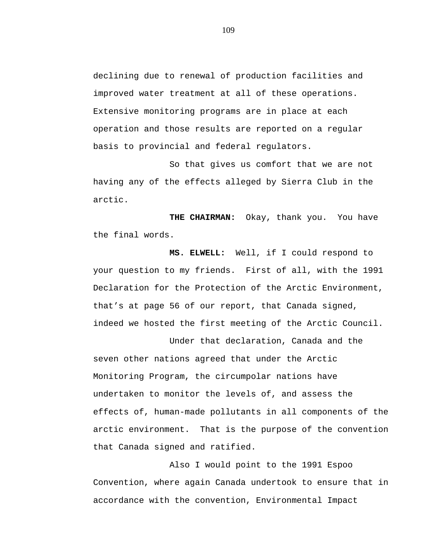declining due to renewal of production facilities and improved water treatment at all of these operations. Extensive monitoring programs are in place at each operation and those results are reported on a regular basis to provincial and federal regulators.

So that gives us comfort that we are not having any of the effects alleged by Sierra Club in the arctic.

**THE CHAIRMAN:** Okay, thank you. You have the final words.

**MS. ELWELL:** Well, if I could respond to your question to my friends. First of all, with the 1991 Declaration for the Protection of the Arctic Environment, that's at page 56 of our report, that Canada signed, indeed we hosted the first meeting of the Arctic Council.

Under that declaration, Canada and the seven other nations agreed that under the Arctic Monitoring Program, the circumpolar nations have undertaken to monitor the levels of, and assess the effects of, human-made pollutants in all components of the arctic environment. That is the purpose of the convention that Canada signed and ratified.

Also I would point to the 1991 Espoo Convention, where again Canada undertook to ensure that in accordance with the convention, Environmental Impact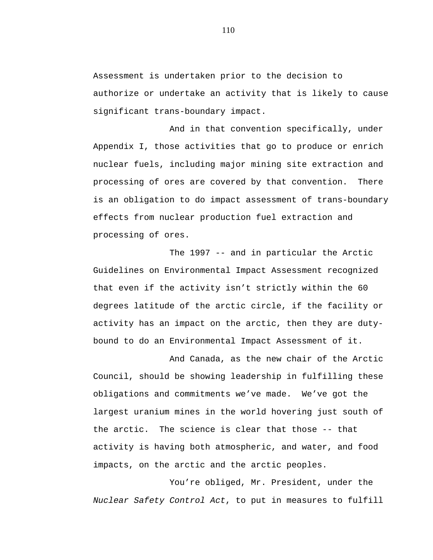Assessment is undertaken prior to the decision to authorize or undertake an activity that is likely to cause significant trans-boundary impact.

And in that convention specifically, under Appendix I, those activities that go to produce or enrich nuclear fuels, including major mining site extraction and processing of ores are covered by that convention. There is an obligation to do impact assessment of trans-boundary effects from nuclear production fuel extraction and processing of ores.

The 1997 -- and in particular the Arctic Guidelines on Environmental Impact Assessment recognized that even if the activity isn't strictly within the 60 degrees latitude of the arctic circle, if the facility or activity has an impact on the arctic, then they are dutybound to do an Environmental Impact Assessment of it.

And Canada, as the new chair of the Arctic Council, should be showing leadership in fulfilling these obligations and commitments we've made. We've got the largest uranium mines in the world hovering just south of the arctic. The science is clear that those -- that activity is having both atmospheric, and water, and food impacts, on the arctic and the arctic peoples.

You're obliged, Mr. President, under the *Nuclear Safety Control Act*, to put in measures to fulfill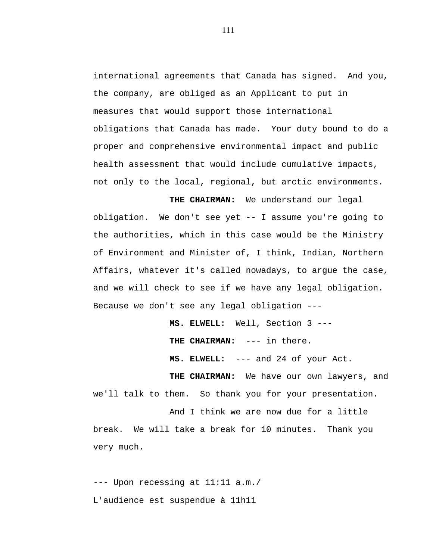international agreements that Canada has signed. And you, the company, are obliged as an Applicant to put in measures that would support those international obligations that Canada has made. Your duty bound to do a proper and comprehensive environmental impact and public health assessment that would include cumulative impacts, not only to the local, regional, but arctic environments.

**THE CHAIRMAN:** We understand our legal obligation. We don't see yet -- I assume you're going to the authorities, which in this case would be the Ministry of Environment and Minister of, I think, Indian, Northern Affairs, whatever it's called nowadays, to argue the case, and we will check to see if we have any legal obligation. Because we don't see any legal obligation ---

> **MS. ELWELL:** Well, Section 3 --- **THE CHAIRMAN:** --- in there. **MS. ELWELL:** --- and 24 of your Act.

**THE CHAIRMAN:** We have our own lawyers, and we'll talk to them. So thank you for your presentation.

And I think we are now due for a little break. We will take a break for 10 minutes. Thank you very much.

--- Upon recessing at 11:11 a.m./ L'audience est suspendue à 11h11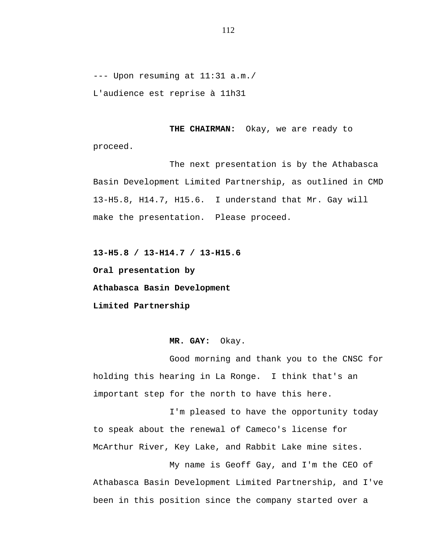--- Upon resuming at 11:31 a.m./ L'audience est reprise à 11h31

**THE CHAIRMAN:** Okay, we are ready to proceed.

The next presentation is by the Athabasca Basin Development Limited Partnership, as outlined in CMD 13-H5.8, H14.7, H15.6. I understand that Mr. Gay will make the presentation. Please proceed.

**13-H5.8 / 13-H14.7 / 13-H15.6**

**Oral presentation by**

**Athabasca Basin Development**

**Limited Partnership**

**MR. GAY:** Okay.

Good morning and thank you to the CNSC for holding this hearing in La Ronge. I think that's an important step for the north to have this here.

I'm pleased to have the opportunity today to speak about the renewal of Cameco's license for McArthur River, Key Lake, and Rabbit Lake mine sites.

My name is Geoff Gay, and I'm the CEO of Athabasca Basin Development Limited Partnership, and I've been in this position since the company started over a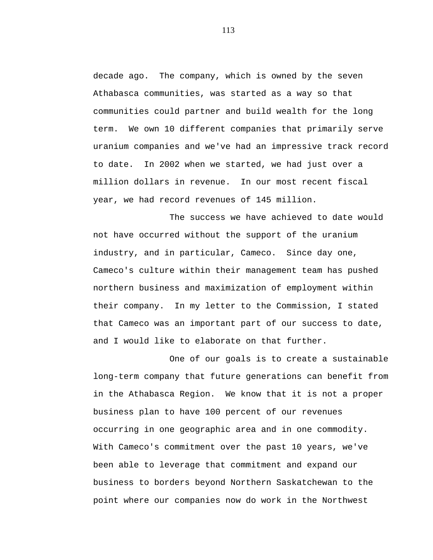decade ago. The company, which is owned by the seven Athabasca communities, was started as a way so that communities could partner and build wealth for the long term. We own 10 different companies that primarily serve uranium companies and we've had an impressive track record to date. In 2002 when we started, we had just over a million dollars in revenue. In our most recent fiscal year, we had record revenues of 145 million.

The success we have achieved to date would not have occurred without the support of the uranium industry, and in particular, Cameco. Since day one, Cameco's culture within their management team has pushed northern business and maximization of employment within their company. In my letter to the Commission, I stated that Cameco was an important part of our success to date, and I would like to elaborate on that further.

One of our goals is to create a sustainable long-term company that future generations can benefit from in the Athabasca Region. We know that it is not a proper business plan to have 100 percent of our revenues occurring in one geographic area and in one commodity. With Cameco's commitment over the past 10 years, we've been able to leverage that commitment and expand our business to borders beyond Northern Saskatchewan to the point where our companies now do work in the Northwest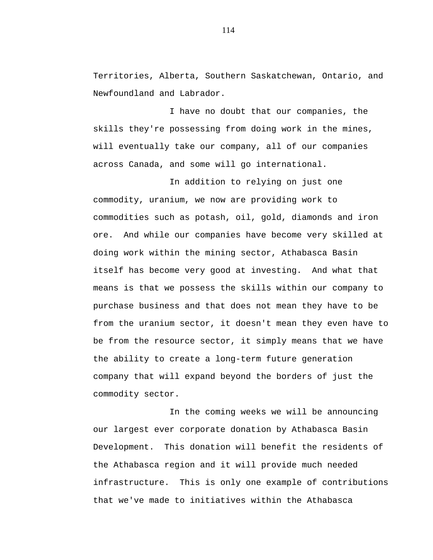Territories, Alberta, Southern Saskatchewan, Ontario, and Newfoundland and Labrador.

I have no doubt that our companies, the skills they're possessing from doing work in the mines, will eventually take our company, all of our companies across Canada, and some will go international.

In addition to relying on just one commodity, uranium, we now are providing work to commodities such as potash, oil, gold, diamonds and iron ore. And while our companies have become very skilled at doing work within the mining sector, Athabasca Basin itself has become very good at investing. And what that means is that we possess the skills within our company to purchase business and that does not mean they have to be from the uranium sector, it doesn't mean they even have to be from the resource sector, it simply means that we have the ability to create a long-term future generation company that will expand beyond the borders of just the commodity sector.

In the coming weeks we will be announcing our largest ever corporate donation by Athabasca Basin Development. This donation will benefit the residents of the Athabasca region and it will provide much needed infrastructure. This is only one example of contributions that we've made to initiatives within the Athabasca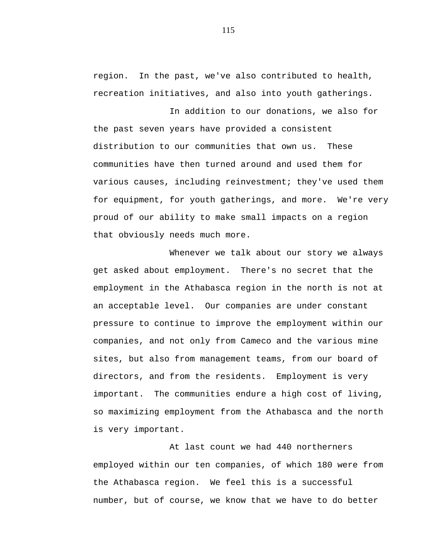region. In the past, we've also contributed to health, recreation initiatives, and also into youth gatherings.

In addition to our donations, we also for the past seven years have provided a consistent distribution to our communities that own us. These communities have then turned around and used them for various causes, including reinvestment; they've used them for equipment, for youth gatherings, and more. We're very proud of our ability to make small impacts on a region that obviously needs much more.

Whenever we talk about our story we always get asked about employment. There's no secret that the employment in the Athabasca region in the north is not at an acceptable level. Our companies are under constant pressure to continue to improve the employment within our companies, and not only from Cameco and the various mine sites, but also from management teams, from our board of directors, and from the residents. Employment is very important. The communities endure a high cost of living, so maximizing employment from the Athabasca and the north is very important.

At last count we had 440 northerners employed within our ten companies, of which 180 were from the Athabasca region. We feel this is a successful number, but of course, we know that we have to do better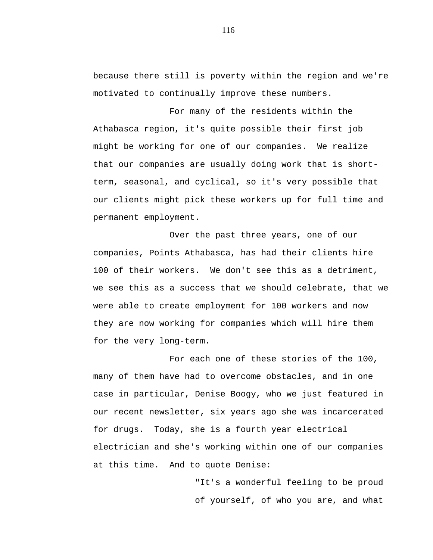because there still is poverty within the region and we're motivated to continually improve these numbers.

For many of the residents within the Athabasca region, it's quite possible their first job might be working for one of our companies. We realize that our companies are usually doing work that is shortterm, seasonal, and cyclical, so it's very possible that our clients might pick these workers up for full time and permanent employment.

Over the past three years, one of our companies, Points Athabasca, has had their clients hire 100 of their workers. We don't see this as a detriment, we see this as a success that we should celebrate, that we were able to create employment for 100 workers and now they are now working for companies which will hire them for the very long-term.

For each one of these stories of the 100, many of them have had to overcome obstacles, and in one case in particular, Denise Boogy, who we just featured in our recent newsletter, six years ago she was incarcerated for drugs. Today, she is a fourth year electrical electrician and she's working within one of our companies at this time. And to quote Denise:

> "It's a wonderful feeling to be proud of yourself, of who you are, and what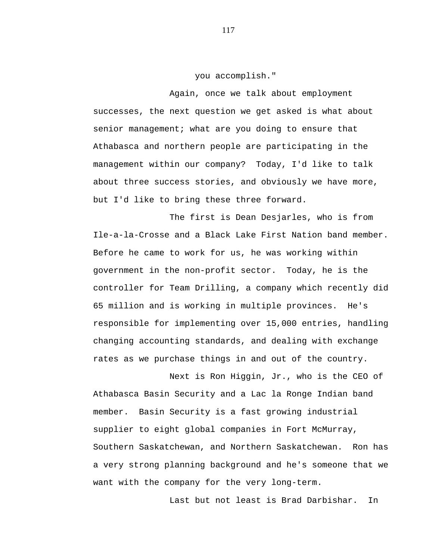you accomplish."

Again, once we talk about employment successes, the next question we get asked is what about senior management; what are you doing to ensure that Athabasca and northern people are participating in the management within our company? Today, I'd like to talk about three success stories, and obviously we have more, but I'd like to bring these three forward.

The first is Dean Desjarles, who is from Ile-a-la-Crosse and a Black Lake First Nation band member. Before he came to work for us, he was working within government in the non-profit sector. Today, he is the controller for Team Drilling, a company which recently did 65 million and is working in multiple provinces. He's responsible for implementing over 15,000 entries, handling changing accounting standards, and dealing with exchange rates as we purchase things in and out of the country.

Next is Ron Higgin, Jr., who is the CEO of Athabasca Basin Security and a Lac la Ronge Indian band member. Basin Security is a fast growing industrial supplier to eight global companies in Fort McMurray, Southern Saskatchewan, and Northern Saskatchewan. Ron has a very strong planning background and he's someone that we want with the company for the very long-term.

Last but not least is Brad Darbishar. In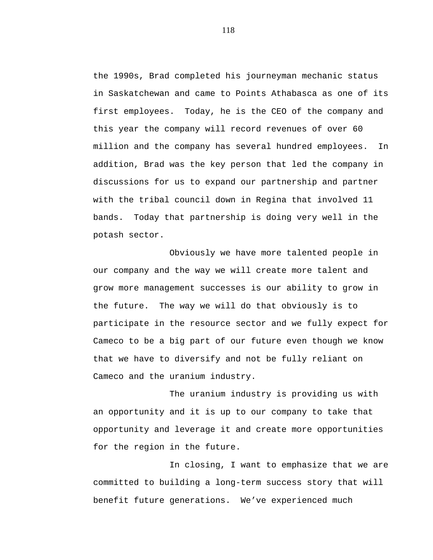the 1990s, Brad completed his journeyman mechanic status in Saskatchewan and came to Points Athabasca as one of its first employees. Today, he is the CEO of the company and this year the company will record revenues of over 60 million and the company has several hundred employees. In addition, Brad was the key person that led the company in discussions for us to expand our partnership and partner with the tribal council down in Regina that involved 11 bands. Today that partnership is doing very well in the potash sector.

Obviously we have more talented people in our company and the way we will create more talent and grow more management successes is our ability to grow in the future. The way we will do that obviously is to participate in the resource sector and we fully expect for Cameco to be a big part of our future even though we know that we have to diversify and not be fully reliant on Cameco and the uranium industry.

The uranium industry is providing us with an opportunity and it is up to our company to take that opportunity and leverage it and create more opportunities for the region in the future.

In closing, I want to emphasize that we are committed to building a long-term success story that will benefit future generations. We've experienced much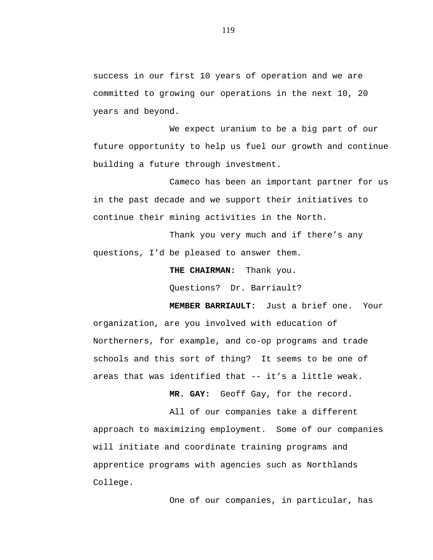success in our first 10 years of operation and we are committed to growing our operations in the next 10, 20 years and beyond.

We expect uranium to be a big part of our future opportunity to help us fuel our growth and continue building a future through investment.

Cameco has been an important partner for us in the past decade and we support their initiatives to continue their mining activities in the North.

Thank you very much and if there's any questions, I'd be pleased to answer them.

**THE CHAIRMAN:** Thank you.

Questions? Dr. Barriault?

**MEMBER BARRIAULT:** Just a brief one. Your organization, are you involved with education of Northerners, for example, and co-op programs and trade schools and this sort of thing? It seems to be one of areas that was identified that -- it's a little weak.

**MR. GAY:** Geoff Gay, for the record.

All of our companies take a different approach to maximizing employment. Some of our companies will initiate and coordinate training programs and apprentice programs with agencies such as Northlands College.

One of our companies, in particular, has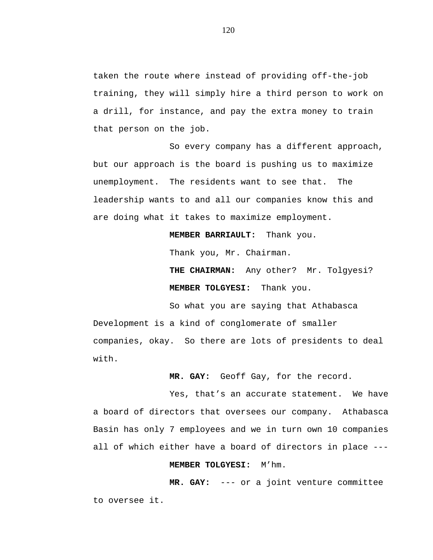taken the route where instead of providing off-the-job training, they will simply hire a third person to work on a drill, for instance, and pay the extra money to train that person on the job.

So every company has a different approach, but our approach is the board is pushing us to maximize unemployment. The residents want to see that. The leadership wants to and all our companies know this and are doing what it takes to maximize employment.

**MEMBER BARRIAULT:** Thank you.

Thank you, Mr. Chairman.

**THE CHAIRMAN:** Any other? Mr. Tolgyesi? **MEMBER TOLGYESI:** Thank you.

So what you are saying that Athabasca Development is a kind of conglomerate of smaller companies, okay. So there are lots of presidents to deal with.

**MR. GAY:** Geoff Gay, for the record.

Yes, that's an accurate statement. We have a board of directors that oversees our company. Athabasca Basin has only 7 employees and we in turn own 10 companies all of which either have a board of directors in place ---

## **MEMBER TOLGYESI:** M'hm.

**MR. GAY:** --- or a joint venture committee to oversee it.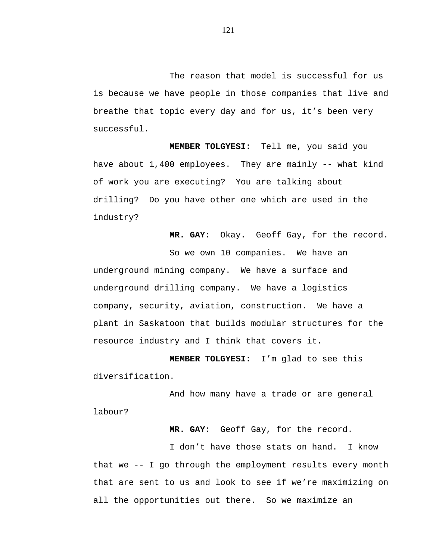The reason that model is successful for us is because we have people in those companies that live and breathe that topic every day and for us, it's been very successful.

**MEMBER TOLGYESI:** Tell me, you said you have about 1,400 employees. They are mainly -- what kind of work you are executing? You are talking about drilling? Do you have other one which are used in the industry?

**MR. GAY:** Okay. Geoff Gay, for the record.

So we own 10 companies. We have an underground mining company. We have a surface and underground drilling company. We have a logistics company, security, aviation, construction. We have a plant in Saskatoon that builds modular structures for the resource industry and I think that covers it.

**MEMBER TOLGYESI:** I'm glad to see this diversification.

And how many have a trade or are general labour?

**MR. GAY:** Geoff Gay, for the record.

I don't have those stats on hand. I know that we -- I go through the employment results every month that are sent to us and look to see if we're maximizing on all the opportunities out there. So we maximize an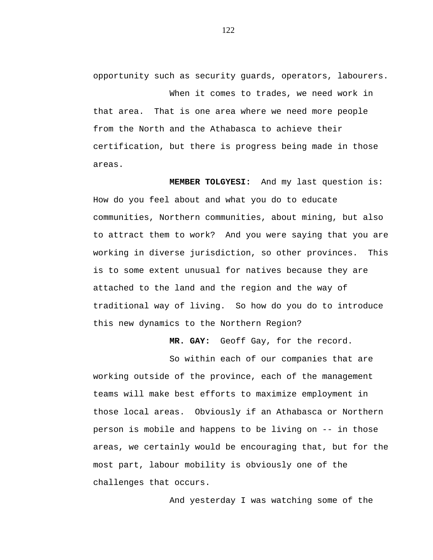opportunity such as security guards, operators, labourers.

When it comes to trades, we need work in that area. That is one area where we need more people from the North and the Athabasca to achieve their certification, but there is progress being made in those areas.

**MEMBER TOLGYESI:** And my last question is: How do you feel about and what you do to educate communities, Northern communities, about mining, but also to attract them to work? And you were saying that you are working in diverse jurisdiction, so other provinces. This is to some extent unusual for natives because they are attached to the land and the region and the way of traditional way of living. So how do you do to introduce this new dynamics to the Northern Region?

**MR. GAY:** Geoff Gay, for the record.

So within each of our companies that are working outside of the province, each of the management teams will make best efforts to maximize employment in those local areas. Obviously if an Athabasca or Northern person is mobile and happens to be living on -- in those areas, we certainly would be encouraging that, but for the most part, labour mobility is obviously one of the challenges that occurs.

And yesterday I was watching some of the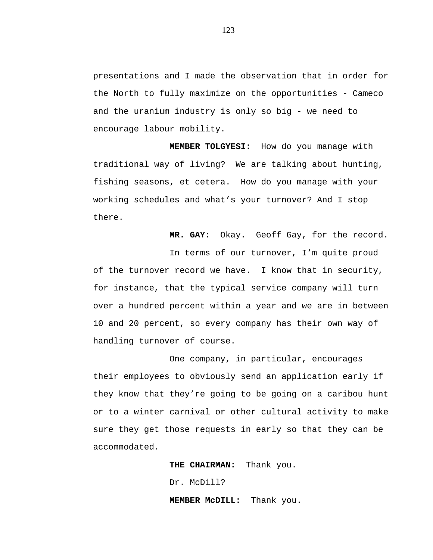presentations and I made the observation that in order for the North to fully maximize on the opportunities - Cameco and the uranium industry is only so big - we need to encourage labour mobility.

**MEMBER TOLGYESI:** How do you manage with traditional way of living? We are talking about hunting, fishing seasons, et cetera. How do you manage with your working schedules and what's your turnover? And I stop there.

**MR. GAY:** Okay. Geoff Gay, for the record.

In terms of our turnover, I'm quite proud of the turnover record we have. I know that in security, for instance, that the typical service company will turn over a hundred percent within a year and we are in between 10 and 20 percent, so every company has their own way of handling turnover of course.

One company, in particular, encourages their employees to obviously send an application early if they know that they're going to be going on a caribou hunt or to a winter carnival or other cultural activity to make sure they get those requests in early so that they can be accommodated.

**THE CHAIRMAN:** Thank you.

Dr. McDill?

**MEMBER McDILL:** Thank you.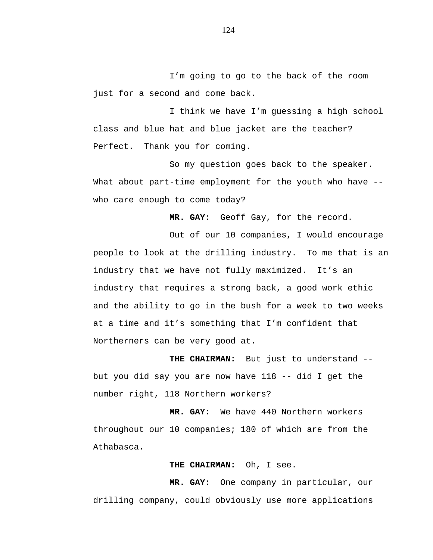I'm going to go to the back of the room just for a second and come back.

I think we have I'm guessing a high school class and blue hat and blue jacket are the teacher? Perfect. Thank you for coming.

So my question goes back to the speaker. What about part-time employment for the youth who have -who care enough to come today?

**MR. GAY:** Geoff Gay, for the record.

Out of our 10 companies, I would encourage people to look at the drilling industry. To me that is an industry that we have not fully maximized. It's an industry that requires a strong back, a good work ethic and the ability to go in the bush for a week to two weeks at a time and it's something that I'm confident that Northerners can be very good at.

**THE CHAIRMAN:** But just to understand - but you did say you are now have  $118$  -- did I get the number right, 118 Northern workers?

**MR. GAY:** We have 440 Northern workers throughout our 10 companies; 180 of which are from the Athabasca.

## **THE CHAIRMAN:** Oh, I see.

**MR. GAY:** One company in particular, our drilling company, could obviously use more applications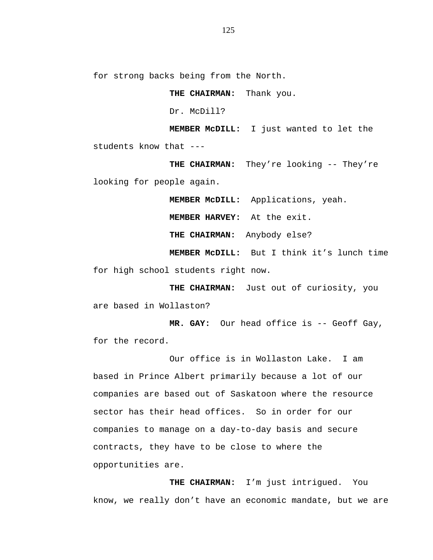for strong backs being from the North.

**THE CHAIRMAN:** Thank you. Dr. McDill? **MEMBER McDILL:** I just wanted to let the students know that ---

**THE CHAIRMAN:** They're looking -- They're looking for people again.

**MEMBER McDILL:** Applications, yeah.

**MEMBER HARVEY:** At the exit.

**THE CHAIRMAN:** Anybody else?

**MEMBER McDILL:** But I think it's lunch time for high school students right now.

**THE CHAIRMAN:** Just out of curiosity, you are based in Wollaston?

**MR. GAY:** Our head office is -- Geoff Gay, for the record.

Our office is in Wollaston Lake. I am based in Prince Albert primarily because a lot of our companies are based out of Saskatoon where the resource sector has their head offices. So in order for our companies to manage on a day-to-day basis and secure contracts, they have to be close to where the opportunities are.

**THE CHAIRMAN:** I'm just intrigued. You know, we really don't have an economic mandate, but we are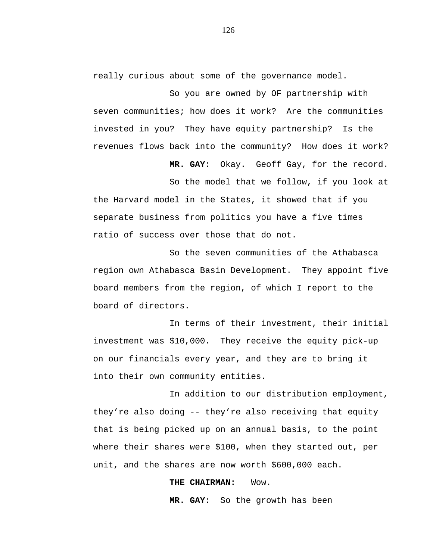really curious about some of the governance model.

So you are owned by OF partnership with seven communities; how does it work? Are the communities invested in you? They have equity partnership? Is the revenues flows back into the community? How does it work?

**MR. GAY:** Okay. Geoff Gay, for the record.

So the model that we follow, if you look at the Harvard model in the States, it showed that if you separate business from politics you have a five times ratio of success over those that do not.

So the seven communities of the Athabasca region own Athabasca Basin Development. They appoint five board members from the region, of which I report to the board of directors.

In terms of their investment, their initial investment was \$10,000. They receive the equity pick-up on our financials every year, and they are to bring it into their own community entities.

In addition to our distribution employment, they're also doing -- they're also receiving that equity that is being picked up on an annual basis, to the point where their shares were \$100, when they started out, per unit, and the shares are now worth \$600,000 each.

## **THE CHAIRMAN:** Wow.

**MR. GAY:** So the growth has been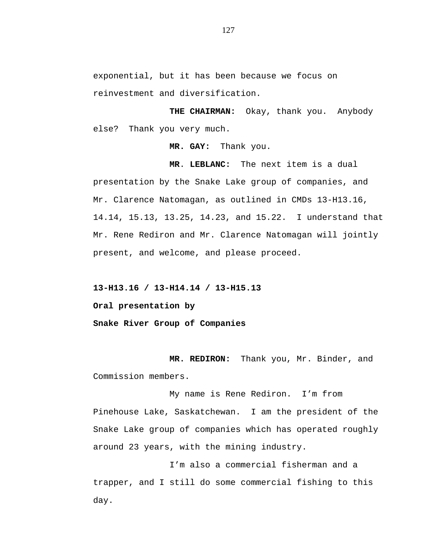exponential, but it has been because we focus on reinvestment and diversification.

**THE CHAIRMAN:** Okay, thank you. Anybody else? Thank you very much.

**MR. GAY:** Thank you.

**MR**. **LEBLANC:** The next item is a dual presentation by the Snake Lake group of companies, and Mr. Clarence Natomagan, as outlined in CMDs 13-H13.16, 14.14, 15.13, 13.25, 14.23, and 15.22. I understand that Mr. Rene Rediron and Mr. Clarence Natomagan will jointly present, and welcome, and please proceed.

**13-H13.16 / 13-H14.14 / 13-H15.13** 

**Oral presentation by** 

**Snake River Group of Companies**

**MR. REDIRON:** Thank you, Mr. Binder, and Commission members.

My name is Rene Rediron. I'm from Pinehouse Lake, Saskatchewan. I am the president of the Snake Lake group of companies which has operated roughly around 23 years, with the mining industry.

I'm also a commercial fisherman and a trapper, and I still do some commercial fishing to this day.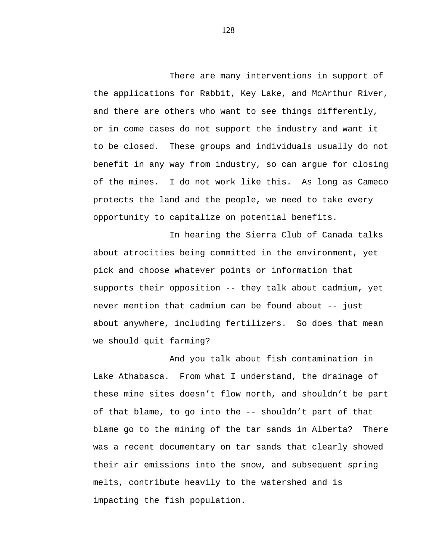There are many interventions in support of the applications for Rabbit, Key Lake, and McArthur River, and there are others who want to see things differently, or in come cases do not support the industry and want it to be closed. These groups and individuals usually do not benefit in any way from industry, so can argue for closing of the mines. I do not work like this. As long as Cameco protects the land and the people, we need to take every opportunity to capitalize on potential benefits.

In hearing the Sierra Club of Canada talks about atrocities being committed in the environment, yet pick and choose whatever points or information that supports their opposition -- they talk about cadmium, yet never mention that cadmium can be found about -- just about anywhere, including fertilizers. So does that mean we should quit farming?

And you talk about fish contamination in Lake Athabasca. From what I understand, the drainage of these mine sites doesn't flow north, and shouldn't be part of that blame, to go into the -- shouldn't part of that blame go to the mining of the tar sands in Alberta? There was a recent documentary on tar sands that clearly showed their air emissions into the snow, and subsequent spring melts, contribute heavily to the watershed and is impacting the fish population.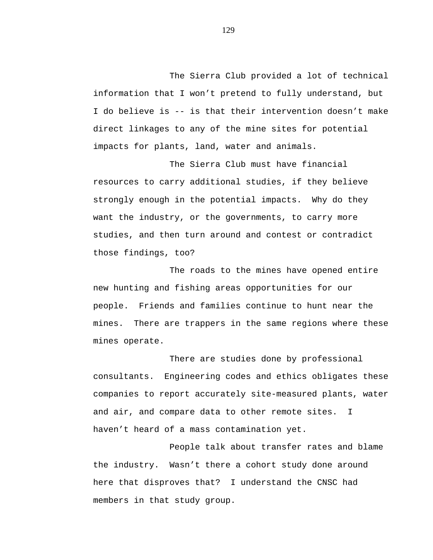The Sierra Club provided a lot of technical information that I won't pretend to fully understand, but I do believe is -- is that their intervention doesn't make direct linkages to any of the mine sites for potential impacts for plants, land, water and animals.

The Sierra Club must have financial resources to carry additional studies, if they believe strongly enough in the potential impacts. Why do they want the industry, or the governments, to carry more studies, and then turn around and contest or contradict those findings, too?

The roads to the mines have opened entire new hunting and fishing areas opportunities for our people. Friends and families continue to hunt near the mines. There are trappers in the same regions where these mines operate.

There are studies done by professional consultants. Engineering codes and ethics obligates these companies to report accurately site-measured plants, water and air, and compare data to other remote sites. I haven't heard of a mass contamination yet.

People talk about transfer rates and blame the industry. Wasn't there a cohort study done around here that disproves that? I understand the CNSC had members in that study group.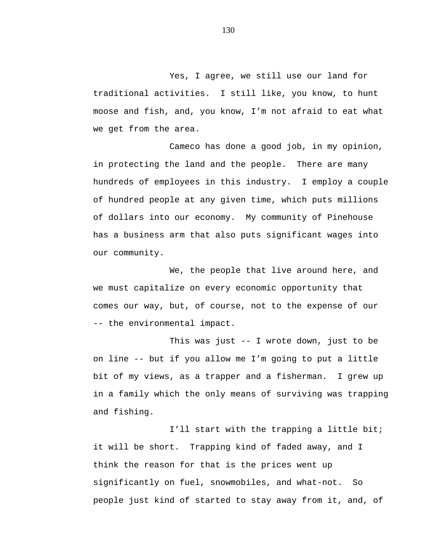Yes, I agree, we still use our land for traditional activities. I still like, you know, to hunt moose and fish, and, you know, I'm not afraid to eat what we get from the area.

Cameco has done a good job, in my opinion, in protecting the land and the people. There are many hundreds of employees in this industry. I employ a couple of hundred people at any given time, which puts millions of dollars into our economy. My community of Pinehouse has a business arm that also puts significant wages into our community.

We, the people that live around here, and we must capitalize on every economic opportunity that comes our way, but, of course, not to the expense of our -- the environmental impact.

This was just -- I wrote down, just to be on line -- but if you allow me I'm going to put a little bit of my views, as a trapper and a fisherman. I grew up in a family which the only means of surviving was trapping and fishing.

I'll start with the trapping a little bit; it will be short. Trapping kind of faded away, and I think the reason for that is the prices went up significantly on fuel, snowmobiles, and what-not. So people just kind of started to stay away from it, and, of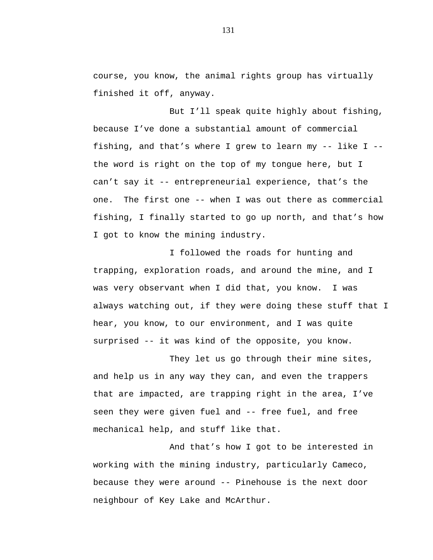course, you know, the animal rights group has virtually finished it off, anyway.

But I'll speak quite highly about fishing, because I've done a substantial amount of commercial fishing, and that's where I grew to learn my -- like I - the word is right on the top of my tongue here, but I can't say it -- entrepreneurial experience, that's the one. The first one -- when I was out there as commercial fishing, I finally started to go up north, and that's how I got to know the mining industry.

I followed the roads for hunting and trapping, exploration roads, and around the mine, and I was very observant when I did that, you know. I was always watching out, if they were doing these stuff that I hear, you know, to our environment, and I was quite surprised -- it was kind of the opposite, you know.

They let us go through their mine sites, and help us in any way they can, and even the trappers that are impacted, are trapping right in the area, I've seen they were given fuel and -- free fuel, and free mechanical help, and stuff like that.

And that's how I got to be interested in working with the mining industry, particularly Cameco, because they were around -- Pinehouse is the next door neighbour of Key Lake and McArthur.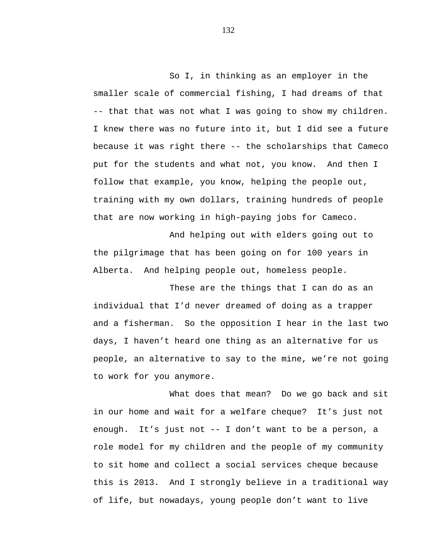So I, in thinking as an employer in the smaller scale of commercial fishing, I had dreams of that -- that that was not what I was going to show my children. I knew there was no future into it, but I did see a future because it was right there -- the scholarships that Cameco put for the students and what not, you know. And then I follow that example, you know, helping the people out, training with my own dollars, training hundreds of people that are now working in high-paying jobs for Cameco.

And helping out with elders going out to the pilgrimage that has been going on for 100 years in Alberta. And helping people out, homeless people.

These are the things that I can do as an individual that I'd never dreamed of doing as a trapper and a fisherman. So the opposition I hear in the last two days, I haven't heard one thing as an alternative for us people, an alternative to say to the mine, we're not going to work for you anymore.

What does that mean? Do we go back and sit in our home and wait for a welfare cheque? It's just not enough. It's just not -- I don't want to be a person, a role model for my children and the people of my community to sit home and collect a social services cheque because this is 2013. And I strongly believe in a traditional way of life, but nowadays, young people don't want to live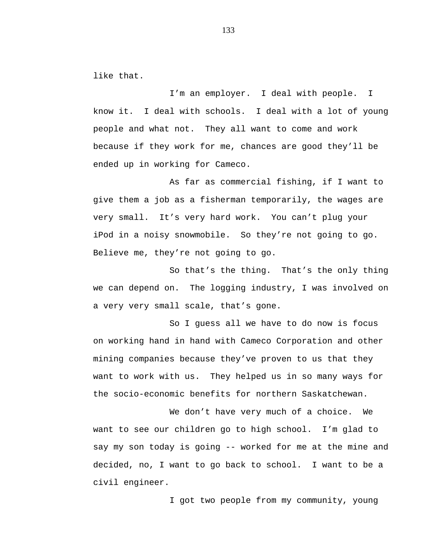like that.

I'm an employer. I deal with people. I know it. I deal with schools. I deal with a lot of young people and what not. They all want to come and work because if they work for me, chances are good they'll be ended up in working for Cameco.

As far as commercial fishing, if I want to give them a job as a fisherman temporarily, the wages are very small. It's very hard work. You can't plug your iPod in a noisy snowmobile. So they're not going to go. Believe me, they're not going to go.

So that's the thing. That's the only thing we can depend on. The logging industry, I was involved on a very very small scale, that's gone.

So I guess all we have to do now is focus on working hand in hand with Cameco Corporation and other mining companies because they've proven to us that they want to work with us. They helped us in so many ways for the socio-economic benefits for northern Saskatchewan.

We don't have very much of a choice. We want to see our children go to high school. I'm glad to say my son today is going -- worked for me at the mine and decided, no, I want to go back to school. I want to be a civil engineer.

I got two people from my community, young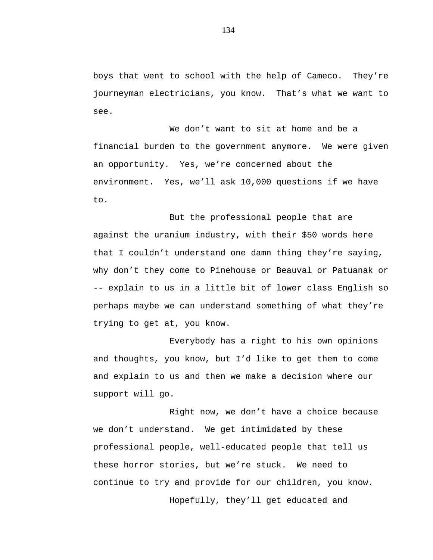boys that went to school with the help of Cameco. They're journeyman electricians, you know. That's what we want to see.

We don't want to sit at home and be a financial burden to the government anymore. We were given an opportunity. Yes, we're concerned about the environment. Yes, we'll ask 10,000 questions if we have to.

But the professional people that are against the uranium industry, with their \$50 words here that I couldn't understand one damn thing they're saying, why don't they come to Pinehouse or Beauval or Patuanak or -- explain to us in a little bit of lower class English so perhaps maybe we can understand something of what they're trying to get at, you know.

Everybody has a right to his own opinions and thoughts, you know, but I'd like to get them to come and explain to us and then we make a decision where our support will go.

Right now, we don't have a choice because we don't understand. We get intimidated by these professional people, well-educated people that tell us these horror stories, but we're stuck. We need to continue to try and provide for our children, you know. Hopefully, they'll get educated and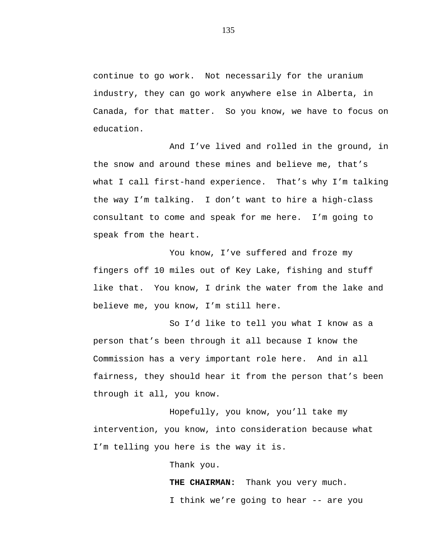continue to go work. Not necessarily for the uranium industry, they can go work anywhere else in Alberta, in Canada, for that matter. So you know, we have to focus on education.

And I've lived and rolled in the ground, in the snow and around these mines and believe me, that's what I call first-hand experience. That's why I'm talking the way I'm talking. I don't want to hire a high-class consultant to come and speak for me here. I'm going to speak from the heart.

You know, I've suffered and froze my fingers off 10 miles out of Key Lake, fishing and stuff like that. You know, I drink the water from the lake and believe me, you know, I'm still here.

So I'd like to tell you what I know as a person that's been through it all because I know the Commission has a very important role here. And in all fairness, they should hear it from the person that's been through it all, you know.

Hopefully, you know, you'll take my intervention, you know, into consideration because what I'm telling you here is the way it is.

Thank you.

**THE CHAIRMAN:** Thank you very much. I think we're going to hear -- are you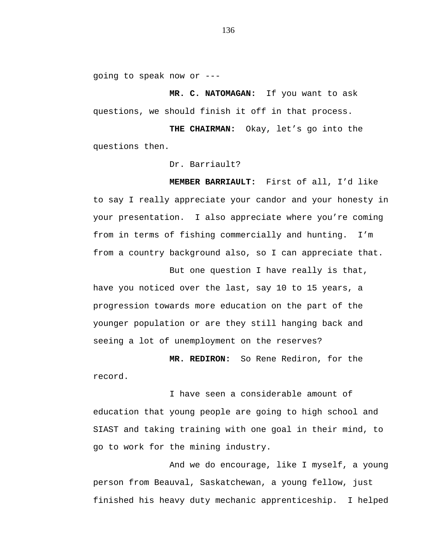going to speak now or ---

**MR. C. NATOMAGAN:** If you want to ask questions, we should finish it off in that process.

**THE CHAIRMAN:** Okay, let's go into the questions then.

Dr. Barriault?

**MEMBER BARRIAULT:** First of all, I'd like to say I really appreciate your candor and your honesty in your presentation. I also appreciate where you're coming from in terms of fishing commercially and hunting. I'm from a country background also, so I can appreciate that.

But one question I have really is that, have you noticed over the last, say 10 to 15 years, a progression towards more education on the part of the younger population or are they still hanging back and seeing a lot of unemployment on the reserves?

**MR. REDIRON:** So Rene Rediron, for the record.

I have seen a considerable amount of education that young people are going to high school and SIAST and taking training with one goal in their mind, to go to work for the mining industry.

And we do encourage, like I myself, a young person from Beauval, Saskatchewan, a young fellow, just finished his heavy duty mechanic apprenticeship. I helped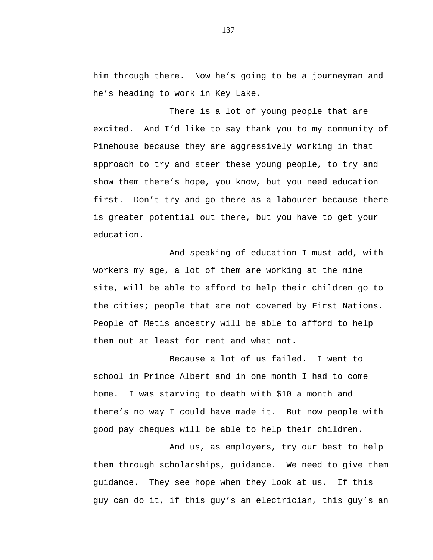him through there. Now he's going to be a journeyman and he's heading to work in Key Lake.

There is a lot of young people that are excited. And I'd like to say thank you to my community of Pinehouse because they are aggressively working in that approach to try and steer these young people, to try and show them there's hope, you know, but you need education first. Don't try and go there as a labourer because there is greater potential out there, but you have to get your education.

And speaking of education I must add, with workers my age, a lot of them are working at the mine site, will be able to afford to help their children go to the cities; people that are not covered by First Nations. People of Metis ancestry will be able to afford to help them out at least for rent and what not.

Because a lot of us failed. I went to school in Prince Albert and in one month I had to come home. I was starving to death with \$10 a month and there's no way I could have made it. But now people with good pay cheques will be able to help their children.

And us, as employers, try our best to help them through scholarships, guidance. We need to give them guidance. They see hope when they look at us. If this guy can do it, if this guy's an electrician, this guy's an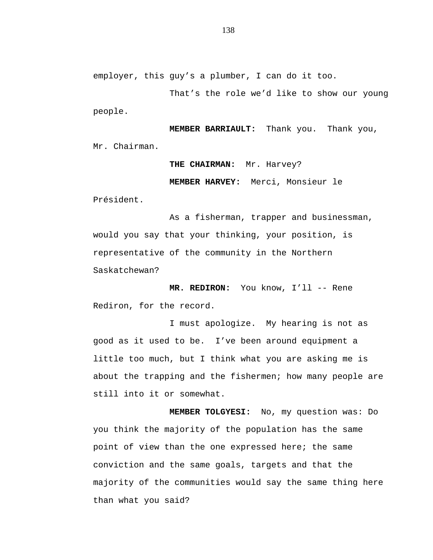employer, this guy's a plumber, I can do it too.

That's the role we'd like to show our young people.

**MEMBER BARRIAULT:** Thank you. Thank you, Mr. Chairman.

> **THE CHAIRMAN:** Mr. Harvey? **MEMBER HARVEY:** Merci, Monsieur le

Président.

As a fisherman, trapper and businessman, would you say that your thinking, your position, is representative of the community in the Northern Saskatchewan?

**MR. REDIRON:** You know, I'll -- Rene Rediron, for the record.

I must apologize. My hearing is not as good as it used to be. I've been around equipment a little too much, but I think what you are asking me is about the trapping and the fishermen; how many people are still into it or somewhat.

**MEMBER TOLGYESI:** No, my question was: Do you think the majority of the population has the same point of view than the one expressed here; the same conviction and the same goals, targets and that the majority of the communities would say the same thing here than what you said?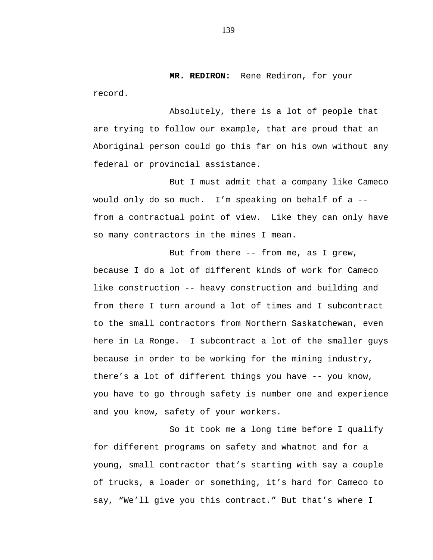**MR. REDIRON:** Rene Rediron, for your record.

Absolutely, there is a lot of people that are trying to follow our example, that are proud that an Aboriginal person could go this far on his own without any federal or provincial assistance.

But I must admit that a company like Cameco would only do so much. I'm speaking on behalf of a - from a contractual point of view. Like they can only have so many contractors in the mines I mean.

But from there -- from me, as I grew, because I do a lot of different kinds of work for Cameco like construction -- heavy construction and building and from there I turn around a lot of times and I subcontract to the small contractors from Northern Saskatchewan, even here in La Ronge. I subcontract a lot of the smaller guys because in order to be working for the mining industry, there's a lot of different things you have -- you know, you have to go through safety is number one and experience and you know, safety of your workers.

So it took me a long time before I qualify for different programs on safety and whatnot and for a young, small contractor that's starting with say a couple of trucks, a loader or something, it's hard for Cameco to say, "We'll give you this contract." But that's where I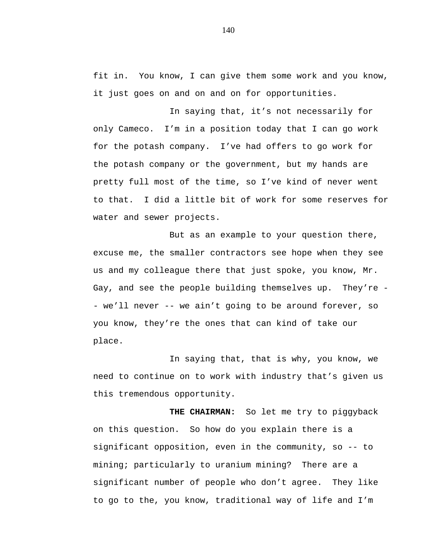fit in. You know, I can give them some work and you know, it just goes on and on and on for opportunities.

In saying that, it's not necessarily for only Cameco. I'm in a position today that I can go work for the potash company. I've had offers to go work for the potash company or the government, but my hands are pretty full most of the time, so I've kind of never went to that. I did a little bit of work for some reserves for water and sewer projects.

But as an example to your question there, excuse me, the smaller contractors see hope when they see us and my colleague there that just spoke, you know, Mr. Gay, and see the people building themselves up. They're - - we'll never -- we ain't going to be around forever, so you know, they're the ones that can kind of take our place.

In saying that, that is why, you know, we need to continue on to work with industry that's given us this tremendous opportunity.

**THE CHAIRMAN:** So let me try to piggyback on this question. So how do you explain there is a significant opposition, even in the community, so -- to mining; particularly to uranium mining? There are a significant number of people who don't agree. They like to go to the, you know, traditional way of life and I'm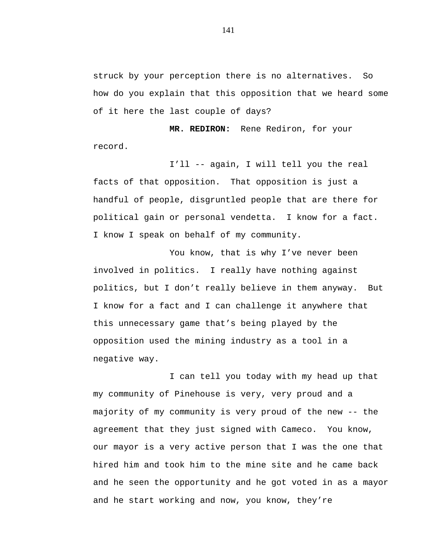struck by your perception there is no alternatives. So how do you explain that this opposition that we heard some of it here the last couple of days?

**MR. REDIRON:** Rene Rediron, for your record.

I'll -- again, I will tell you the real facts of that opposition. That opposition is just a handful of people, disgruntled people that are there for political gain or personal vendetta. I know for a fact. I know I speak on behalf of my community.

You know, that is why I've never been involved in politics. I really have nothing against politics, but I don't really believe in them anyway. But I know for a fact and I can challenge it anywhere that this unnecessary game that's being played by the opposition used the mining industry as a tool in a negative way.

I can tell you today with my head up that my community of Pinehouse is very, very proud and a majority of my community is very proud of the new -- the agreement that they just signed with Cameco. You know, our mayor is a very active person that I was the one that hired him and took him to the mine site and he came back and he seen the opportunity and he got voted in as a mayor and he start working and now, you know, they're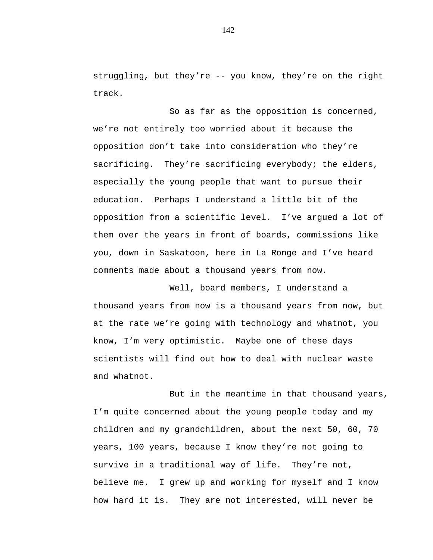struggling, but they're -- you know, they're on the right track.

So as far as the opposition is concerned, we're not entirely too worried about it because the opposition don't take into consideration who they're sacrificing. They're sacrificing everybody; the elders, especially the young people that want to pursue their education. Perhaps I understand a little bit of the opposition from a scientific level. I've argued a lot of them over the years in front of boards, commissions like you, down in Saskatoon, here in La Ronge and I've heard comments made about a thousand years from now.

Well, board members, I understand a thousand years from now is a thousand years from now, but at the rate we're going with technology and whatnot, you know, I'm very optimistic. Maybe one of these days scientists will find out how to deal with nuclear waste and whatnot.

But in the meantime in that thousand years, I'm quite concerned about the young people today and my children and my grandchildren, about the next 50, 60, 70 years, 100 years, because I know they're not going to survive in a traditional way of life. They're not, believe me. I grew up and working for myself and I know how hard it is. They are not interested, will never be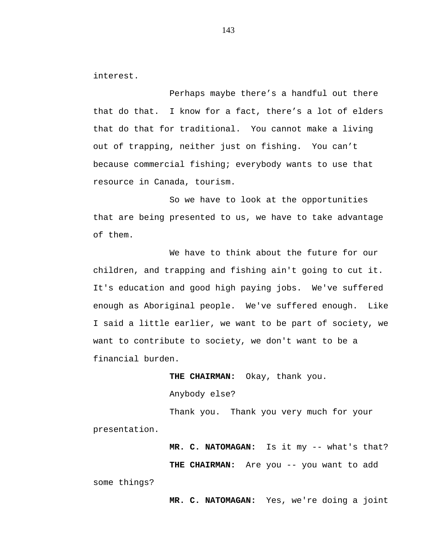interest.

Perhaps maybe there's a handful out there that do that. I know for a fact, there's a lot of elders that do that for traditional. You cannot make a living out of trapping, neither just on fishing. You can't because commercial fishing; everybody wants to use that resource in Canada, tourism.

So we have to look at the opportunities that are being presented to us, we have to take advantage of them.

We have to think about the future for our children, and trapping and fishing ain't going to cut it. It's education and good high paying jobs. We've suffered enough as Aboriginal people. We've suffered enough. Like I said a little earlier, we want to be part of society, we want to contribute to society, we don't want to be a financial burden.

**THE CHAIRMAN:** Okay, thank you.

Anybody else?

Thank you. Thank you very much for your

presentation.

**MR. C. NATOMAGAN:** Is it my -- what's that?

**THE CHAIRMAN:** Are you -- you want to add

some things?

**MR. C. NATOMAGAN:** Yes, we're doing a joint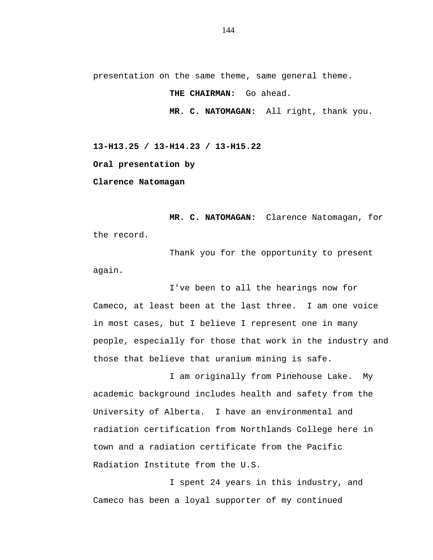presentation on the same theme, same general theme.

**THE CHAIRMAN:** Go ahead.

**MR. C. NATOMAGAN:** All right, thank you.

**13-H13.25 / 13-H14.23 / 13-H15.22 Oral presentation by Clarence Natomagan**

**MR. C. NATOMAGAN:** Clarence Natomagan, for the record.

Thank you for the opportunity to present again.

I've been to all the hearings now for Cameco, at least been at the last three. I am one voice in most cases, but I believe I represent one in many people, especially for those that work in the industry and those that believe that uranium mining is safe.

I am originally from Pinehouse Lake. My academic background includes health and safety from the University of Alberta. I have an environmental and radiation certification from Northlands College here in town and a radiation certificate from the Pacific Radiation Institute from the U.S.

I spent 24 years in this industry, and Cameco has been a loyal supporter of my continued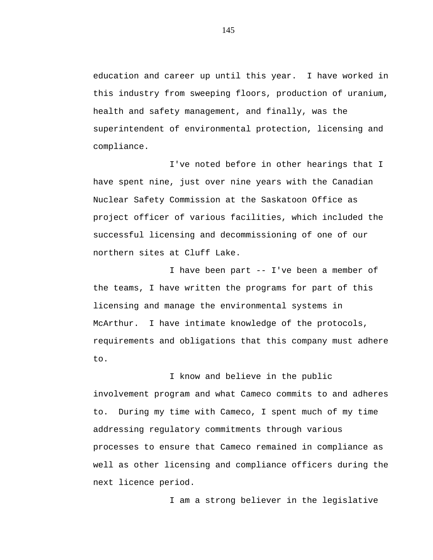education and career up until this year. I have worked in this industry from sweeping floors, production of uranium, health and safety management, and finally, was the superintendent of environmental protection, licensing and compliance.

I've noted before in other hearings that I have spent nine, just over nine years with the Canadian Nuclear Safety Commission at the Saskatoon Office as project officer of various facilities, which included the successful licensing and decommissioning of one of our northern sites at Cluff Lake.

I have been part -- I've been a member of the teams, I have written the programs for part of this licensing and manage the environmental systems in McArthur. I have intimate knowledge of the protocols, requirements and obligations that this company must adhere to.

I know and believe in the public involvement program and what Cameco commits to and adheres to. During my time with Cameco, I spent much of my time addressing regulatory commitments through various processes to ensure that Cameco remained in compliance as well as other licensing and compliance officers during the next licence period.

I am a strong believer in the legislative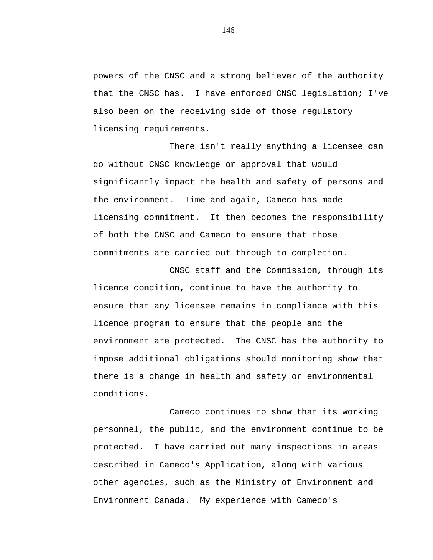powers of the CNSC and a strong believer of the authority that the CNSC has. I have enforced CNSC legislation; I've also been on the receiving side of those regulatory licensing requirements.

There isn't really anything a licensee can do without CNSC knowledge or approval that would significantly impact the health and safety of persons and the environment. Time and again, Cameco has made licensing commitment. It then becomes the responsibility of both the CNSC and Cameco to ensure that those commitments are carried out through to completion.

CNSC staff and the Commission, through its licence condition, continue to have the authority to ensure that any licensee remains in compliance with this licence program to ensure that the people and the environment are protected. The CNSC has the authority to impose additional obligations should monitoring show that there is a change in health and safety or environmental conditions.

Cameco continues to show that its working personnel, the public, and the environment continue to be protected. I have carried out many inspections in areas described in Cameco's Application, along with various other agencies, such as the Ministry of Environment and Environment Canada. My experience with Cameco's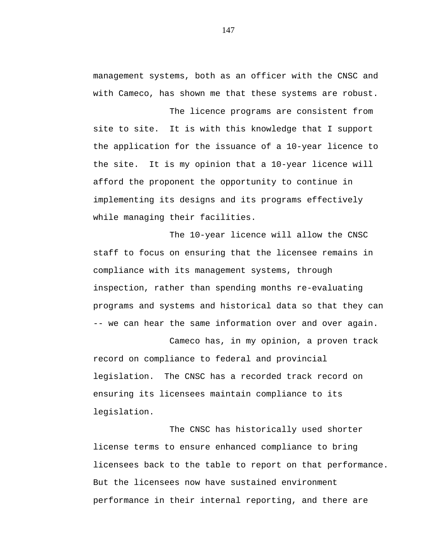management systems, both as an officer with the CNSC and with Cameco, has shown me that these systems are robust.

The licence programs are consistent from site to site. It is with this knowledge that I support the application for the issuance of a 10-year licence to the site. It is my opinion that a 10-year licence will afford the proponent the opportunity to continue in implementing its designs and its programs effectively while managing their facilities.

The 10-year licence will allow the CNSC staff to focus on ensuring that the licensee remains in compliance with its management systems, through inspection, rather than spending months re-evaluating programs and systems and historical data so that they can -- we can hear the same information over and over again.

Cameco has, in my opinion, a proven track record on compliance to federal and provincial legislation. The CNSC has a recorded track record on ensuring its licensees maintain compliance to its legislation.

The CNSC has historically used shorter license terms to ensure enhanced compliance to bring licensees back to the table to report on that performance. But the licensees now have sustained environment performance in their internal reporting, and there are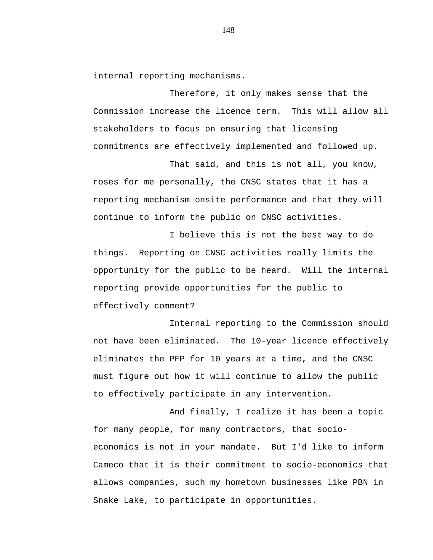internal reporting mechanisms.

Therefore, it only makes sense that the Commission increase the licence term. This will allow all stakeholders to focus on ensuring that licensing commitments are effectively implemented and followed up.

That said, and this is not all, you know, roses for me personally, the CNSC states that it has a reporting mechanism onsite performance and that they will continue to inform the public on CNSC activities.

I believe this is not the best way to do things. Reporting on CNSC activities really limits the opportunity for the public to be heard. Will the internal reporting provide opportunities for the public to effectively comment?

Internal reporting to the Commission should not have been eliminated. The 10-year licence effectively eliminates the PFP for 10 years at a time, and the CNSC must figure out how it will continue to allow the public to effectively participate in any intervention.

And finally, I realize it has been a topic for many people, for many contractors, that socioeconomics is not in your mandate. But I'd like to inform Cameco that it is their commitment to socio-economics that allows companies, such my hometown businesses like PBN in Snake Lake, to participate in opportunities.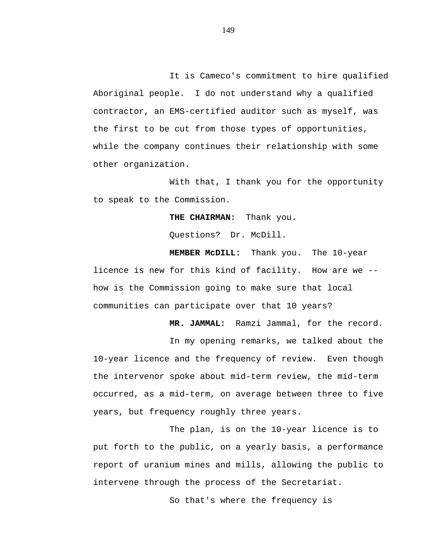It is Cameco's commitment to hire qualified Aboriginal people. I do not understand why a qualified contractor, an EMS-certified auditor such as myself, was the first to be cut from those types of opportunities, while the company continues their relationship with some other organization.

With that, I thank you for the opportunity to speak to the Commission.

**THE CHAIRMAN:** Thank you.

Questions? Dr. McDill.

**MEMBER McDILL:** Thank you. The 10-year licence is new for this kind of facility. How are we - how is the Commission going to make sure that local communities can participate over that 10 years?

**MR. JAMMAL:** Ramzi Jammal, for the record.

In my opening remarks, we talked about the 10-year licence and the frequency of review. Even though the intervenor spoke about mid-term review, the mid-term occurred, as a mid-term, on average between three to five years, but frequency roughly three years.

The plan, is on the 10-year licence is to put forth to the public, on a yearly basis, a performance report of uranium mines and mills, allowing the public to intervene through the process of the Secretariat.

So that's where the frequency is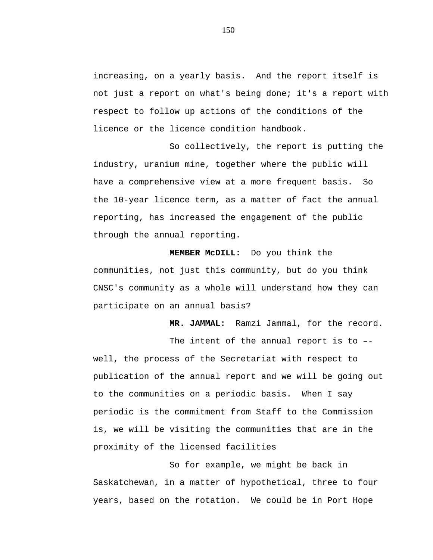increasing, on a yearly basis. And the report itself is not just a report on what's being done; it's a report with respect to follow up actions of the conditions of the licence or the licence condition handbook.

So collectively, the report is putting the industry, uranium mine, together where the public will have a comprehensive view at a more frequent basis. So the 10-year licence term, as a matter of fact the annual reporting, has increased the engagement of the public through the annual reporting.

**MEMBER McDILL:** Do you think the communities, not just this community, but do you think CNSC's community as a whole will understand how they can participate on an annual basis?

**MR. JAMMAL:** Ramzi Jammal, for the record.

The intent of the annual report is to – well, the process of the Secretariat with respect to publication of the annual report and we will be going out to the communities on a periodic basis. When I say periodic is the commitment from Staff to the Commission is, we will be visiting the communities that are in the proximity of the licensed facilities

So for example, we might be back in Saskatchewan, in a matter of hypothetical, three to four years, based on the rotation. We could be in Port Hope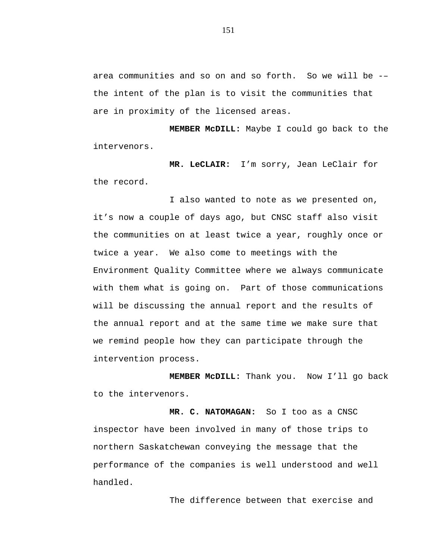area communities and so on and so forth. So we will be -– the intent of the plan is to visit the communities that are in proximity of the licensed areas.

**MEMBER McDILL:** Maybe I could go back to the intervenors.

**MR. LeCLAIR:** I'm sorry, Jean LeClair for the record.

I also wanted to note as we presented on, it's now a couple of days ago, but CNSC staff also visit the communities on at least twice a year, roughly once or twice a year. We also come to meetings with the Environment Quality Committee where we always communicate with them what is going on. Part of those communications will be discussing the annual report and the results of the annual report and at the same time we make sure that we remind people how they can participate through the intervention process.

**MEMBER McDILL:** Thank you. Now I'll go back to the intervenors.

**MR. C. NATOMAGAN:** So I too as a CNSC inspector have been involved in many of those trips to northern Saskatchewan conveying the message that the performance of the companies is well understood and well handled.

The difference between that exercise and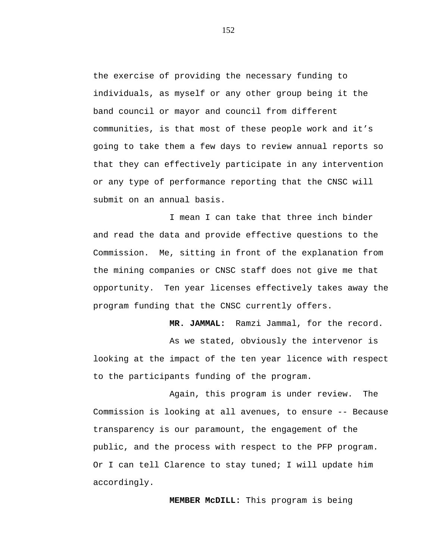the exercise of providing the necessary funding to individuals, as myself or any other group being it the band council or mayor and council from different communities, is that most of these people work and it's going to take them a few days to review annual reports so that they can effectively participate in any intervention or any type of performance reporting that the CNSC will submit on an annual basis.

I mean I can take that three inch binder and read the data and provide effective questions to the Commission. Me, sitting in front of the explanation from the mining companies or CNSC staff does not give me that opportunity. Ten year licenses effectively takes away the program funding that the CNSC currently offers.

**MR. JAMMAL:** Ramzi Jammal, for the record.

As we stated, obviously the intervenor is looking at the impact of the ten year licence with respect to the participants funding of the program.

Again, this program is under review. The Commission is looking at all avenues, to ensure -- Because transparency is our paramount, the engagement of the public, and the process with respect to the PFP program. Or I can tell Clarence to stay tuned; I will update him accordingly.

**MEMBER McDILL:** This program is being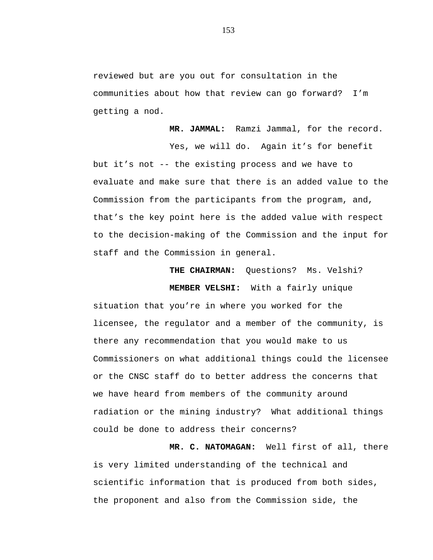reviewed but are you out for consultation in the communities about how that review can go forward? I'm getting a nod.

**MR. JAMMAL:** Ramzi Jammal, for the record. Yes, we will do. Again it's for benefit but it's not -- the existing process and we have to evaluate and make sure that there is an added value to the Commission from the participants from the program, and, that's the key point here is the added value with respect to the decision-making of the Commission and the input for staff and the Commission in general.

> **THE CHAIRMAN:** Questions? Ms. Velshi? **MEMBER VELSHI:** With a fairly unique

situation that you're in where you worked for the licensee, the regulator and a member of the community, is there any recommendation that you would make to us Commissioners on what additional things could the licensee or the CNSC staff do to better address the concerns that we have heard from members of the community around radiation or the mining industry? What additional things could be done to address their concerns?

**MR. C. NATOMAGAN:** Well first of all, there is very limited understanding of the technical and scientific information that is produced from both sides, the proponent and also from the Commission side, the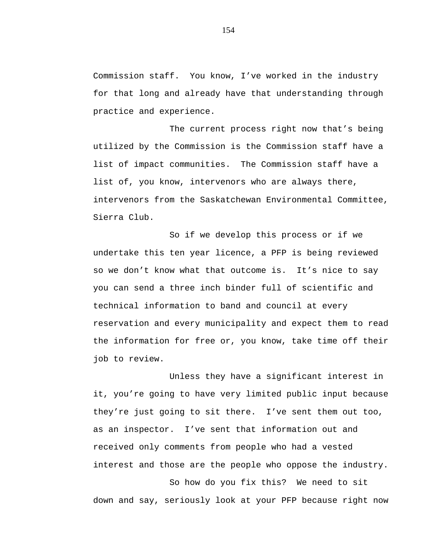Commission staff. You know, I've worked in the industry for that long and already have that understanding through practice and experience.

The current process right now that's being utilized by the Commission is the Commission staff have a list of impact communities. The Commission staff have a list of, you know, intervenors who are always there, intervenors from the Saskatchewan Environmental Committee, Sierra Club.

So if we develop this process or if we undertake this ten year licence, a PFP is being reviewed so we don't know what that outcome is. It's nice to say you can send a three inch binder full of scientific and technical information to band and council at every reservation and every municipality and expect them to read the information for free or, you know, take time off their job to review.

Unless they have a significant interest in it, you're going to have very limited public input because they're just going to sit there. I've sent them out too, as an inspector. I've sent that information out and received only comments from people who had a vested interest and those are the people who oppose the industry.

So how do you fix this? We need to sit down and say, seriously look at your PFP because right now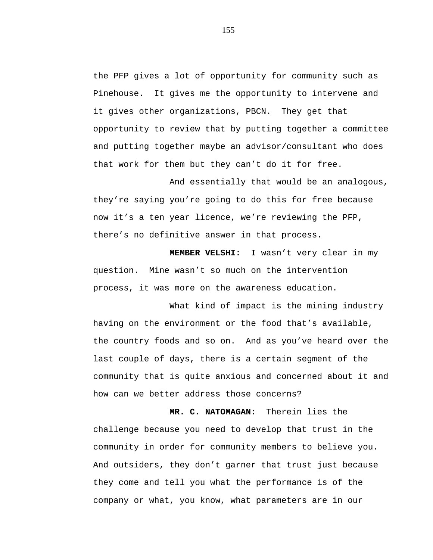the PFP gives a lot of opportunity for community such as Pinehouse. It gives me the opportunity to intervene and it gives other organizations, PBCN. They get that opportunity to review that by putting together a committee and putting together maybe an advisor/consultant who does that work for them but they can't do it for free.

And essentially that would be an analogous, they're saying you're going to do this for free because now it's a ten year licence, we're reviewing the PFP, there's no definitive answer in that process.

**MEMBER VELSHI:** I wasn't very clear in my question. Mine wasn't so much on the intervention process, it was more on the awareness education.

What kind of impact is the mining industry having on the environment or the food that's available, the country foods and so on. And as you've heard over the last couple of days, there is a certain segment of the community that is quite anxious and concerned about it and how can we better address those concerns?

**MR. C. NATOMAGAN:** Therein lies the challenge because you need to develop that trust in the community in order for community members to believe you. And outsiders, they don't garner that trust just because they come and tell you what the performance is of the company or what, you know, what parameters are in our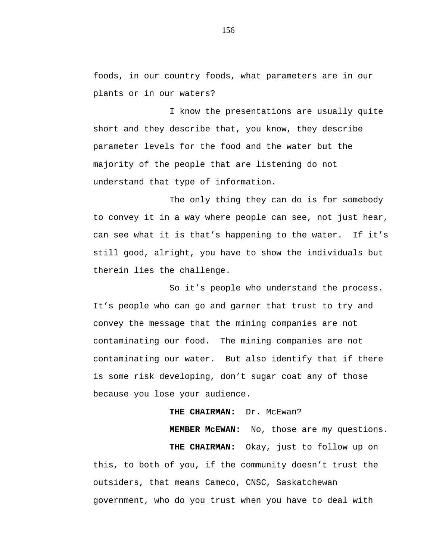foods, in our country foods, what parameters are in our plants or in our waters?

I know the presentations are usually quite short and they describe that, you know, they describe parameter levels for the food and the water but the majority of the people that are listening do not understand that type of information.

The only thing they can do is for somebody to convey it in a way where people can see, not just hear, can see what it is that's happening to the water. If it's still good, alright, you have to show the individuals but therein lies the challenge.

So it's people who understand the process. It's people who can go and garner that trust to try and convey the message that the mining companies are not contaminating our food. The mining companies are not contaminating our water. But also identify that if there is some risk developing, don't sugar coat any of those because you lose your audience.

# THE CHAIRMAN: Dr. McEwan?

**MEMBER McEWAN:** No, those are my questions.

**THE CHAIRMAN:** Okay, just to follow up on this, to both of you, if the community doesn't trust the outsiders, that means Cameco, CNSC, Saskatchewan government, who do you trust when you have to deal with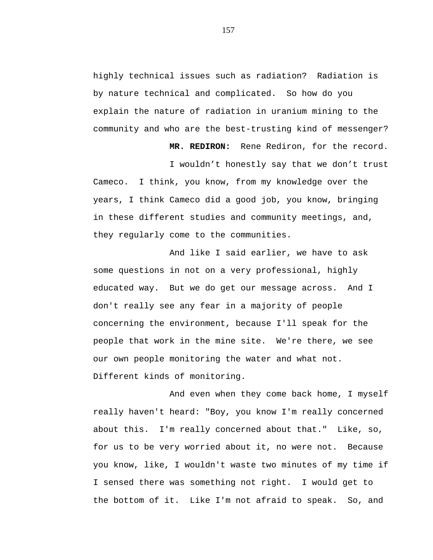highly technical issues such as radiation? Radiation is by nature technical and complicated. So how do you explain the nature of radiation in uranium mining to the community and who are the best-trusting kind of messenger?

**MR. REDIRON:** Rene Rediron, for the record.

I wouldn't honestly say that we don't trust Cameco. I think, you know, from my knowledge over the years, I think Cameco did a good job, you know, bringing in these different studies and community meetings, and, they regularly come to the communities.

And like I said earlier, we have to ask some questions in not on a very professional, highly educated way. But we do get our message across. And I don't really see any fear in a majority of people concerning the environment, because I'll speak for the people that work in the mine site. We're there, we see our own people monitoring the water and what not. Different kinds of monitoring.

And even when they come back home, I myself really haven't heard: "Boy, you know I'm really concerned about this. I'm really concerned about that." Like, so, for us to be very worried about it, no were not. Because you know, like, I wouldn't waste two minutes of my time if I sensed there was something not right. I would get to the bottom of it. Like I'm not afraid to speak. So, and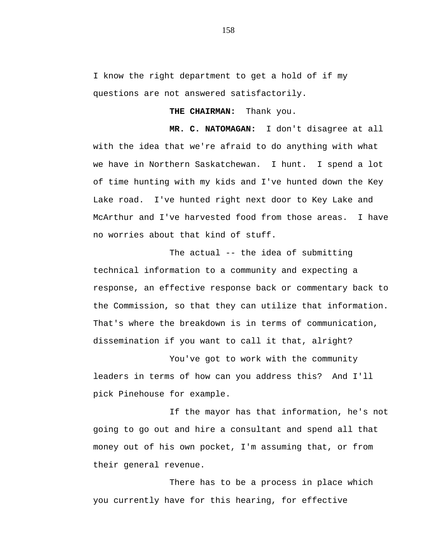I know the right department to get a hold of if my questions are not answered satisfactorily.

**THE CHAIRMAN:** Thank you.

**MR. C. NATOMAGAN:** I don't disagree at all with the idea that we're afraid to do anything with what we have in Northern Saskatchewan. I hunt. I spend a lot of time hunting with my kids and I've hunted down the Key Lake road. I've hunted right next door to Key Lake and McArthur and I've harvested food from those areas. I have no worries about that kind of stuff.

The actual -- the idea of submitting technical information to a community and expecting a response, an effective response back or commentary back to the Commission, so that they can utilize that information. That's where the breakdown is in terms of communication, dissemination if you want to call it that, alright?

You've got to work with the community leaders in terms of how can you address this? And I'll pick Pinehouse for example.

If the mayor has that information, he's not going to go out and hire a consultant and spend all that money out of his own pocket, I'm assuming that, or from their general revenue.

There has to be a process in place which you currently have for this hearing, for effective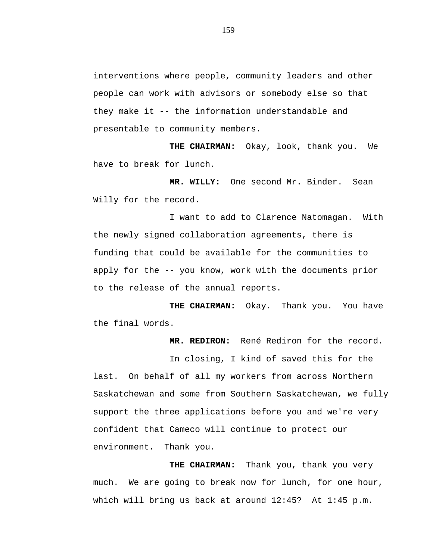interventions where people, community leaders and other people can work with advisors or somebody else so that they make it -- the information understandable and presentable to community members.

**THE CHAIRMAN:** Okay, look, thank you. We have to break for lunch.

**MR. WILLY:** One second Mr. Binder. Sean Willy for the record.

I want to add to Clarence Natomagan. With the newly signed collaboration agreements, there is funding that could be available for the communities to apply for the -- you know, work with the documents prior to the release of the annual reports.

**THE CHAIRMAN:** Okay. Thank you. You have the final words.

**MR. REDIRON:** René Rediron for the record.

In closing, I kind of saved this for the last. On behalf of all my workers from across Northern Saskatchewan and some from Southern Saskatchewan, we fully support the three applications before you and we're very confident that Cameco will continue to protect our environment. Thank you.

**THE CHAIRMAN:** Thank you, thank you very much. We are going to break now for lunch, for one hour, which will bring us back at around 12:45? At 1:45 p.m.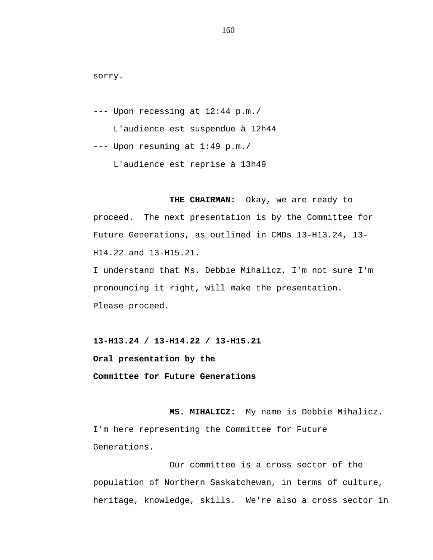sorry.

--- Upon recessing at 12:44 p.m./

L'audience est suspendue à 12h44

--- Upon resuming at 1:49 p.m./

L'audience est reprise à 13h49

**THE CHAIRMAN:** Okay, we are ready to proceed. The next presentation is by the Committee for Future Generations, as outlined in CMDs 13-H13.24, 13- H14.22 and 13-H15.21.

I understand that Ms. Debbie Mihalicz, I'm not sure I'm pronouncing it right, will make the presentation. Please proceed.

**13-H13.24 / 13-H14.22 / 13-H15.21**

**Oral presentation by the**

**Committee for Future Generations**

**MS. MIHALICZ:** My name is Debbie Mihalicz. I'm here representing the Committee for Future Generations.

Our committee is a cross sector of the population of Northern Saskatchewan, in terms of culture, heritage, knowledge, skills. We're also a cross sector in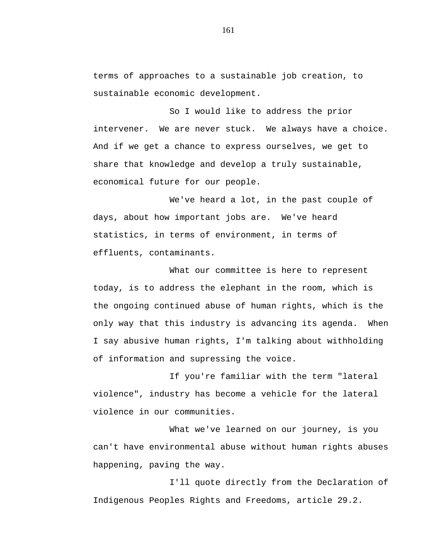terms of approaches to a sustainable job creation, to sustainable economic development.

So I would like to address the prior intervener. We are never stuck. We always have a choice. And if we get a chance to express ourselves, we get to share that knowledge and develop a truly sustainable, economical future for our people.

We've heard a lot, in the past couple of days, about how important jobs are. We've heard statistics, in terms of environment, in terms of effluents, contaminants.

What our committee is here to represent today, is to address the elephant in the room, which is the ongoing continued abuse of human rights, which is the only way that this industry is advancing its agenda. When I say abusive human rights, I'm talking about withholding of information and supressing the voice.

If you're familiar with the term "lateral violence", industry has become a vehicle for the lateral violence in our communities.

What we've learned on our journey, is you can't have environmental abuse without human rights abuses happening, paving the way.

I'll quote directly from the Declaration of Indigenous Peoples Rights and Freedoms, article 29.2.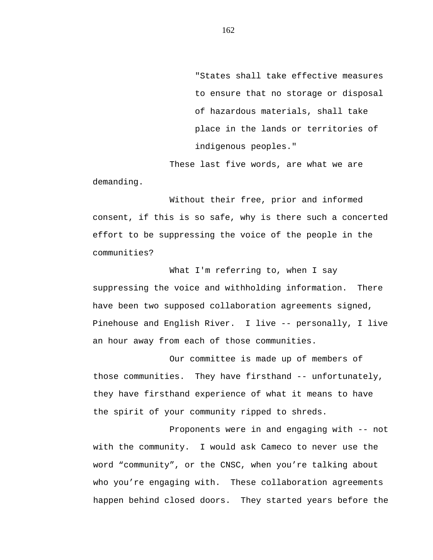"States shall take effective measures to ensure that no storage or disposal of hazardous materials, shall take place in the lands or territories of indigenous peoples."

These last five words, are what we are demanding.

Without their free, prior and informed consent, if this is so safe, why is there such a concerted effort to be suppressing the voice of the people in the communities?

What I'm referring to, when I say suppressing the voice and withholding information. There have been two supposed collaboration agreements signed, Pinehouse and English River. I live -- personally, I live an hour away from each of those communities.

Our committee is made up of members of those communities. They have firsthand -- unfortunately, they have firsthand experience of what it means to have the spirit of your community ripped to shreds.

Proponents were in and engaging with -- not with the community. I would ask Cameco to never use the word "community", or the CNSC, when you're talking about who you're engaging with. These collaboration agreements happen behind closed doors. They started years before the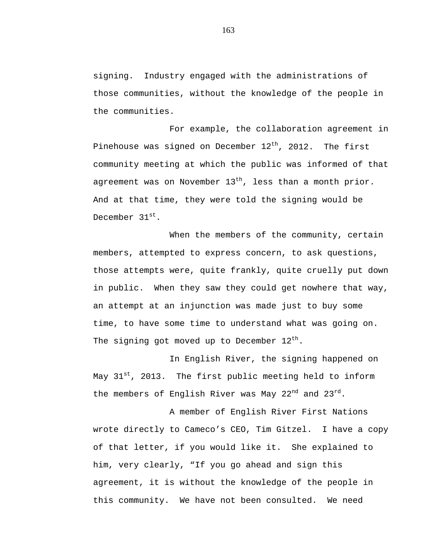signing. Industry engaged with the administrations of those communities, without the knowledge of the people in the communities.

For example, the collaboration agreement in Pinehouse was signed on December  $12^\mathrm{th}$ , 2012. The first community meeting at which the public was informed of that agreement was on November  $13<sup>th</sup>$ , less than a month prior. And at that time, they were told the signing would be December 31st.

When the members of the community, certain members, attempted to express concern, to ask questions, those attempts were, quite frankly, quite cruelly put down in public. When they saw they could get nowhere that way, an attempt at an injunction was made just to buy some time, to have some time to understand what was going on. The signing got moved up to December  $12^{th}$ .

In English River, the signing happened on May  $31^{st}$ , 2013. The first public meeting held to inform the members of English River was May  $22^{nd}$  and  $23^{rd}$ .

A member of English River First Nations wrote directly to Cameco's CEO, Tim Gitzel. I have a copy of that letter, if you would like it. She explained to him, very clearly, "If you go ahead and sign this agreement, it is without the knowledge of the people in this community. We have not been consulted. We need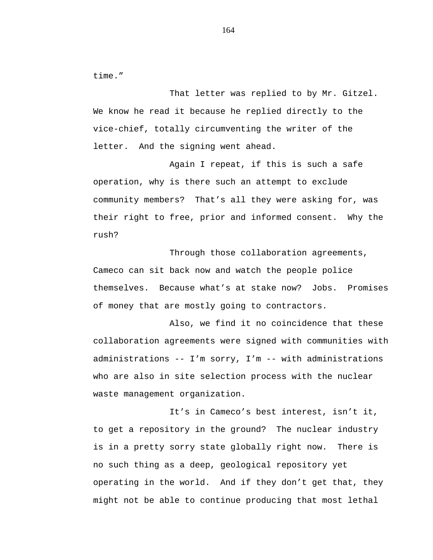time."

That letter was replied to by Mr. Gitzel. We know he read it because he replied directly to the vice-chief, totally circumventing the writer of the letter. And the signing went ahead.

Again I repeat, if this is such a safe operation, why is there such an attempt to exclude community members? That's all they were asking for, was their right to free, prior and informed consent. Why the rush?

Through those collaboration agreements, Cameco can sit back now and watch the people police themselves. Because what's at stake now? Jobs. Promises of money that are mostly going to contractors.

Also, we find it no coincidence that these collaboration agreements were signed with communities with administrations -- I'm sorry, I'm -- with administrations who are also in site selection process with the nuclear waste management organization.

It's in Cameco's best interest, isn't it, to get a repository in the ground? The nuclear industry is in a pretty sorry state globally right now. There is no such thing as a deep, geological repository yet operating in the world. And if they don't get that, they might not be able to continue producing that most lethal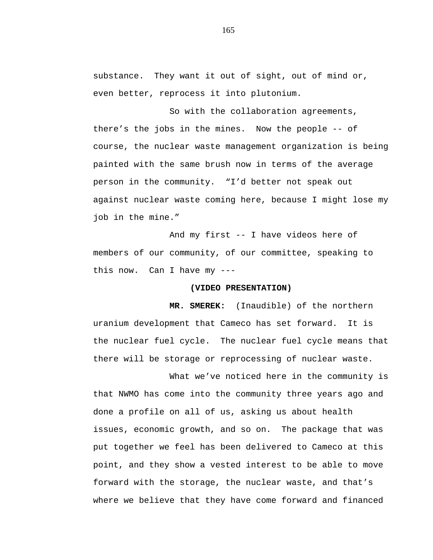substance. They want it out of sight, out of mind or, even better, reprocess it into plutonium.

So with the collaboration agreements, there's the jobs in the mines. Now the people -- of course, the nuclear waste management organization is being painted with the same brush now in terms of the average person in the community. "I'd better not speak out against nuclear waste coming here, because I might lose my job in the mine."

And my first -- I have videos here of members of our community, of our committee, speaking to this now. Can I have my ---

## **(VIDEO PRESENTATION)**

**MR. SMEREK:** (Inaudible) of the northern uranium development that Cameco has set forward. It is the nuclear fuel cycle. The nuclear fuel cycle means that there will be storage or reprocessing of nuclear waste.

What we've noticed here in the community is that NWMO has come into the community three years ago and done a profile on all of us, asking us about health issues, economic growth, and so on. The package that was put together we feel has been delivered to Cameco at this point, and they show a vested interest to be able to move forward with the storage, the nuclear waste, and that's where we believe that they have come forward and financed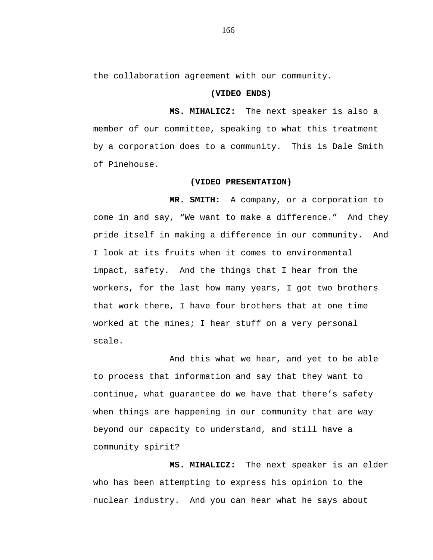the collaboration agreement with our community.

## **(VIDEO ENDS)**

**MS. MIHALICZ:** The next speaker is also a member of our committee, speaking to what this treatment by a corporation does to a community. This is Dale Smith of Pinehouse.

#### **(VIDEO PRESENTATION)**

**MR. SMITH:** A company, or a corporation to come in and say, "We want to make a difference." And they pride itself in making a difference in our community. And I look at its fruits when it comes to environmental impact, safety. And the things that I hear from the workers, for the last how many years, I got two brothers that work there, I have four brothers that at one time worked at the mines; I hear stuff on a very personal scale.

And this what we hear, and yet to be able to process that information and say that they want to continue, what guarantee do we have that there's safety when things are happening in our community that are way beyond our capacity to understand, and still have a community spirit?

**MS. MIHALICZ:** The next speaker is an elder who has been attempting to express his opinion to the nuclear industry. And you can hear what he says about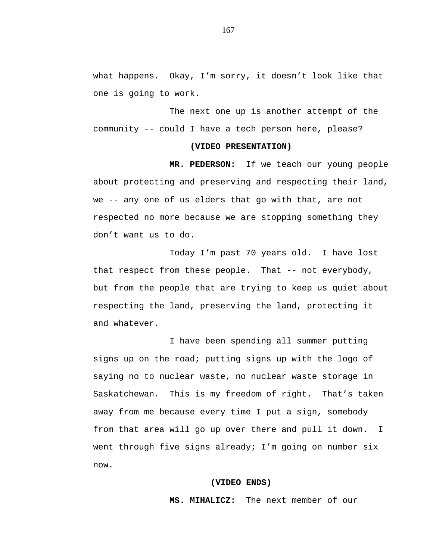what happens. Okay, I'm sorry, it doesn't look like that one is going to work.

The next one up is another attempt of the community -- could I have a tech person here, please?

### **(VIDEO PRESENTATION)**

**MR. PEDERSON:** If we teach our young people about protecting and preserving and respecting their land, we -- any one of us elders that go with that, are not respected no more because we are stopping something they don't want us to do.

Today I'm past 70 years old. I have lost that respect from these people. That -- not everybody, but from the people that are trying to keep us quiet about respecting the land, preserving the land, protecting it and whatever.

I have been spending all summer putting signs up on the road; putting signs up with the logo of saying no to nuclear waste, no nuclear waste storage in Saskatchewan. This is my freedom of right. That's taken away from me because every time I put a sign, somebody from that area will go up over there and pull it down. I went through five signs already; I'm going on number six now.

### **(VIDEO ENDS)**

**MS. MIHALICZ:** The next member of our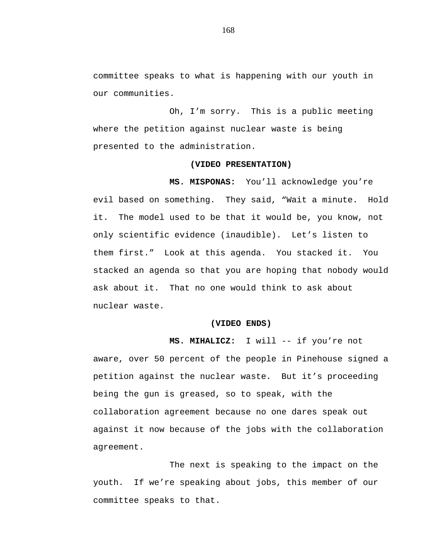committee speaks to what is happening with our youth in our communities.

Oh, I'm sorry. This is a public meeting where the petition against nuclear waste is being presented to the administration.

#### **(VIDEO PRESENTATION)**

**MS. MISPONAS:** You'll acknowledge you're evil based on something. They said, "Wait a minute. Hold it. The model used to be that it would be, you know, not only scientific evidence (inaudible). Let's listen to them first." Look at this agenda. You stacked it. You stacked an agenda so that you are hoping that nobody would ask about it. That no one would think to ask about nuclear waste.

## **(VIDEO ENDS)**

**MS. MIHALICZ:** I will -- if you're not

aware, over 50 percent of the people in Pinehouse signed a petition against the nuclear waste. But it's proceeding being the gun is greased, so to speak, with the collaboration agreement because no one dares speak out against it now because of the jobs with the collaboration agreement.

The next is speaking to the impact on the youth. If we're speaking about jobs, this member of our committee speaks to that.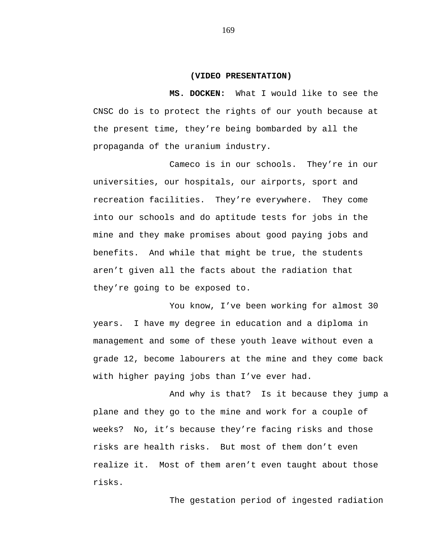#### **(VIDEO PRESENTATION)**

**MS. DOCKEN:** What I would like to see the CNSC do is to protect the rights of our youth because at the present time, they're being bombarded by all the propaganda of the uranium industry.

Cameco is in our schools. They're in our universities, our hospitals, our airports, sport and recreation facilities. They're everywhere. They come into our schools and do aptitude tests for jobs in the mine and they make promises about good paying jobs and benefits. And while that might be true, the students aren't given all the facts about the radiation that they're going to be exposed to.

You know, I've been working for almost 30 years. I have my degree in education and a diploma in management and some of these youth leave without even a grade 12, become labourers at the mine and they come back with higher paying jobs than I've ever had.

And why is that? Is it because they jump a plane and they go to the mine and work for a couple of weeks? No, it's because they're facing risks and those risks are health risks. But most of them don't even realize it. Most of them aren't even taught about those risks.

The gestation period of ingested radiation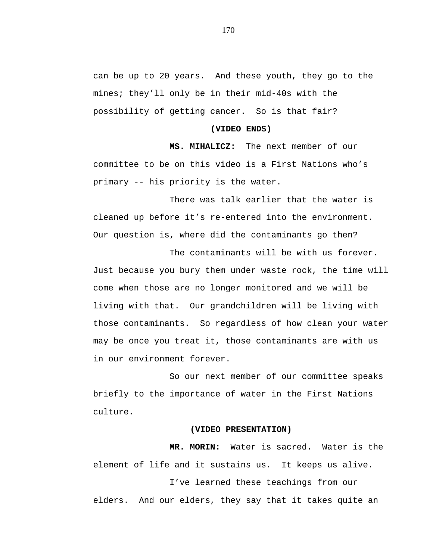can be up to 20 years. And these youth, they go to the mines; they'll only be in their mid-40s with the possibility of getting cancer. So is that fair?

#### **(VIDEO ENDS)**

**MS. MIHALICZ:** The next member of our committee to be on this video is a First Nations who's primary -- his priority is the water.

There was talk earlier that the water is cleaned up before it's re-entered into the environment. Our question is, where did the contaminants go then?

The contaminants will be with us forever. Just because you bury them under waste rock, the time will come when those are no longer monitored and we will be living with that. Our grandchildren will be living with those contaminants. So regardless of how clean your water may be once you treat it, those contaminants are with us in our environment forever.

So our next member of our committee speaks briefly to the importance of water in the First Nations culture.

### **(VIDEO PRESENTATION)**

**MR. MORIN:** Water is sacred. Water is the element of life and it sustains us. It keeps us alive. I've learned these teachings from our elders. And our elders, they say that it takes quite an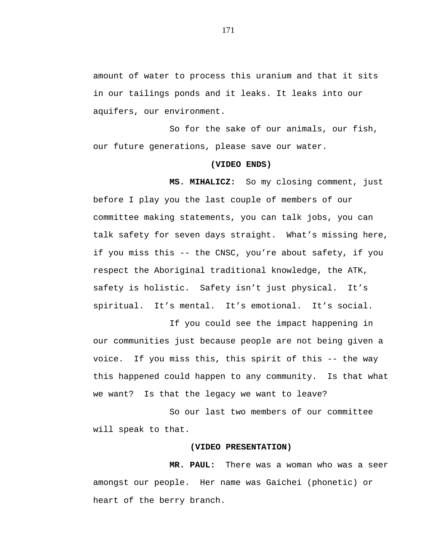amount of water to process this uranium and that it sits in our tailings ponds and it leaks. It leaks into our aquifers, our environment.

So for the sake of our animals, our fish, our future generations, please save our water.

### **(VIDEO ENDS)**

**MS. MIHALICZ:** So my closing comment, just before I play you the last couple of members of our committee making statements, you can talk jobs, you can talk safety for seven days straight. What's missing here, if you miss this -- the CNSC, you're about safety, if you respect the Aboriginal traditional knowledge, the ATK, safety is holistic. Safety isn't just physical. It's spiritual. It's mental. It's emotional. It's social.

If you could see the impact happening in our communities just because people are not being given a voice. If you miss this, this spirit of this -- the way this happened could happen to any community. Is that what we want? Is that the legacy we want to leave?

So our last two members of our committee will speak to that.

## **(VIDEO PRESENTATION)**

**MR. PAUL:** There was a woman who was a seer amongst our people. Her name was Gaichei (phonetic) or heart of the berry branch.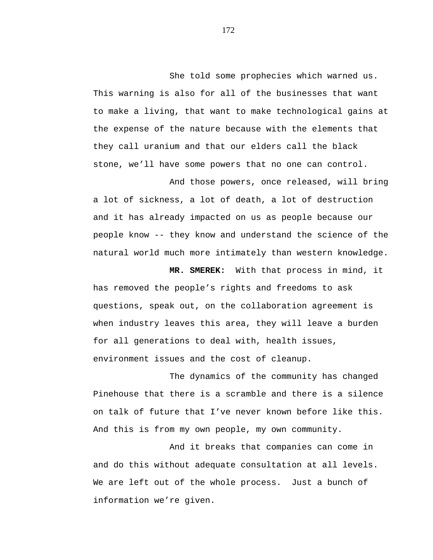She told some prophecies which warned us. This warning is also for all of the businesses that want to make a living, that want to make technological gains at the expense of the nature because with the elements that they call uranium and that our elders call the black stone, we'll have some powers that no one can control.

And those powers, once released, will bring a lot of sickness, a lot of death, a lot of destruction and it has already impacted on us as people because our people know -- they know and understand the science of the natural world much more intimately than western knowledge.

**MR. SMEREK:** With that process in mind, it has removed the people's rights and freedoms to ask questions, speak out, on the collaboration agreement is when industry leaves this area, they will leave a burden for all generations to deal with, health issues, environment issues and the cost of cleanup.

The dynamics of the community has changed Pinehouse that there is a scramble and there is a silence on talk of future that I've never known before like this. And this is from my own people, my own community.

And it breaks that companies can come in and do this without adequate consultation at all levels. We are left out of the whole process. Just a bunch of information we're given.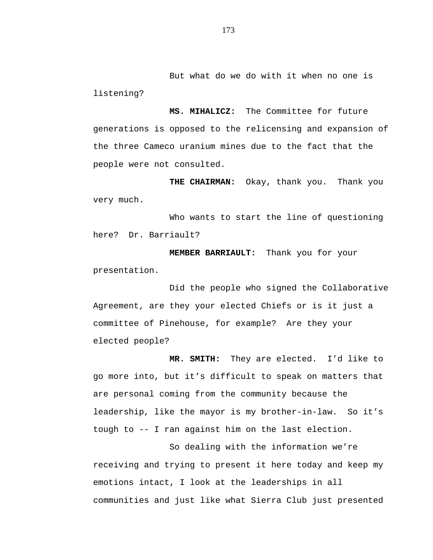But what do we do with it when no one is listening?

**MS. MIHALICZ:** The Committee for future generations is opposed to the relicensing and expansion of the three Cameco uranium mines due to the fact that the people were not consulted.

**THE CHAIRMAN:** Okay, thank you. Thank you very much.

Who wants to start the line of questioning here? Dr. Barriault?

**MEMBER BARRIAULT:** Thank you for your presentation.

Did the people who signed the Collaborative Agreement, are they your elected Chiefs or is it just a committee of Pinehouse, for example? Are they your elected people?

**MR. SMITH:** They are elected. I'd like to go more into, but it's difficult to speak on matters that are personal coming from the community because the leadership, like the mayor is my brother-in-law. So it's tough to -- I ran against him on the last election.

So dealing with the information we're receiving and trying to present it here today and keep my emotions intact, I look at the leaderships in all communities and just like what Sierra Club just presented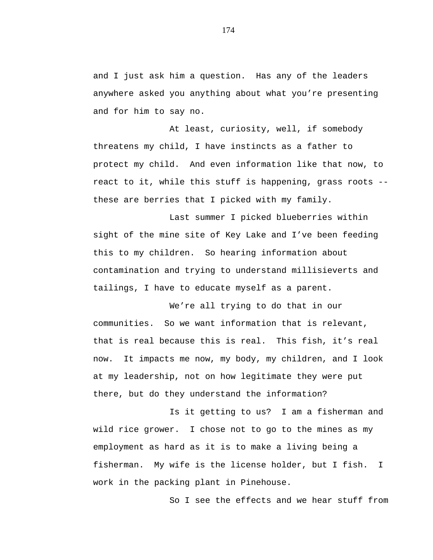and I just ask him a question. Has any of the leaders anywhere asked you anything about what you're presenting and for him to say no.

At least, curiosity, well, if somebody threatens my child, I have instincts as a father to protect my child. And even information like that now, to react to it, while this stuff is happening, grass roots - these are berries that I picked with my family.

Last summer I picked blueberries within sight of the mine site of Key Lake and I've been feeding this to my children. So hearing information about contamination and trying to understand millisieverts and tailings, I have to educate myself as a parent.

We're all trying to do that in our communities. So we want information that is relevant, that is real because this is real. This fish, it's real now. It impacts me now, my body, my children, and I look at my leadership, not on how legitimate they were put there, but do they understand the information?

Is it getting to us? I am a fisherman and wild rice grower. I chose not to go to the mines as my employment as hard as it is to make a living being a fisherman. My wife is the license holder, but I fish. I work in the packing plant in Pinehouse.

So I see the effects and we hear stuff from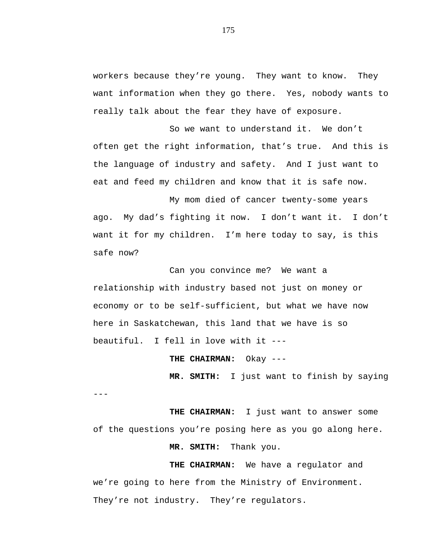workers because they're young. They want to know. They want information when they go there. Yes, nobody wants to really talk about the fear they have of exposure.

So we want to understand it. We don't often get the right information, that's true. And this is the language of industry and safety. And I just want to eat and feed my children and know that it is safe now.

My mom died of cancer twenty-some years ago. My dad's fighting it now. I don't want it. I don't want it for my children. I'm here today to say, is this safe now?

Can you convince me? We want a relationship with industry based not just on money or economy or to be self-sufficient, but what we have now here in Saskatchewan, this land that we have is so beautiful. I fell in love with it ---

**THE CHAIRMAN:** Okay ---

**MR. SMITH:** I just want to finish by saying

---

**THE CHAIRMAN:** I just want to answer some of the questions you're posing here as you go along here.

**MR. SMITH:** Thank you.

**THE CHAIRMAN:** We have a regulator and we're going to here from the Ministry of Environment. They're not industry. They're regulators.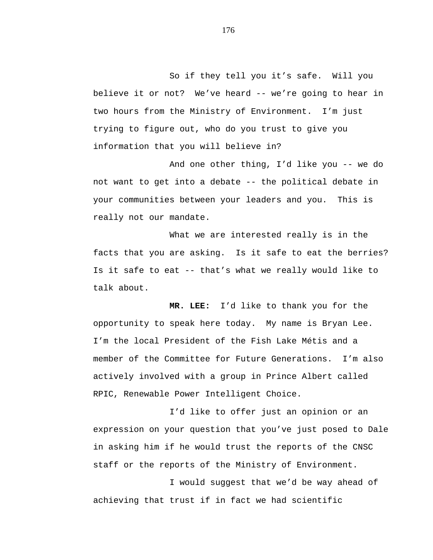So if they tell you it's safe. Will you believe it or not? We've heard -- we're going to hear in two hours from the Ministry of Environment. I'm just trying to figure out, who do you trust to give you information that you will believe in?

And one other thing, I'd like you -- we do not want to get into a debate -- the political debate in your communities between your leaders and you. This is really not our mandate.

What we are interested really is in the facts that you are asking. Is it safe to eat the berries? Is it safe to eat -- that's what we really would like to talk about.

**MR. LEE:** I'd like to thank you for the opportunity to speak here today. My name is Bryan Lee. I'm the local President of the Fish Lake Métis and a member of the Committee for Future Generations. I'm also actively involved with a group in Prince Albert called RPIC, Renewable Power Intelligent Choice.

I'd like to offer just an opinion or an expression on your question that you've just posed to Dale in asking him if he would trust the reports of the CNSC staff or the reports of the Ministry of Environment.

I would suggest that we'd be way ahead of achieving that trust if in fact we had scientific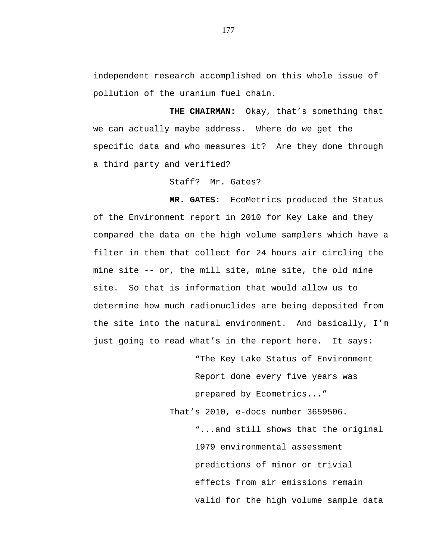independent research accomplished on this whole issue of pollution of the uranium fuel chain.

**THE CHAIRMAN:** Okay, that's something that we can actually maybe address. Where do we get the specific data and who measures it? Are they done through a third party and verified?

Staff? Mr. Gates?

**MR. GATES:** EcoMetrics produced the Status of the Environment report in 2010 for Key Lake and they compared the data on the high volume samplers which have a filter in them that collect for 24 hours air circling the mine site -- or, the mill site, mine site, the old mine site. So that is information that would allow us to determine how much radionuclides are being deposited from the site into the natural environment. And basically, I'm just going to read what's in the report here. It says:

> "The Key Lake Status of Environment Report done every five years was prepared by Ecometrics..."

That's 2010, e-docs number 3659506.

"...and still shows that the original 1979 environmental assessment predictions of minor or trivial effects from air emissions remain valid for the high volume sample data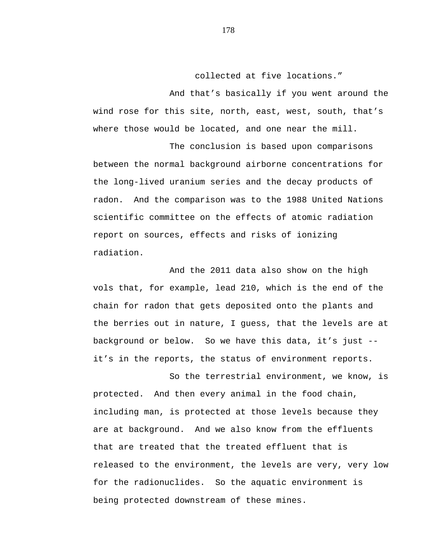collected at five locations."

And that's basically if you went around the wind rose for this site, north, east, west, south, that's where those would be located, and one near the mill.

The conclusion is based upon comparisons between the normal background airborne concentrations for the long-lived uranium series and the decay products of radon. And the comparison was to the 1988 United Nations scientific committee on the effects of atomic radiation report on sources, effects and risks of ionizing radiation.

And the 2011 data also show on the high vols that, for example, lead 210, which is the end of the chain for radon that gets deposited onto the plants and the berries out in nature, I guess, that the levels are at background or below. So we have this data, it's just - it's in the reports, the status of environment reports.

So the terrestrial environment, we know, is protected. And then every animal in the food chain, including man, is protected at those levels because they are at background. And we also know from the effluents that are treated that the treated effluent that is released to the environment, the levels are very, very low for the radionuclides. So the aquatic environment is being protected downstream of these mines.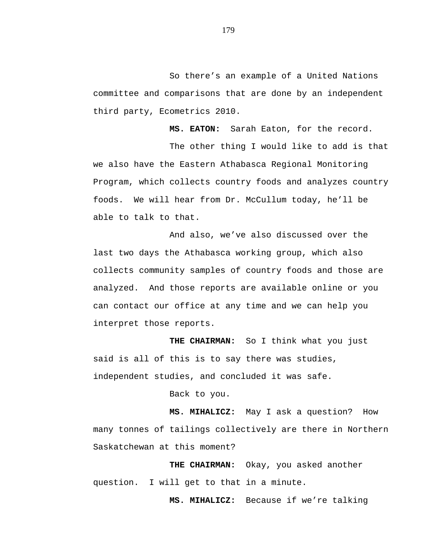So there's an example of a United Nations committee and comparisons that are done by an independent third party, Ecometrics 2010.

**MS. EATON:** Sarah Eaton, for the record.

The other thing I would like to add is that we also have the Eastern Athabasca Regional Monitoring Program, which collects country foods and analyzes country foods. We will hear from Dr. McCullum today, he'll be able to talk to that.

And also, we've also discussed over the last two days the Athabasca working group, which also collects community samples of country foods and those are analyzed. And those reports are available online or you can contact our office at any time and we can help you interpret those reports.

**THE CHAIRMAN:** So I think what you just said is all of this is to say there was studies, independent studies, and concluded it was safe.

Back to you.

**MS. MIHALICZ:** May I ask a question? How many tonnes of tailings collectively are there in Northern Saskatchewan at this moment?

**THE CHAIRMAN:** Okay, you asked another question. I will get to that in a minute.

**MS. MIHALICZ:** Because if we're talking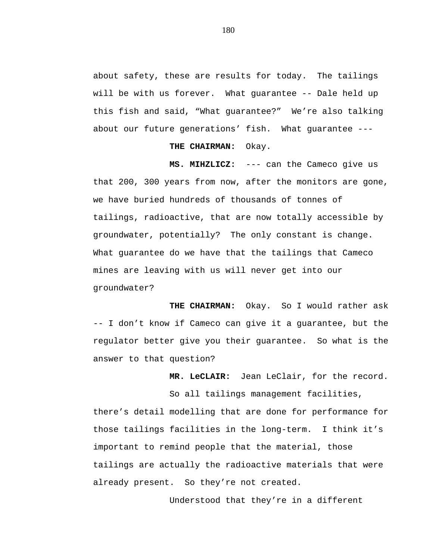about safety, these are results for today. The tailings will be with us forever. What guarantee -- Dale held up this fish and said, "What guarantee?" We're also talking about our future generations' fish. What guarantee ---

## **THE CHAIRMAN:** Okay.

**MS. MIHZLICZ:** --- can the Cameco give us that 200, 300 years from now, after the monitors are gone, we have buried hundreds of thousands of tonnes of tailings, radioactive, that are now totally accessible by groundwater, potentially? The only constant is change. What guarantee do we have that the tailings that Cameco mines are leaving with us will never get into our groundwater?

**THE CHAIRMAN:** Okay. So I would rather ask -- I don't know if Cameco can give it a guarantee, but the regulator better give you their guarantee. So what is the answer to that question?

**MR. LeCLAIR:** Jean LeClair, for the record.

So all tailings management facilities, there's detail modelling that are done for performance for those tailings facilities in the long-term. I think it's important to remind people that the material, those tailings are actually the radioactive materials that were already present. So they're not created.

Understood that they're in a different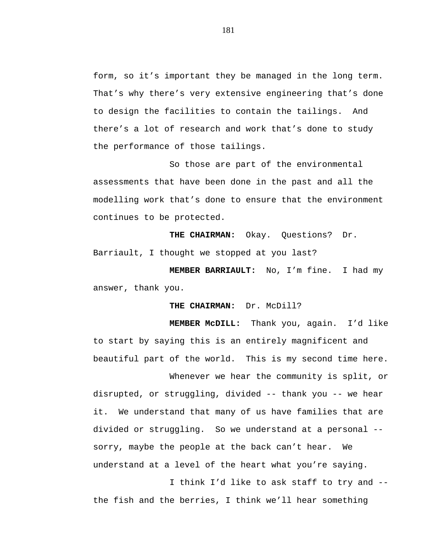form, so it's important they be managed in the long term. That's why there's very extensive engineering that's done to design the facilities to contain the tailings. And there's a lot of research and work that's done to study the performance of those tailings.

So those are part of the environmental assessments that have been done in the past and all the modelling work that's done to ensure that the environment continues to be protected.

**THE CHAIRMAN:** Okay. Questions? Dr. Barriault, I thought we stopped at you last?

**MEMBER BARRIAULT:** No, I'm fine. I had my answer, thank you.

**THE CHAIRMAN:** Dr. McDill?

**MEMBER McDILL:** Thank you, again. I'd like to start by saying this is an entirely magnificent and beautiful part of the world. This is my second time here.

Whenever we hear the community is split, or disrupted, or struggling, divided -- thank you -- we hear it. We understand that many of us have families that are divided or struggling. So we understand at a personal - sorry, maybe the people at the back can't hear. We understand at a level of the heart what you're saying.

I think I'd like to ask staff to try and - the fish and the berries, I think we'll hear something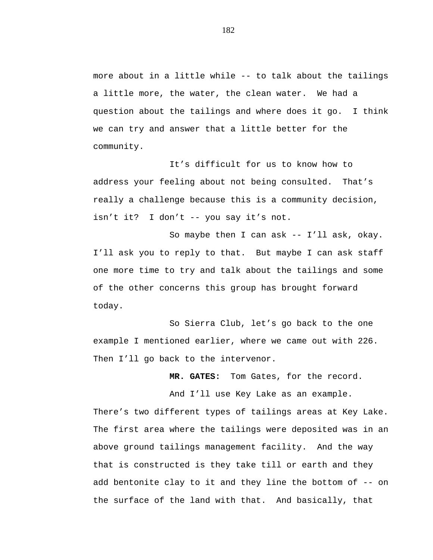more about in a little while -- to talk about the tailings a little more, the water, the clean water. We had a question about the tailings and where does it go. I think we can try and answer that a little better for the community.

It's difficult for us to know how to address your feeling about not being consulted. That's really a challenge because this is a community decision, isn't it? I don't -- you say it's not.

So maybe then I can ask -- I'll ask, okay. I'll ask you to reply to that. But maybe I can ask staff one more time to try and talk about the tailings and some of the other concerns this group has brought forward today.

So Sierra Club, let's go back to the one example I mentioned earlier, where we came out with 226. Then I'll go back to the intervenor.

**MR. GATES:** Tom Gates, for the record.

And I'll use Key Lake as an example.

There's two different types of tailings areas at Key Lake. The first area where the tailings were deposited was in an above ground tailings management facility. And the way that is constructed is they take till or earth and they add bentonite clay to it and they line the bottom of -- on the surface of the land with that. And basically, that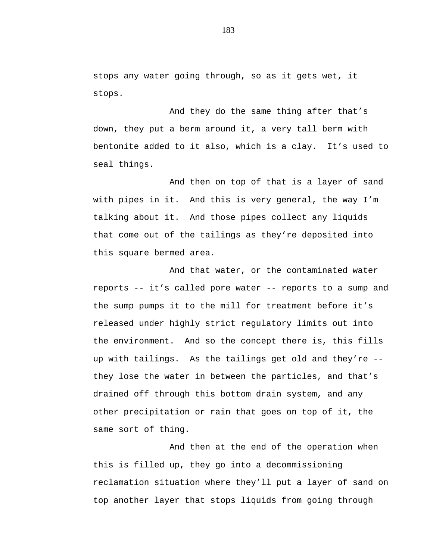stops any water going through, so as it gets wet, it stops.

And they do the same thing after that's down, they put a berm around it, a very tall berm with bentonite added to it also, which is a clay. It's used to seal things.

And then on top of that is a layer of sand with pipes in it. And this is very general, the way I'm talking about it. And those pipes collect any liquids that come out of the tailings as they're deposited into this square bermed area.

And that water, or the contaminated water reports -- it's called pore water -- reports to a sump and the sump pumps it to the mill for treatment before it's released under highly strict regulatory limits out into the environment. And so the concept there is, this fills up with tailings. As the tailings get old and they're - they lose the water in between the particles, and that's drained off through this bottom drain system, and any other precipitation or rain that goes on top of it, the same sort of thing.

And then at the end of the operation when this is filled up, they go into a decommissioning reclamation situation where they'll put a layer of sand on top another layer that stops liquids from going through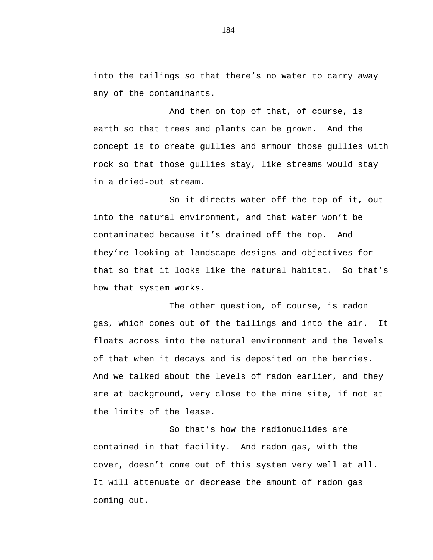into the tailings so that there's no water to carry away any of the contaminants.

And then on top of that, of course, is earth so that trees and plants can be grown. And the concept is to create gullies and armour those gullies with rock so that those gullies stay, like streams would stay in a dried-out stream.

So it directs water off the top of it, out into the natural environment, and that water won't be contaminated because it's drained off the top. And they're looking at landscape designs and objectives for that so that it looks like the natural habitat. So that's how that system works.

The other question, of course, is radon gas, which comes out of the tailings and into the air. It floats across into the natural environment and the levels of that when it decays and is deposited on the berries. And we talked about the levels of radon earlier, and they are at background, very close to the mine site, if not at the limits of the lease.

So that's how the radionuclides are contained in that facility. And radon gas, with the cover, doesn't come out of this system very well at all. It will attenuate or decrease the amount of radon gas coming out.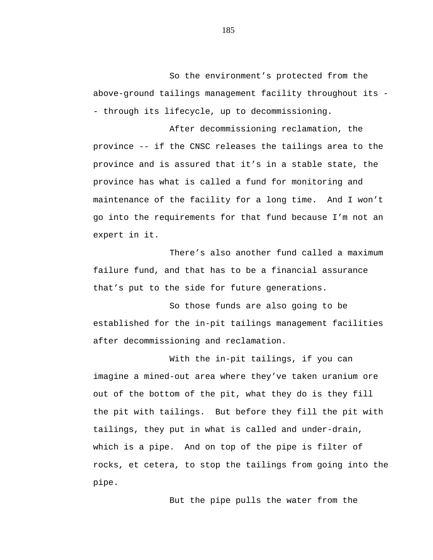So the environment's protected from the above-ground tailings management facility throughout its - - through its lifecycle, up to decommissioning.

After decommissioning reclamation, the province -- if the CNSC releases the tailings area to the province and is assured that it's in a stable state, the province has what is called a fund for monitoring and maintenance of the facility for a long time. And I won't go into the requirements for that fund because I'm not an expert in it.

There's also another fund called a maximum failure fund, and that has to be a financial assurance that's put to the side for future generations.

So those funds are also going to be established for the in-pit tailings management facilities after decommissioning and reclamation.

With the in-pit tailings, if you can imagine a mined-out area where they've taken uranium ore out of the bottom of the pit, what they do is they fill the pit with tailings. But before they fill the pit with tailings, they put in what is called and under-drain, which is a pipe. And on top of the pipe is filter of rocks, et cetera, to stop the tailings from going into the pipe.

But the pipe pulls the water from the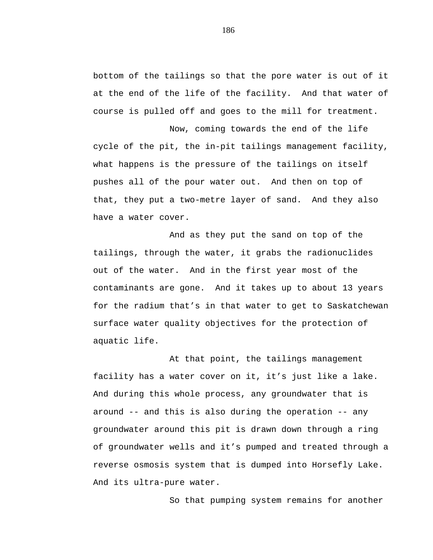bottom of the tailings so that the pore water is out of it at the end of the life of the facility. And that water of course is pulled off and goes to the mill for treatment.

Now, coming towards the end of the life cycle of the pit, the in-pit tailings management facility, what happens is the pressure of the tailings on itself pushes all of the pour water out. And then on top of that, they put a two-metre layer of sand. And they also have a water cover.

And as they put the sand on top of the tailings, through the water, it grabs the radionuclides out of the water. And in the first year most of the contaminants are gone. And it takes up to about 13 years for the radium that's in that water to get to Saskatchewan surface water quality objectives for the protection of aquatic life.

At that point, the tailings management facility has a water cover on it, it's just like a lake. And during this whole process, any groundwater that is around -- and this is also during the operation -- any groundwater around this pit is drawn down through a ring of groundwater wells and it's pumped and treated through a reverse osmosis system that is dumped into Horsefly Lake. And its ultra-pure water.

So that pumping system remains for another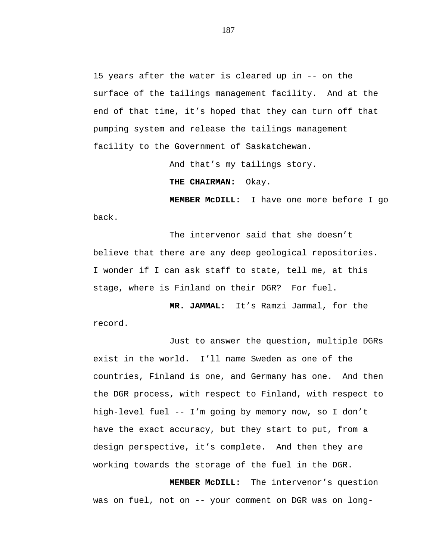15 years after the water is cleared up in -- on the surface of the tailings management facility. And at the end of that time, it's hoped that they can turn off that pumping system and release the tailings management facility to the Government of Saskatchewan.

And that's my tailings story.

**THE CHAIRMAN:** Okay.

**MEMBER McDILL:** I have one more before I go back.

The intervenor said that she doesn't believe that there are any deep geological repositories. I wonder if I can ask staff to state, tell me, at this stage, where is Finland on their DGR? For fuel.

**MR. JAMMAL:** It's Ramzi Jammal, for the record.

Just to answer the question, multiple DGRs exist in the world. I'll name Sweden as one of the countries, Finland is one, and Germany has one. And then the DGR process, with respect to Finland, with respect to high-level fuel -- I'm going by memory now, so I don't have the exact accuracy, but they start to put, from a design perspective, it's complete. And then they are working towards the storage of the fuel in the DGR.

**MEMBER McDILL:** The intervenor's question was on fuel, not on -- your comment on DGR was on long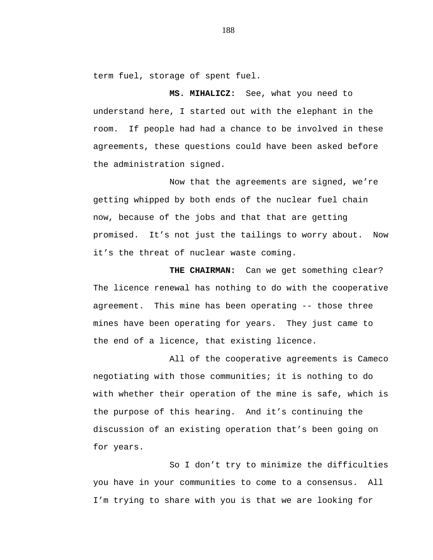term fuel, storage of spent fuel.

**MS. MIHALICZ:** See, what you need to understand here, I started out with the elephant in the room. If people had had a chance to be involved in these agreements, these questions could have been asked before the administration signed.

Now that the agreements are signed, we're getting whipped by both ends of the nuclear fuel chain now, because of the jobs and that that are getting promised. It's not just the tailings to worry about. Now it's the threat of nuclear waste coming.

**THE CHAIRMAN:** Can we get something clear? The licence renewal has nothing to do with the cooperative agreement. This mine has been operating -- those three mines have been operating for years. They just came to the end of a licence, that existing licence.

All of the cooperative agreements is Cameco negotiating with those communities; it is nothing to do with whether their operation of the mine is safe, which is the purpose of this hearing. And it's continuing the discussion of an existing operation that's been going on for years.

So I don't try to minimize the difficulties you have in your communities to come to a consensus. All I'm trying to share with you is that we are looking for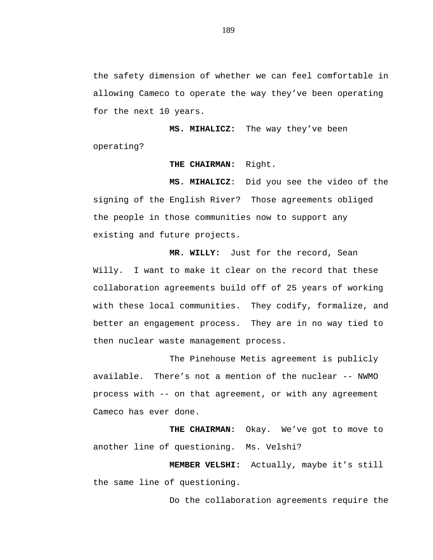the safety dimension of whether we can feel comfortable in allowing Cameco to operate the way they've been operating for the next 10 years.

**MS. MIHALICZ:** The way they've been operating?

## **THE CHAIRMAN:** Right.

**MS. MIHALICZ**: Did you see the video of the signing of the English River? Those agreements obliged the people in those communities now to support any existing and future projects.

**MR. WILLY:** Just for the record, Sean Willy. I want to make it clear on the record that these collaboration agreements build off of 25 years of working with these local communities. They codify, formalize, and better an engagement process. They are in no way tied to then nuclear waste management process.

The Pinehouse Metis agreement is publicly available. There's not a mention of the nuclear -- NWMO process with -- on that agreement, or with any agreement Cameco has ever done.

**THE CHAIRMAN:** Okay. We've got to move to another line of questioning. Ms. Velshi?

**MEMBER VELSHI:** Actually, maybe it's still the same line of questioning.

Do the collaboration agreements require the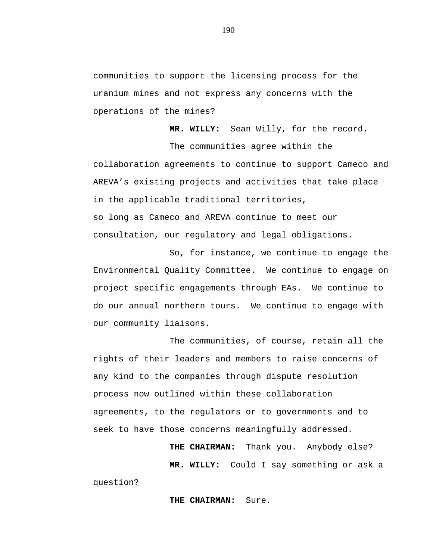communities to support the licensing process for the uranium mines and not express any concerns with the operations of the mines?

**MR. WILLY:** Sean Willy, for the record.

The communities agree within the collaboration agreements to continue to support Cameco and AREVA's existing projects and activities that take place in the applicable traditional territories, so long as Cameco and AREVA continue to meet our consultation, our regulatory and legal obligations.

So, for instance, we continue to engage the Environmental Quality Committee. We continue to engage on project specific engagements through EAs. We continue to do our annual northern tours. We continue to engage with our community liaisons.

The communities, of course, retain all the rights of their leaders and members to raise concerns of any kind to the companies through dispute resolution process now outlined within these collaboration agreements, to the regulators or to governments and to seek to have those concerns meaningfully addressed.

> **THE CHAIRMAN:** Thank you. Anybody else? **MR. WILLY:** Could I say something or ask a

question?

**THE CHAIRMAN:** Sure.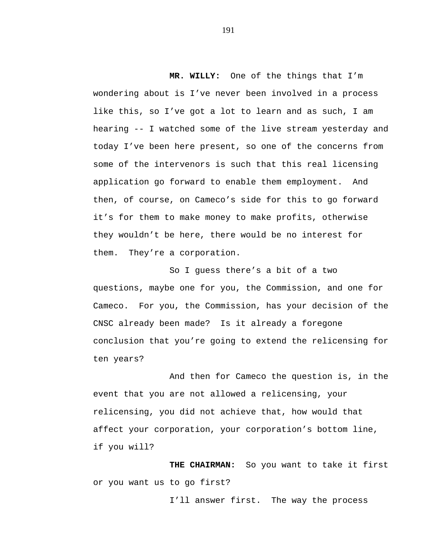**MR. WILLY:** One of the things that I'm wondering about is I've never been involved in a process like this, so I've got a lot to learn and as such, I am hearing -- I watched some of the live stream yesterday and today I've been here present, so one of the concerns from some of the intervenors is such that this real licensing application go forward to enable them employment. And then, of course, on Cameco's side for this to go forward it's for them to make money to make profits, otherwise they wouldn't be here, there would be no interest for them. They're a corporation.

So I guess there's a bit of a two questions, maybe one for you, the Commission, and one for Cameco. For you, the Commission, has your decision of the CNSC already been made? Is it already a foregone conclusion that you're going to extend the relicensing for ten years?

And then for Cameco the question is, in the event that you are not allowed a relicensing, your relicensing, you did not achieve that, how would that affect your corporation, your corporation's bottom line, if you will?

**THE CHAIRMAN:** So you want to take it first or you want us to go first?

I'll answer first. The way the process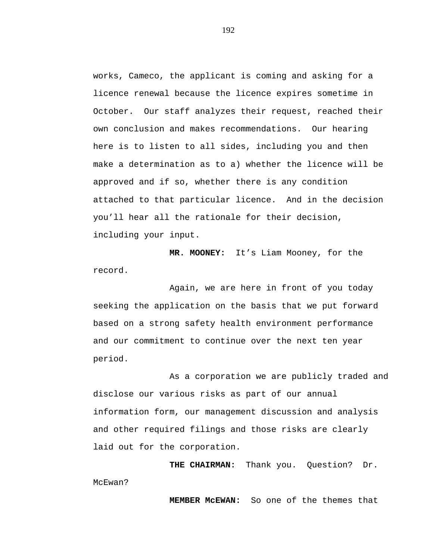works, Cameco, the applicant is coming and asking for a licence renewal because the licence expires sometime in October. Our staff analyzes their request, reached their own conclusion and makes recommendations. Our hearing here is to listen to all sides, including you and then make a determination as to a) whether the licence will be approved and if so, whether there is any condition attached to that particular licence. And in the decision you'll hear all the rationale for their decision, including your input.

**MR. MOONEY:** It's Liam Mooney, for the record.

Again, we are here in front of you today seeking the application on the basis that we put forward based on a strong safety health environment performance and our commitment to continue over the next ten year period.

As a corporation we are publicly traded and disclose our various risks as part of our annual information form, our management discussion and analysis and other required filings and those risks are clearly laid out for the corporation.

**THE CHAIRMAN:** Thank you. Question? Dr. McEwan?

**MEMBER McEWAN:** So one of the themes that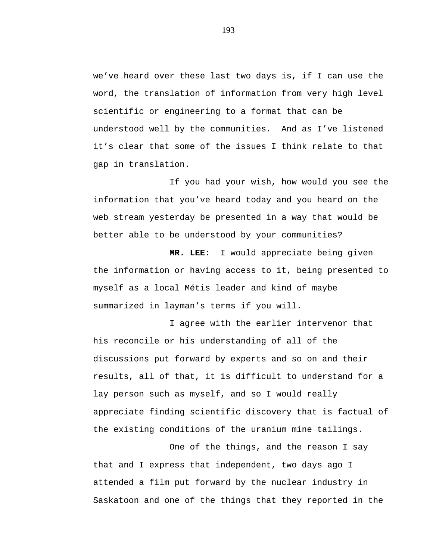we've heard over these last two days is, if I can use the word, the translation of information from very high level scientific or engineering to a format that can be understood well by the communities. And as I've listened it's clear that some of the issues I think relate to that gap in translation.

If you had your wish, how would you see the information that you've heard today and you heard on the web stream yesterday be presented in a way that would be better able to be understood by your communities?

**MR. LEE:** I would appreciate being given the information or having access to it, being presented to myself as a local Métis leader and kind of maybe summarized in layman's terms if you will.

I agree with the earlier intervenor that his reconcile or his understanding of all of the discussions put forward by experts and so on and their results, all of that, it is difficult to understand for a lay person such as myself, and so I would really appreciate finding scientific discovery that is factual of the existing conditions of the uranium mine tailings.

One of the things, and the reason I say that and I express that independent, two days ago I attended a film put forward by the nuclear industry in Saskatoon and one of the things that they reported in the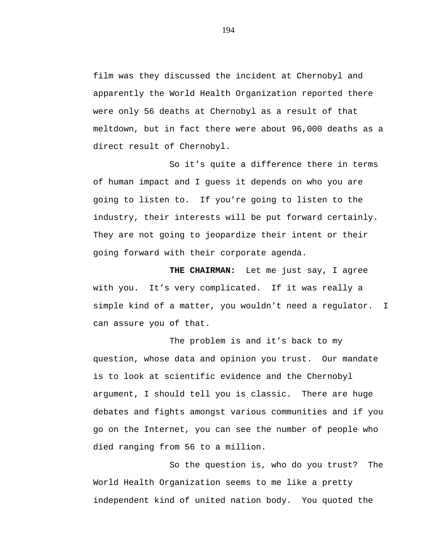film was they discussed the incident at Chernobyl and apparently the World Health Organization reported there were only 56 deaths at Chernobyl as a result of that meltdown, but in fact there were about 96,000 deaths as a direct result of Chernobyl.

So it's quite a difference there in terms of human impact and I guess it depends on who you are going to listen to. If you're going to listen to the industry, their interests will be put forward certainly. They are not going to jeopardize their intent or their going forward with their corporate agenda.

**THE CHAIRMAN:** Let me just say, I agree with you. It's very complicated. If it was really a simple kind of a matter, you wouldn't need a regulator. I can assure you of that.

The problem is and it's back to my question, whose data and opinion you trust. Our mandate is to look at scientific evidence and the Chernobyl argument, I should tell you is classic. There are huge debates and fights amongst various communities and if you go on the Internet, you can see the number of people who died ranging from 56 to a million.

So the question is, who do you trust? The World Health Organization seems to me like a pretty independent kind of united nation body. You quoted the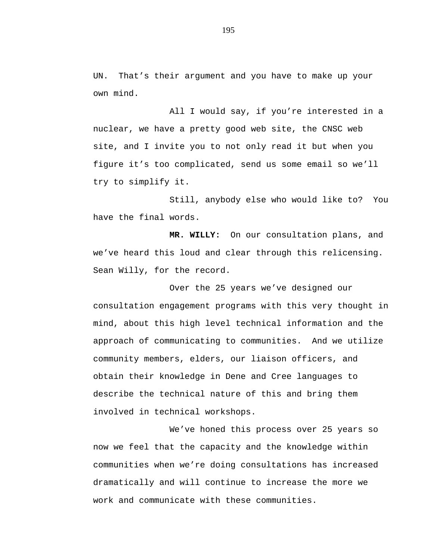UN. That's their argument and you have to make up your own mind.

All I would say, if you're interested in a nuclear, we have a pretty good web site, the CNSC web site, and I invite you to not only read it but when you figure it's too complicated, send us some email so we'll try to simplify it.

Still, anybody else who would like to? You have the final words.

**MR. WILLY:** On our consultation plans, and we've heard this loud and clear through this relicensing. Sean Willy, for the record.

Over the 25 years we've designed our consultation engagement programs with this very thought in mind, about this high level technical information and the approach of communicating to communities. And we utilize community members, elders, our liaison officers, and obtain their knowledge in Dene and Cree languages to describe the technical nature of this and bring them involved in technical workshops.

We've honed this process over 25 years so now we feel that the capacity and the knowledge within communities when we're doing consultations has increased dramatically and will continue to increase the more we work and communicate with these communities.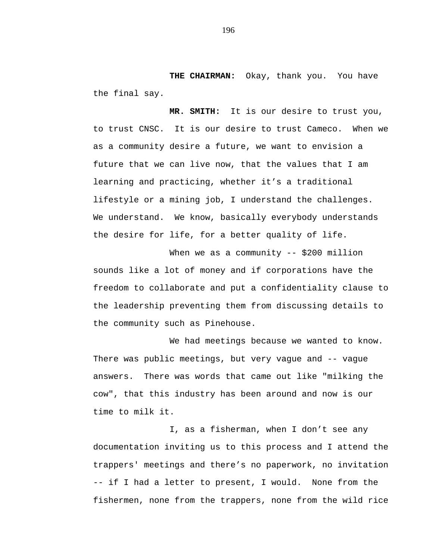**THE CHAIRMAN:** Okay, thank you. You have the final say.

**MR. SMITH:** It is our desire to trust you, to trust CNSC. It is our desire to trust Cameco. When we as a community desire a future, we want to envision a future that we can live now, that the values that I am learning and practicing, whether it's a traditional lifestyle or a mining job, I understand the challenges. We understand. We know, basically everybody understands the desire for life, for a better quality of life.

When we as a community -- \$200 million sounds like a lot of money and if corporations have the freedom to collaborate and put a confidentiality clause to the leadership preventing them from discussing details to the community such as Pinehouse.

We had meetings because we wanted to know. There was public meetings, but very vague and -- vague answers. There was words that came out like "milking the cow", that this industry has been around and now is our time to milk it.

I, as a fisherman, when I don't see any documentation inviting us to this process and I attend the trappers' meetings and there's no paperwork, no invitation -- if I had a letter to present, I would. None from the fishermen, none from the trappers, none from the wild rice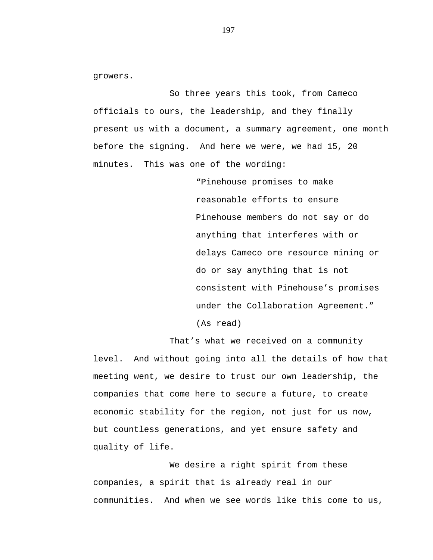growers.

So three years this took, from Cameco officials to ours, the leadership, and they finally present us with a document, a summary agreement, one month before the signing. And here we were, we had 15, 20 minutes. This was one of the wording:

> "Pinehouse promises to make reasonable efforts to ensure Pinehouse members do not say or do anything that interferes with or delays Cameco ore resource mining or do or say anything that is not consistent with Pinehouse's promises under the Collaboration Agreement." (As read)

That's what we received on a community level. And without going into all the details of how that

meeting went, we desire to trust our own leadership, the companies that come here to secure a future, to create economic stability for the region, not just for us now, but countless generations, and yet ensure safety and quality of life.

We desire a right spirit from these companies, a spirit that is already real in our communities. And when we see words like this come to us,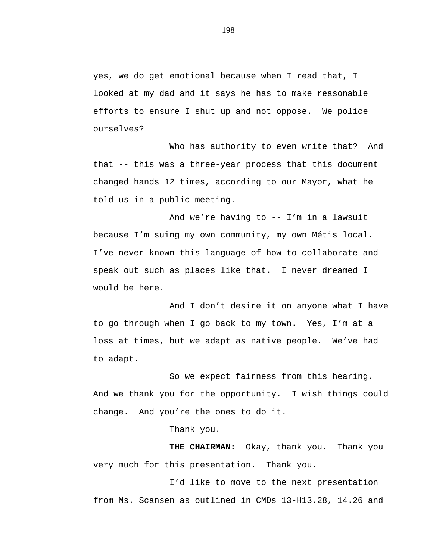yes, we do get emotional because when I read that, I looked at my dad and it says he has to make reasonable efforts to ensure I shut up and not oppose. We police ourselves?

Who has authority to even write that? And that -- this was a three-year process that this document changed hands 12 times, according to our Mayor, what he told us in a public meeting.

And we're having to -- I'm in a lawsuit because I'm suing my own community, my own Métis local. I've never known this language of how to collaborate and speak out such as places like that. I never dreamed I would be here.

And I don't desire it on anyone what I have to go through when I go back to my town. Yes, I'm at a loss at times, but we adapt as native people. We've had to adapt.

So we expect fairness from this hearing. And we thank you for the opportunity. I wish things could change. And you're the ones to do it.

Thank you.

**THE CHAIRMAN:** Okay, thank you. Thank you very much for this presentation. Thank you.

I'd like to move to the next presentation from Ms. Scansen as outlined in CMDs 13-H13.28, 14.26 and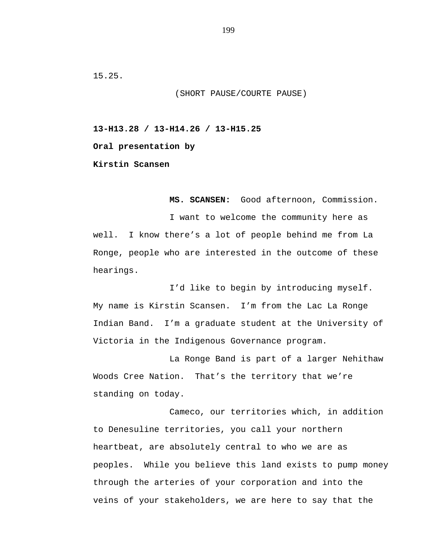15.25.

(SHORT PAUSE/COURTE PAUSE)

**13-H13.28 / 13-H14.26 / 13-H15.25**

**Oral presentation by**

**Kirstin Scansen**

**MS. SCANSEN:** Good afternoon, Commission.

I want to welcome the community here as well. I know there's a lot of people behind me from La Ronge, people who are interested in the outcome of these hearings.

I'd like to begin by introducing myself. My name is Kirstin Scansen. I'm from the Lac La Ronge Indian Band. I'm a graduate student at the University of Victoria in the Indigenous Governance program.

La Ronge Band is part of a larger Nehithaw Woods Cree Nation. That's the territory that we're standing on today.

Cameco, our territories which, in addition to Denesuline territories, you call your northern heartbeat, are absolutely central to who we are as peoples. While you believe this land exists to pump money through the arteries of your corporation and into the veins of your stakeholders, we are here to say that the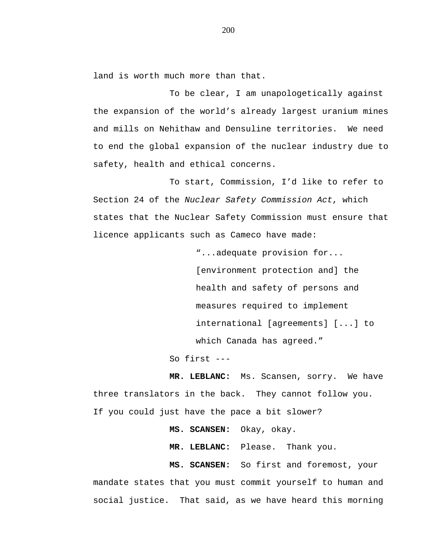land is worth much more than that.

To be clear, I am unapologetically against the expansion of the world's already largest uranium mines and mills on Nehithaw and Densuline territories. We need to end the global expansion of the nuclear industry due to safety, health and ethical concerns.

To start, Commission, I'd like to refer to Section 24 of the *Nuclear Safety Commission Act*, which states that the Nuclear Safety Commission must ensure that licence applicants such as Cameco have made:

> "...adequate provision for... [environment protection and] the health and safety of persons and measures required to implement international [agreements] [...] to which Canada has agreed."

So first ---

**MR. LEBLANC:** Ms. Scansen, sorry. We have three translators in the back. They cannot follow you. If you could just have the pace a bit slower?

**MS. SCANSEN:** Okay, okay.

**MR. LEBLANC:** Please. Thank you.

**MS. SCANSEN:** So first and foremost, your mandate states that you must commit yourself to human and social justice. That said, as we have heard this morning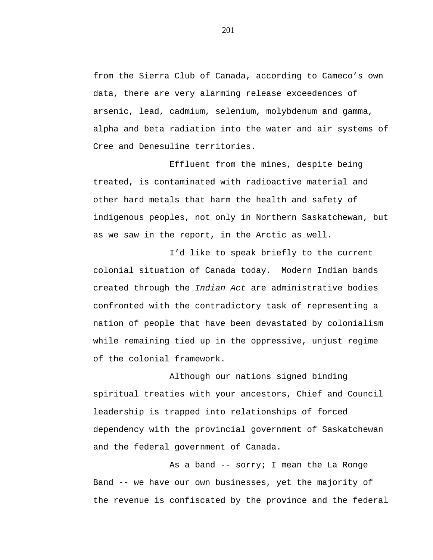from the Sierra Club of Canada, according to Cameco's own data, there are very alarming release exceedences of arsenic, lead, cadmium, selenium, molybdenum and gamma, alpha and beta radiation into the water and air systems of Cree and Denesuline territories.

Effluent from the mines, despite being treated, is contaminated with radioactive material and other hard metals that harm the health and safety of indigenous peoples, not only in Northern Saskatchewan, but as we saw in the report, in the Arctic as well.

I'd like to speak briefly to the current colonial situation of Canada today. Modern Indian bands created through the *Indian Act* are administrative bodies confronted with the contradictory task of representing a nation of people that have been devastated by colonialism while remaining tied up in the oppressive, unjust regime of the colonial framework.

Although our nations signed binding spiritual treaties with your ancestors, Chief and Council leadership is trapped into relationships of forced dependency with the provincial government of Saskatchewan and the federal government of Canada.

As a band -- sorry; I mean the La Ronge Band -- we have our own businesses, yet the majority of the revenue is confiscated by the province and the federal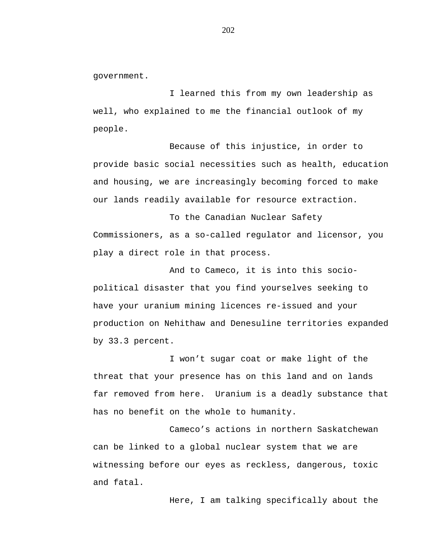government.

I learned this from my own leadership as well, who explained to me the financial outlook of my people.

Because of this injustice, in order to provide basic social necessities such as health, education and housing, we are increasingly becoming forced to make our lands readily available for resource extraction.

To the Canadian Nuclear Safety Commissioners, as a so-called regulator and licensor, you play a direct role in that process.

And to Cameco, it is into this sociopolitical disaster that you find yourselves seeking to have your uranium mining licences re-issued and your production on Nehithaw and Denesuline territories expanded by 33.3 percent.

I won't sugar coat or make light of the threat that your presence has on this land and on lands far removed from here. Uranium is a deadly substance that has no benefit on the whole to humanity.

Cameco's actions in northern Saskatchewan can be linked to a global nuclear system that we are witnessing before our eyes as reckless, dangerous, toxic and fatal.

Here, I am talking specifically about the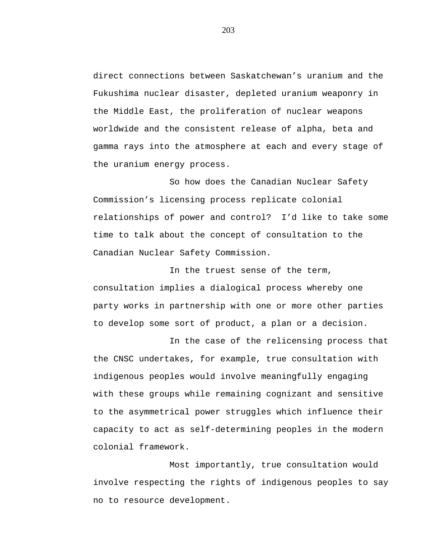direct connections between Saskatchewan's uranium and the Fukushima nuclear disaster, depleted uranium weaponry in the Middle East, the proliferation of nuclear weapons worldwide and the consistent release of alpha, beta and gamma rays into the atmosphere at each and every stage of the uranium energy process.

So how does the Canadian Nuclear Safety Commission's licensing process replicate colonial relationships of power and control? I'd like to take some time to talk about the concept of consultation to the Canadian Nuclear Safety Commission.

In the truest sense of the term, consultation implies a dialogical process whereby one party works in partnership with one or more other parties to develop some sort of product, a plan or a decision.

In the case of the relicensing process that the CNSC undertakes, for example, true consultation with indigenous peoples would involve meaningfully engaging with these groups while remaining cognizant and sensitive to the asymmetrical power struggles which influence their capacity to act as self-determining peoples in the modern colonial framework.

Most importantly, true consultation would involve respecting the rights of indigenous peoples to say no to resource development.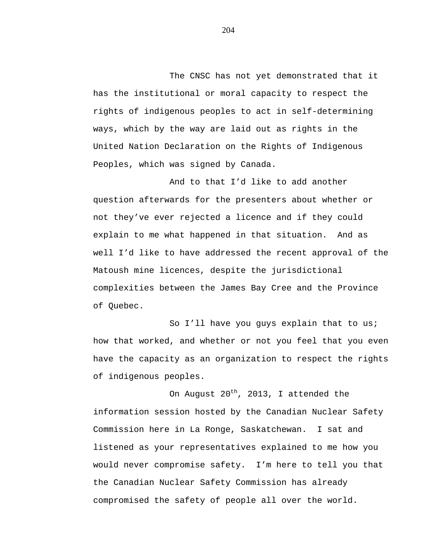The CNSC has not yet demonstrated that it has the institutional or moral capacity to respect the rights of indigenous peoples to act in self-determining ways, which by the way are laid out as rights in the United Nation Declaration on the Rights of Indigenous Peoples, which was signed by Canada.

And to that I'd like to add another question afterwards for the presenters about whether or not they've ever rejected a licence and if they could explain to me what happened in that situation. And as well I'd like to have addressed the recent approval of the Matoush mine licences, despite the jurisdictional complexities between the James Bay Cree and the Province of Quebec.

So I'll have you guys explain that to us; how that worked, and whether or not you feel that you even have the capacity as an organization to respect the rights of indigenous peoples.

On August  $20^{th}$ , 2013, I attended the information session hosted by the Canadian Nuclear Safety Commission here in La Ronge, Saskatchewan. I sat and listened as your representatives explained to me how you would never compromise safety. I'm here to tell you that the Canadian Nuclear Safety Commission has already compromised the safety of people all over the world.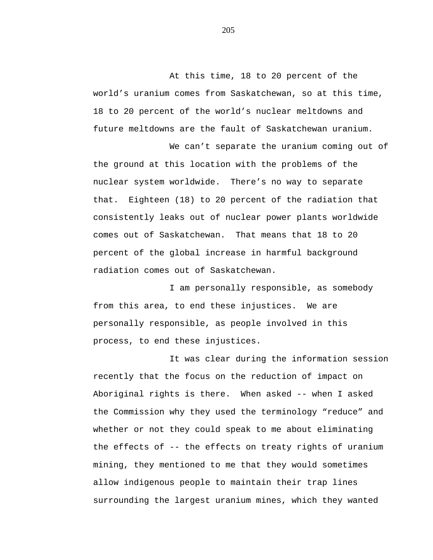At this time, 18 to 20 percent of the world's uranium comes from Saskatchewan, so at this time, 18 to 20 percent of the world's nuclear meltdowns and future meltdowns are the fault of Saskatchewan uranium.

We can't separate the uranium coming out of the ground at this location with the problems of the nuclear system worldwide. There's no way to separate that. Eighteen (18) to 20 percent of the radiation that consistently leaks out of nuclear power plants worldwide comes out of Saskatchewan. That means that 18 to 20 percent of the global increase in harmful background radiation comes out of Saskatchewan.

I am personally responsible, as somebody from this area, to end these injustices. We are personally responsible, as people involved in this process, to end these injustices.

It was clear during the information session recently that the focus on the reduction of impact on Aboriginal rights is there. When asked -- when I asked the Commission why they used the terminology "reduce" and whether or not they could speak to me about eliminating the effects of -- the effects on treaty rights of uranium mining, they mentioned to me that they would sometimes allow indigenous people to maintain their trap lines surrounding the largest uranium mines, which they wanted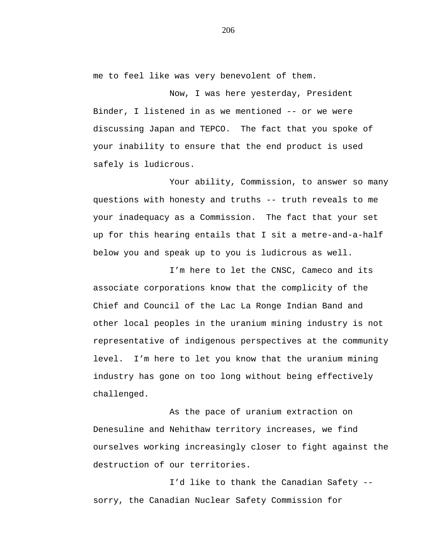me to feel like was very benevolent of them.

Now, I was here yesterday, President Binder, I listened in as we mentioned -- or we were discussing Japan and TEPCO. The fact that you spoke of your inability to ensure that the end product is used safely is ludicrous.

Your ability, Commission, to answer so many questions with honesty and truths -- truth reveals to me your inadequacy as a Commission. The fact that your set up for this hearing entails that I sit a metre-and-a-half below you and speak up to you is ludicrous as well.

I'm here to let the CNSC, Cameco and its associate corporations know that the complicity of the Chief and Council of the Lac La Ronge Indian Band and other local peoples in the uranium mining industry is not representative of indigenous perspectives at the community level. I'm here to let you know that the uranium mining industry has gone on too long without being effectively challenged.

As the pace of uranium extraction on Denesuline and Nehithaw territory increases, we find ourselves working increasingly closer to fight against the destruction of our territories.

I'd like to thank the Canadian Safety - sorry, the Canadian Nuclear Safety Commission for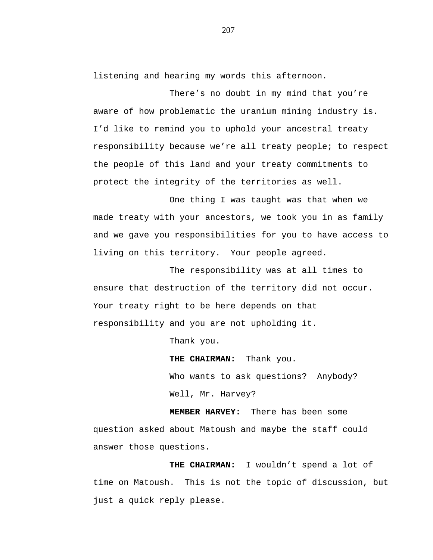listening and hearing my words this afternoon.

There's no doubt in my mind that you're aware of how problematic the uranium mining industry is. I'd like to remind you to uphold your ancestral treaty responsibility because we're all treaty people; to respect the people of this land and your treaty commitments to protect the integrity of the territories as well.

One thing I was taught was that when we made treaty with your ancestors, we took you in as family and we gave you responsibilities for you to have access to living on this territory. Your people agreed.

The responsibility was at all times to ensure that destruction of the territory did not occur. Your treaty right to be here depends on that responsibility and you are not upholding it.

Thank you.

**THE CHAIRMAN:** Thank you. Who wants to ask questions? Anybody? Well, Mr. Harvey?

**MEMBER HARVEY:** There has been some question asked about Matoush and maybe the staff could answer those questions.

**THE CHAIRMAN:** I wouldn't spend a lot of time on Matoush. This is not the topic of discussion, but just a quick reply please.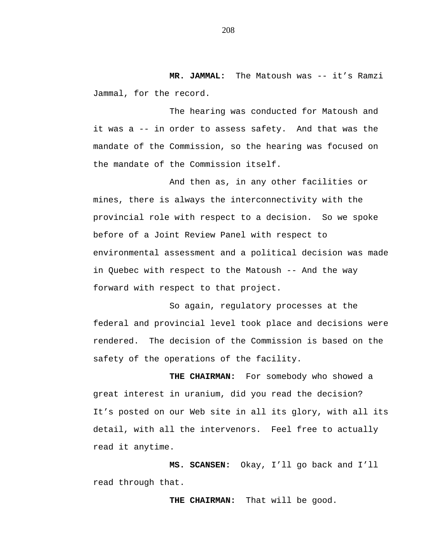**MR. JAMMAL:** The Matoush was -- it's Ramzi Jammal, for the record.

The hearing was conducted for Matoush and it was a -- in order to assess safety. And that was the mandate of the Commission, so the hearing was focused on the mandate of the Commission itself.

And then as, in any other facilities or mines, there is always the interconnectivity with the provincial role with respect to a decision. So we spoke before of a Joint Review Panel with respect to environmental assessment and a political decision was made in Quebec with respect to the Matoush -- And the way forward with respect to that project.

So again, regulatory processes at the federal and provincial level took place and decisions were rendered. The decision of the Commission is based on the safety of the operations of the facility.

**THE CHAIRMAN:** For somebody who showed a great interest in uranium, did you read the decision? It's posted on our Web site in all its glory, with all its detail, with all the intervenors. Feel free to actually read it anytime.

**MS. SCANSEN:** Okay, I'll go back and I'll read through that.

**THE CHAIRMAN:** That will be good.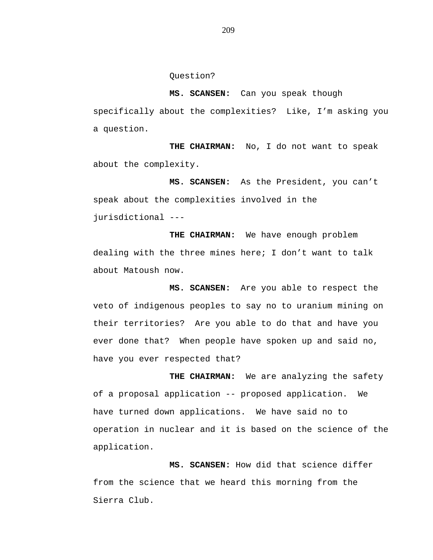Question?

**MS. SCANSEN:** Can you speak though specifically about the complexities? Like, I'm asking you a question.

**THE CHAIRMAN:** No, I do not want to speak about the complexity.

**MS. SCANSEN:** As the President, you can't speak about the complexities involved in the jurisdictional ---

**THE CHAIRMAN:** We have enough problem dealing with the three mines here; I don't want to talk about Matoush now.

**MS. SCANSEN:** Are you able to respect the veto of indigenous peoples to say no to uranium mining on their territories? Are you able to do that and have you ever done that? When people have spoken up and said no, have you ever respected that?

**THE CHAIRMAN:** We are analyzing the safety of a proposal application -- proposed application. We have turned down applications. We have said no to operation in nuclear and it is based on the science of the application.

**MS. SCANSEN:** How did that science differ from the science that we heard this morning from the Sierra Club.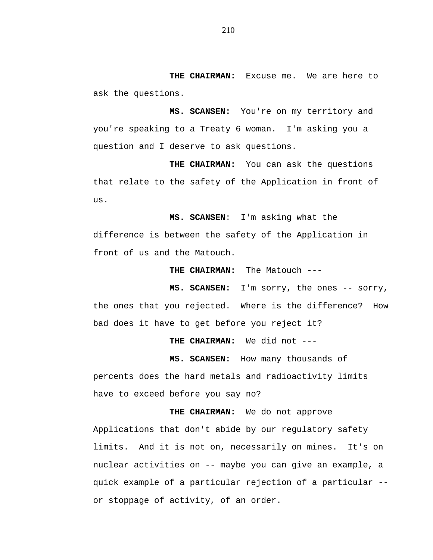**THE CHAIRMAN:** Excuse me. We are here to ask the questions.

**MS. SCANSEN:** You're on my territory and you're speaking to a Treaty 6 woman. I'm asking you a question and I deserve to ask questions.

**THE CHAIRMAN:** You can ask the questions that relate to the safety of the Application in front of us.

**MS. SCANSEN**: I'm asking what the difference is between the safety of the Application in front of us and the Matouch.

**THE CHAIRMAN:** The Matouch ---

**MS. SCANSEN:** I'm sorry, the ones -- sorry, the ones that you rejected. Where is the difference? How bad does it have to get before you reject it?

**THE CHAIRMAN:** We did not ---

**MS. SCANSEN:** How many thousands of percents does the hard metals and radioactivity limits have to exceed before you say no?

**THE CHAIRMAN:** We do not approve Applications that don't abide by our regulatory safety limits. And it is not on, necessarily on mines. It's on nuclear activities on -- maybe you can give an example, a quick example of a particular rejection of a particular - or stoppage of activity, of an order.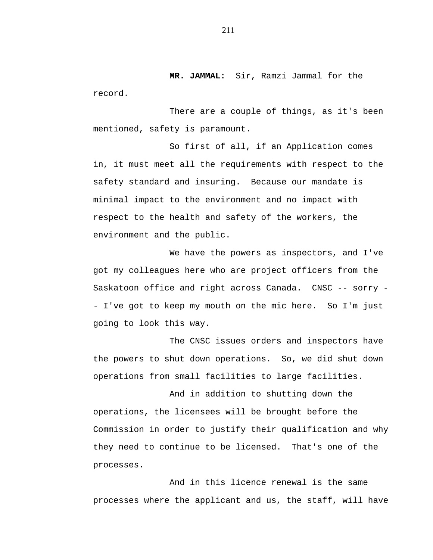**MR. JAMMAL:** Sir, Ramzi Jammal for the record.

There are a couple of things, as it's been mentioned, safety is paramount.

So first of all, if an Application comes in, it must meet all the requirements with respect to the safety standard and insuring. Because our mandate is minimal impact to the environment and no impact with respect to the health and safety of the workers, the environment and the public.

We have the powers as inspectors, and I've got my colleagues here who are project officers from the Saskatoon office and right across Canada. CNSC -- sorry - - I've got to keep my mouth on the mic here. So I'm just going to look this way.

The CNSC issues orders and inspectors have the powers to shut down operations. So, we did shut down operations from small facilities to large facilities.

And in addition to shutting down the operations, the licensees will be brought before the Commission in order to justify their qualification and why they need to continue to be licensed. That's one of the processes.

And in this licence renewal is the same processes where the applicant and us, the staff, will have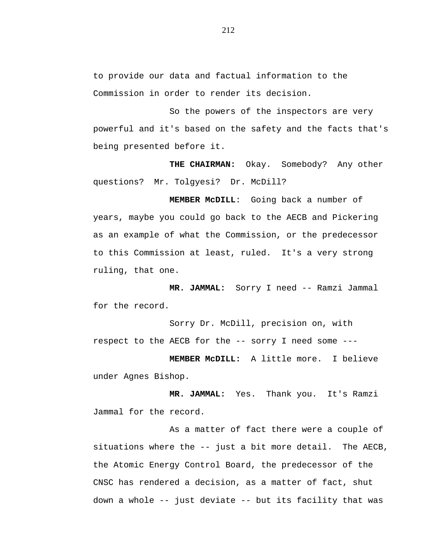to provide our data and factual information to the Commission in order to render its decision.

So the powers of the inspectors are very powerful and it's based on the safety and the facts that's being presented before it.

**THE CHAIRMAN:** Okay. Somebody? Any other questions? Mr. Tolgyesi? Dr. McDill?

**MEMBER McDILL**: Going back a number of years, maybe you could go back to the AECB and Pickering as an example of what the Commission, or the predecessor to this Commission at least, ruled. It's a very strong ruling, that one.

**MR. JAMMAL:** Sorry I need -- Ramzi Jammal for the record.

Sorry Dr. McDill, precision on, with respect to the AECB for the -- sorry I need some ---

**MEMBER McDILL:** A little more. I believe under Agnes Bishop.

**MR. JAMMAL:** Yes. Thank you. It's Ramzi Jammal for the record.

As a matter of fact there were a couple of situations where the -- just a bit more detail. The AECB, the Atomic Energy Control Board, the predecessor of the CNSC has rendered a decision, as a matter of fact, shut down a whole -- just deviate -- but its facility that was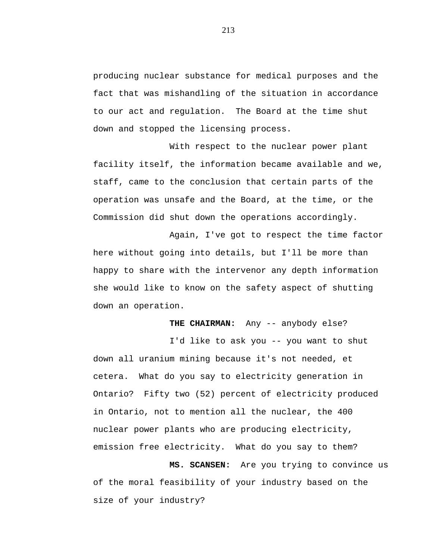producing nuclear substance for medical purposes and the fact that was mishandling of the situation in accordance to our act and regulation. The Board at the time shut down and stopped the licensing process.

With respect to the nuclear power plant facility itself, the information became available and we, staff, came to the conclusion that certain parts of the operation was unsafe and the Board, at the time, or the Commission did shut down the operations accordingly.

Again, I've got to respect the time factor here without going into details, but I'll be more than happy to share with the intervenor any depth information she would like to know on the safety aspect of shutting down an operation.

THE CHAIRMAN: Any -- anybody else?

I'd like to ask you -- you want to shut down all uranium mining because it's not needed, et cetera. What do you say to electricity generation in Ontario? Fifty two (52) percent of electricity produced in Ontario, not to mention all the nuclear, the 400 nuclear power plants who are producing electricity, emission free electricity. What do you say to them?

**MS. SCANSEN:** Are you trying to convince us of the moral feasibility of your industry based on the size of your industry?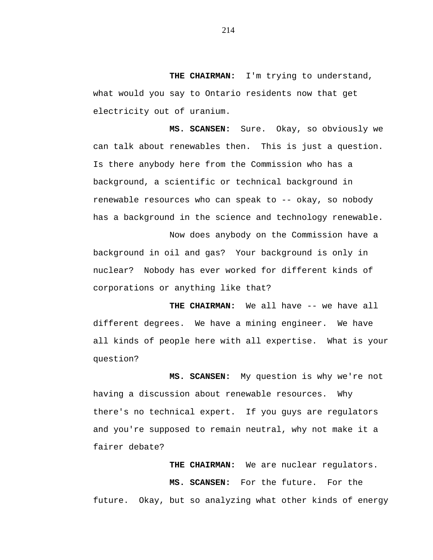**THE CHAIRMAN:** I'm trying to understand, what would you say to Ontario residents now that get electricity out of uranium.

**MS. SCANSEN:** Sure. Okay, so obviously we can talk about renewables then. This is just a question. Is there anybody here from the Commission who has a background, a scientific or technical background in renewable resources who can speak to -- okay, so nobody has a background in the science and technology renewable.

Now does anybody on the Commission have a background in oil and gas? Your background is only in nuclear? Nobody has ever worked for different kinds of corporations or anything like that?

**THE CHAIRMAN:** We all have -- we have all different degrees. We have a mining engineer. We have all kinds of people here with all expertise. What is your question?

**MS. SCANSEN:** My question is why we're not having a discussion about renewable resources. Why there's no technical expert. If you guys are regulators and you're supposed to remain neutral, why not make it a fairer debate?

**THE CHAIRMAN:** We are nuclear regulators. **MS. SCANSEN:** For the future. For the future. Okay, but so analyzing what other kinds of energy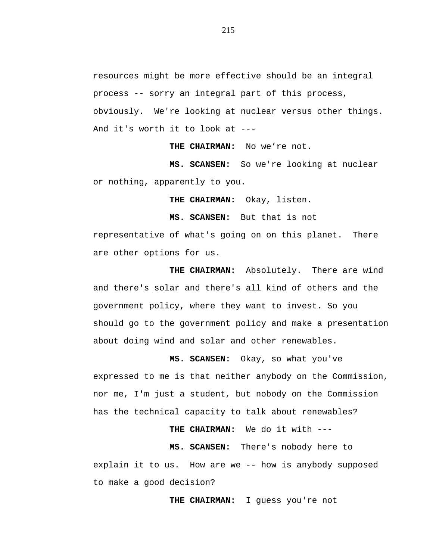resources might be more effective should be an integral process -- sorry an integral part of this process, obviously. We're looking at nuclear versus other things. And it's worth it to look at ---

**THE CHAIRMAN:** No we're not.

**MS. SCANSEN:** So we're looking at nuclear or nothing, apparently to you.

**THE CHAIRMAN:** Okay, listen.

**MS. SCANSEN:** But that is not

representative of what's going on on this planet. There are other options for us.

**THE CHAIRMAN:** Absolutely. There are wind and there's solar and there's all kind of others and the government policy, where they want to invest. So you should go to the government policy and make a presentation about doing wind and solar and other renewables.

**MS. SCANSEN:** Okay, so what you've expressed to me is that neither anybody on the Commission, nor me, I'm just a student, but nobody on the Commission has the technical capacity to talk about renewables?

**THE CHAIRMAN:** We do it with ---

**MS. SCANSEN:** There's nobody here to explain it to us. How are we -- how is anybody supposed to make a good decision?

**THE CHAIRMAN:** I guess you're not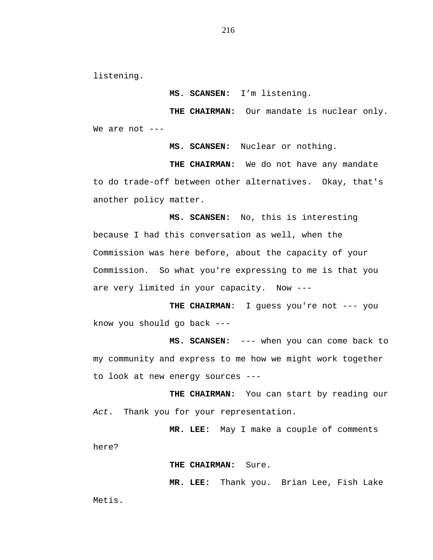listening.

**MS. SCANSEN:** I'm listening.

**THE CHAIRMAN:** Our mandate is nuclear only. We are not ---

**MS. SCANSEN:** Nuclear or nothing.

**THE CHAIRMAN:** We do not have any mandate to do trade-off between other alternatives. Okay, that's another policy matter.

**MS. SCANSEN:** No, this is interesting because I had this conversation as well, when the Commission was here before, about the capacity of your Commission. So what you're expressing to me is that you are very limited in your capacity. Now ---

THE CHAIRMAN: I guess you're not --- you know you should go back ---

**MS. SCANSEN:** --- when you can come back to my community and express to me how we might work together to look at new energy sources ---

**THE CHAIRMAN:** You can start by reading our *Act*. Thank you for your representation.

**MR. LEE:** May I make a couple of comments here?

**THE CHAIRMAN:** Sure.

**MR. LEE:** Thank you. Brian Lee, Fish Lake

Metis.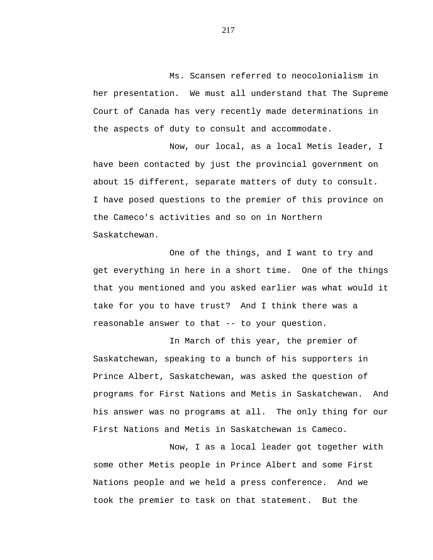Ms. Scansen referred to neocolonialism in her presentation. We must all understand that The Supreme Court of Canada has very recently made determinations in the aspects of duty to consult and accommodate.

Now, our local, as a local Metis leader, I have been contacted by just the provincial government on about 15 different, separate matters of duty to consult. I have posed questions to the premier of this province on the Cameco's activities and so on in Northern Saskatchewan.

One of the things, and I want to try and get everything in here in a short time. One of the things that you mentioned and you asked earlier was what would it take for you to have trust? And I think there was a reasonable answer to that -- to your question.

In March of this year, the premier of Saskatchewan, speaking to a bunch of his supporters in Prince Albert, Saskatchewan, was asked the question of programs for First Nations and Metis in Saskatchewan. And his answer was no programs at all. The only thing for our First Nations and Metis in Saskatchewan is Cameco.

Now, I as a local leader got together with some other Metis people in Prince Albert and some First Nations people and we held a press conference. And we took the premier to task on that statement. But the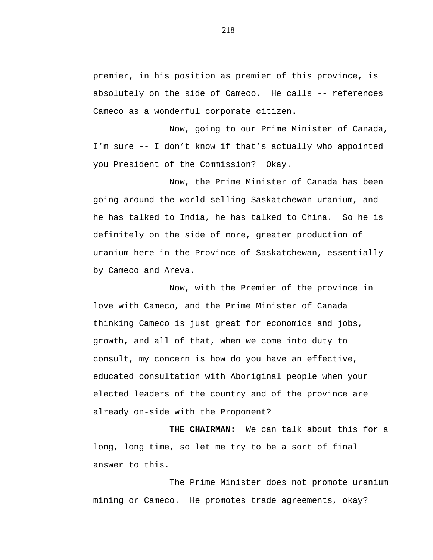premier, in his position as premier of this province, is absolutely on the side of Cameco. He calls -- references Cameco as a wonderful corporate citizen.

Now, going to our Prime Minister of Canada, I'm sure -- I don't know if that's actually who appointed you President of the Commission? Okay.

Now, the Prime Minister of Canada has been going around the world selling Saskatchewan uranium, and he has talked to India, he has talked to China. So he is definitely on the side of more, greater production of uranium here in the Province of Saskatchewan, essentially by Cameco and Areva.

Now, with the Premier of the province in love with Cameco, and the Prime Minister of Canada thinking Cameco is just great for economics and jobs, growth, and all of that, when we come into duty to consult, my concern is how do you have an effective, educated consultation with Aboriginal people when your elected leaders of the country and of the province are already on-side with the Proponent?

**THE CHAIRMAN:** We can talk about this for a long, long time, so let me try to be a sort of final answer to this.

The Prime Minister does not promote uranium mining or Cameco. He promotes trade agreements, okay?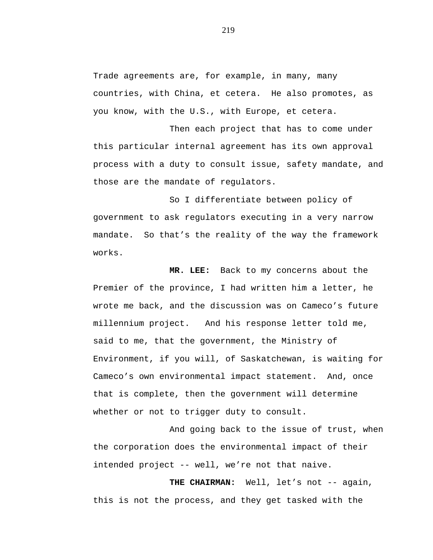Trade agreements are, for example, in many, many countries, with China, et cetera. He also promotes, as you know, with the U.S., with Europe, et cetera.

Then each project that has to come under this particular internal agreement has its own approval process with a duty to consult issue, safety mandate, and those are the mandate of regulators.

So I differentiate between policy of government to ask regulators executing in a very narrow mandate. So that's the reality of the way the framework works.

**MR. LEE:** Back to my concerns about the Premier of the province, I had written him a letter, he wrote me back, and the discussion was on Cameco's future millennium project. And his response letter told me, said to me, that the government, the Ministry of Environment, if you will, of Saskatchewan, is waiting for Cameco's own environmental impact statement. And, once that is complete, then the government will determine whether or not to trigger duty to consult.

And going back to the issue of trust, when the corporation does the environmental impact of their intended project -- well, we're not that naive.

THE CHAIRMAN: Well, let's not -- again, this is not the process, and they get tasked with the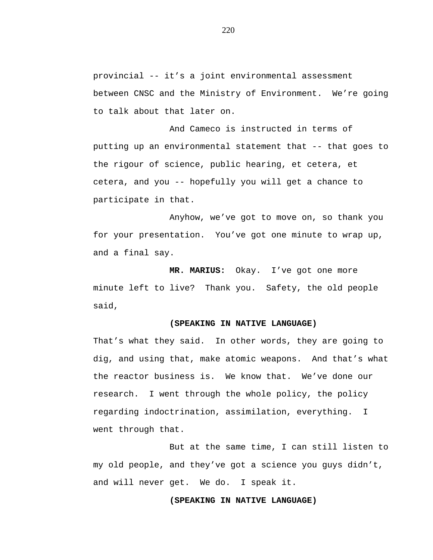provincial -- it's a joint environmental assessment between CNSC and the Ministry of Environment. We're going to talk about that later on.

And Cameco is instructed in terms of putting up an environmental statement that -- that goes to the rigour of science, public hearing, et cetera, et cetera, and you -- hopefully you will get a chance to participate in that.

Anyhow, we've got to move on, so thank you for your presentation. You've got one minute to wrap up, and a final say.

**MR. MARIUS:** Okay. I've got one more minute left to live? Thank you. Safety, the old people said,

### **(SPEAKING IN NATIVE LANGUAGE)**

That's what they said. In other words, they are going to dig, and using that, make atomic weapons. And that's what the reactor business is. We know that. We've done our research. I went through the whole policy, the policy regarding indoctrination, assimilation, everything. I went through that.

But at the same time, I can still listen to my old people, and they've got a science you guys didn't, and will never get. We do. I speak it.

### **(SPEAKING IN NATIVE LANGUAGE)**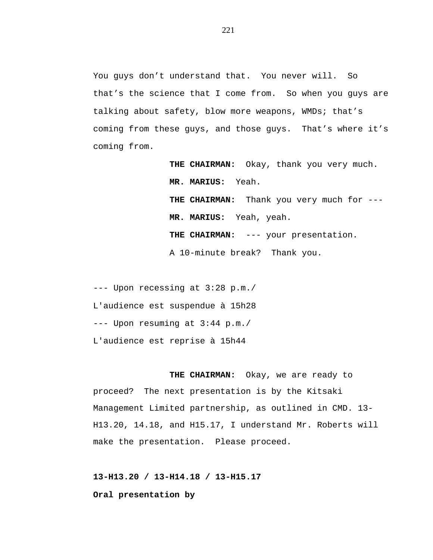You guys don't understand that. You never will. So that's the science that I come from. So when you guys are talking about safety, blow more weapons, WMDs; that's coming from these guys, and those guys. That's where it's coming from.

> **THE CHAIRMAN:** Okay, thank you very much. **MR. MARIUS:** Yeah. **THE CHAIRMAN:** Thank you very much for --- **MR. MARIUS:** Yeah, yeah. **THE CHAIRMAN:** --- your presentation. A 10-minute break? Thank you.

--- Upon recessing at 3:28 p.m./ L'audience est suspendue à 15h28 --- Upon resuming at 3:44 p.m./ L'audience est reprise à 15h44

**THE CHAIRMAN:** Okay, we are ready to proceed? The next presentation is by the Kitsaki Management Limited partnership, as outlined in CMD. 13- H13.20, 14.18, and H15.17, I understand Mr. Roberts will make the presentation. Please proceed.

**13-H13.20 / 13-H14.18 / 13-H15.17 Oral presentation by**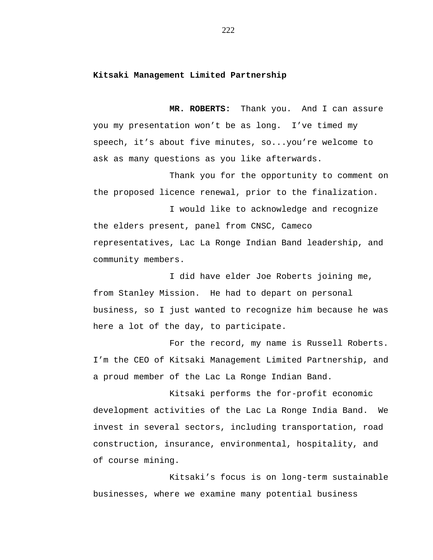# **Kitsaki Management Limited Partnership**

**MR. ROBERTS:** Thank you. And I can assure you my presentation won't be as long. I've timed my speech, it's about five minutes, so...you're welcome to ask as many questions as you like afterwards.

Thank you for the opportunity to comment on the proposed licence renewal, prior to the finalization.

I would like to acknowledge and recognize the elders present, panel from CNSC, Cameco representatives, Lac La Ronge Indian Band leadership, and community members.

I did have elder Joe Roberts joining me, from Stanley Mission. He had to depart on personal business, so I just wanted to recognize him because he was here a lot of the day, to participate.

For the record, my name is Russell Roberts. I'm the CEO of Kitsaki Management Limited Partnership, and a proud member of the Lac La Ronge Indian Band.

Kitsaki performs the for-profit economic development activities of the Lac La Ronge India Band. We invest in several sectors, including transportation, road construction, insurance, environmental, hospitality, and of course mining.

Kitsaki's focus is on long-term sustainable businesses, where we examine many potential business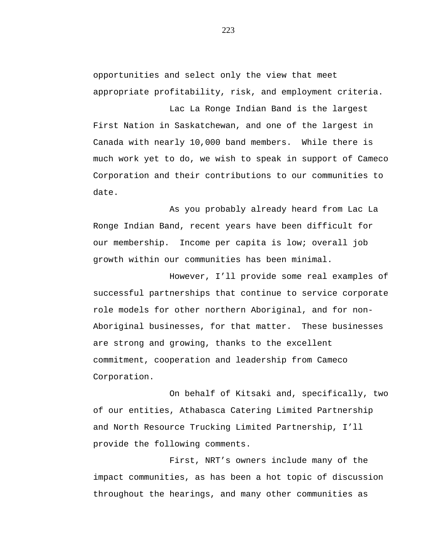opportunities and select only the view that meet appropriate profitability, risk, and employment criteria.

Lac La Ronge Indian Band is the largest First Nation in Saskatchewan, and one of the largest in Canada with nearly 10,000 band members. While there is much work yet to do, we wish to speak in support of Cameco Corporation and their contributions to our communities to date.

As you probably already heard from Lac La Ronge Indian Band, recent years have been difficult for our membership. Income per capita is low; overall job growth within our communities has been minimal.

However, I'll provide some real examples of successful partnerships that continue to service corporate role models for other northern Aboriginal, and for non-Aboriginal businesses, for that matter. These businesses are strong and growing, thanks to the excellent commitment, cooperation and leadership from Cameco Corporation.

On behalf of Kitsaki and, specifically, two of our entities, Athabasca Catering Limited Partnership and North Resource Trucking Limited Partnership, I'll provide the following comments.

First, NRT's owners include many of the impact communities, as has been a hot topic of discussion throughout the hearings, and many other communities as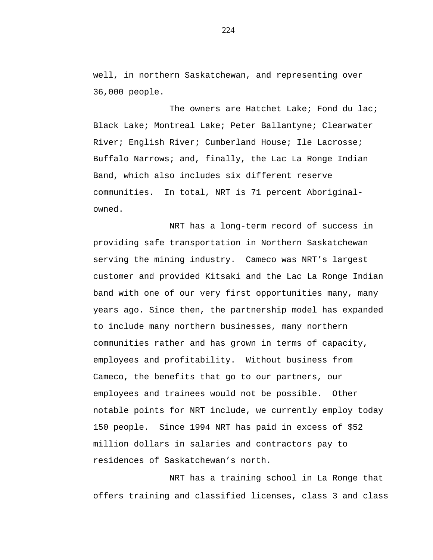well, in northern Saskatchewan, and representing over 36,000 people.

The owners are Hatchet Lake; Fond du lac; Black Lake; Montreal Lake; Peter Ballantyne; Clearwater River; English River; Cumberland House; Ile Lacrosse; Buffalo Narrows; and, finally, the Lac La Ronge Indian Band, which also includes six different reserve communities. In total, NRT is 71 percent Aboriginalowned.

NRT has a long-term record of success in providing safe transportation in Northern Saskatchewan serving the mining industry. Cameco was NRT's largest customer and provided Kitsaki and the Lac La Ronge Indian band with one of our very first opportunities many, many years ago. Since then, the partnership model has expanded to include many northern businesses, many northern communities rather and has grown in terms of capacity, employees and profitability. Without business from Cameco, the benefits that go to our partners, our employees and trainees would not be possible. Other notable points for NRT include, we currently employ today 150 people. Since 1994 NRT has paid in excess of \$52 million dollars in salaries and contractors pay to residences of Saskatchewan's north.

NRT has a training school in La Ronge that offers training and classified licenses, class 3 and class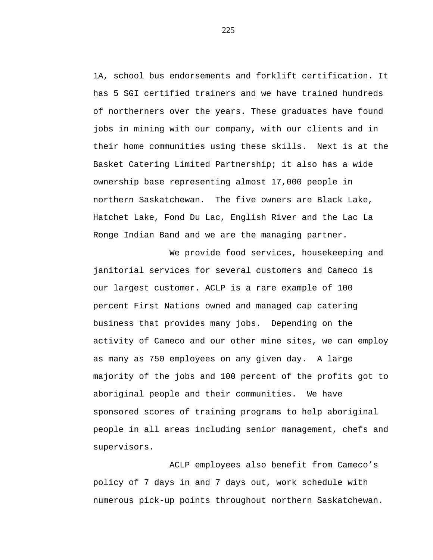1A, school bus endorsements and forklift certification. It has 5 SGI certified trainers and we have trained hundreds of northerners over the years. These graduates have found jobs in mining with our company, with our clients and in their home communities using these skills. Next is at the Basket Catering Limited Partnership; it also has a wide ownership base representing almost 17,000 people in northern Saskatchewan. The five owners are Black Lake, Hatchet Lake, Fond Du Lac, English River and the Lac La Ronge Indian Band and we are the managing partner.

We provide food services, housekeeping and janitorial services for several customers and Cameco is our largest customer. ACLP is a rare example of 100 percent First Nations owned and managed cap catering business that provides many jobs. Depending on the activity of Cameco and our other mine sites, we can employ as many as 750 employees on any given day. A large majority of the jobs and 100 percent of the profits got to aboriginal people and their communities. We have sponsored scores of training programs to help aboriginal people in all areas including senior management, chefs and supervisors.

ACLP employees also benefit from Cameco's policy of 7 days in and 7 days out, work schedule with numerous pick-up points throughout northern Saskatchewan.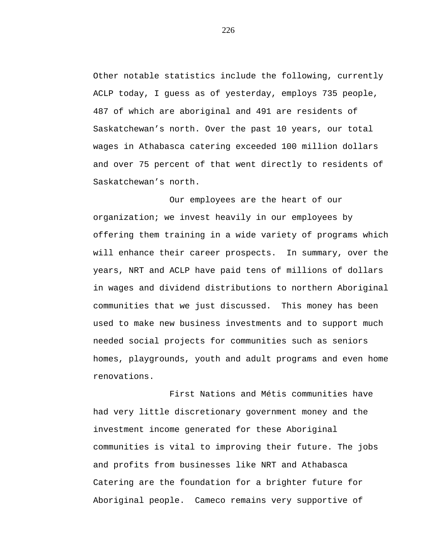Other notable statistics include the following, currently ACLP today, I guess as of yesterday, employs 735 people, 487 of which are aboriginal and 491 are residents of Saskatchewan's north. Over the past 10 years, our total wages in Athabasca catering exceeded 100 million dollars and over 75 percent of that went directly to residents of Saskatchewan's north.

Our employees are the heart of our organization; we invest heavily in our employees by offering them training in a wide variety of programs which will enhance their career prospects. In summary, over the years, NRT and ACLP have paid tens of millions of dollars in wages and dividend distributions to northern Aboriginal communities that we just discussed. This money has been used to make new business investments and to support much needed social projects for communities such as seniors homes, playgrounds, youth and adult programs and even home renovations.

First Nations and Métis communities have had very little discretionary government money and the investment income generated for these Aboriginal communities is vital to improving their future. The jobs and profits from businesses like NRT and Athabasca Catering are the foundation for a brighter future for Aboriginal people. Cameco remains very supportive of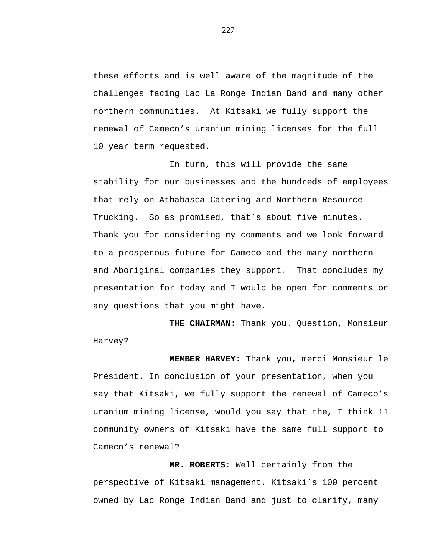these efforts and is well aware of the magnitude of the challenges facing Lac La Ronge Indian Band and many other northern communities. At Kitsaki we fully support the renewal of Cameco's uranium mining licenses for the full 10 year term requested.

In turn, this will provide the same stability for our businesses and the hundreds of employees that rely on Athabasca Catering and Northern Resource Trucking. So as promised, that's about five minutes. Thank you for considering my comments and we look forward to a prosperous future for Cameco and the many northern and Aboriginal companies they support. That concludes my presentation for today and I would be open for comments or any questions that you might have.

**THE CHAIRMAN:** Thank you. Question, Monsieur Harvey?

**MEMBER HARVEY:** Thank you, merci Monsieur le Président. In conclusion of your presentation, when you say that Kitsaki, we fully support the renewal of Cameco's uranium mining license, would you say that the, I think 11 community owners of Kitsaki have the same full support to Cameco's renewal?

**MR. ROBERTS:** Well certainly from the perspective of Kitsaki management. Kitsaki's 100 percent owned by Lac Ronge Indian Band and just to clarify, many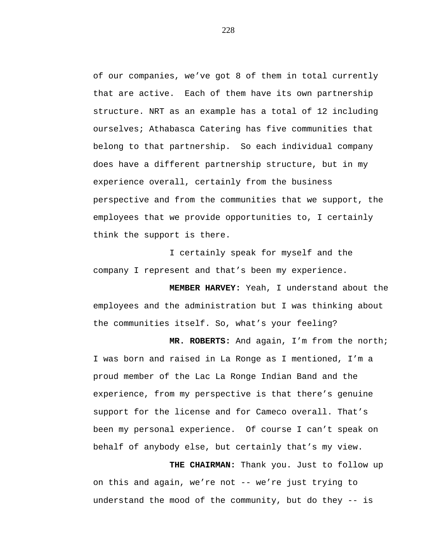of our companies, we've got 8 of them in total currently that are active. Each of them have its own partnership structure. NRT as an example has a total of 12 including ourselves; Athabasca Catering has five communities that belong to that partnership. So each individual company does have a different partnership structure, but in my experience overall, certainly from the business perspective and from the communities that we support, the employees that we provide opportunities to, I certainly think the support is there.

I certainly speak for myself and the company I represent and that's been my experience.

**MEMBER HARVEY:** Yeah, I understand about the employees and the administration but I was thinking about the communities itself. So, what's your feeling?

**MR. ROBERTS:** And again, I'm from the north; I was born and raised in La Ronge as I mentioned, I'm a proud member of the Lac La Ronge Indian Band and the experience, from my perspective is that there's genuine support for the license and for Cameco overall. That's been my personal experience. Of course I can't speak on behalf of anybody else, but certainly that's my view.

**THE CHAIRMAN:** Thank you. Just to follow up on this and again, we're not -- we're just trying to understand the mood of the community, but do they -- is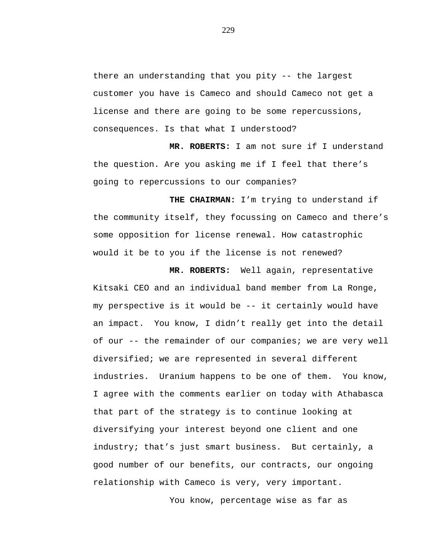there an understanding that you pity -- the largest customer you have is Cameco and should Cameco not get a license and there are going to be some repercussions, consequences. Is that what I understood?

**MR. ROBERTS:** I am not sure if I understand the question. Are you asking me if I feel that there's going to repercussions to our companies?

**THE CHAIRMAN:** I'm trying to understand if the community itself, they focussing on Cameco and there's some opposition for license renewal. How catastrophic would it be to you if the license is not renewed?

**MR. ROBERTS:** Well again, representative Kitsaki CEO and an individual band member from La Ronge, my perspective is it would be -- it certainly would have an impact. You know, I didn't really get into the detail of our -- the remainder of our companies; we are very well diversified; we are represented in several different industries. Uranium happens to be one of them. You know, I agree with the comments earlier on today with Athabasca that part of the strategy is to continue looking at diversifying your interest beyond one client and one industry; that's just smart business. But certainly, a good number of our benefits, our contracts, our ongoing relationship with Cameco is very, very important.

You know, percentage wise as far as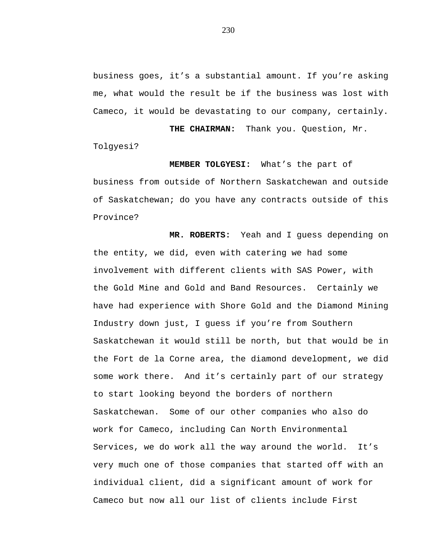business goes, it's a substantial amount. If you're asking me, what would the result be if the business was lost with Cameco, it would be devastating to our company, certainly.

**THE CHAIRMAN:** Thank you. Question, Mr. Tolgyesi?

**MEMBER TOLGYESI:** What's the part of business from outside of Northern Saskatchewan and outside of Saskatchewan; do you have any contracts outside of this Province?

**MR. ROBERTS:** Yeah and I guess depending on the entity, we did, even with catering we had some involvement with different clients with SAS Power, with the Gold Mine and Gold and Band Resources. Certainly we have had experience with Shore Gold and the Diamond Mining Industry down just, I guess if you're from Southern Saskatchewan it would still be north, but that would be in the Fort de la Corne area, the diamond development, we did some work there. And it's certainly part of our strategy to start looking beyond the borders of northern Saskatchewan. Some of our other companies who also do work for Cameco, including Can North Environmental Services, we do work all the way around the world. It's very much one of those companies that started off with an individual client, did a significant amount of work for Cameco but now all our list of clients include First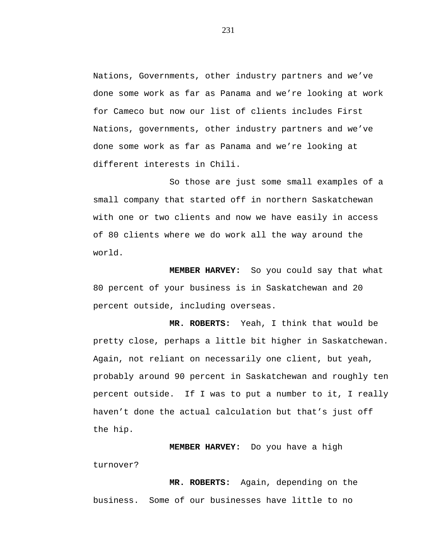Nations, Governments, other industry partners and we've done some work as far as Panama and we're looking at work for Cameco but now our list of clients includes First Nations, governments, other industry partners and we've done some work as far as Panama and we're looking at different interests in Chili.

So those are just some small examples of a small company that started off in northern Saskatchewan with one or two clients and now we have easily in access of 80 clients where we do work all the way around the world.

**MEMBER HARVEY:** So you could say that what 80 percent of your business is in Saskatchewan and 20 percent outside, including overseas.

**MR. ROBERTS:** Yeah, I think that would be pretty close, perhaps a little bit higher in Saskatchewan. Again, not reliant on necessarily one client, but yeah, probably around 90 percent in Saskatchewan and roughly ten percent outside. If I was to put a number to it, I really haven't done the actual calculation but that's just off the hip.

**MEMBER HARVEY:** Do you have a high turnover?

**MR. ROBERTS:** Again, depending on the business. Some of our businesses have little to no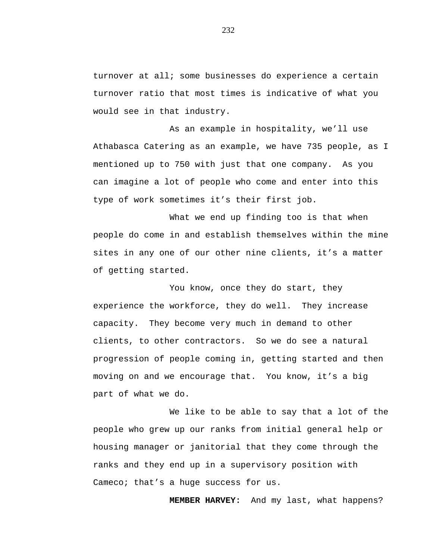turnover at all; some businesses do experience a certain turnover ratio that most times is indicative of what you would see in that industry.

As an example in hospitality, we'll use Athabasca Catering as an example, we have 735 people, as I mentioned up to 750 with just that one company. As you can imagine a lot of people who come and enter into this type of work sometimes it's their first job.

What we end up finding too is that when people do come in and establish themselves within the mine sites in any one of our other nine clients, it's a matter of getting started.

You know, once they do start, they experience the workforce, they do well. They increase capacity. They become very much in demand to other clients, to other contractors. So we do see a natural progression of people coming in, getting started and then moving on and we encourage that. You know, it's a big part of what we do.

We like to be able to say that a lot of the people who grew up our ranks from initial general help or housing manager or janitorial that they come through the ranks and they end up in a supervisory position with Cameco; that's a huge success for us.

**MEMBER HARVEY:** And my last, what happens?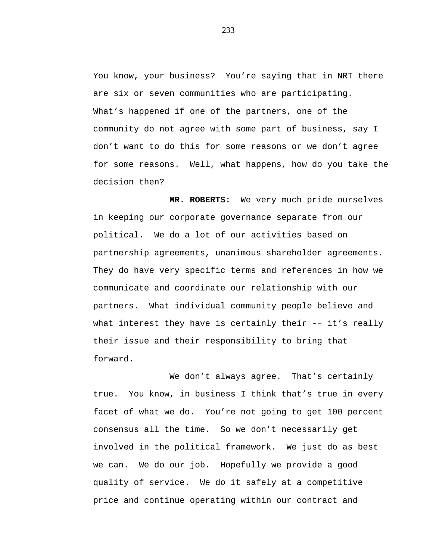You know, your business? You're saying that in NRT there are six or seven communities who are participating. What's happened if one of the partners, one of the community do not agree with some part of business, say I don't want to do this for some reasons or we don't agree for some reasons. Well, what happens, how do you take the decision then?

**MR. ROBERTS:** We very much pride ourselves in keeping our corporate governance separate from our political. We do a lot of our activities based on partnership agreements, unanimous shareholder agreements. They do have very specific terms and references in how we communicate and coordinate our relationship with our partners. What individual community people believe and what interest they have is certainly their -- it's really their issue and their responsibility to bring that forward.

We don't always agree. That's certainly true. You know, in business I think that's true in every facet of what we do. You're not going to get 100 percent consensus all the time. So we don't necessarily get involved in the political framework. We just do as best we can. We do our job. Hopefully we provide a good quality of service. We do it safely at a competitive price and continue operating within our contract and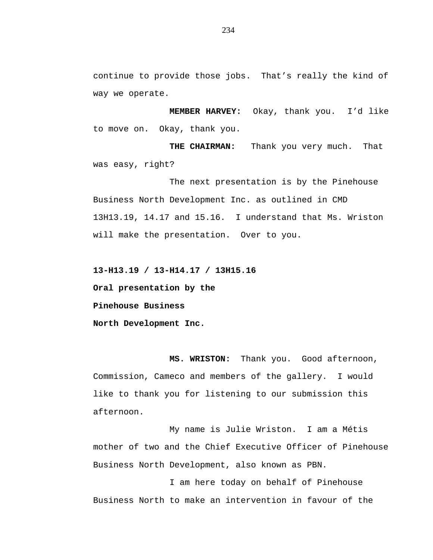continue to provide those jobs. That's really the kind of way we operate.

**MEMBER HARVEY:** Okay, thank you. I'd like to move on. Okay, thank you.

**THE CHAIRMAN:** Thank you very much. That was easy, right?

The next presentation is by the Pinehouse Business North Development Inc. as outlined in CMD 13H13.19, 14.17 and 15.16. I understand that Ms. Wriston will make the presentation. Over to you.

**13-H13.19 / 13-H14.17 / 13H15.16** 

**Oral presentation by the**

**Pinehouse Business**

**North Development Inc.**

**MS. WRISTON:** Thank you. Good afternoon, Commission, Cameco and members of the gallery. I would like to thank you for listening to our submission this afternoon.

My name is Julie Wriston. I am a Métis mother of two and the Chief Executive Officer of Pinehouse Business North Development, also known as PBN.

I am here today on behalf of Pinehouse Business North to make an intervention in favour of the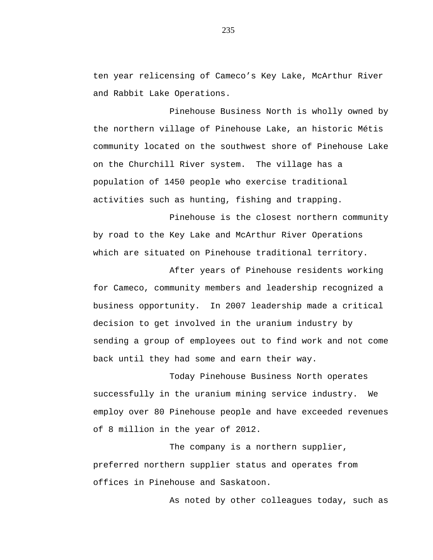ten year relicensing of Cameco's Key Lake, McArthur River and Rabbit Lake Operations.

Pinehouse Business North is wholly owned by the northern village of Pinehouse Lake, an historic Métis community located on the southwest shore of Pinehouse Lake on the Churchill River system. The village has a population of 1450 people who exercise traditional activities such as hunting, fishing and trapping.

Pinehouse is the closest northern community by road to the Key Lake and McArthur River Operations which are situated on Pinehouse traditional territory.

After years of Pinehouse residents working for Cameco, community members and leadership recognized a business opportunity. In 2007 leadership made a critical decision to get involved in the uranium industry by sending a group of employees out to find work and not come back until they had some and earn their way.

Today Pinehouse Business North operates successfully in the uranium mining service industry. We employ over 80 Pinehouse people and have exceeded revenues of 8 million in the year of 2012.

The company is a northern supplier, preferred northern supplier status and operates from offices in Pinehouse and Saskatoon.

As noted by other colleagues today, such as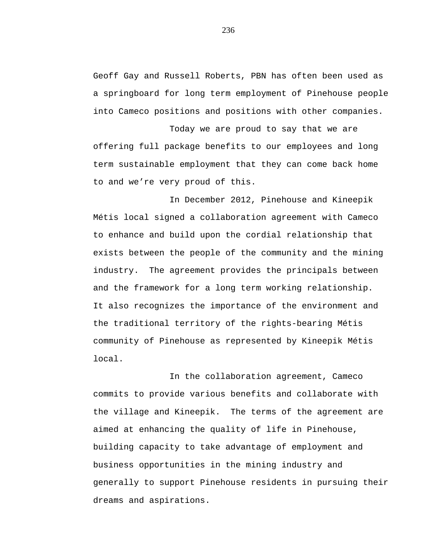Geoff Gay and Russell Roberts, PBN has often been used as a springboard for long term employment of Pinehouse people into Cameco positions and positions with other companies.

Today we are proud to say that we are offering full package benefits to our employees and long term sustainable employment that they can come back home to and we're very proud of this.

In December 2012, Pinehouse and Kineepik Métis local signed a collaboration agreement with Cameco to enhance and build upon the cordial relationship that exists between the people of the community and the mining industry. The agreement provides the principals between and the framework for a long term working relationship. It also recognizes the importance of the environment and the traditional territory of the rights-bearing Métis community of Pinehouse as represented by Kineepik Métis local.

In the collaboration agreement, Cameco commits to provide various benefits and collaborate with the village and Kineepik. The terms of the agreement are aimed at enhancing the quality of life in Pinehouse, building capacity to take advantage of employment and business opportunities in the mining industry and generally to support Pinehouse residents in pursuing their dreams and aspirations.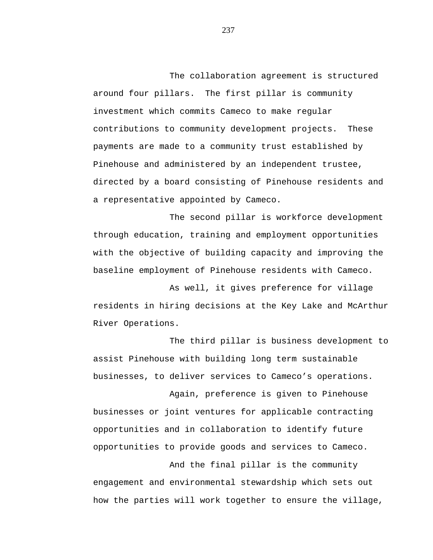The collaboration agreement is structured around four pillars. The first pillar is community investment which commits Cameco to make regular contributions to community development projects. These payments are made to a community trust established by Pinehouse and administered by an independent trustee, directed by a board consisting of Pinehouse residents and a representative appointed by Cameco.

The second pillar is workforce development through education, training and employment opportunities with the objective of building capacity and improving the baseline employment of Pinehouse residents with Cameco.

As well, it gives preference for village residents in hiring decisions at the Key Lake and McArthur River Operations.

The third pillar is business development to assist Pinehouse with building long term sustainable businesses, to deliver services to Cameco's operations.

Again, preference is given to Pinehouse businesses or joint ventures for applicable contracting opportunities and in collaboration to identify future opportunities to provide goods and services to Cameco.

And the final pillar is the community engagement and environmental stewardship which sets out how the parties will work together to ensure the village,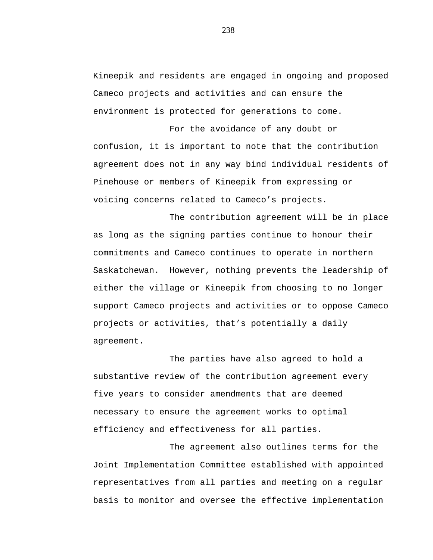Kineepik and residents are engaged in ongoing and proposed Cameco projects and activities and can ensure the environment is protected for generations to come.

For the avoidance of any doubt or confusion, it is important to note that the contribution agreement does not in any way bind individual residents of Pinehouse or members of Kineepik from expressing or voicing concerns related to Cameco's projects.

The contribution agreement will be in place as long as the signing parties continue to honour their commitments and Cameco continues to operate in northern Saskatchewan. However, nothing prevents the leadership of either the village or Kineepik from choosing to no longer support Cameco projects and activities or to oppose Cameco projects or activities, that's potentially a daily agreement.

The parties have also agreed to hold a substantive review of the contribution agreement every five years to consider amendments that are deemed necessary to ensure the agreement works to optimal efficiency and effectiveness for all parties.

The agreement also outlines terms for the Joint Implementation Committee established with appointed representatives from all parties and meeting on a regular basis to monitor and oversee the effective implementation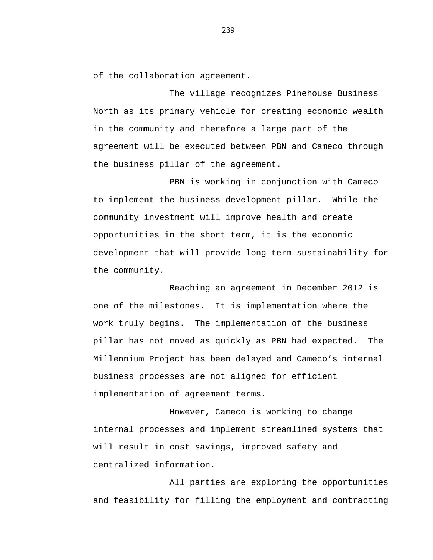of the collaboration agreement.

The village recognizes Pinehouse Business North as its primary vehicle for creating economic wealth in the community and therefore a large part of the agreement will be executed between PBN and Cameco through the business pillar of the agreement.

PBN is working in conjunction with Cameco to implement the business development pillar. While the community investment will improve health and create opportunities in the short term, it is the economic development that will provide long-term sustainability for the community.

Reaching an agreement in December 2012 is one of the milestones. It is implementation where the work truly begins. The implementation of the business pillar has not moved as quickly as PBN had expected. The Millennium Project has been delayed and Cameco's internal business processes are not aligned for efficient implementation of agreement terms.

However, Cameco is working to change internal processes and implement streamlined systems that will result in cost savings, improved safety and centralized information.

All parties are exploring the opportunities and feasibility for filling the employment and contracting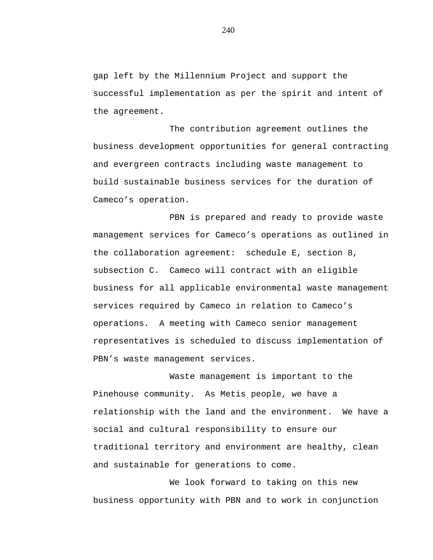gap left by the Millennium Project and support the successful implementation as per the spirit and intent of the agreement.

The contribution agreement outlines the business development opportunities for general contracting and evergreen contracts including waste management to build sustainable business services for the duration of Cameco's operation.

PBN is prepared and ready to provide waste management services for Cameco's operations as outlined in the collaboration agreement: schedule E, section 8, subsection C. Cameco will contract with an eligible business for all applicable environmental waste management services required by Cameco in relation to Cameco's operations. A meeting with Cameco senior management representatives is scheduled to discuss implementation of PBN's waste management services.

Waste management is important to the Pinehouse community. As Metis people, we have a relationship with the land and the environment. We have a social and cultural responsibility to ensure our traditional territory and environment are healthy, clean and sustainable for generations to come.

We look forward to taking on this new business opportunity with PBN and to work in conjunction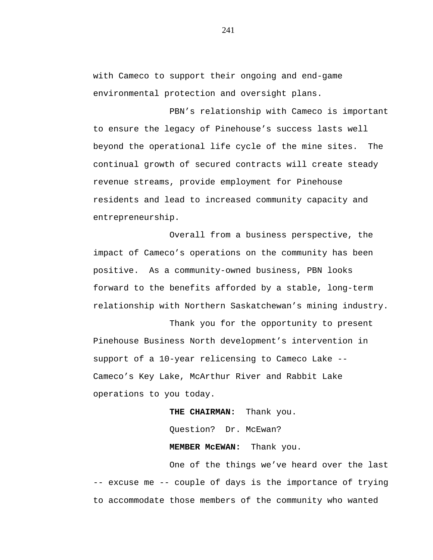with Cameco to support their ongoing and end-game environmental protection and oversight plans.

PBN's relationship with Cameco is important to ensure the legacy of Pinehouse's success lasts well beyond the operational life cycle of the mine sites. The continual growth of secured contracts will create steady revenue streams, provide employment for Pinehouse residents and lead to increased community capacity and entrepreneurship.

Overall from a business perspective, the impact of Cameco's operations on the community has been positive. As a community-owned business, PBN looks forward to the benefits afforded by a stable, long-term relationship with Northern Saskatchewan's mining industry.

Thank you for the opportunity to present Pinehouse Business North development's intervention in support of a 10-year relicensing to Cameco Lake -- Cameco's Key Lake, McArthur River and Rabbit Lake operations to you today.

> **THE CHAIRMAN:** Thank you. Question? Dr. McEwan?

**MEMBER McEWAN:** Thank you.

One of the things we've heard over the last -- excuse me -- couple of days is the importance of trying to accommodate those members of the community who wanted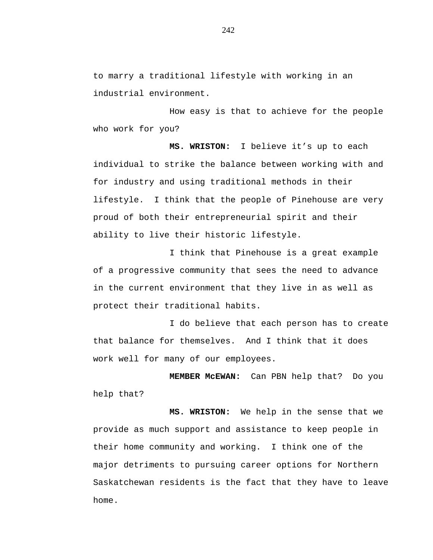to marry a traditional lifestyle with working in an industrial environment.

How easy is that to achieve for the people who work for you?

**MS. WRISTON:** I believe it's up to each individual to strike the balance between working with and for industry and using traditional methods in their lifestyle. I think that the people of Pinehouse are very proud of both their entrepreneurial spirit and their ability to live their historic lifestyle.

I think that Pinehouse is a great example of a progressive community that sees the need to advance in the current environment that they live in as well as protect their traditional habits.

I do believe that each person has to create that balance for themselves. And I think that it does work well for many of our employees.

**MEMBER McEWAN:** Can PBN help that? Do you help that?

**MS. WRISTON:** We help in the sense that we provide as much support and assistance to keep people in their home community and working. I think one of the major detriments to pursuing career options for Northern Saskatchewan residents is the fact that they have to leave home.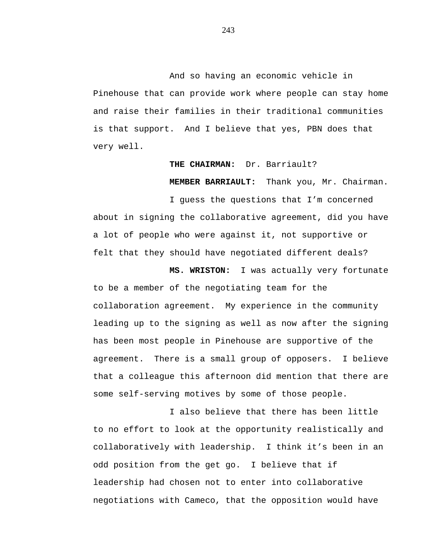And so having an economic vehicle in Pinehouse that can provide work where people can stay home and raise their families in their traditional communities is that support. And I believe that yes, PBN does that very well.

## **THE CHAIRMAN:** Dr. Barriault?

**MEMBER BARRIAULT:** Thank you, Mr. Chairman.

I guess the questions that I'm concerned about in signing the collaborative agreement, did you have a lot of people who were against it, not supportive or felt that they should have negotiated different deals?

**MS. WRISTON:** I was actually very fortunate to be a member of the negotiating team for the collaboration agreement. My experience in the community leading up to the signing as well as now after the signing has been most people in Pinehouse are supportive of the agreement. There is a small group of opposers. I believe that a colleague this afternoon did mention that there are some self-serving motives by some of those people.

I also believe that there has been little to no effort to look at the opportunity realistically and collaboratively with leadership. I think it's been in an odd position from the get go. I believe that if leadership had chosen not to enter into collaborative negotiations with Cameco, that the opposition would have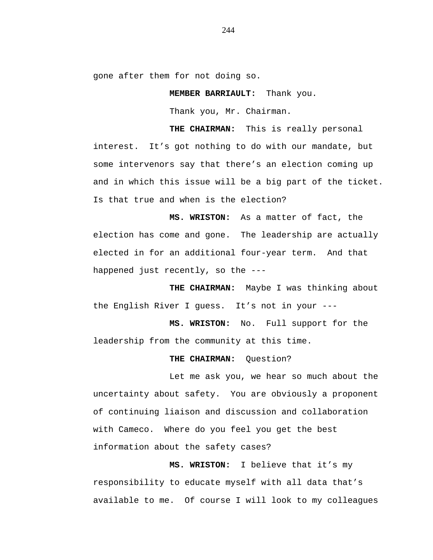gone after them for not doing so.

**MEMBER BARRIAULT:** Thank you.

Thank you, Mr. Chairman.

**THE CHAIRMAN:** This is really personal

interest. It's got nothing to do with our mandate, but some intervenors say that there's an election coming up and in which this issue will be a big part of the ticket. Is that true and when is the election?

**MS. WRISTON:** As a matter of fact, the election has come and gone. The leadership are actually elected in for an additional four-year term. And that happened just recently, so the ---

**THE CHAIRMAN:** Maybe I was thinking about the English River I guess. It's not in your ---

**MS. WRISTON:** No. Full support for the leadership from the community at this time.

### THE CHAIRMAN: Ouestion?

Let me ask you, we hear so much about the uncertainty about safety. You are obviously a proponent of continuing liaison and discussion and collaboration with Cameco. Where do you feel you get the best information about the safety cases?

**MS. WRISTON:** I believe that it's my responsibility to educate myself with all data that's available to me. Of course I will look to my colleagues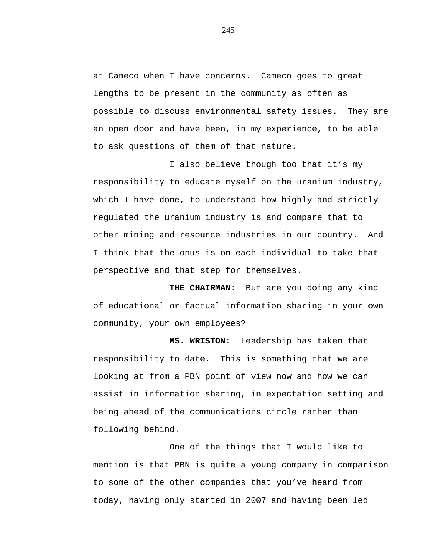at Cameco when I have concerns. Cameco goes to great lengths to be present in the community as often as possible to discuss environmental safety issues. They are an open door and have been, in my experience, to be able to ask questions of them of that nature.

I also believe though too that it's my responsibility to educate myself on the uranium industry, which I have done, to understand how highly and strictly regulated the uranium industry is and compare that to other mining and resource industries in our country. And I think that the onus is on each individual to take that perspective and that step for themselves.

**THE CHAIRMAN:** But are you doing any kind of educational or factual information sharing in your own community, your own employees?

**MS. WRISTON:** Leadership has taken that responsibility to date. This is something that we are looking at from a PBN point of view now and how we can assist in information sharing, in expectation setting and being ahead of the communications circle rather than following behind.

One of the things that I would like to mention is that PBN is quite a young company in comparison to some of the other companies that you've heard from today, having only started in 2007 and having been led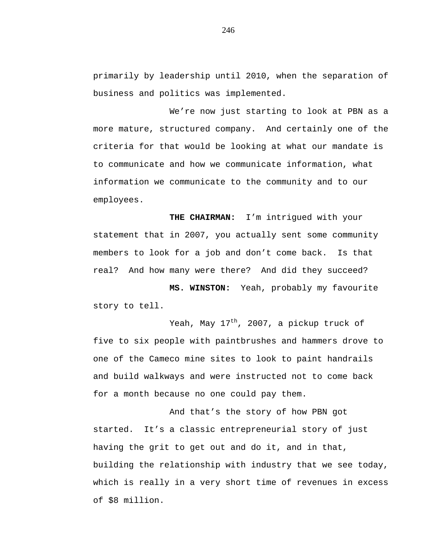primarily by leadership until 2010, when the separation of business and politics was implemented.

We're now just starting to look at PBN as a more mature, structured company. And certainly one of the criteria for that would be looking at what our mandate is to communicate and how we communicate information, what information we communicate to the community and to our employees.

**THE CHAIRMAN:** I'm intrigued with your statement that in 2007, you actually sent some community members to look for a job and don't come back. Is that real? And how many were there? And did they succeed?

**MS. WINSTON:** Yeah, probably my favourite story to tell.

Yeah, May  $17<sup>th</sup>$ , 2007, a pickup truck of five to six people with paintbrushes and hammers drove to one of the Cameco mine sites to look to paint handrails and build walkways and were instructed not to come back for a month because no one could pay them.

And that's the story of how PBN got started. It's a classic entrepreneurial story of just having the grit to get out and do it, and in that, building the relationship with industry that we see today, which is really in a very short time of revenues in excess of \$8 million.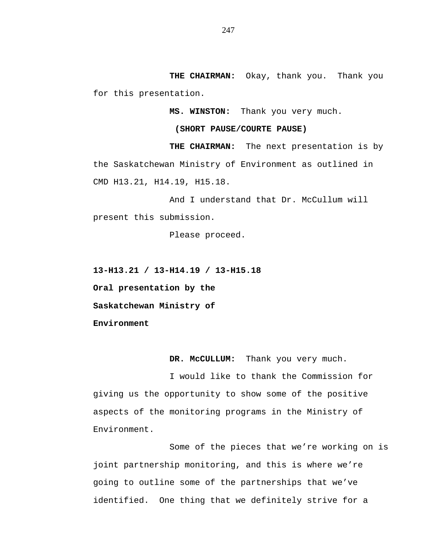**THE CHAIRMAN:** Okay, thank you. Thank you for this presentation.

**MS. WINSTON:** Thank you very much.

### **(SHORT PAUSE/COURTE PAUSE)**

**THE CHAIRMAN:** The next presentation is by the Saskatchewan Ministry of Environment as outlined in CMD H13.21, H14.19, H15.18.

And I understand that Dr. McCullum will present this submission.

Please proceed.

**13-H13.21 / 13-H14.19 / 13-H15.18**

**Oral presentation by the**

**Saskatchewan Ministry of**

**Environment**

**DR. McCULLUM:** Thank you very much.

I would like to thank the Commission for giving us the opportunity to show some of the positive aspects of the monitoring programs in the Ministry of Environment.

Some of the pieces that we're working on is joint partnership monitoring, and this is where we're going to outline some of the partnerships that we've identified. One thing that we definitely strive for a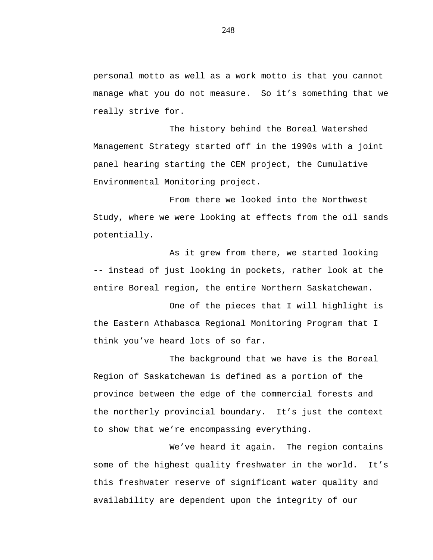personal motto as well as a work motto is that you cannot manage what you do not measure. So it's something that we really strive for.

The history behind the Boreal Watershed Management Strategy started off in the 1990s with a joint panel hearing starting the CEM project, the Cumulative Environmental Monitoring project.

From there we looked into the Northwest Study, where we were looking at effects from the oil sands potentially.

As it grew from there, we started looking -- instead of just looking in pockets, rather look at the entire Boreal region, the entire Northern Saskatchewan.

One of the pieces that I will highlight is the Eastern Athabasca Regional Monitoring Program that I think you've heard lots of so far.

The background that we have is the Boreal Region of Saskatchewan is defined as a portion of the province between the edge of the commercial forests and the northerly provincial boundary. It's just the context to show that we're encompassing everything.

We've heard it again. The region contains some of the highest quality freshwater in the world. It's this freshwater reserve of significant water quality and availability are dependent upon the integrity of our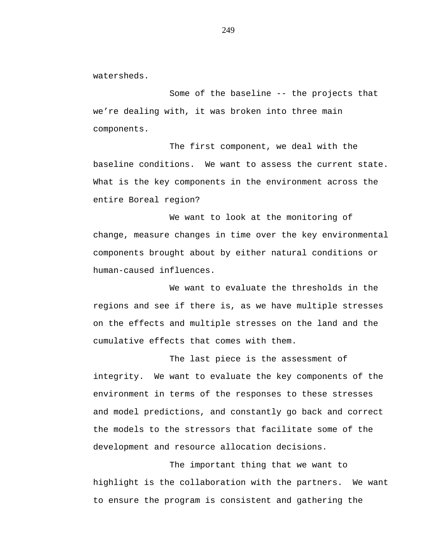watersheds.

Some of the baseline -- the projects that we're dealing with, it was broken into three main components.

The first component, we deal with the baseline conditions. We want to assess the current state. What is the key components in the environment across the entire Boreal region?

We want to look at the monitoring of change, measure changes in time over the key environmental components brought about by either natural conditions or human-caused influences.

We want to evaluate the thresholds in the regions and see if there is, as we have multiple stresses on the effects and multiple stresses on the land and the cumulative effects that comes with them.

The last piece is the assessment of integrity. We want to evaluate the key components of the environment in terms of the responses to these stresses and model predictions, and constantly go back and correct the models to the stressors that facilitate some of the development and resource allocation decisions.

The important thing that we want to highlight is the collaboration with the partners. We want to ensure the program is consistent and gathering the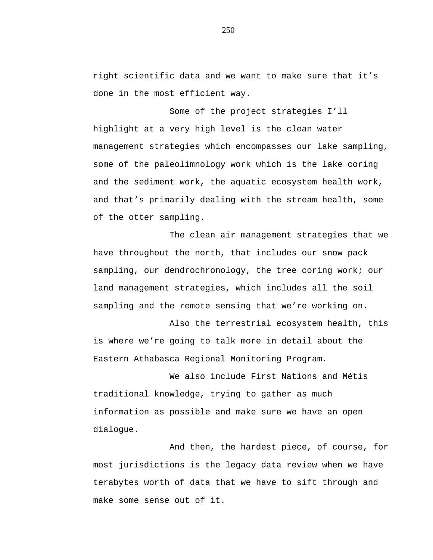right scientific data and we want to make sure that it's done in the most efficient way.

Some of the project strategies I'll highlight at a very high level is the clean water management strategies which encompasses our lake sampling, some of the paleolimnology work which is the lake coring and the sediment work, the aquatic ecosystem health work, and that's primarily dealing with the stream health, some of the otter sampling.

The clean air management strategies that we have throughout the north, that includes our snow pack sampling, our dendrochronology, the tree coring work; our land management strategies, which includes all the soil sampling and the remote sensing that we're working on.

Also the terrestrial ecosystem health, this is where we're going to talk more in detail about the Eastern Athabasca Regional Monitoring Program.

We also include First Nations and Métis traditional knowledge, trying to gather as much information as possible and make sure we have an open dialogue.

And then, the hardest piece, of course, for most jurisdictions is the legacy data review when we have terabytes worth of data that we have to sift through and make some sense out of it.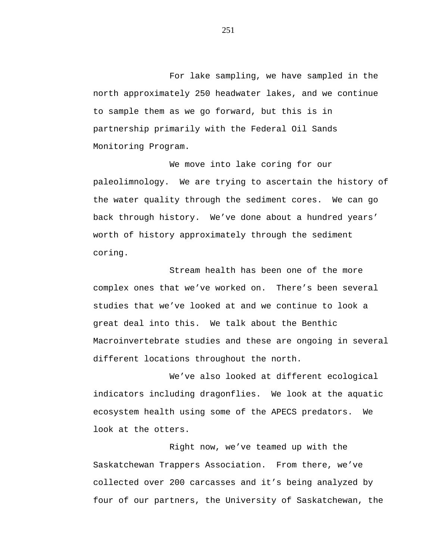For lake sampling, we have sampled in the north approximately 250 headwater lakes, and we continue to sample them as we go forward, but this is in partnership primarily with the Federal Oil Sands Monitoring Program.

We move into lake coring for our paleolimnology. We are trying to ascertain the history of the water quality through the sediment cores. We can go back through history. We've done about a hundred years' worth of history approximately through the sediment coring.

Stream health has been one of the more complex ones that we've worked on. There's been several studies that we've looked at and we continue to look a great deal into this. We talk about the Benthic Macroinvertebrate studies and these are ongoing in several different locations throughout the north.

We've also looked at different ecological indicators including dragonflies. We look at the aquatic ecosystem health using some of the APECS predators. We look at the otters.

Right now, we've teamed up with the Saskatchewan Trappers Association. From there, we've collected over 200 carcasses and it's being analyzed by four of our partners, the University of Saskatchewan, the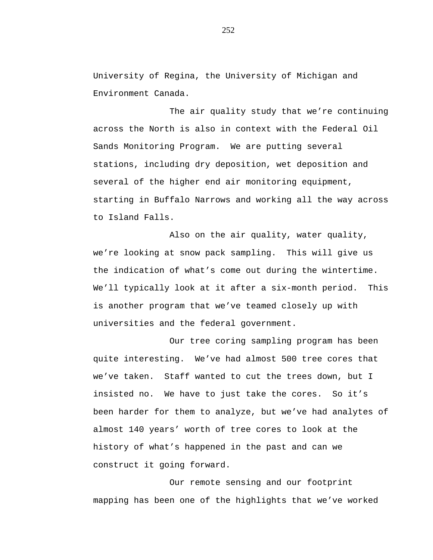University of Regina, the University of Michigan and Environment Canada.

The air quality study that we're continuing across the North is also in context with the Federal Oil Sands Monitoring Program. We are putting several stations, including dry deposition, wet deposition and several of the higher end air monitoring equipment, starting in Buffalo Narrows and working all the way across to Island Falls.

Also on the air quality, water quality, we're looking at snow pack sampling. This will give us the indication of what's come out during the wintertime. We'll typically look at it after a six-month period. This is another program that we've teamed closely up with universities and the federal government.

Our tree coring sampling program has been quite interesting. We've had almost 500 tree cores that we've taken. Staff wanted to cut the trees down, but I insisted no. We have to just take the cores. So it's been harder for them to analyze, but we've had analytes of almost 140 years' worth of tree cores to look at the history of what's happened in the past and can we construct it going forward.

Our remote sensing and our footprint mapping has been one of the highlights that we've worked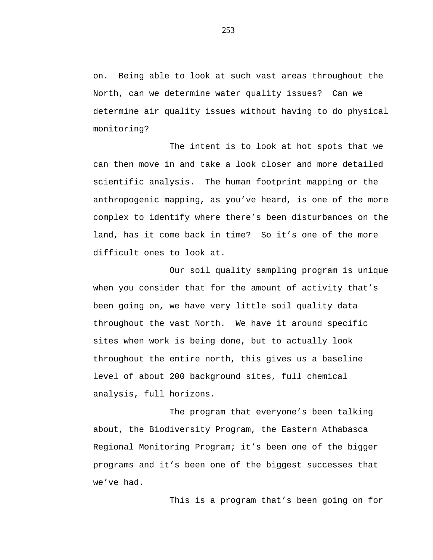on. Being able to look at such vast areas throughout the North, can we determine water quality issues? Can we determine air quality issues without having to do physical monitoring?

The intent is to look at hot spots that we can then move in and take a look closer and more detailed scientific analysis. The human footprint mapping or the anthropogenic mapping, as you've heard, is one of the more complex to identify where there's been disturbances on the land, has it come back in time? So it's one of the more difficult ones to look at.

Our soil quality sampling program is unique when you consider that for the amount of activity that's been going on, we have very little soil quality data throughout the vast North. We have it around specific sites when work is being done, but to actually look throughout the entire north, this gives us a baseline level of about 200 background sites, full chemical analysis, full horizons.

The program that everyone's been talking about, the Biodiversity Program, the Eastern Athabasca Regional Monitoring Program; it's been one of the bigger programs and it's been one of the biggest successes that we've had.

This is a program that's been going on for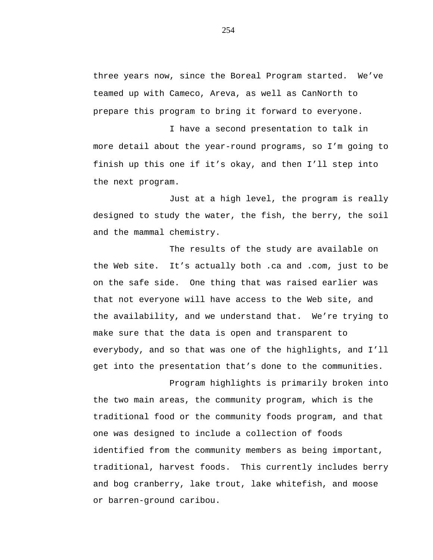three years now, since the Boreal Program started. We've teamed up with Cameco, Areva, as well as CanNorth to prepare this program to bring it forward to everyone.

I have a second presentation to talk in more detail about the year-round programs, so I'm going to finish up this one if it's okay, and then I'll step into the next program.

Just at a high level, the program is really designed to study the water, the fish, the berry, the soil and the mammal chemistry.

The results of the study are available on the Web site. It's actually both .ca and .com, just to be on the safe side. One thing that was raised earlier was that not everyone will have access to the Web site, and the availability, and we understand that. We're trying to make sure that the data is open and transparent to everybody, and so that was one of the highlights, and I'll get into the presentation that's done to the communities.

Program highlights is primarily broken into the two main areas, the community program, which is the traditional food or the community foods program, and that one was designed to include a collection of foods identified from the community members as being important, traditional, harvest foods. This currently includes berry and bog cranberry, lake trout, lake whitefish, and moose or barren-ground caribou.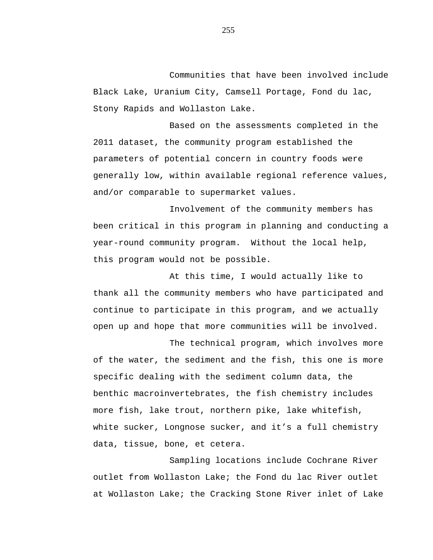Communities that have been involved include Black Lake, Uranium City, Camsell Portage, Fond du lac, Stony Rapids and Wollaston Lake.

Based on the assessments completed in the 2011 dataset, the community program established the parameters of potential concern in country foods were generally low, within available regional reference values, and/or comparable to supermarket values.

Involvement of the community members has been critical in this program in planning and conducting a year-round community program. Without the local help, this program would not be possible.

At this time, I would actually like to thank all the community members who have participated and continue to participate in this program, and we actually open up and hope that more communities will be involved.

The technical program, which involves more of the water, the sediment and the fish, this one is more specific dealing with the sediment column data, the benthic macroinvertebrates, the fish chemistry includes more fish, lake trout, northern pike, lake whitefish, white sucker, Longnose sucker, and it's a full chemistry data, tissue, bone, et cetera.

Sampling locations include Cochrane River outlet from Wollaston Lake; the Fond du lac River outlet at Wollaston Lake; the Cracking Stone River inlet of Lake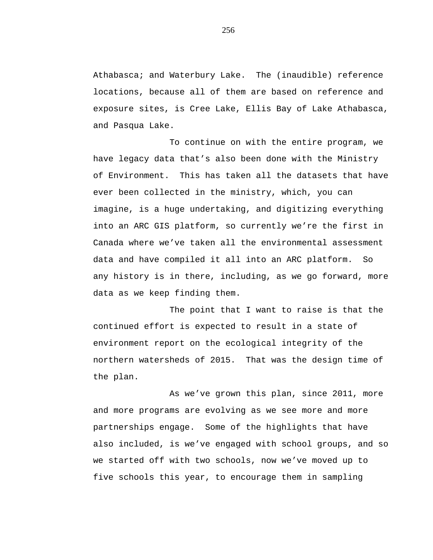Athabasca; and Waterbury Lake. The (inaudible) reference locations, because all of them are based on reference and exposure sites, is Cree Lake, Ellis Bay of Lake Athabasca, and Pasqua Lake.

To continue on with the entire program, we have legacy data that's also been done with the Ministry of Environment. This has taken all the datasets that have ever been collected in the ministry, which, you can imagine, is a huge undertaking, and digitizing everything into an ARC GIS platform, so currently we're the first in Canada where we've taken all the environmental assessment data and have compiled it all into an ARC platform. So any history is in there, including, as we go forward, more data as we keep finding them.

The point that I want to raise is that the continued effort is expected to result in a state of environment report on the ecological integrity of the northern watersheds of 2015. That was the design time of the plan.

As we've grown this plan, since 2011, more and more programs are evolving as we see more and more partnerships engage. Some of the highlights that have also included, is we've engaged with school groups, and so we started off with two schools, now we've moved up to five schools this year, to encourage them in sampling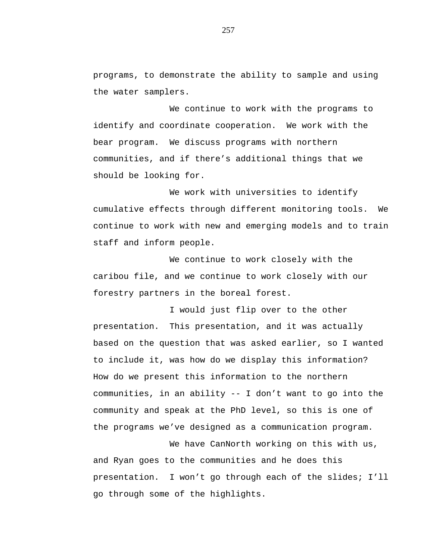programs, to demonstrate the ability to sample and using the water samplers.

We continue to work with the programs to identify and coordinate cooperation. We work with the bear program. We discuss programs with northern communities, and if there's additional things that we should be looking for.

We work with universities to identify cumulative effects through different monitoring tools. We continue to work with new and emerging models and to train staff and inform people.

We continue to work closely with the caribou file, and we continue to work closely with our forestry partners in the boreal forest.

I would just flip over to the other presentation. This presentation, and it was actually based on the question that was asked earlier, so I wanted to include it, was how do we display this information? How do we present this information to the northern communities, in an ability -- I don't want to go into the community and speak at the PhD level, so this is one of the programs we've designed as a communication program.

We have CanNorth working on this with us, and Ryan goes to the communities and he does this presentation. I won't go through each of the slides; I'll go through some of the highlights.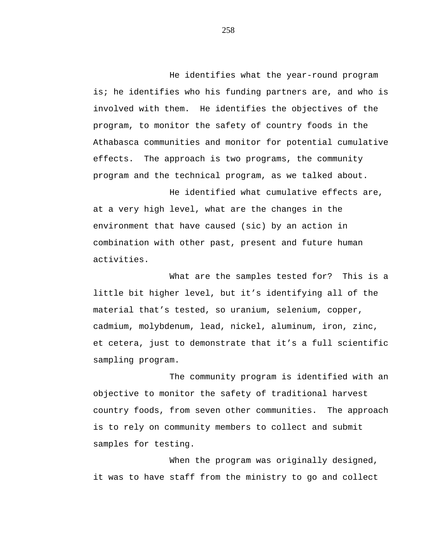He identifies what the year-round program is; he identifies who his funding partners are, and who is involved with them. He identifies the objectives of the program, to monitor the safety of country foods in the Athabasca communities and monitor for potential cumulative effects. The approach is two programs, the community program and the technical program, as we talked about.

He identified what cumulative effects are, at a very high level, what are the changes in the environment that have caused (sic) by an action in combination with other past, present and future human activities.

What are the samples tested for? This is a little bit higher level, but it's identifying all of the material that's tested, so uranium, selenium, copper, cadmium, molybdenum, lead, nickel, aluminum, iron, zinc, et cetera, just to demonstrate that it's a full scientific sampling program.

The community program is identified with an objective to monitor the safety of traditional harvest country foods, from seven other communities. The approach is to rely on community members to collect and submit samples for testing.

When the program was originally designed, it was to have staff from the ministry to go and collect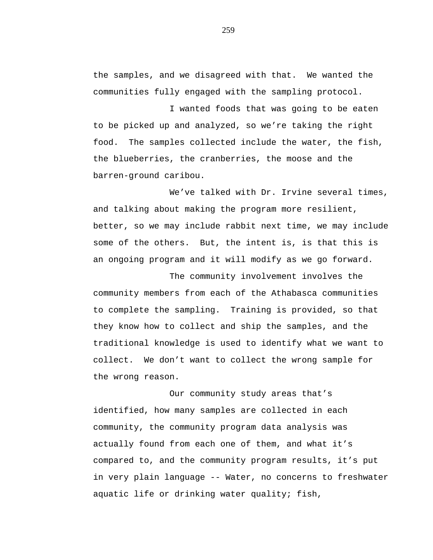the samples, and we disagreed with that. We wanted the communities fully engaged with the sampling protocol.

I wanted foods that was going to be eaten to be picked up and analyzed, so we're taking the right food. The samples collected include the water, the fish, the blueberries, the cranberries, the moose and the barren-ground caribou.

We've talked with Dr. Irvine several times, and talking about making the program more resilient, better, so we may include rabbit next time, we may include some of the others. But, the intent is, is that this is an ongoing program and it will modify as we go forward.

The community involvement involves the community members from each of the Athabasca communities to complete the sampling. Training is provided, so that they know how to collect and ship the samples, and the traditional knowledge is used to identify what we want to collect. We don't want to collect the wrong sample for the wrong reason.

Our community study areas that's identified, how many samples are collected in each community, the community program data analysis was actually found from each one of them, and what it's compared to, and the community program results, it's put in very plain language -- Water, no concerns to freshwater aquatic life or drinking water quality; fish,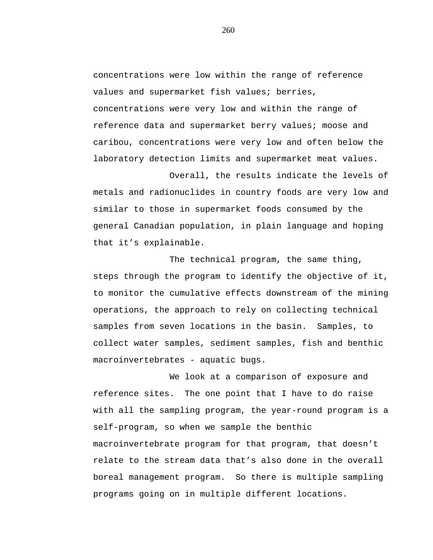concentrations were low within the range of reference values and supermarket fish values; berries, concentrations were very low and within the range of reference data and supermarket berry values; moose and caribou, concentrations were very low and often below the laboratory detection limits and supermarket meat values.

Overall, the results indicate the levels of metals and radionuclides in country foods are very low and similar to those in supermarket foods consumed by the general Canadian population, in plain language and hoping that it's explainable.

The technical program, the same thing, steps through the program to identify the objective of it, to monitor the cumulative effects downstream of the mining operations, the approach to rely on collecting technical samples from seven locations in the basin. Samples, to collect water samples, sediment samples, fish and benthic macroinvertebrates - aquatic bugs.

We look at a comparison of exposure and reference sites. The one point that I have to do raise with all the sampling program, the year-round program is a self-program, so when we sample the benthic macroinvertebrate program for that program, that doesn't relate to the stream data that's also done in the overall boreal management program. So there is multiple sampling programs going on in multiple different locations.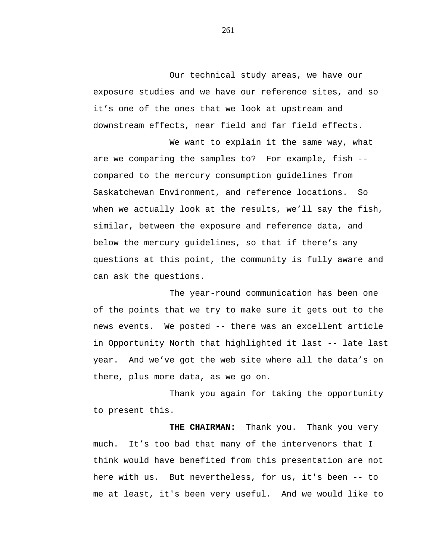Our technical study areas, we have our exposure studies and we have our reference sites, and so it's one of the ones that we look at upstream and downstream effects, near field and far field effects.

We want to explain it the same way, what are we comparing the samples to? For example, fish - compared to the mercury consumption guidelines from Saskatchewan Environment, and reference locations. So when we actually look at the results, we'll say the fish, similar, between the exposure and reference data, and below the mercury guidelines, so that if there's any questions at this point, the community is fully aware and can ask the questions.

The year-round communication has been one of the points that we try to make sure it gets out to the news events. We posted -- there was an excellent article in Opportunity North that highlighted it last -- late last year. And we've got the web site where all the data's on there, plus more data, as we go on.

Thank you again for taking the opportunity to present this.

**THE CHAIRMAN:** Thank you. Thank you very much. It's too bad that many of the intervenors that I think would have benefited from this presentation are not here with us. But nevertheless, for us, it's been -- to me at least, it's been very useful. And we would like to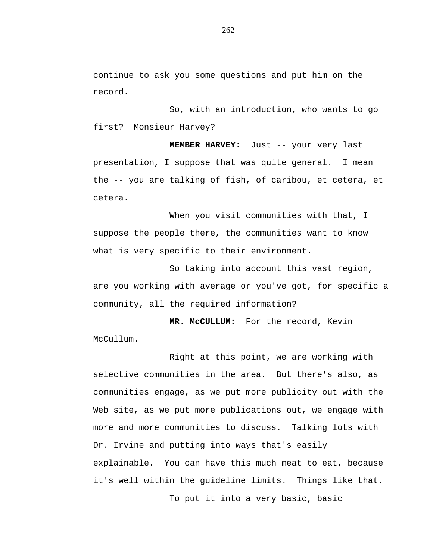continue to ask you some questions and put him on the record.

So, with an introduction, who wants to go first? Monsieur Harvey?

**MEMBER HARVEY:** Just -- your very last presentation, I suppose that was quite general. I mean the -- you are talking of fish, of caribou, et cetera, et cetera.

When you visit communities with that, I suppose the people there, the communities want to know what is very specific to their environment.

So taking into account this vast region, are you working with average or you've got, for specific a community, all the required information?

**MR. McCULLUM:** For the record, Kevin McCullum.

Right at this point, we are working with selective communities in the area. But there's also, as communities engage, as we put more publicity out with the Web site, as we put more publications out, we engage with more and more communities to discuss. Talking lots with Dr. Irvine and putting into ways that's easily explainable. You can have this much meat to eat, because it's well within the guideline limits. Things like that. To put it into a very basic, basic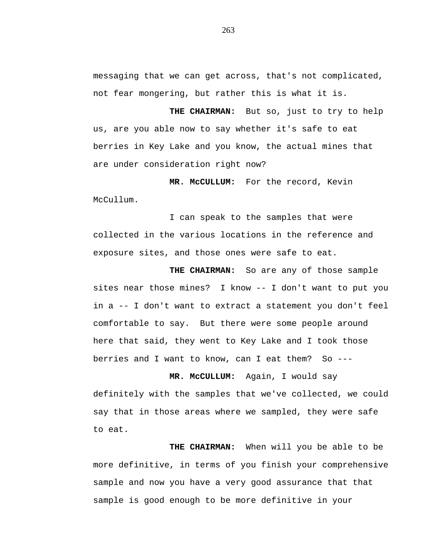messaging that we can get across, that's not complicated, not fear mongering, but rather this is what it is.

**THE CHAIRMAN:** But so, just to try to help us, are you able now to say whether it's safe to eat berries in Key Lake and you know, the actual mines that are under consideration right now?

**MR. McCULLUM:** For the record, Kevin McCullum.

I can speak to the samples that were collected in the various locations in the reference and exposure sites, and those ones were safe to eat.

**THE CHAIRMAN:** So are any of those sample sites near those mines? I know -- I don't want to put you in a -- I don't want to extract a statement you don't feel comfortable to say. But there were some people around here that said, they went to Key Lake and I took those berries and I want to know, can I eat them? So ---

**MR. McCULLUM:** Again, I would say definitely with the samples that we've collected, we could say that in those areas where we sampled, they were safe to eat.

**THE CHAIRMAN:** When will you be able to be more definitive, in terms of you finish your comprehensive sample and now you have a very good assurance that that sample is good enough to be more definitive in your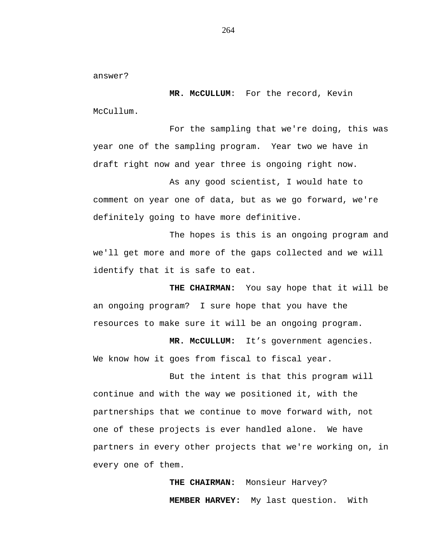answer?

**MR. McCULLUM**: For the record, Kevin McCullum.

For the sampling that we're doing, this was year one of the sampling program. Year two we have in draft right now and year three is ongoing right now.

As any good scientist, I would hate to comment on year one of data, but as we go forward, we're definitely going to have more definitive.

The hopes is this is an ongoing program and we'll get more and more of the gaps collected and we will identify that it is safe to eat.

**THE CHAIRMAN:** You say hope that it will be an ongoing program? I sure hope that you have the resources to make sure it will be an ongoing program.

**MR. McCULLUM:** It's government agencies. We know how it goes from fiscal to fiscal year.

But the intent is that this program will continue and with the way we positioned it, with the partnerships that we continue to move forward with, not one of these projects is ever handled alone. We have partners in every other projects that we're working on, in every one of them.

> **THE CHAIRMAN:** Monsieur Harvey? **MEMBER HARVEY:** My last question. With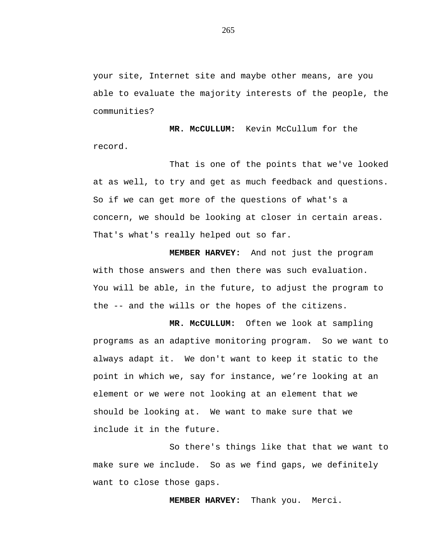your site, Internet site and maybe other means, are you able to evaluate the majority interests of the people, the communities?

**MR. McCULLUM:** Kevin McCullum for the record.

That is one of the points that we've looked at as well, to try and get as much feedback and questions. So if we can get more of the questions of what's a concern, we should be looking at closer in certain areas. That's what's really helped out so far.

**MEMBER HARVEY:** And not just the program with those answers and then there was such evaluation. You will be able, in the future, to adjust the program to the -- and the wills or the hopes of the citizens.

**MR. McCULLUM:** Often we look at sampling programs as an adaptive monitoring program. So we want to always adapt it. We don't want to keep it static to the point in which we, say for instance, we're looking at an element or we were not looking at an element that we should be looking at. We want to make sure that we include it in the future.

So there's things like that that we want to make sure we include. So as we find gaps, we definitely want to close those gaps.

**MEMBER HARVEY:** Thank you. Merci.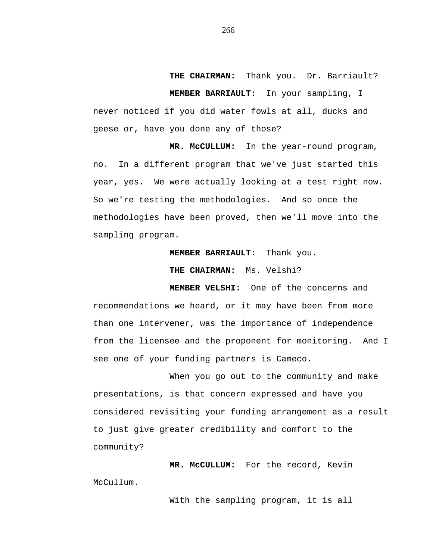**THE CHAIRMAN:** Thank you. Dr. Barriault? **MEMBER BARRIAULT:** In your sampling, I never noticed if you did water fowls at all, ducks and geese or, have you done any of those?

**MR. McCULLUM:** In the year-round program, no. In a different program that we've just started this year, yes. We were actually looking at a test right now. So we're testing the methodologies. And so once the methodologies have been proved, then we'll move into the sampling program.

**MEMBER BARRIAULT:** Thank you.

**THE CHAIRMAN:** Ms. Velshi?

**MEMBER VELSHI:** One of the concerns and recommendations we heard, or it may have been from more than one intervener, was the importance of independence from the licensee and the proponent for monitoring. And I see one of your funding partners is Cameco.

When you go out to the community and make presentations, is that concern expressed and have you considered revisiting your funding arrangement as a result to just give greater credibility and comfort to the community?

**MR. McCULLUM:** For the record, Kevin McCullum.

With the sampling program, it is all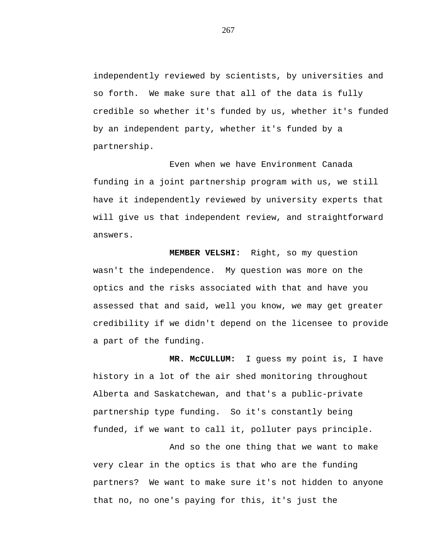independently reviewed by scientists, by universities and so forth. We make sure that all of the data is fully credible so whether it's funded by us, whether it's funded by an independent party, whether it's funded by a partnership.

Even when we have Environment Canada funding in a joint partnership program with us, we still have it independently reviewed by university experts that will give us that independent review, and straightforward answers.

**MEMBER VELSHI:** Right, so my question wasn't the independence. My question was more on the optics and the risks associated with that and have you assessed that and said, well you know, we may get greater credibility if we didn't depend on the licensee to provide a part of the funding.

**MR. McCULLUM:** I guess my point is, I have history in a lot of the air shed monitoring throughout Alberta and Saskatchewan, and that's a public-private partnership type funding. So it's constantly being funded, if we want to call it, polluter pays principle.

And so the one thing that we want to make very clear in the optics is that who are the funding partners? We want to make sure it's not hidden to anyone that no, no one's paying for this, it's just the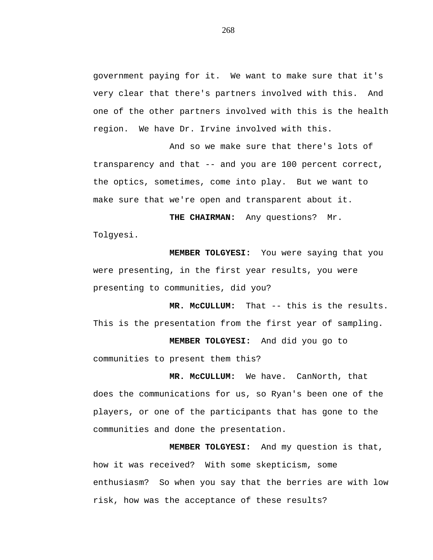government paying for it. We want to make sure that it's very clear that there's partners involved with this. And one of the other partners involved with this is the health region. We have Dr. Irvine involved with this.

And so we make sure that there's lots of transparency and that -- and you are 100 percent correct, the optics, sometimes, come into play. But we want to make sure that we're open and transparent about it.

**THE CHAIRMAN:** Any questions? Mr. Tolgyesi.

**MEMBER TOLGYESI:** You were saying that you were presenting, in the first year results, you were presenting to communities, did you?

**MR. McCULLUM:** That -- this is the results. This is the presentation from the first year of sampling.

**MEMBER TOLGYESI:** And did you go to communities to present them this?

**MR. McCULLUM:** We have. CanNorth, that does the communications for us, so Ryan's been one of the players, or one of the participants that has gone to the communities and done the presentation.

**MEMBER TOLGYESI:** And my question is that, how it was received? With some skepticism, some enthusiasm? So when you say that the berries are with low risk, how was the acceptance of these results?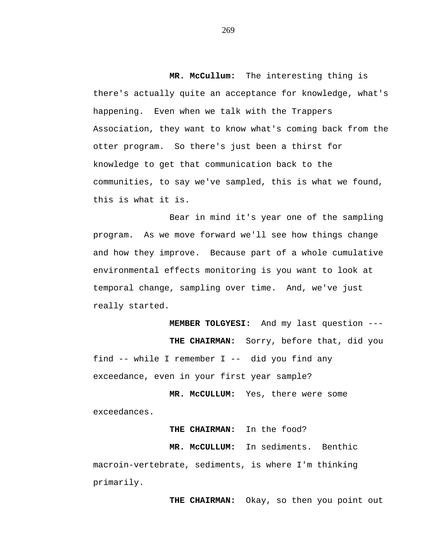**MR. McCullum:** The interesting thing is there's actually quite an acceptance for knowledge, what's happening. Even when we talk with the Trappers Association, they want to know what's coming back from the otter program. So there's just been a thirst for knowledge to get that communication back to the communities, to say we've sampled, this is what we found, this is what it is.

Bear in mind it's year one of the sampling program. As we move forward we'll see how things change and how they improve. Because part of a whole cumulative environmental effects monitoring is you want to look at temporal change, sampling over time. And, we've just really started.

**MEMBER TOLGYESI:** And my last question --- **THE CHAIRMAN:** Sorry, before that, did you find -- while I remember I -- did you find any exceedance, even in your first year sample?

**MR. McCULLUM:** Yes, there were some exceedances.

**THE CHAIRMAN:** In the food?

**MR. McCULLUM:** In sediments. Benthic macroin-vertebrate, sediments, is where I'm thinking primarily.

**THE CHAIRMAN:** Okay, so then you point out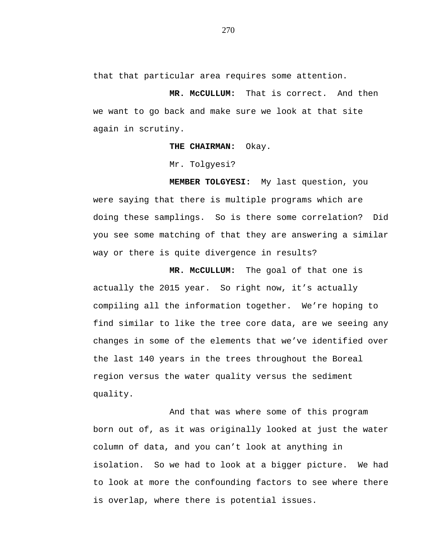that that particular area requires some attention.

**MR. McCULLUM:** That is correct. And then we want to go back and make sure we look at that site again in scrutiny.

**THE CHAIRMAN:** Okay.

Mr. Tolgyesi?

**MEMBER TOLGYESI:** My last question, you were saying that there is multiple programs which are doing these samplings. So is there some correlation? Did you see some matching of that they are answering a similar way or there is quite divergence in results?

**MR. McCULLUM:** The goal of that one is actually the 2015 year. So right now, it's actually compiling all the information together. We're hoping to find similar to like the tree core data, are we seeing any changes in some of the elements that we've identified over the last 140 years in the trees throughout the Boreal region versus the water quality versus the sediment quality.

And that was where some of this program born out of, as it was originally looked at just the water column of data, and you can't look at anything in isolation. So we had to look at a bigger picture. We had to look at more the confounding factors to see where there is overlap, where there is potential issues.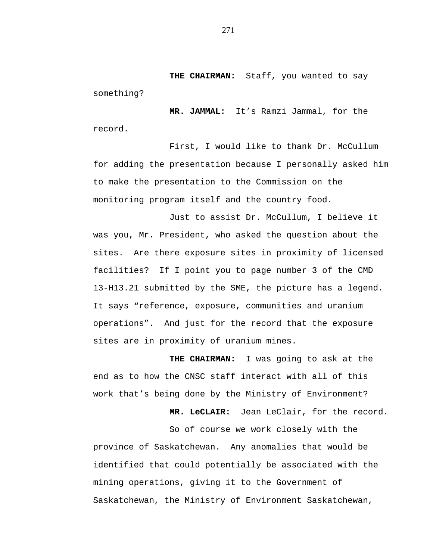**THE CHAIRMAN:** Staff, you wanted to say something?

**MR. JAMMAL:** It's Ramzi Jammal, for the record.

First, I would like to thank Dr. McCullum for adding the presentation because I personally asked him to make the presentation to the Commission on the monitoring program itself and the country food.

Just to assist Dr. McCullum, I believe it was you, Mr. President, who asked the question about the sites. Are there exposure sites in proximity of licensed facilities? If I point you to page number 3 of the CMD 13-H13.21 submitted by the SME, the picture has a legend. It says "reference, exposure, communities and uranium operations". And just for the record that the exposure sites are in proximity of uranium mines.

**THE CHAIRMAN:** I was going to ask at the end as to how the CNSC staff interact with all of this work that's being done by the Ministry of Environment?

**MR. LeCLAIR:** Jean LeClair, for the record.

So of course we work closely with the province of Saskatchewan. Any anomalies that would be identified that could potentially be associated with the mining operations, giving it to the Government of Saskatchewan, the Ministry of Environment Saskatchewan,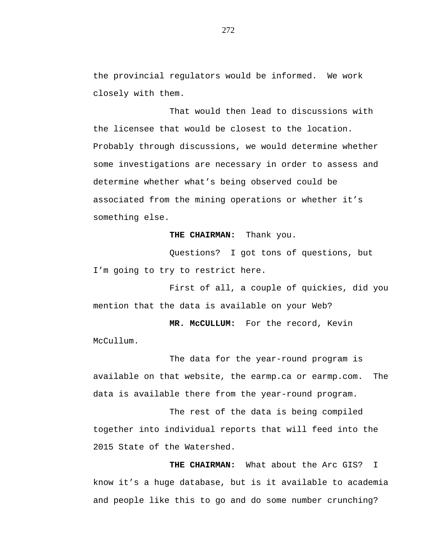the provincial regulators would be informed. We work closely with them.

That would then lead to discussions with the licensee that would be closest to the location. Probably through discussions, we would determine whether some investigations are necessary in order to assess and determine whether what's being observed could be associated from the mining operations or whether it's something else.

## **THE CHAIRMAN:** Thank you.

Questions? I got tons of questions, but I'm going to try to restrict here.

First of all, a couple of quickies, did you mention that the data is available on your Web?

**MR. McCULLUM:** For the record, Kevin McCullum.

The data for the year-round program is available on that website, the earmp.ca or earmp.com. The data is available there from the year-round program.

The rest of the data is being compiled together into individual reports that will feed into the 2015 State of the Watershed.

**THE CHAIRMAN:** What about the Arc GIS? I know it's a huge database, but is it available to academia and people like this to go and do some number crunching?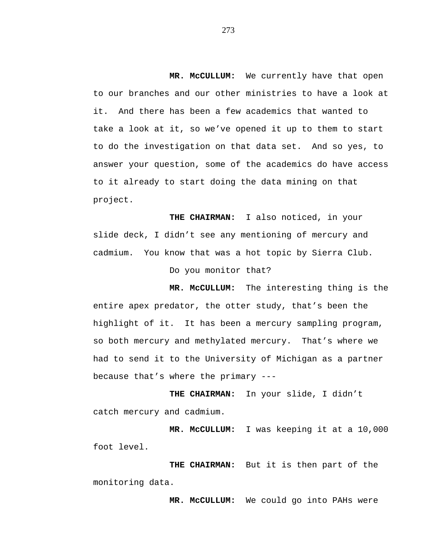**MR. McCULLUM:** We currently have that open to our branches and our other ministries to have a look at it. And there has been a few academics that wanted to take a look at it, so we've opened it up to them to start to do the investigation on that data set. And so yes, to answer your question, some of the academics do have access to it already to start doing the data mining on that project.

**THE CHAIRMAN:** I also noticed, in your slide deck, I didn't see any mentioning of mercury and cadmium. You know that was a hot topic by Sierra Club.

Do you monitor that?

**MR. McCULLUM:** The interesting thing is the entire apex predator, the otter study, that's been the highlight of it. It has been a mercury sampling program, so both mercury and methylated mercury. That's where we had to send it to the University of Michigan as a partner because that's where the primary ---

**THE CHAIRMAN:** In your slide, I didn't catch mercury and cadmium.

**MR. McCULLUM:** I was keeping it at a 10,000 foot level.

**THE CHAIRMAN:** But it is then part of the monitoring data.

**MR. McCULLUM:** We could go into PAHs were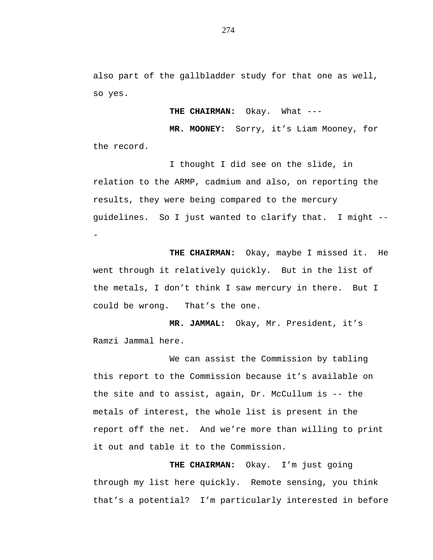also part of the gallbladder study for that one as well, so yes.

**THE CHAIRMAN:** Okay. What ---

**MR. MOONEY:** Sorry, it's Liam Mooney, for the record.

I thought I did see on the slide, in relation to the ARMP, cadmium and also, on reporting the results, they were being compared to the mercury guidelines. So I just wanted to clarify that. I might -- -

**THE CHAIRMAN:** Okay, maybe I missed it. He went through it relatively quickly. But in the list of the metals, I don't think I saw mercury in there. But I could be wrong. That's the one.

**MR. JAMMAL:** Okay, Mr. President, it's Ramzi Jammal here.

We can assist the Commission by tabling this report to the Commission because it's available on the site and to assist, again, Dr. McCullum is -- the metals of interest, the whole list is present in the report off the net. And we're more than willing to print it out and table it to the Commission.

**THE CHAIRMAN:** Okay. I'm just going through my list here quickly. Remote sensing, you think that's a potential? I'm particularly interested in before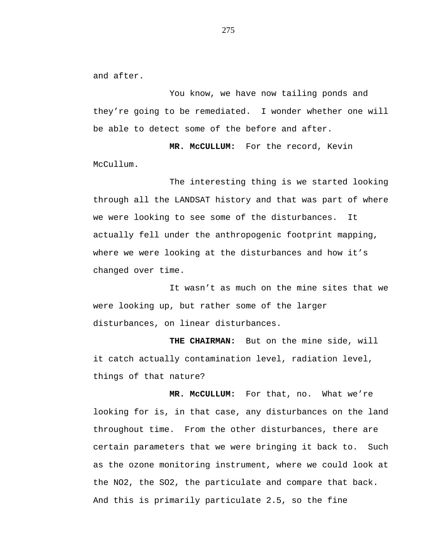and after.

You know, we have now tailing ponds and they're going to be remediated. I wonder whether one will be able to detect some of the before and after.

**MR. McCULLUM:** For the record, Kevin McCullum.

The interesting thing is we started looking through all the LANDSAT history and that was part of where we were looking to see some of the disturbances. It actually fell under the anthropogenic footprint mapping, where we were looking at the disturbances and how it's changed over time.

It wasn't as much on the mine sites that we were looking up, but rather some of the larger disturbances, on linear disturbances.

**THE CHAIRMAN:** But on the mine side, will it catch actually contamination level, radiation level, things of that nature?

**MR. McCULLUM:** For that, no. What we're looking for is, in that case, any disturbances on the land throughout time. From the other disturbances, there are certain parameters that we were bringing it back to. Such as the ozone monitoring instrument, where we could look at the NO2, the SO2, the particulate and compare that back. And this is primarily particulate 2.5, so the fine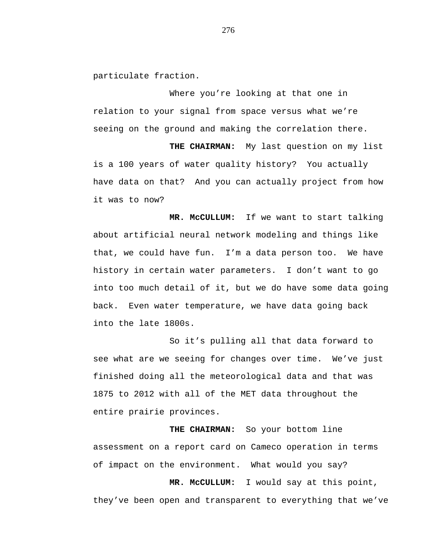particulate fraction.

Where you're looking at that one in relation to your signal from space versus what we're seeing on the ground and making the correlation there.

**THE CHAIRMAN:** My last question on my list is a 100 years of water quality history? You actually have data on that? And you can actually project from how it was to now?

**MR. McCULLUM:** If we want to start talking about artificial neural network modeling and things like that, we could have fun. I'm a data person too. We have history in certain water parameters. I don't want to go into too much detail of it, but we do have some data going back. Even water temperature, we have data going back into the late 1800s.

So it's pulling all that data forward to see what are we seeing for changes over time. We've just finished doing all the meteorological data and that was 1875 to 2012 with all of the MET data throughout the entire prairie provinces.

**THE CHAIRMAN:** So your bottom line assessment on a report card on Cameco operation in terms of impact on the environment. What would you say?

**MR. McCULLUM:** I would say at this point, they've been open and transparent to everything that we've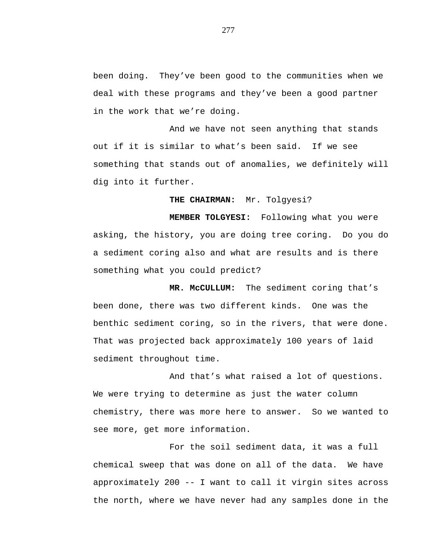been doing. They've been good to the communities when we deal with these programs and they've been a good partner in the work that we're doing.

And we have not seen anything that stands out if it is similar to what's been said. If we see something that stands out of anomalies, we definitely will dig into it further.

**THE CHAIRMAN:** Mr. Tolgyesi?

**MEMBER TOLGYESI:** Following what you were asking, the history, you are doing tree coring. Do you do a sediment coring also and what are results and is there something what you could predict?

**MR. McCULLUM:** The sediment coring that's been done, there was two different kinds. One was the benthic sediment coring, so in the rivers, that were done. That was projected back approximately 100 years of laid sediment throughout time.

And that's what raised a lot of questions. We were trying to determine as just the water column chemistry, there was more here to answer. So we wanted to see more, get more information.

For the soil sediment data, it was a full chemical sweep that was done on all of the data. We have approximately 200 -- I want to call it virgin sites across the north, where we have never had any samples done in the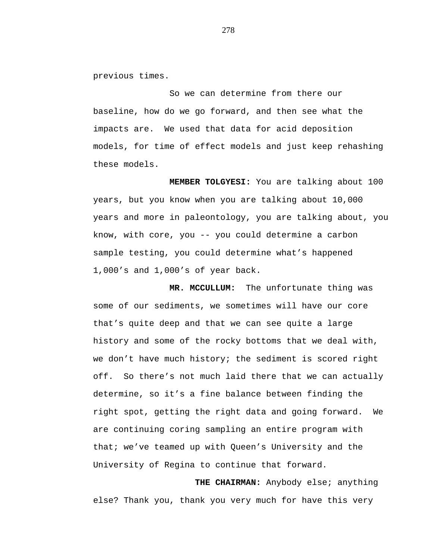previous times.

So we can determine from there our baseline, how do we go forward, and then see what the impacts are. We used that data for acid deposition models, for time of effect models and just keep rehashing these models.

**MEMBER TOLGYESI:** You are talking about 100 years, but you know when you are talking about 10,000 years and more in paleontology, you are talking about, you know, with core, you -- you could determine a carbon sample testing, you could determine what's happened 1,000's and 1,000's of year back.

**MR. MCCULLUM:** The unfortunate thing was some of our sediments, we sometimes will have our core that's quite deep and that we can see quite a large history and some of the rocky bottoms that we deal with, we don't have much history; the sediment is scored right off. So there's not much laid there that we can actually determine, so it's a fine balance between finding the right spot, getting the right data and going forward. We are continuing coring sampling an entire program with that; we've teamed up with Queen's University and the University of Regina to continue that forward.

**THE CHAIRMAN:** Anybody else; anything else? Thank you, thank you very much for have this very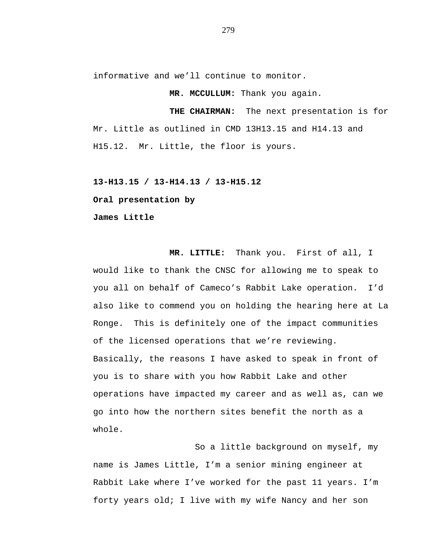informative and we'll continue to monitor.

**MR. MCCULLUM:** Thank you again.

**THE CHAIRMAN:** The next presentation is for Mr. Little as outlined in CMD 13H13.15 and H14.13 and H15.12. Mr. Little, the floor is yours.

**13-H13.15 / 13-H14.13 / 13-H15.12**

**Oral presentation by**

**James Little**

**MR. LITTLE:** Thank you. First of all, I would like to thank the CNSC for allowing me to speak to you all on behalf of Cameco's Rabbit Lake operation. I'd also like to commend you on holding the hearing here at La Ronge. This is definitely one of the impact communities of the licensed operations that we're reviewing. Basically, the reasons I have asked to speak in front of you is to share with you how Rabbit Lake and other operations have impacted my career and as well as, can we go into how the northern sites benefit the north as a whole.

So a little background on myself, my name is James Little, I'm a senior mining engineer at Rabbit Lake where I've worked for the past 11 years. I'm forty years old; I live with my wife Nancy and her son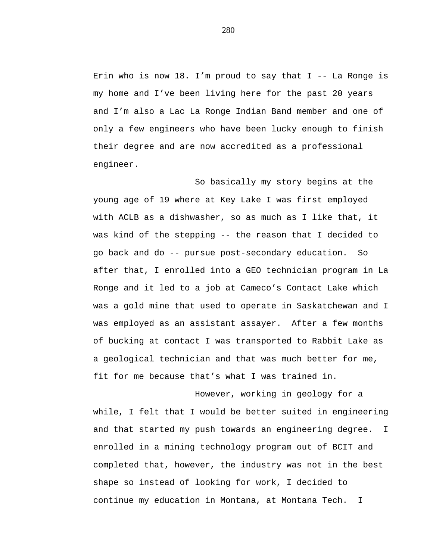Erin who is now 18. I'm proud to say that  $I$  -- La Ronge is my home and I've been living here for the past 20 years and I'm also a Lac La Ronge Indian Band member and one of only a few engineers who have been lucky enough to finish their degree and are now accredited as a professional engineer.

So basically my story begins at the young age of 19 where at Key Lake I was first employed with ACLB as a dishwasher, so as much as I like that, it was kind of the stepping -- the reason that I decided to go back and do -- pursue post-secondary education. So after that, I enrolled into a GEO technician program in La Ronge and it led to a job at Cameco's Contact Lake which was a gold mine that used to operate in Saskatchewan and I was employed as an assistant assayer. After a few months of bucking at contact I was transported to Rabbit Lake as a geological technician and that was much better for me, fit for me because that's what I was trained in.

However, working in geology for a while, I felt that I would be better suited in engineering and that started my push towards an engineering degree. I enrolled in a mining technology program out of BCIT and completed that, however, the industry was not in the best shape so instead of looking for work, I decided to continue my education in Montana, at Montana Tech. I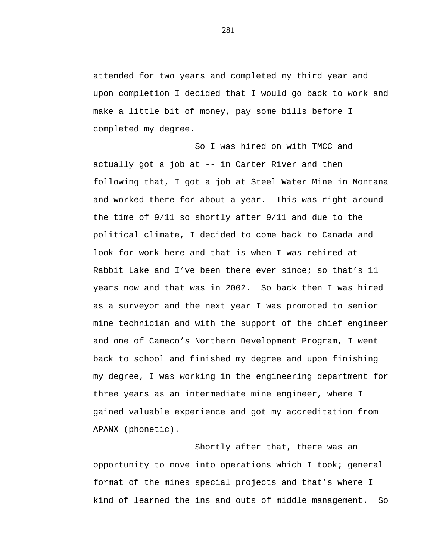attended for two years and completed my third year and upon completion I decided that I would go back to work and make a little bit of money, pay some bills before I completed my degree.

So I was hired on with TMCC and actually got a job at -- in Carter River and then following that, I got a job at Steel Water Mine in Montana and worked there for about a year. This was right around the time of 9/11 so shortly after 9/11 and due to the political climate, I decided to come back to Canada and look for work here and that is when I was rehired at Rabbit Lake and I've been there ever since; so that's 11 years now and that was in 2002. So back then I was hired as a surveyor and the next year I was promoted to senior mine technician and with the support of the chief engineer and one of Cameco's Northern Development Program, I went back to school and finished my degree and upon finishing my degree, I was working in the engineering department for three years as an intermediate mine engineer, where I gained valuable experience and got my accreditation from APANX (phonetic).

Shortly after that, there was an opportunity to move into operations which I took; general format of the mines special projects and that's where I kind of learned the ins and outs of middle management. So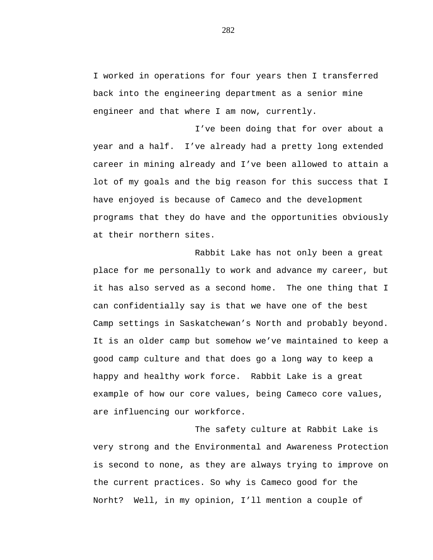I worked in operations for four years then I transferred back into the engineering department as a senior mine engineer and that where I am now, currently.

I've been doing that for over about a year and a half. I've already had a pretty long extended career in mining already and I've been allowed to attain a lot of my goals and the big reason for this success that I have enjoyed is because of Cameco and the development programs that they do have and the opportunities obviously at their northern sites.

Rabbit Lake has not only been a great place for me personally to work and advance my career, but it has also served as a second home. The one thing that I can confidentially say is that we have one of the best Camp settings in Saskatchewan's North and probably beyond. It is an older camp but somehow we've maintained to keep a good camp culture and that does go a long way to keep a happy and healthy work force. Rabbit Lake is a great example of how our core values, being Cameco core values, are influencing our workforce.

The safety culture at Rabbit Lake is very strong and the Environmental and Awareness Protection is second to none, as they are always trying to improve on the current practices. So why is Cameco good for the Norht? Well, in my opinion, I'll mention a couple of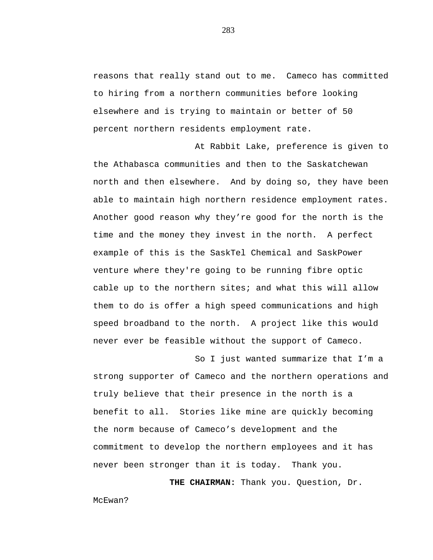reasons that really stand out to me. Cameco has committed to hiring from a northern communities before looking elsewhere and is trying to maintain or better of 50 percent northern residents employment rate.

At Rabbit Lake, preference is given to the Athabasca communities and then to the Saskatchewan north and then elsewhere. And by doing so, they have been able to maintain high northern residence employment rates. Another good reason why they're good for the north is the time and the money they invest in the north. A perfect example of this is the SaskTel Chemical and SaskPower venture where they're going to be running fibre optic cable up to the northern sites; and what this will allow them to do is offer a high speed communications and high speed broadband to the north. A project like this would never ever be feasible without the support of Cameco.

So I just wanted summarize that I'm a strong supporter of Cameco and the northern operations and truly believe that their presence in the north is a benefit to all. Stories like mine are quickly becoming the norm because of Cameco's development and the commitment to develop the northern employees and it has never been stronger than it is today. Thank you.

**THE CHAIRMAN:** Thank you. Question, Dr.

McEwan?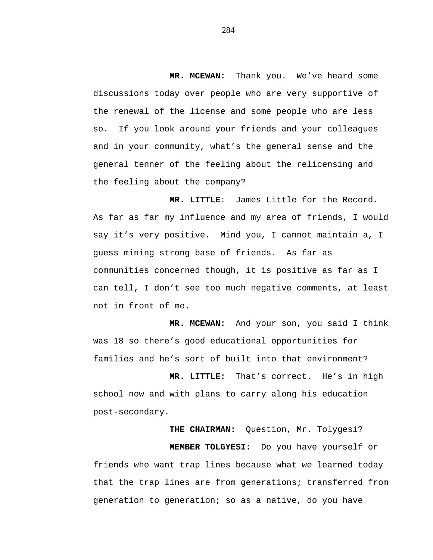**MR. MCEWAN:** Thank you. We've heard some discussions today over people who are very supportive of the renewal of the license and some people who are less so. If you look around your friends and your colleagues and in your community, what's the general sense and the general tenner of the feeling about the relicensing and the feeling about the company?

**MR. LITTLE**: James Little for the Record. As far as far my influence and my area of friends, I would say it's very positive. Mind you, I cannot maintain a, I guess mining strong base of friends. As far as communities concerned though, it is positive as far as I can tell, I don't see too much negative comments, at least not in front of me.

**MR. MCEWAN:** And your son, you said I think was 18 so there's good educational opportunities for families and he's sort of built into that environment?

**MR. LITTLE:** That's correct. He's in high school now and with plans to carry along his education post-secondary.

**THE CHAIRMAN:** Question, Mr. Tolygesi? **MEMBER TOLGYESI:** Do you have yourself or friends who want trap lines because what we learned today that the trap lines are from generations; transferred from generation to generation; so as a native, do you have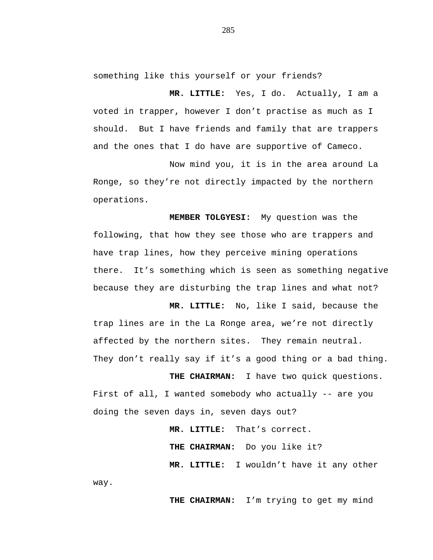something like this yourself or your friends?

**MR. LITTLE:** Yes, I do. Actually, I am a voted in trapper, however I don't practise as much as I should. But I have friends and family that are trappers and the ones that I do have are supportive of Cameco.

Now mind you, it is in the area around La Ronge, so they're not directly impacted by the northern operations.

**MEMBER TOLGYESI:** My question was the following, that how they see those who are trappers and have trap lines, how they perceive mining operations there. It's something which is seen as something negative because they are disturbing the trap lines and what not?

**MR. LITTLE:** No, like I said, because the trap lines are in the La Ronge area, we're not directly affected by the northern sites. They remain neutral. They don't really say if it's a good thing or a bad thing.

**THE CHAIRMAN:** I have two quick questions. First of all, I wanted somebody who actually -- are you doing the seven days in, seven days out?

> **MR. LITTLE:** That's correct. **THE CHAIRMAN:** Do you like it? **MR. LITTLE:** I wouldn't have it any other

way.

**THE CHAIRMAN:** I'm trying to get my mind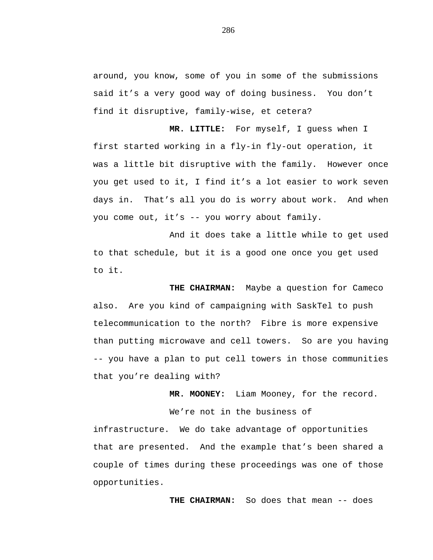around, you know, some of you in some of the submissions said it's a very good way of doing business. You don't find it disruptive, family-wise, et cetera?

**MR. LITTLE:** For myself, I guess when I first started working in a fly-in fly-out operation, it was a little bit disruptive with the family. However once you get used to it, I find it's a lot easier to work seven days in. That's all you do is worry about work. And when you come out, it's -- you worry about family.

And it does take a little while to get used to that schedule, but it is a good one once you get used to it.

**THE CHAIRMAN:** Maybe a question for Cameco also. Are you kind of campaigning with SaskTel to push telecommunication to the north? Fibre is more expensive than putting microwave and cell towers. So are you having -- you have a plan to put cell towers in those communities that you're dealing with?

**MR. MOONEY:** Liam Mooney, for the record.

We're not in the business of

infrastructure. We do take advantage of opportunities that are presented. And the example that's been shared a couple of times during these proceedings was one of those opportunities.

**THE CHAIRMAN:** So does that mean -- does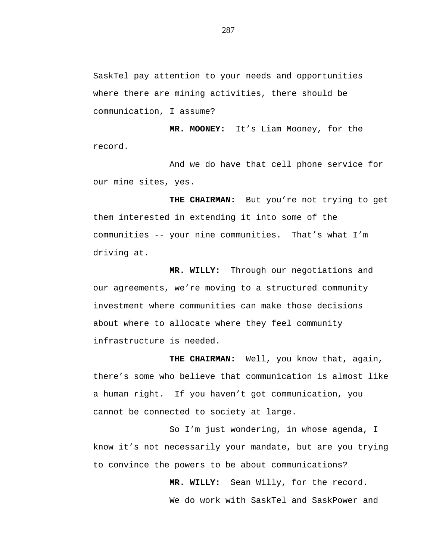SaskTel pay attention to your needs and opportunities where there are mining activities, there should be communication, I assume?

**MR. MOONEY:** It's Liam Mooney, for the record.

And we do have that cell phone service for our mine sites, yes.

**THE CHAIRMAN:** But you're not trying to get them interested in extending it into some of the communities -- your nine communities. That's what I'm driving at.

**MR. WILLY:** Through our negotiations and our agreements, we're moving to a structured community investment where communities can make those decisions about where to allocate where they feel community infrastructure is needed.

**THE CHAIRMAN:** Well, you know that, again, there's some who believe that communication is almost like a human right. If you haven't got communication, you cannot be connected to society at large.

So I'm just wondering, in whose agenda, I know it's not necessarily your mandate, but are you trying to convince the powers to be about communications?

> **MR. WILLY:** Sean Willy, for the record. We do work with SaskTel and SaskPower and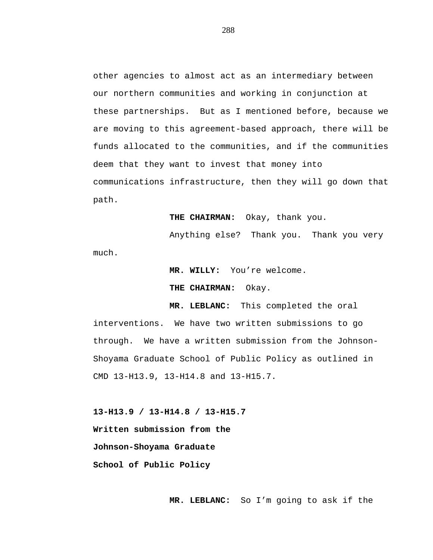other agencies to almost act as an intermediary between our northern communities and working in conjunction at these partnerships. But as I mentioned before, because we are moving to this agreement-based approach, there will be funds allocated to the communities, and if the communities deem that they want to invest that money into communications infrastructure, then they will go down that path.

**THE CHAIRMAN:** Okay, thank you.

Anything else? Thank you. Thank you very much.

> **MR. WILLY:** You're welcome. **THE CHAIRMAN:** Okay.

**MR. LEBLANC:** This completed the oral interventions. We have two written submissions to go through. We have a written submission from the Johnson-Shoyama Graduate School of Public Policy as outlined in CMD 13-H13.9, 13-H14.8 and 13-H15.7.

**13-H13.9 / 13-H14.8 / 13-H15.7 Written submission from the Johnson-Shoyama Graduate School of Public Policy**

**MR. LEBLANC:** So I'm going to ask if the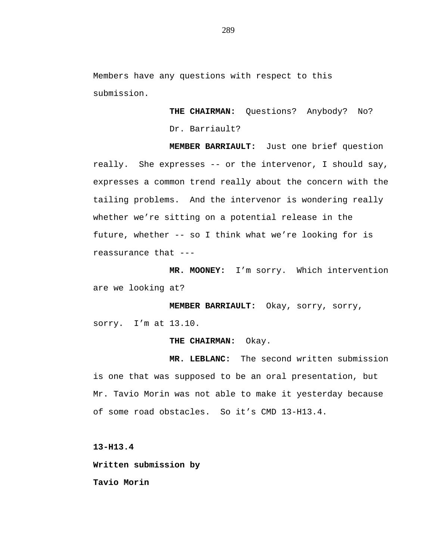Members have any questions with respect to this submission.

> **THE CHAIRMAN:** Questions? Anybody? No? Dr. Barriault?

**MEMBER BARRIAULT:** Just one brief question really. She expresses -- or the intervenor, I should say, expresses a common trend really about the concern with the tailing problems. And the intervenor is wondering really whether we're sitting on a potential release in the future, whether -- so I think what we're looking for is reassurance that ---

**MR. MOONEY:** I'm sorry. Which intervention are we looking at?

**MEMBER BARRIAULT:** Okay, sorry, sorry, sorry. I'm at 13.10.

#### **THE CHAIRMAN:** Okay.

**MR. LEBLANC:** The second written submission is one that was supposed to be an oral presentation, but Mr. Tavio Morin was not able to make it yesterday because of some road obstacles. So it's CMD 13-H13.4.

**13-H13.4**

**Written submission by**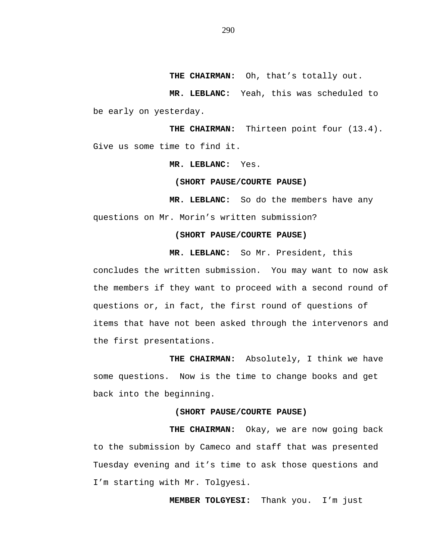**THE CHAIRMAN:** Oh, that's totally out.

**MR. LEBLANC:** Yeah, this was scheduled to be early on yesterday.

**THE CHAIRMAN:** Thirteen point four (13.4). Give us some time to find it.

**MR. LEBLANC:** Yes.

#### **(SHORT PAUSE/COURTE PAUSE)**

**MR. LEBLANC:** So do the members have any questions on Mr. Morin's written submission?

### **(SHORT PAUSE/COURTE PAUSE)**

**MR. LEBLANC:** So Mr. President, this

concludes the written submission. You may want to now ask the members if they want to proceed with a second round of questions or, in fact, the first round of questions of items that have not been asked through the intervenors and the first presentations.

**THE CHAIRMAN:** Absolutely, I think we have some questions. Now is the time to change books and get back into the beginning.

## **(SHORT PAUSE/COURTE PAUSE)**

**THE CHAIRMAN:** Okay, we are now going back to the submission by Cameco and staff that was presented Tuesday evening and it's time to ask those questions and I'm starting with Mr. Tolgyesi.

**MEMBER TOLGYESI:** Thank you. I'm just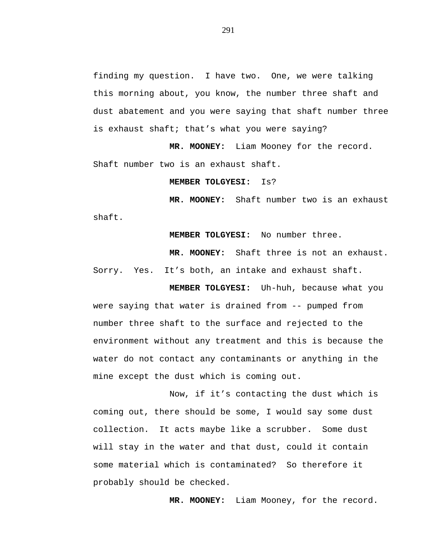finding my question. I have two. One, we were talking this morning about, you know, the number three shaft and dust abatement and you were saying that shaft number three is exhaust shaft; that's what you were saying?

**MR. MOONEY:** Liam Mooney for the record. Shaft number two is an exhaust shaft.

#### **MEMBER TOLGYESI:** Is?

**MR. MOONEY:** Shaft number two is an exhaust shaft.

**MEMBER TOLGYESI:** No number three.

**MR. MOONEY:** Shaft three is not an exhaust. Sorry. Yes. It's both, an intake and exhaust shaft.

**MEMBER TOLGYESI:** Uh-huh, because what you were saying that water is drained from -- pumped from number three shaft to the surface and rejected to the environment without any treatment and this is because the water do not contact any contaminants or anything in the mine except the dust which is coming out.

Now, if it's contacting the dust which is coming out, there should be some, I would say some dust collection. It acts maybe like a scrubber. Some dust will stay in the water and that dust, could it contain some material which is contaminated? So therefore it probably should be checked.

**MR. MOONEY:** Liam Mooney, for the record.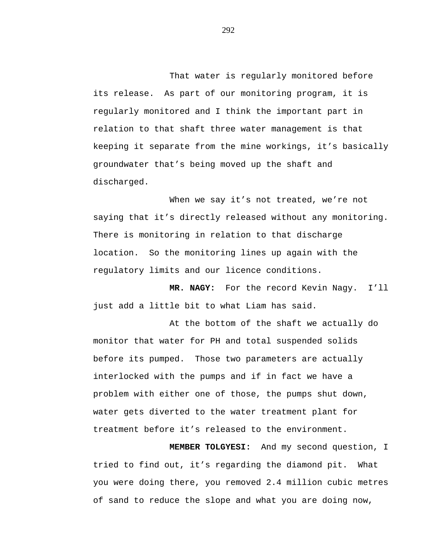That water is regularly monitored before its release. As part of our monitoring program, it is regularly monitored and I think the important part in relation to that shaft three water management is that keeping it separate from the mine workings, it's basically groundwater that's being moved up the shaft and discharged.

When we say it's not treated, we're not saying that it's directly released without any monitoring. There is monitoring in relation to that discharge location. So the monitoring lines up again with the regulatory limits and our licence conditions.

**MR. NAGY:** For the record Kevin Nagy. I'll just add a little bit to what Liam has said.

At the bottom of the shaft we actually do monitor that water for PH and total suspended solids before its pumped. Those two parameters are actually interlocked with the pumps and if in fact we have a problem with either one of those, the pumps shut down, water gets diverted to the water treatment plant for treatment before it's released to the environment.

**MEMBER TOLGYESI:** And my second question, I tried to find out, it's regarding the diamond pit. What you were doing there, you removed 2.4 million cubic metres of sand to reduce the slope and what you are doing now,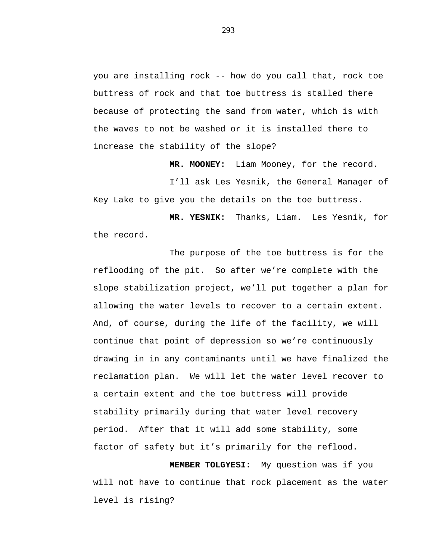you are installing rock -- how do you call that, rock toe buttress of rock and that toe buttress is stalled there because of protecting the sand from water, which is with the waves to not be washed or it is installed there to increase the stability of the slope?

**MR. MOONEY:** Liam Mooney, for the record.

I'll ask Les Yesnik, the General Manager of Key Lake to give you the details on the toe buttress.

**MR. YESNIK:** Thanks, Liam. Les Yesnik, for the record.

The purpose of the toe buttress is for the reflooding of the pit. So after we're complete with the slope stabilization project, we'll put together a plan for allowing the water levels to recover to a certain extent. And, of course, during the life of the facility, we will continue that point of depression so we're continuously drawing in in any contaminants until we have finalized the reclamation plan. We will let the water level recover to a certain extent and the toe buttress will provide stability primarily during that water level recovery period. After that it will add some stability, some factor of safety but it's primarily for the reflood.

**MEMBER TOLGYESI:** My question was if you will not have to continue that rock placement as the water level is rising?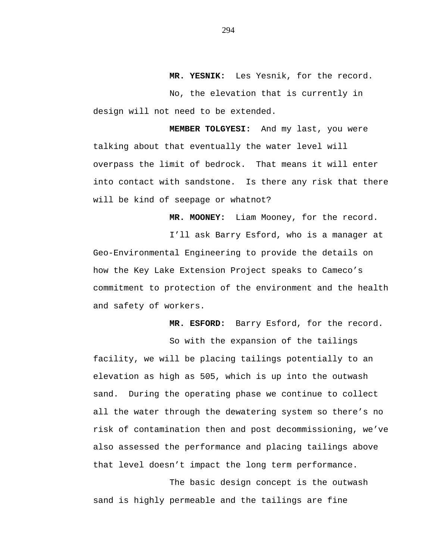**MR. YESNIK:** Les Yesnik, for the record.

No, the elevation that is currently in design will not need to be extended.

**MEMBER TOLGYESI:** And my last, you were talking about that eventually the water level will overpass the limit of bedrock. That means it will enter into contact with sandstone. Is there any risk that there will be kind of seepage or whatnot?

**MR. MOONEY:** Liam Mooney, for the record.

I'll ask Barry Esford, who is a manager at Geo-Environmental Engineering to provide the details on how the Key Lake Extension Project speaks to Cameco's commitment to protection of the environment and the health and safety of workers.

**MR. ESFORD:** Barry Esford, for the record.

So with the expansion of the tailings facility, we will be placing tailings potentially to an elevation as high as 505, which is up into the outwash sand. During the operating phase we continue to collect all the water through the dewatering system so there's no risk of contamination then and post decommissioning, we've also assessed the performance and placing tailings above that level doesn't impact the long term performance.

The basic design concept is the outwash sand is highly permeable and the tailings are fine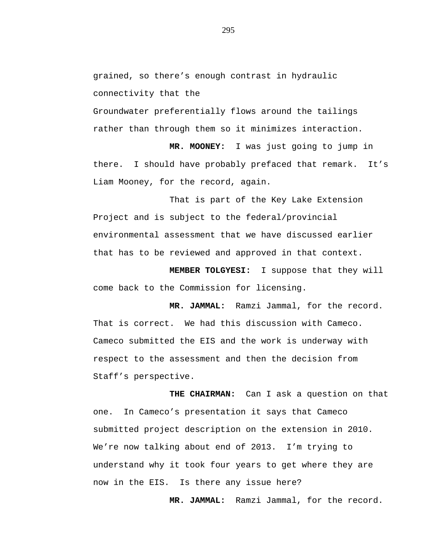grained, so there's enough contrast in hydraulic connectivity that the

Groundwater preferentially flows around the tailings rather than through them so it minimizes interaction.

**MR. MOONEY:** I was just going to jump in there. I should have probably prefaced that remark. It's Liam Mooney, for the record, again.

That is part of the Key Lake Extension Project and is subject to the federal/provincial environmental assessment that we have discussed earlier that has to be reviewed and approved in that context.

**MEMBER TOLGYESI:** I suppose that they will come back to the Commission for licensing.

**MR. JAMMAL:** Ramzi Jammal, for the record. That is correct. We had this discussion with Cameco. Cameco submitted the EIS and the work is underway with respect to the assessment and then the decision from Staff's perspective.

**THE CHAIRMAN:** Can I ask a question on that one. In Cameco's presentation it says that Cameco submitted project description on the extension in 2010. We're now talking about end of 2013. I'm trying to understand why it took four years to get where they are now in the EIS. Is there any issue here?

**MR. JAMMAL:** Ramzi Jammal, for the record.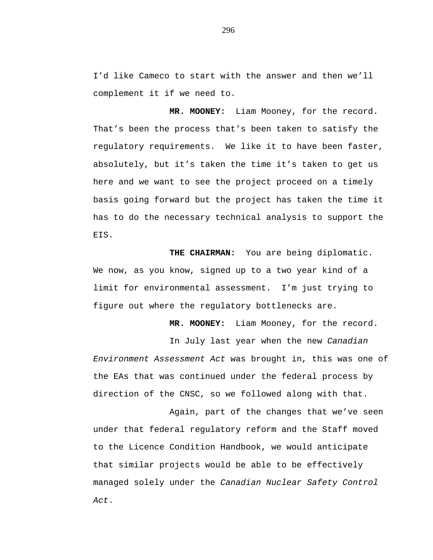I'd like Cameco to start with the answer and then we'll complement it if we need to.

**MR. MOONEY:** Liam Mooney, for the record. That's been the process that's been taken to satisfy the regulatory requirements. We like it to have been faster, absolutely, but it's taken the time it's taken to get us here and we want to see the project proceed on a timely basis going forward but the project has taken the time it has to do the necessary technical analysis to support the EIS.

**THE CHAIRMAN:** You are being diplomatic. We now, as you know, signed up to a two year kind of a limit for environmental assessment. I'm just trying to figure out where the regulatory bottlenecks are.

**MR. MOONEY:** Liam Mooney, for the record.

In July last year when the new *Canadian Environment Assessment Act* was brought in, this was one of the EAs that was continued under the federal process by direction of the CNSC, so we followed along with that.

Again, part of the changes that we've seen under that federal regulatory reform and the Staff moved to the Licence Condition Handbook, we would anticipate that similar projects would be able to be effectively managed solely under the *Canadian Nuclear Safety Control Act*.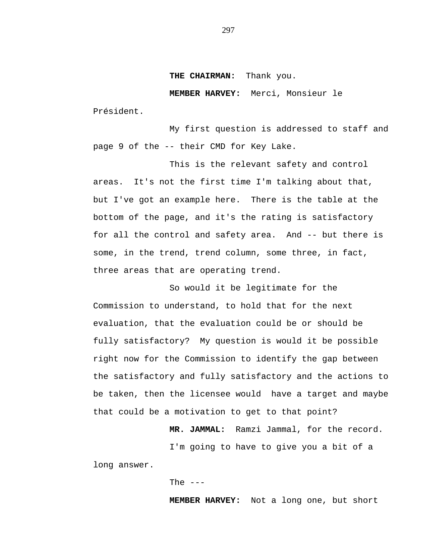#### **THE CHAIRMAN:** Thank you.

**MEMBER HARVEY:** Merci, Monsieur le Président.

My first question is addressed to staff and page 9 of the -- their CMD for Key Lake.

This is the relevant safety and control areas. It's not the first time I'm talking about that, but I've got an example here. There is the table at the bottom of the page, and it's the rating is satisfactory for all the control and safety area. And -- but there is some, in the trend, trend column, some three, in fact, three areas that are operating trend.

So would it be legitimate for the Commission to understand, to hold that for the next evaluation, that the evaluation could be or should be fully satisfactory? My question is would it be possible right now for the Commission to identify the gap between the satisfactory and fully satisfactory and the actions to be taken, then the licensee would have a target and maybe that could be a motivation to get to that point?

> **MR. JAMMAL:** Ramzi Jammal, for the record. I'm going to have to give you a bit of a

long answer.

The  $---$ 

**MEMBER HARVEY:** Not a long one, but short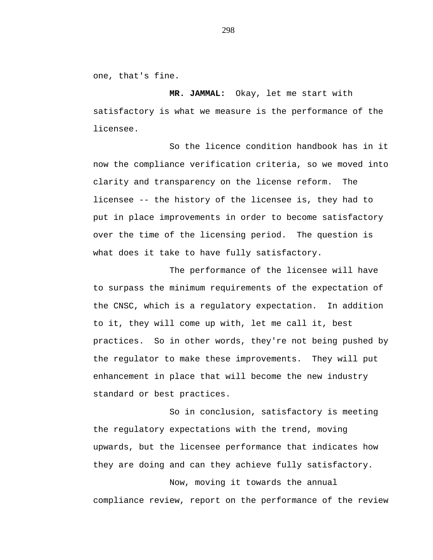one, that's fine.

**MR. JAMMAL:** Okay, let me start with satisfactory is what we measure is the performance of the licensee.

So the licence condition handbook has in it now the compliance verification criteria, so we moved into clarity and transparency on the license reform. The licensee -- the history of the licensee is, they had to put in place improvements in order to become satisfactory over the time of the licensing period. The question is what does it take to have fully satisfactory.

The performance of the licensee will have to surpass the minimum requirements of the expectation of the CNSC, which is a regulatory expectation. In addition to it, they will come up with, let me call it, best practices. So in other words, they're not being pushed by the regulator to make these improvements. They will put enhancement in place that will become the new industry standard or best practices.

So in conclusion, satisfactory is meeting the regulatory expectations with the trend, moving upwards, but the licensee performance that indicates how they are doing and can they achieve fully satisfactory.

Now, moving it towards the annual compliance review, report on the performance of the review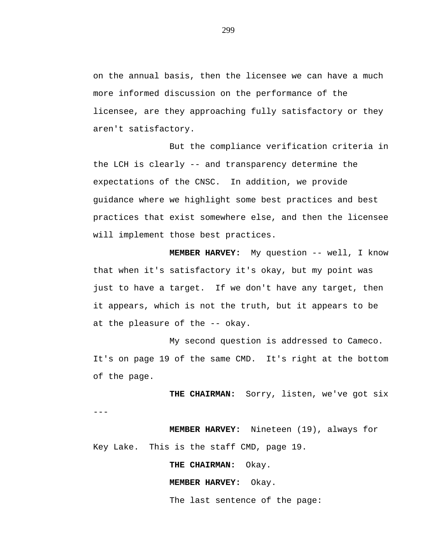on the annual basis, then the licensee we can have a much more informed discussion on the performance of the licensee, are they approaching fully satisfactory or they aren't satisfactory.

But the compliance verification criteria in the LCH is clearly -- and transparency determine the expectations of the CNSC. In addition, we provide guidance where we highlight some best practices and best practices that exist somewhere else, and then the licensee will implement those best practices.

**MEMBER HARVEY:** My question -- well, I know that when it's satisfactory it's okay, but my point was just to have a target. If we don't have any target, then it appears, which is not the truth, but it appears to be at the pleasure of the -- okay.

My second question is addressed to Cameco. It's on page 19 of the same CMD. It's right at the bottom of the page.

**THE CHAIRMAN:** Sorry, listen, we've got six ---

**MEMBER HARVEY:** Nineteen (19), always for Key Lake. This is the staff CMD, page 19.

**THE CHAIRMAN:** Okay.

**MEMBER HARVEY:** Okay.

The last sentence of the page: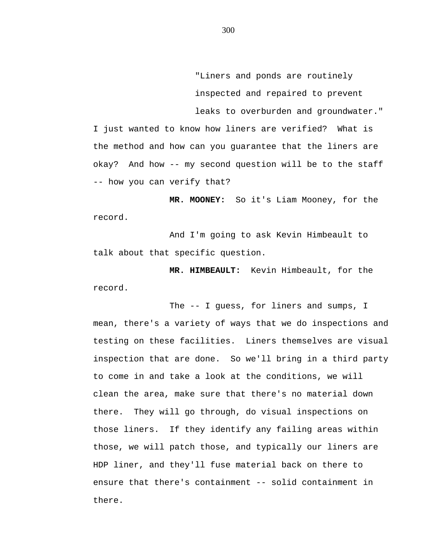"Liners and ponds are routinely inspected and repaired to prevent leaks to overburden and groundwater."

I just wanted to know how liners are verified? What is the method and how can you guarantee that the liners are okay? And how -- my second question will be to the staff -- how you can verify that?

**MR. MOONEY:** So it's Liam Mooney, for the record.

And I'm going to ask Kevin Himbeault to talk about that specific question.

**MR. HIMBEAULT:** Kevin Himbeault, for the record.

The -- I guess, for liners and sumps, I mean, there's a variety of ways that we do inspections and testing on these facilities. Liners themselves are visual inspection that are done. So we'll bring in a third party to come in and take a look at the conditions, we will clean the area, make sure that there's no material down there. They will go through, do visual inspections on those liners. If they identify any failing areas within those, we will patch those, and typically our liners are HDP liner, and they'll fuse material back on there to ensure that there's containment -- solid containment in there.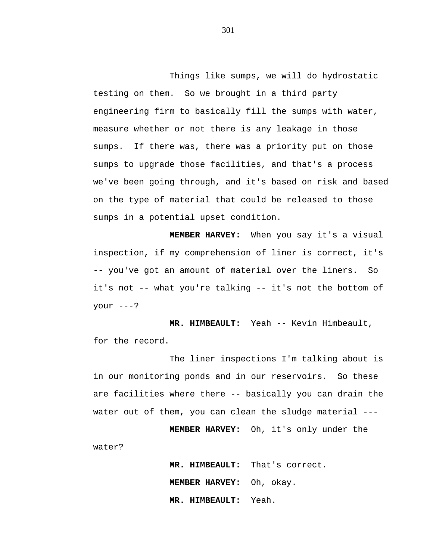Things like sumps, we will do hydrostatic testing on them. So we brought in a third party engineering firm to basically fill the sumps with water, measure whether or not there is any leakage in those sumps. If there was, there was a priority put on those sumps to upgrade those facilities, and that's a process we've been going through, and it's based on risk and based on the type of material that could be released to those sumps in a potential upset condition.

**MEMBER HARVEY:** When you say it's a visual inspection, if my comprehension of liner is correct, it's -- you've got an amount of material over the liners. So it's not -- what you're talking -- it's not the bottom of  $your ---?$ 

**MR. HIMBEAULT:** Yeah -- Kevin Himbeault, for the record.

The liner inspections I'm talking about is in our monitoring ponds and in our reservoirs. So these are facilities where there -- basically you can drain the water out of them, you can clean the sludge material ---

**MEMBER HARVEY:** Oh, it's only under the

water?

**MR. HIMBEAULT:** That's correct. **MEMBER HARVEY:** Oh, okay. **MR. HIMBEAULT:** Yeah.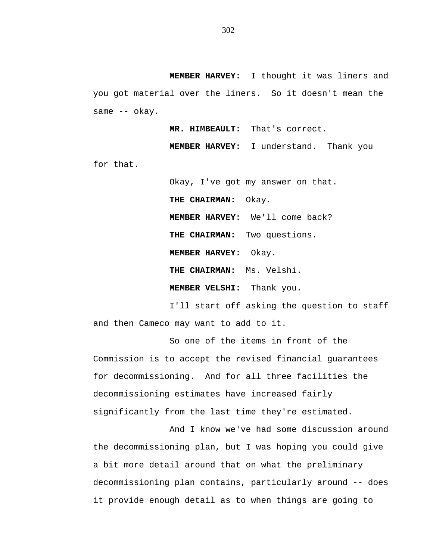**MEMBER HARVEY:** I thought it was liners and you got material over the liners. So it doesn't mean the same -- okay.

**MR. HIMBEAULT:** That's correct.

**MEMBER HARVEY:** I understand. Thank you for that.

> Okay, I've got my answer on that. **THE CHAIRMAN:** Okay. **MEMBER HARVEY:** We'll come back? **THE CHAIRMAN:** Two questions. **MEMBER HARVEY:** Okay. **THE CHAIRMAN:** Ms. Velshi. **MEMBER VELSHI:** Thank you.

I'll start off asking the question to staff and then Cameco may want to add to it.

So one of the items in front of the Commission is to accept the revised financial guarantees for decommissioning. And for all three facilities the decommissioning estimates have increased fairly significantly from the last time they're estimated.

And I know we've had some discussion around the decommissioning plan, but I was hoping you could give a bit more detail around that on what the preliminary decommissioning plan contains, particularly around -- does it provide enough detail as to when things are going to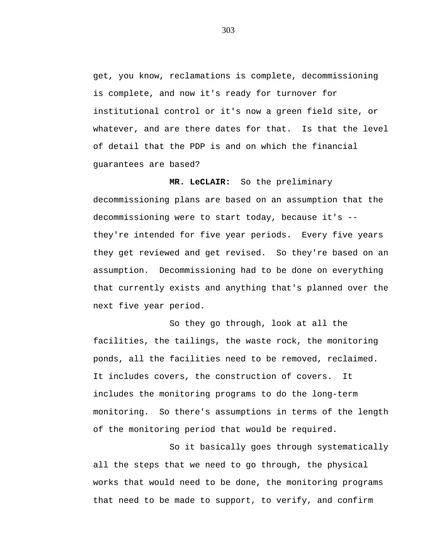get, you know, reclamations is complete, decommissioning is complete, and now it's ready for turnover for institutional control or it's now a green field site, or whatever, and are there dates for that. Is that the level of detail that the PDP is and on which the financial guarantees are based?

**MR. LeCLAIR:** So the preliminary decommissioning plans are based on an assumption that the decommissioning were to start today, because it's - they're intended for five year periods. Every five years they get reviewed and get revised. So they're based on an assumption. Decommissioning had to be done on everything that currently exists and anything that's planned over the next five year period.

So they go through, look at all the facilities, the tailings, the waste rock, the monitoring ponds, all the facilities need to be removed, reclaimed. It includes covers, the construction of covers. It includes the monitoring programs to do the long-term monitoring. So there's assumptions in terms of the length of the monitoring period that would be required.

So it basically goes through systematically all the steps that we need to go through, the physical works that would need to be done, the monitoring programs that need to be made to support, to verify, and confirm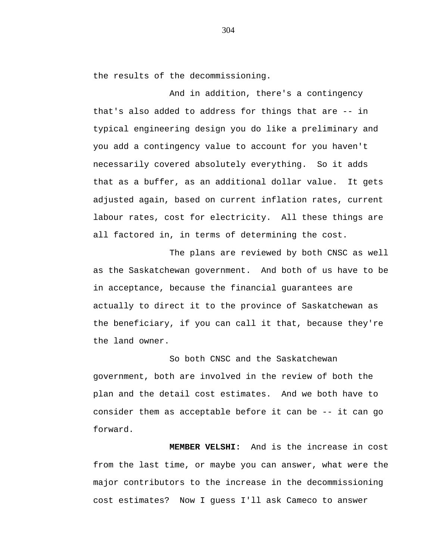the results of the decommissioning.

And in addition, there's a contingency that's also added to address for things that are -- in typical engineering design you do like a preliminary and you add a contingency value to account for you haven't necessarily covered absolutely everything. So it adds that as a buffer, as an additional dollar value. It gets adjusted again, based on current inflation rates, current labour rates, cost for electricity. All these things are all factored in, in terms of determining the cost.

The plans are reviewed by both CNSC as well as the Saskatchewan government. And both of us have to be in acceptance, because the financial guarantees are actually to direct it to the province of Saskatchewan as the beneficiary, if you can call it that, because they're the land owner.

So both CNSC and the Saskatchewan government, both are involved in the review of both the plan and the detail cost estimates. And we both have to consider them as acceptable before it can be -- it can go forward.

**MEMBER VELSHI:** And is the increase in cost from the last time, or maybe you can answer, what were the major contributors to the increase in the decommissioning cost estimates? Now I guess I'll ask Cameco to answer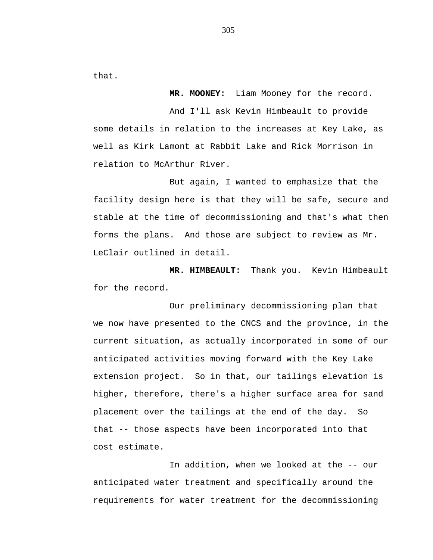that.

**MR. MOONEY:** Liam Mooney for the record.

And I'll ask Kevin Himbeault to provide some details in relation to the increases at Key Lake, as well as Kirk Lamont at Rabbit Lake and Rick Morrison in relation to McArthur River.

But again, I wanted to emphasize that the facility design here is that they will be safe, secure and stable at the time of decommissioning and that's what then forms the plans. And those are subject to review as Mr. LeClair outlined in detail.

**MR. HIMBEAULT:** Thank you. Kevin Himbeault for the record.

Our preliminary decommissioning plan that we now have presented to the CNCS and the province, in the current situation, as actually incorporated in some of our anticipated activities moving forward with the Key Lake extension project. So in that, our tailings elevation is higher, therefore, there's a higher surface area for sand placement over the tailings at the end of the day. So that -- those aspects have been incorporated into that cost estimate.

In addition, when we looked at the -- our anticipated water treatment and specifically around the requirements for water treatment for the decommissioning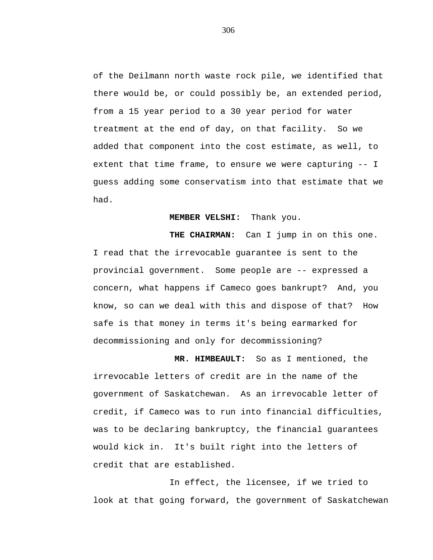of the Deilmann north waste rock pile, we identified that there would be, or could possibly be, an extended period, from a 15 year period to a 30 year period for water treatment at the end of day, on that facility. So we added that component into the cost estimate, as well, to extent that time frame, to ensure we were capturing -- I guess adding some conservatism into that estimate that we had.

## **MEMBER VELSHI:** Thank you.

**THE CHAIRMAN:** Can I jump in on this one. I read that the irrevocable guarantee is sent to the provincial government. Some people are -- expressed a concern, what happens if Cameco goes bankrupt? And, you know, so can we deal with this and dispose of that? How safe is that money in terms it's being earmarked for decommissioning and only for decommissioning?

**MR. HIMBEAULT:** So as I mentioned, the irrevocable letters of credit are in the name of the government of Saskatchewan. As an irrevocable letter of credit, if Cameco was to run into financial difficulties, was to be declaring bankruptcy, the financial guarantees would kick in. It's built right into the letters of credit that are established.

In effect, the licensee, if we tried to look at that going forward, the government of Saskatchewan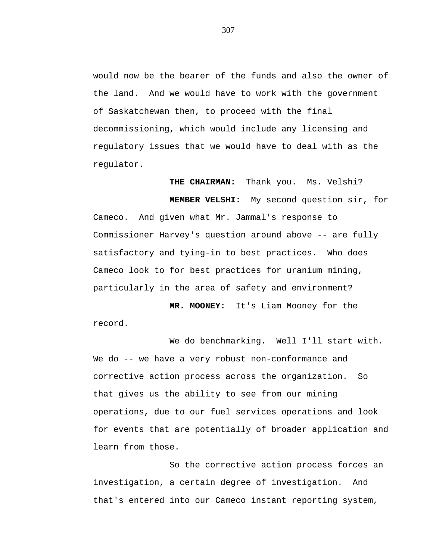would now be the bearer of the funds and also the owner of the land. And we would have to work with the government of Saskatchewan then, to proceed with the final decommissioning, which would include any licensing and regulatory issues that we would have to deal with as the regulator.

**THE CHAIRMAN:** Thank you. Ms. Velshi?

**MEMBER VELSHI:** My second question sir, for Cameco. And given what Mr. Jammal's response to Commissioner Harvey's question around above -- are fully satisfactory and tying-in to best practices. Who does Cameco look to for best practices for uranium mining, particularly in the area of safety and environment?

**MR. MOONEY:** It's Liam Mooney for the record.

We do benchmarking. Well I'll start with. We do -- we have a very robust non-conformance and corrective action process across the organization. So that gives us the ability to see from our mining operations, due to our fuel services operations and look for events that are potentially of broader application and learn from those.

So the corrective action process forces an investigation, a certain degree of investigation. And that's entered into our Cameco instant reporting system,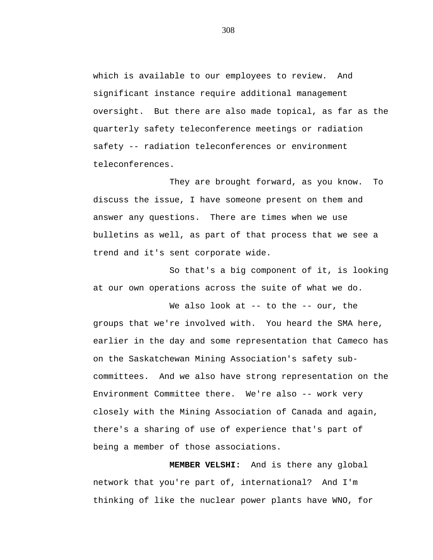which is available to our employees to review. And significant instance require additional management oversight. But there are also made topical, as far as the quarterly safety teleconference meetings or radiation safety -- radiation teleconferences or environment teleconferences.

They are brought forward, as you know. To discuss the issue, I have someone present on them and answer any questions. There are times when we use bulletins as well, as part of that process that we see a trend and it's sent corporate wide.

So that's a big component of it, is looking at our own operations across the suite of what we do.

We also look at  $-$ - to the  $-$ - our, the groups that we're involved with. You heard the SMA here, earlier in the day and some representation that Cameco has on the Saskatchewan Mining Association's safety subcommittees. And we also have strong representation on the Environment Committee there. We're also -- work very closely with the Mining Association of Canada and again, there's a sharing of use of experience that's part of being a member of those associations.

**MEMBER VELSHI:** And is there any global network that you're part of, international? And I'm thinking of like the nuclear power plants have WNO, for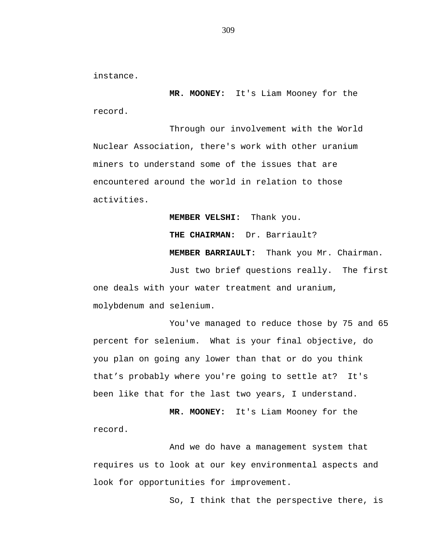instance.

**MR. MOONEY:** It's Liam Mooney for the record.

Through our involvement with the World Nuclear Association, there's work with other uranium miners to understand some of the issues that are encountered around the world in relation to those activities.

**MEMBER VELSHI:** Thank you.

**THE CHAIRMAN:** Dr. Barriault?

**MEMBER BARRIAULT:** Thank you Mr. Chairman.

Just two brief questions really. The first one deals with your water treatment and uranium, molybdenum and selenium.

You've managed to reduce those by 75 and 65 percent for selenium. What is your final objective, do you plan on going any lower than that or do you think that's probably where you're going to settle at? It's been like that for the last two years, I understand.

**MR. MOONEY:** It's Liam Mooney for the record.

And we do have a management system that requires us to look at our key environmental aspects and look for opportunities for improvement.

So, I think that the perspective there, is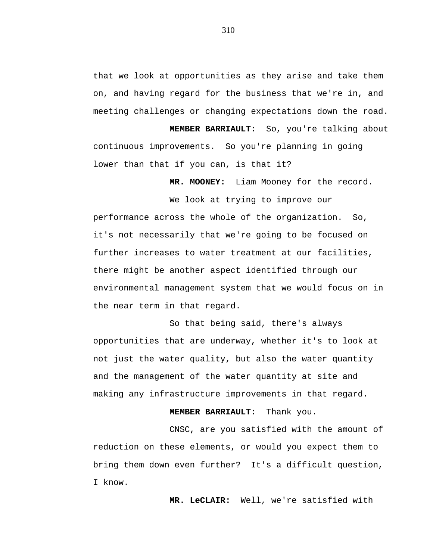that we look at opportunities as they arise and take them on, and having regard for the business that we're in, and meeting challenges or changing expectations down the road.

**MEMBER BARRIAULT:** So, you're talking about continuous improvements. So you're planning in going lower than that if you can, is that it?

**MR. MOONEY:** Liam Mooney for the record.

We look at trying to improve our performance across the whole of the organization. So, it's not necessarily that we're going to be focused on further increases to water treatment at our facilities, there might be another aspect identified through our environmental management system that we would focus on in the near term in that regard.

So that being said, there's always opportunities that are underway, whether it's to look at not just the water quality, but also the water quantity and the management of the water quantity at site and making any infrastructure improvements in that regard.

## **MEMBER BARRIAULT:** Thank you.

CNSC, are you satisfied with the amount of reduction on these elements, or would you expect them to bring them down even further? It's a difficult question, I know.

**MR. LeCLAIR:** Well, we're satisfied with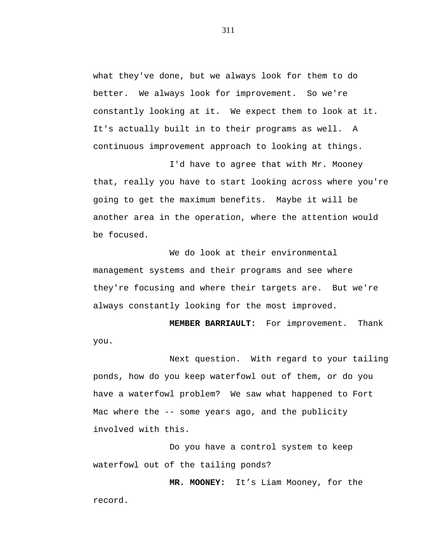what they've done, but we always look for them to do better. We always look for improvement. So we're constantly looking at it. We expect them to look at it. It's actually built in to their programs as well. A continuous improvement approach to looking at things.

I'd have to agree that with Mr. Mooney that, really you have to start looking across where you're going to get the maximum benefits. Maybe it will be another area in the operation, where the attention would be focused.

We do look at their environmental management systems and their programs and see where they're focusing and where their targets are. But we're always constantly looking for the most improved.

**MEMBER BARRIAULT:** For improvement. Thank you.

Next question. With regard to your tailing ponds, how do you keep waterfowl out of them, or do you have a waterfowl problem? We saw what happened to Fort Mac where the -- some years ago, and the publicity involved with this.

Do you have a control system to keep waterfowl out of the tailing ponds?

**MR. MOONEY:** It's Liam Mooney, for the record.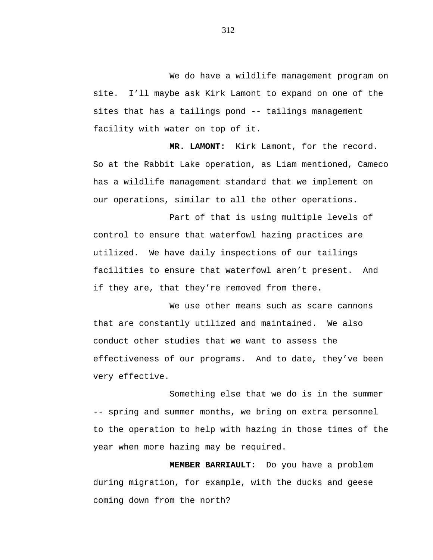We do have a wildlife management program on site. I'll maybe ask Kirk Lamont to expand on one of the sites that has a tailings pond -- tailings management facility with water on top of it.

**MR. LAMONT:** Kirk Lamont, for the record. So at the Rabbit Lake operation, as Liam mentioned, Cameco has a wildlife management standard that we implement on our operations, similar to all the other operations.

Part of that is using multiple levels of control to ensure that waterfowl hazing practices are utilized. We have daily inspections of our tailings facilities to ensure that waterfowl aren't present. And if they are, that they're removed from there.

We use other means such as scare cannons that are constantly utilized and maintained. We also conduct other studies that we want to assess the effectiveness of our programs. And to date, they've been very effective.

Something else that we do is in the summer -- spring and summer months, we bring on extra personnel to the operation to help with hazing in those times of the year when more hazing may be required.

**MEMBER BARRIAULT:** Do you have a problem during migration, for example, with the ducks and geese coming down from the north?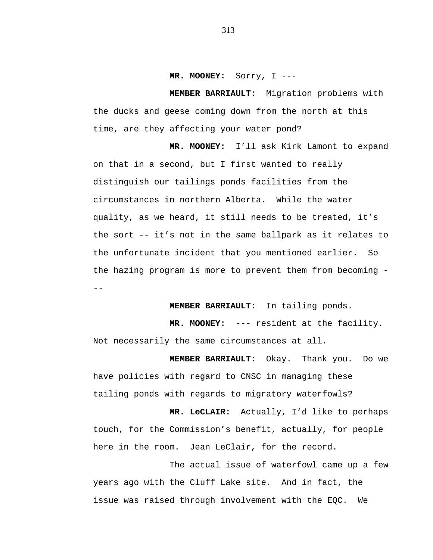#### **MR. MOONEY:** Sorry, I ---

**MEMBER BARRIAULT:** Migration problems with the ducks and geese coming down from the north at this time, are they affecting your water pond?

**MR. MOONEY:** I'll ask Kirk Lamont to expand on that in a second, but I first wanted to really distinguish our tailings ponds facilities from the circumstances in northern Alberta. While the water quality, as we heard, it still needs to be treated, it's the sort -- it's not in the same ballpark as it relates to the unfortunate incident that you mentioned earlier. So the hazing program is more to prevent them from becoming - --

**MEMBER BARRIAULT:** In tailing ponds.

**MR. MOONEY:** --- resident at the facility. Not necessarily the same circumstances at all.

**MEMBER BARRIAULT:** Okay. Thank you. Do we have policies with regard to CNSC in managing these tailing ponds with regards to migratory waterfowls?

**MR. LeCLAIR:** Actually, I'd like to perhaps touch, for the Commission's benefit, actually, for people here in the room. Jean LeClair, for the record.

The actual issue of waterfowl came up a few years ago with the Cluff Lake site. And in fact, the issue was raised through involvement with the EQC. We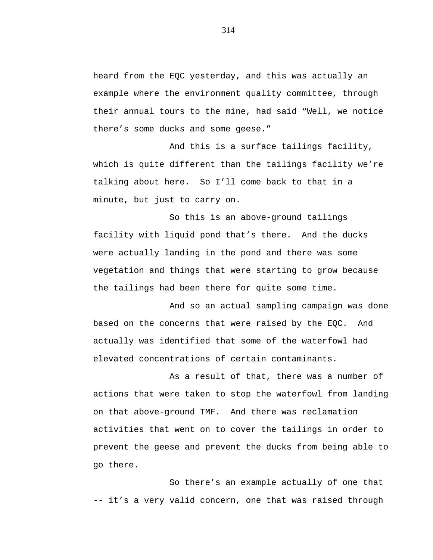heard from the EQC yesterday, and this was actually an example where the environment quality committee, through their annual tours to the mine, had said "Well, we notice there's some ducks and some geese."

And this is a surface tailings facility, which is quite different than the tailings facility we're talking about here. So I'll come back to that in a minute, but just to carry on.

So this is an above-ground tailings facility with liquid pond that's there. And the ducks were actually landing in the pond and there was some vegetation and things that were starting to grow because the tailings had been there for quite some time.

And so an actual sampling campaign was done based on the concerns that were raised by the EQC. And actually was identified that some of the waterfowl had elevated concentrations of certain contaminants.

As a result of that, there was a number of actions that were taken to stop the waterfowl from landing on that above-ground TMF. And there was reclamation activities that went on to cover the tailings in order to prevent the geese and prevent the ducks from being able to go there.

So there's an example actually of one that -- it's a very valid concern, one that was raised through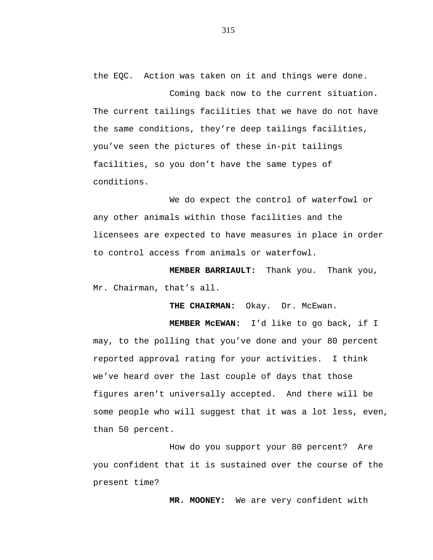the EQC. Action was taken on it and things were done.

Coming back now to the current situation. The current tailings facilities that we have do not have the same conditions, they're deep tailings facilities, you've seen the pictures of these in-pit tailings facilities, so you don't have the same types of conditions.

We do expect the control of waterfowl or any other animals within those facilities and the licensees are expected to have measures in place in order to control access from animals or waterfowl.

**MEMBER BARRIAULT:** Thank you. Thank you, Mr. Chairman, that's all.

**THE CHAIRMAN:** Okay. Dr. McEwan.

**MEMBER McEWAN:** I'd like to go back, if I may, to the polling that you've done and your 80 percent reported approval rating for your activities. I think we've heard over the last couple of days that those figures aren't universally accepted. And there will be some people who will suggest that it was a lot less, even, than 50 percent.

How do you support your 80 percent? Are you confident that it is sustained over the course of the present time?

**MR. MOONEY:** We are very confident with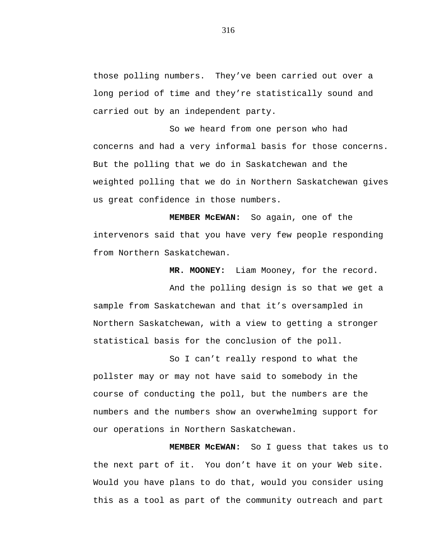those polling numbers. They've been carried out over a long period of time and they're statistically sound and carried out by an independent party.

So we heard from one person who had concerns and had a very informal basis for those concerns. But the polling that we do in Saskatchewan and the weighted polling that we do in Northern Saskatchewan gives us great confidence in those numbers.

**MEMBER McEWAN:** So again, one of the intervenors said that you have very few people responding from Northern Saskatchewan.

**MR. MOONEY:** Liam Mooney, for the record.

And the polling design is so that we get a sample from Saskatchewan and that it's oversampled in Northern Saskatchewan, with a view to getting a stronger statistical basis for the conclusion of the poll.

So I can't really respond to what the pollster may or may not have said to somebody in the course of conducting the poll, but the numbers are the numbers and the numbers show an overwhelming support for our operations in Northern Saskatchewan.

**MEMBER McEWAN:** So I guess that takes us to the next part of it. You don't have it on your Web site. Would you have plans to do that, would you consider using this as a tool as part of the community outreach and part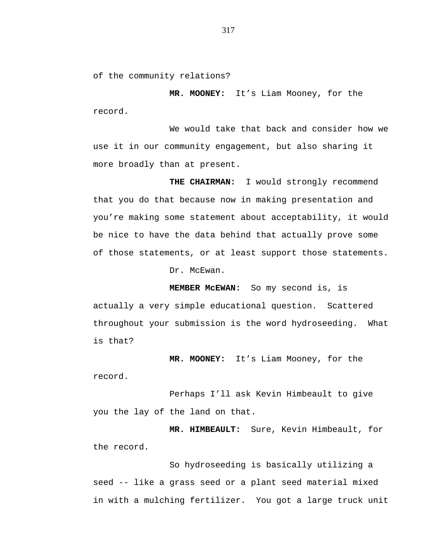of the community relations?

**MR. MOONEY:** It's Liam Mooney, for the record.

We would take that back and consider how we use it in our community engagement, but also sharing it more broadly than at present.

**THE CHAIRMAN:** I would strongly recommend that you do that because now in making presentation and you're making some statement about acceptability, it would be nice to have the data behind that actually prove some of those statements, or at least support those statements.

Dr. McEwan.

**MEMBER McEWAN:** So my second is, is actually a very simple educational question. Scattered throughout your submission is the word hydroseeding. What is that?

**MR. MOONEY:** It's Liam Mooney, for the record.

Perhaps I'll ask Kevin Himbeault to give you the lay of the land on that.

**MR. HIMBEAULT:** Sure, Kevin Himbeault, for the record.

So hydroseeding is basically utilizing a seed -- like a grass seed or a plant seed material mixed in with a mulching fertilizer. You got a large truck unit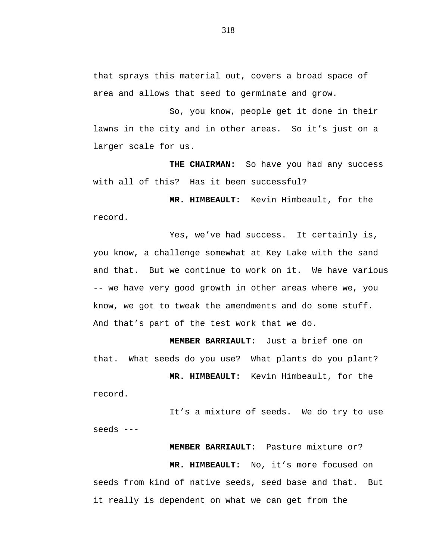that sprays this material out, covers a broad space of area and allows that seed to germinate and grow.

So, you know, people get it done in their lawns in the city and in other areas. So it's just on a larger scale for us.

**THE CHAIRMAN:** So have you had any success with all of this? Has it been successful?

**MR. HIMBEAULT:** Kevin Himbeault, for the record.

Yes, we've had success. It certainly is, you know, a challenge somewhat at Key Lake with the sand and that. But we continue to work on it. We have various -- we have very good growth in other areas where we, you know, we got to tweak the amendments and do some stuff. And that's part of the test work that we do.

**MEMBER BARRIAULT:** Just a brief one on that. What seeds do you use? What plants do you plant?

**MR. HIMBEAULT:** Kevin Himbeault, for the record.

It's a mixture of seeds. We do try to use seeds ---

# **MEMBER BARRIAULT:** Pasture mixture or?

**MR. HIMBEAULT:** No, it's more focused on seeds from kind of native seeds, seed base and that. But it really is dependent on what we can get from the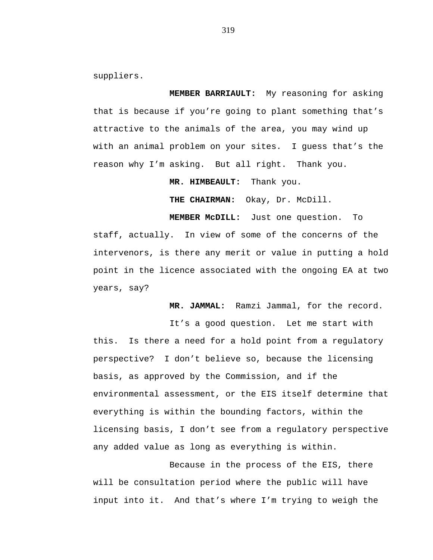suppliers.

**MEMBER BARRIAULT:** My reasoning for asking that is because if you're going to plant something that's attractive to the animals of the area, you may wind up with an animal problem on your sites. I guess that's the reason why I'm asking. But all right. Thank you.

**MR. HIMBEAULT:** Thank you.

**THE CHAIRMAN:** Okay, Dr. McDill.

**MEMBER McDILL:** Just one question. To staff, actually. In view of some of the concerns of the intervenors, is there any merit or value in putting a hold point in the licence associated with the ongoing EA at two years, say?

**MR. JAMMAL:** Ramzi Jammal, for the record.

It's a good question. Let me start with this. Is there a need for a hold point from a regulatory perspective? I don't believe so, because the licensing basis, as approved by the Commission, and if the environmental assessment, or the EIS itself determine that everything is within the bounding factors, within the licensing basis, I don't see from a regulatory perspective any added value as long as everything is within.

Because in the process of the EIS, there will be consultation period where the public will have input into it. And that's where I'm trying to weigh the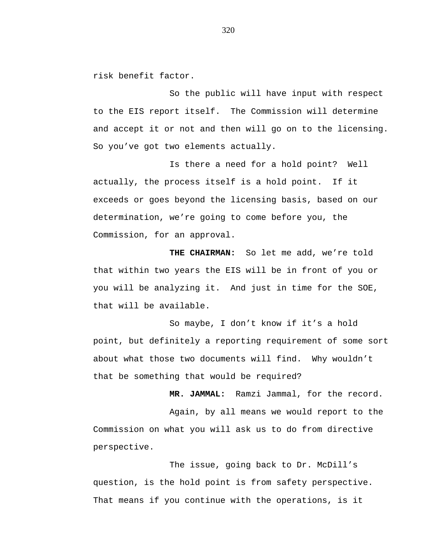risk benefit factor.

So the public will have input with respect to the EIS report itself. The Commission will determine and accept it or not and then will go on to the licensing. So you've got two elements actually.

Is there a need for a hold point? Well actually, the process itself is a hold point. If it exceeds or goes beyond the licensing basis, based on our determination, we're going to come before you, the Commission, for an approval.

**THE CHAIRMAN:** So let me add, we're told that within two years the EIS will be in front of you or you will be analyzing it. And just in time for the SOE, that will be available.

So maybe, I don't know if it's a hold point, but definitely a reporting requirement of some sort about what those two documents will find. Why wouldn't that be something that would be required?

**MR. JAMMAL:** Ramzi Jammal, for the record.

Again, by all means we would report to the Commission on what you will ask us to do from directive perspective.

The issue, going back to Dr. McDill's question, is the hold point is from safety perspective. That means if you continue with the operations, is it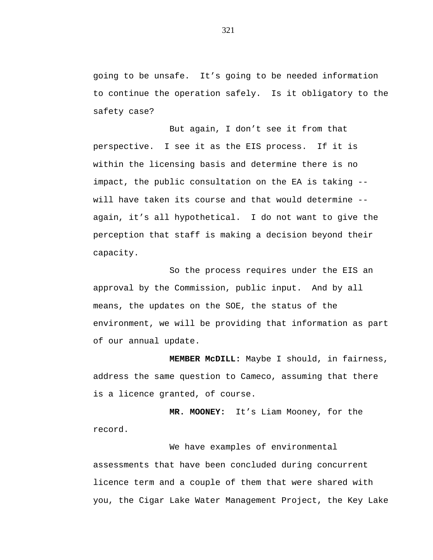going to be unsafe. It's going to be needed information to continue the operation safely. Is it obligatory to the safety case?

But again, I don't see it from that perspective. I see it as the EIS process. If it is within the licensing basis and determine there is no impact, the public consultation on the EA is taking - will have taken its course and that would determine - again, it's all hypothetical. I do not want to give the perception that staff is making a decision beyond their capacity.

So the process requires under the EIS an approval by the Commission, public input. And by all means, the updates on the SOE, the status of the environment, we will be providing that information as part of our annual update.

**MEMBER McDILL:** Maybe I should, in fairness, address the same question to Cameco, assuming that there is a licence granted, of course.

**MR. MOONEY:** It's Liam Mooney, for the record.

We have examples of environmental assessments that have been concluded during concurrent licence term and a couple of them that were shared with you, the Cigar Lake Water Management Project, the Key Lake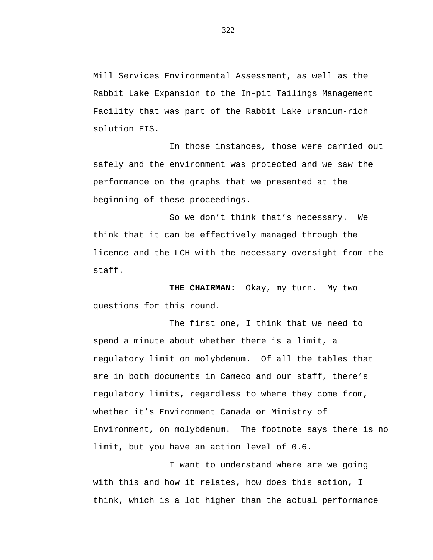Mill Services Environmental Assessment, as well as the Rabbit Lake Expansion to the In-pit Tailings Management Facility that was part of the Rabbit Lake uranium-rich solution EIS.

In those instances, those were carried out safely and the environment was protected and we saw the performance on the graphs that we presented at the beginning of these proceedings.

So we don't think that's necessary. We think that it can be effectively managed through the licence and the LCH with the necessary oversight from the staff.

THE CHAIRMAN: Okay, my turn. My two questions for this round.

The first one, I think that we need to spend a minute about whether there is a limit, a regulatory limit on molybdenum. Of all the tables that are in both documents in Cameco and our staff, there's regulatory limits, regardless to where they come from, whether it's Environment Canada or Ministry of Environment, on molybdenum. The footnote says there is no limit, but you have an action level of 0.6.

I want to understand where are we going with this and how it relates, how does this action, I think, which is a lot higher than the actual performance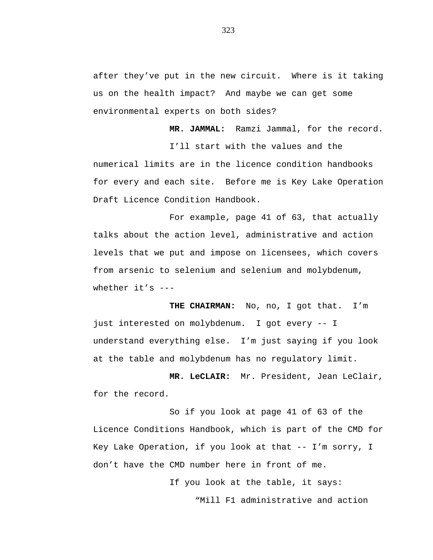after they've put in the new circuit. Where is it taking us on the health impact? And maybe we can get some environmental experts on both sides?

**MR. JAMMAL:** Ramzi Jammal, for the record.

I'll start with the values and the numerical limits are in the licence condition handbooks for every and each site. Before me is Key Lake Operation Draft Licence Condition Handbook.

For example, page 41 of 63, that actually talks about the action level, administrative and action levels that we put and impose on licensees, which covers from arsenic to selenium and selenium and molybdenum, whether it's ---

**THE CHAIRMAN:** No, no, I got that. I'm just interested on molybdenum. I got every -- I understand everything else. I'm just saying if you look at the table and molybdenum has no regulatory limit.

**MR. LeCLAIR:** Mr. President, Jean LeClair, for the record.

So if you look at page 41 of 63 of the Licence Conditions Handbook, which is part of the CMD for Key Lake Operation, if you look at that -- I'm sorry, I don't have the CMD number here in front of me.

If you look at the table, it says:

"Mill F1 administrative and action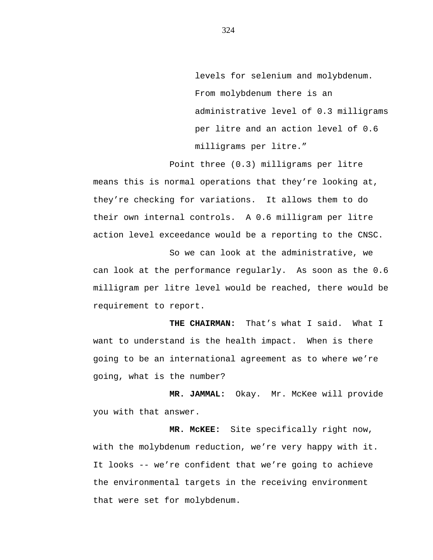levels for selenium and molybdenum. From molybdenum there is an administrative level of 0.3 milligrams per litre and an action level of 0.6 milligrams per litre."

Point three (0.3) milligrams per litre means this is normal operations that they're looking at, they're checking for variations. It allows them to do their own internal controls. A 0.6 milligram per litre action level exceedance would be a reporting to the CNSC.

So we can look at the administrative, we can look at the performance regularly. As soon as the 0.6 milligram per litre level would be reached, there would be requirement to report.

**THE CHAIRMAN:** That's what I said. What I want to understand is the health impact. When is there going to be an international agreement as to where we're going, what is the number?

**MR. JAMMAL:** Okay. Mr. McKee will provide you with that answer.

**MR. McKEE:** Site specifically right now, with the molybdenum reduction, we're very happy with it. It looks -- we're confident that we're going to achieve the environmental targets in the receiving environment that were set for molybdenum.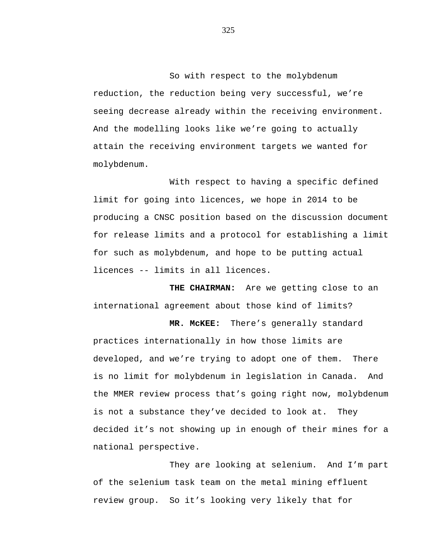So with respect to the molybdenum reduction, the reduction being very successful, we're seeing decrease already within the receiving environment. And the modelling looks like we're going to actually attain the receiving environment targets we wanted for molybdenum.

With respect to having a specific defined limit for going into licences, we hope in 2014 to be producing a CNSC position based on the discussion document for release limits and a protocol for establishing a limit for such as molybdenum, and hope to be putting actual licences -- limits in all licences.

**THE CHAIRMAN:** Are we getting close to an international agreement about those kind of limits?

**MR. McKEE:** There's generally standard practices internationally in how those limits are developed, and we're trying to adopt one of them. There is no limit for molybdenum in legislation in Canada. And the MMER review process that's going right now, molybdenum is not a substance they've decided to look at. They decided it's not showing up in enough of their mines for a national perspective.

They are looking at selenium. And I'm part of the selenium task team on the metal mining effluent review group. So it's looking very likely that for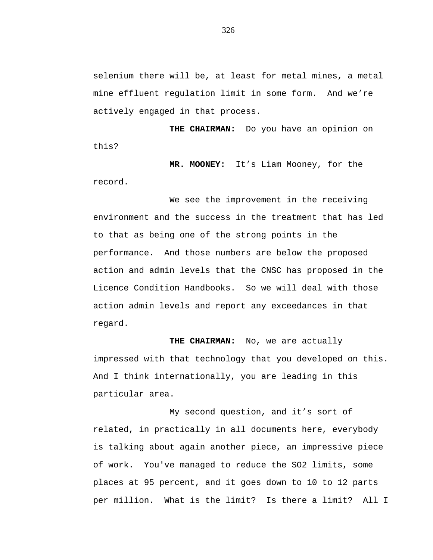selenium there will be, at least for metal mines, a metal mine effluent regulation limit in some form. And we're actively engaged in that process.

**THE CHAIRMAN:** Do you have an opinion on this?

**MR. MOONEY:** It's Liam Mooney, for the record.

We see the improvement in the receiving environment and the success in the treatment that has led to that as being one of the strong points in the performance. And those numbers are below the proposed action and admin levels that the CNSC has proposed in the Licence Condition Handbooks. So we will deal with those action admin levels and report any exceedances in that regard.

**THE CHAIRMAN:** No, we are actually impressed with that technology that you developed on this. And I think internationally, you are leading in this particular area.

My second question, and it's sort of related, in practically in all documents here, everybody is talking about again another piece, an impressive piece of work. You've managed to reduce the SO2 limits, some places at 95 percent, and it goes down to 10 to 12 parts per million. What is the limit? Is there a limit? All I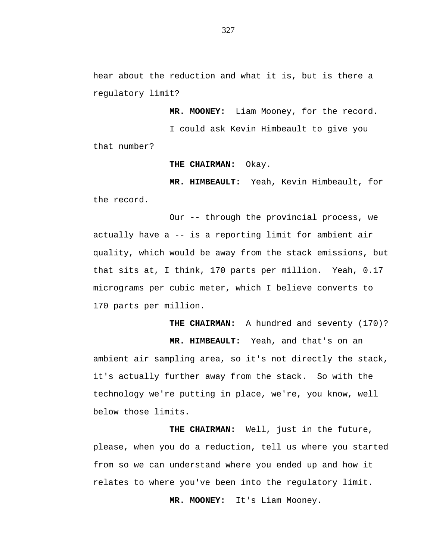hear about the reduction and what it is, but is there a regulatory limit?

**MR. MOONEY:** Liam Mooney, for the record.

I could ask Kevin Himbeault to give you

that number?

**THE CHAIRMAN:** Okay.

**MR. HIMBEAULT:** Yeah, Kevin Himbeault, for the record.

Our -- through the provincial process, we actually have a -- is a reporting limit for ambient air quality, which would be away from the stack emissions, but that sits at, I think, 170 parts per million. Yeah, 0.17 micrograms per cubic meter, which I believe converts to 170 parts per million.

THE CHAIRMAN: A hundred and seventy (170)?

**MR. HIMBEAULT:** Yeah, and that's on an ambient air sampling area, so it's not directly the stack, it's actually further away from the stack. So with the technology we're putting in place, we're, you know, well below those limits.

**THE CHAIRMAN:** Well, just in the future, please, when you do a reduction, tell us where you started from so we can understand where you ended up and how it relates to where you've been into the regulatory limit.

**MR. MOONEY:** It's Liam Mooney.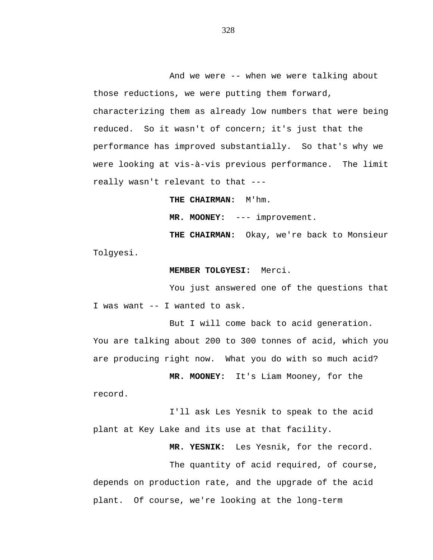And we were -- when we were talking about those reductions, we were putting them forward, characterizing them as already low numbers that were being reduced. So it wasn't of concern; it's just that the performance has improved substantially. So that's why we were looking at vis-à-vis previous performance. The limit really wasn't relevant to that ---

**THE CHAIRMAN:** M'hm.

**MR. MOONEY:** --- improvement.

**THE CHAIRMAN:** Okay, we're back to Monsieur Tolgyesi.

### **MEMBER TOLGYESI:** Merci.

You just answered one of the questions that I was want -- I wanted to ask.

But I will come back to acid generation. You are talking about 200 to 300 tonnes of acid, which you are producing right now. What you do with so much acid?

**MR. MOONEY:** It's Liam Mooney, for the record.

I'll ask Les Yesnik to speak to the acid plant at Key Lake and its use at that facility.

**MR. YESNIK:** Les Yesnik, for the record.

The quantity of acid required, of course, depends on production rate, and the upgrade of the acid plant. Of course, we're looking at the long-term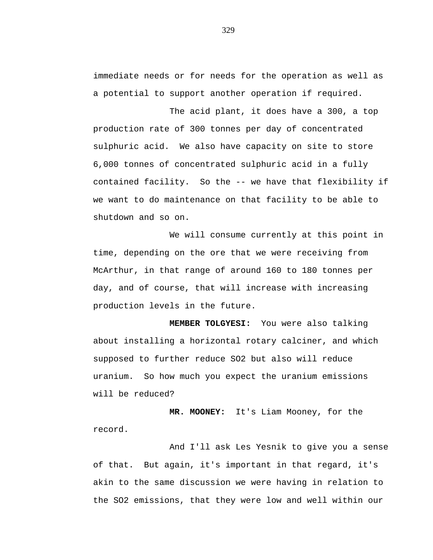immediate needs or for needs for the operation as well as a potential to support another operation if required.

The acid plant, it does have a 300, a top production rate of 300 tonnes per day of concentrated sulphuric acid. We also have capacity on site to store 6,000 tonnes of concentrated sulphuric acid in a fully contained facility. So the -- we have that flexibility if we want to do maintenance on that facility to be able to shutdown and so on.

We will consume currently at this point in time, depending on the ore that we were receiving from McArthur, in that range of around 160 to 180 tonnes per day, and of course, that will increase with increasing production levels in the future.

**MEMBER TOLGYESI:** You were also talking about installing a horizontal rotary calciner, and which supposed to further reduce SO2 but also will reduce uranium. So how much you expect the uranium emissions will be reduced?

**MR. MOONEY:** It's Liam Mooney, for the record.

And I'll ask Les Yesnik to give you a sense of that. But again, it's important in that regard, it's akin to the same discussion we were having in relation to the SO2 emissions, that they were low and well within our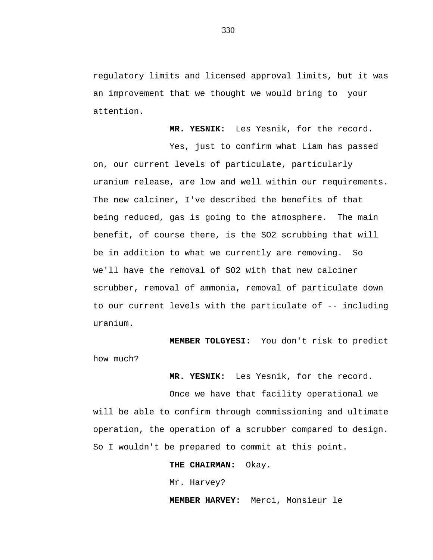regulatory limits and licensed approval limits, but it was an improvement that we thought we would bring to your attention.

**MR. YESNIK:** Les Yesnik, for the record.

Yes, just to confirm what Liam has passed on, our current levels of particulate, particularly uranium release, are low and well within our requirements. The new calciner, I've described the benefits of that being reduced, gas is going to the atmosphere. The main benefit, of course there, is the SO2 scrubbing that will be in addition to what we currently are removing. So we'll have the removal of SO2 with that new calciner scrubber, removal of ammonia, removal of particulate down to our current levels with the particulate of -- including uranium.

**MEMBER TOLGYESI:** You don't risk to predict how much?

**MR. YESNIK:** Les Yesnik, for the record.

Once we have that facility operational we will be able to confirm through commissioning and ultimate operation, the operation of a scrubber compared to design. So I wouldn't be prepared to commit at this point.

**THE CHAIRMAN:** Okay.

Mr. Harvey?

**MEMBER HARVEY:** Merci, Monsieur le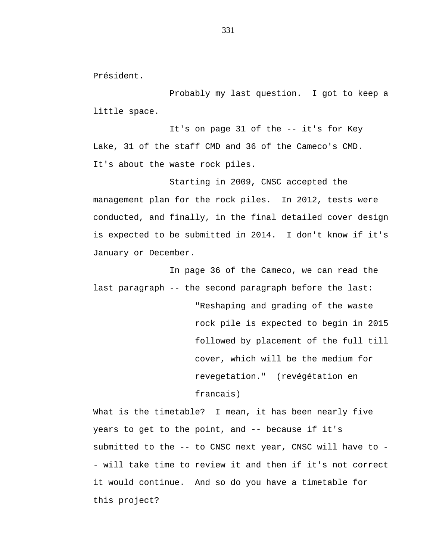Président.

Probably my last question. I got to keep a little space.

It's on page 31 of the -- it's for Key Lake, 31 of the staff CMD and 36 of the Cameco's CMD. It's about the waste rock piles.

Starting in 2009, CNSC accepted the management plan for the rock piles. In 2012, tests were conducted, and finally, in the final detailed cover design is expected to be submitted in 2014. I don't know if it's January or December.

In page 36 of the Cameco, we can read the last paragraph -- the second paragraph before the last:

> "Reshaping and grading of the waste rock pile is expected to begin in 2015 followed by placement of the full till cover, which will be the medium for revegetation." (revégétation en francais)

What is the timetable? I mean, it has been nearly five years to get to the point, and -- because if it's submitted to the -- to CNSC next year, CNSC will have to - - will take time to review it and then if it's not correct it would continue. And so do you have a timetable for this project?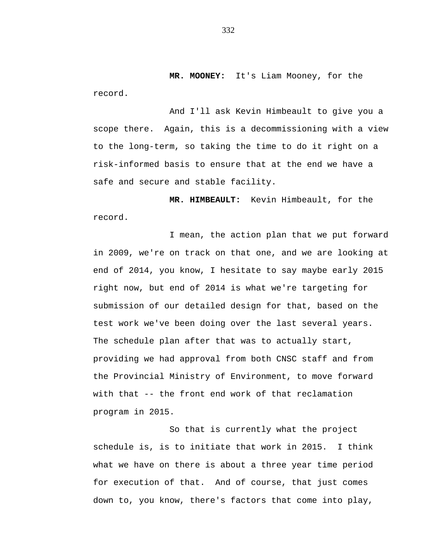**MR. MOONEY:** It's Liam Mooney, for the record.

And I'll ask Kevin Himbeault to give you a scope there. Again, this is a decommissioning with a view to the long-term, so taking the time to do it right on a risk-informed basis to ensure that at the end we have a safe and secure and stable facility.

**MR. HIMBEAULT:** Kevin Himbeault, for the record.

I mean, the action plan that we put forward in 2009, we're on track on that one, and we are looking at end of 2014, you know, I hesitate to say maybe early 2015 right now, but end of 2014 is what we're targeting for submission of our detailed design for that, based on the test work we've been doing over the last several years. The schedule plan after that was to actually start, providing we had approval from both CNSC staff and from the Provincial Ministry of Environment, to move forward with that -- the front end work of that reclamation program in 2015.

So that is currently what the project schedule is, is to initiate that work in 2015. I think what we have on there is about a three year time period for execution of that. And of course, that just comes down to, you know, there's factors that come into play,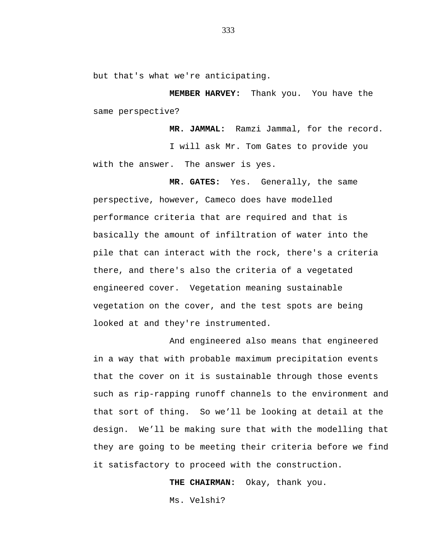but that's what we're anticipating.

**MEMBER HARVEY:** Thank you. You have the same perspective?

**MR. JAMMAL:** Ramzi Jammal, for the record. I will ask Mr. Tom Gates to provide you with the answer. The answer is yes.

**MR. GATES:** Yes. Generally, the same perspective, however, Cameco does have modelled performance criteria that are required and that is basically the amount of infiltration of water into the pile that can interact with the rock, there's a criteria there, and there's also the criteria of a vegetated engineered cover. Vegetation meaning sustainable vegetation on the cover, and the test spots are being looked at and they're instrumented.

And engineered also means that engineered in a way that with probable maximum precipitation events that the cover on it is sustainable through those events such as rip-rapping runoff channels to the environment and that sort of thing. So we'll be looking at detail at the design. We'll be making sure that with the modelling that they are going to be meeting their criteria before we find it satisfactory to proceed with the construction.

**THE CHAIRMAN:** Okay, thank you.

Ms. Velshi?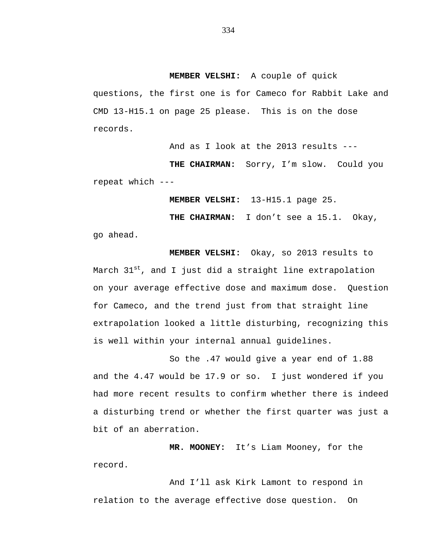## **MEMBER VELSHI:** A couple of quick

questions, the first one is for Cameco for Rabbit Lake and CMD 13-H15.1 on page 25 please. This is on the dose records.

And as I look at the 2013 results ---

THE CHAIRMAN: Sorry, I'm slow. Could you repeat which ---

**MEMBER VELSHI:** 13-H15.1 page 25.

**THE CHAIRMAN:** I don't see a 15.1. Okay,

go ahead.

**MEMBER VELSHI:** Okay, so 2013 results to March  $31^{st}$ , and I just did a straight line extrapolation on your average effective dose and maximum dose. Question for Cameco, and the trend just from that straight line extrapolation looked a little disturbing, recognizing this is well within your internal annual guidelines.

So the .47 would give a year end of 1.88 and the 4.47 would be 17.9 or so. I just wondered if you had more recent results to confirm whether there is indeed a disturbing trend or whether the first quarter was just a bit of an aberration.

**MR. MOONEY:** It's Liam Mooney, for the record.

And I'll ask Kirk Lamont to respond in relation to the average effective dose question. On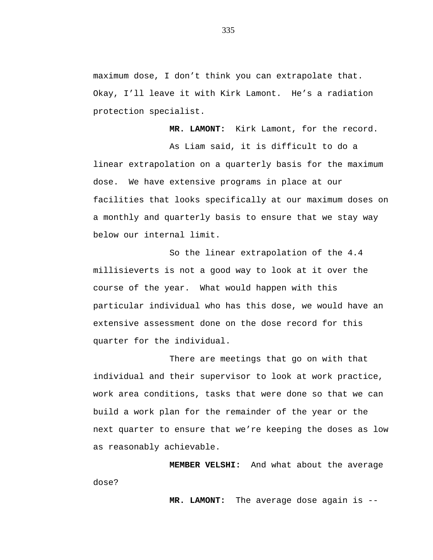maximum dose, I don't think you can extrapolate that. Okay, I'll leave it with Kirk Lamont. He's a radiation protection specialist.

**MR. LAMONT:** Kirk Lamont, for the record. As Liam said, it is difficult to do a linear extrapolation on a quarterly basis for the maximum dose. We have extensive programs in place at our facilities that looks specifically at our maximum doses on a monthly and quarterly basis to ensure that we stay way below our internal limit.

So the linear extrapolation of the 4.4 millisieverts is not a good way to look at it over the course of the year. What would happen with this particular individual who has this dose, we would have an extensive assessment done on the dose record for this quarter for the individual.

There are meetings that go on with that individual and their supervisor to look at work practice, work area conditions, tasks that were done so that we can build a work plan for the remainder of the year or the next quarter to ensure that we're keeping the doses as low as reasonably achievable.

**MEMBER VELSHI:** And what about the average dose?

**MR. LAMONT:** The average dose again is --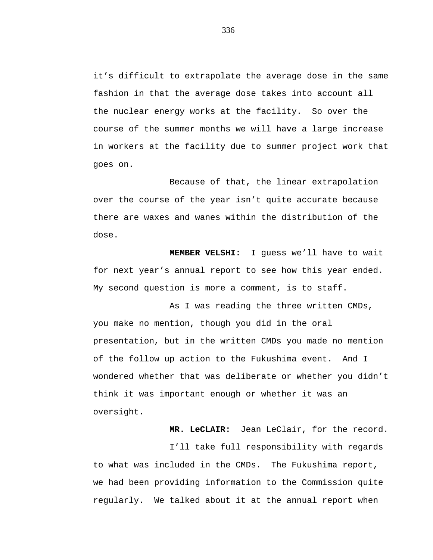it's difficult to extrapolate the average dose in the same fashion in that the average dose takes into account all the nuclear energy works at the facility. So over the course of the summer months we will have a large increase in workers at the facility due to summer project work that goes on.

Because of that, the linear extrapolation over the course of the year isn't quite accurate because there are waxes and wanes within the distribution of the dose.

**MEMBER VELSHI:** I guess we'll have to wait for next year's annual report to see how this year ended. My second question is more a comment, is to staff.

As I was reading the three written CMDs, you make no mention, though you did in the oral presentation, but in the written CMDs you made no mention of the follow up action to the Fukushima event. And I wondered whether that was deliberate or whether you didn't think it was important enough or whether it was an oversight.

**MR. LeCLAIR:** Jean LeClair, for the record.

I'll take full responsibility with regards to what was included in the CMDs. The Fukushima report, we had been providing information to the Commission quite regularly. We talked about it at the annual report when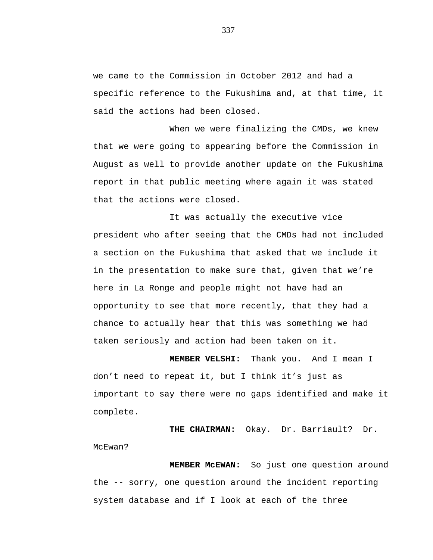we came to the Commission in October 2012 and had a specific reference to the Fukushima and, at that time, it said the actions had been closed.

When we were finalizing the CMDs, we knew that we were going to appearing before the Commission in August as well to provide another update on the Fukushima report in that public meeting where again it was stated that the actions were closed.

It was actually the executive vice president who after seeing that the CMDs had not included a section on the Fukushima that asked that we include it in the presentation to make sure that, given that we're here in La Ronge and people might not have had an opportunity to see that more recently, that they had a chance to actually hear that this was something we had taken seriously and action had been taken on it.

**MEMBER VELSHI:** Thank you. And I mean I don't need to repeat it, but I think it's just as important to say there were no gaps identified and make it complete.

**THE CHAIRMAN:** Okay. Dr. Barriault? Dr. McEwan?

**MEMBER McEWAN:** So just one question around the -- sorry, one question around the incident reporting system database and if I look at each of the three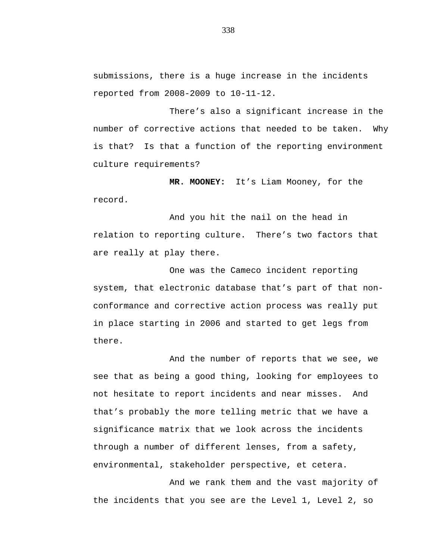submissions, there is a huge increase in the incidents reported from 2008-2009 to 10-11-12.

There's also a significant increase in the number of corrective actions that needed to be taken. Why is that? Is that a function of the reporting environment culture requirements?

**MR. MOONEY:** It's Liam Mooney, for the record.

And you hit the nail on the head in relation to reporting culture. There's two factors that are really at play there.

One was the Cameco incident reporting system, that electronic database that's part of that nonconformance and corrective action process was really put in place starting in 2006 and started to get legs from there.

And the number of reports that we see, we see that as being a good thing, looking for employees to not hesitate to report incidents and near misses. And that's probably the more telling metric that we have a significance matrix that we look across the incidents through a number of different lenses, from a safety, environmental, stakeholder perspective, et cetera.

And we rank them and the vast majority of the incidents that you see are the Level 1, Level 2, so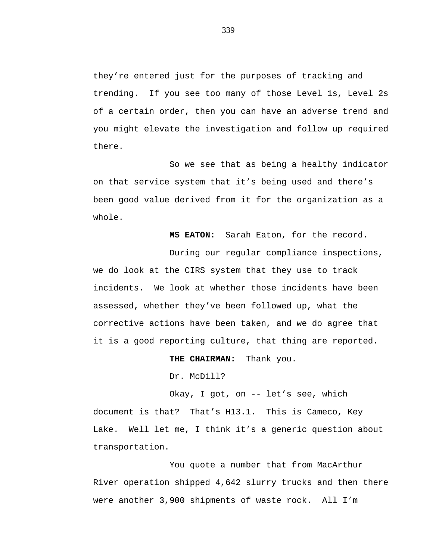they're entered just for the purposes of tracking and trending. If you see too many of those Level 1s, Level 2s of a certain order, then you can have an adverse trend and you might elevate the investigation and follow up required there.

So we see that as being a healthy indicator on that service system that it's being used and there's been good value derived from it for the organization as a whole.

**MS EATON:** Sarah Eaton, for the record.

During our regular compliance inspections, we do look at the CIRS system that they use to track incidents. We look at whether those incidents have been assessed, whether they've been followed up, what the corrective actions have been taken, and we do agree that it is a good reporting culture, that thing are reported.

**THE CHAIRMAN:** Thank you.

Dr. McDill?

Okay, I got, on -- let's see, which document is that? That's H13.1. This is Cameco, Key Lake. Well let me, I think it's a generic question about transportation.

You quote a number that from MacArthur River operation shipped 4,642 slurry trucks and then there were another 3,900 shipments of waste rock. All I'm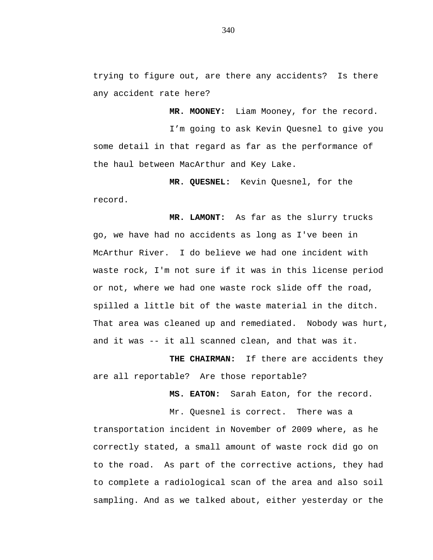trying to figure out, are there any accidents? Is there any accident rate here?

**MR. MOONEY:** Liam Mooney, for the record.

I'm going to ask Kevin Quesnel to give you some detail in that regard as far as the performance of the haul between MacArthur and Key Lake.

**MR. QUESNEL:** Kevin Quesnel, for the record.

**MR. LAMONT:** As far as the slurry trucks go, we have had no accidents as long as I've been in McArthur River. I do believe we had one incident with waste rock, I'm not sure if it was in this license period or not, where we had one waste rock slide off the road, spilled a little bit of the waste material in the ditch. That area was cleaned up and remediated. Nobody was hurt, and it was -- it all scanned clean, and that was it.

**THE CHAIRMAN:** If there are accidents they are all reportable? Are those reportable?

**MS. EATON:** Sarah Eaton, for the record.

Mr. Quesnel is correct. There was a transportation incident in November of 2009 where, as he correctly stated, a small amount of waste rock did go on to the road. As part of the corrective actions, they had to complete a radiological scan of the area and also soil sampling. And as we talked about, either yesterday or the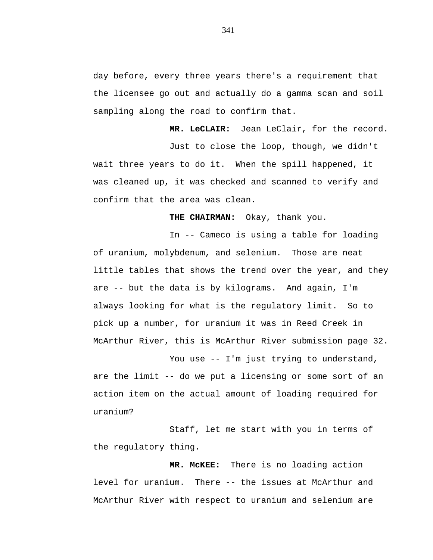day before, every three years there's a requirement that the licensee go out and actually do a gamma scan and soil sampling along the road to confirm that.

**MR. LeCLAIR:** Jean LeClair, for the record. Just to close the loop, though, we didn't wait three years to do it. When the spill happened, it was cleaned up, it was checked and scanned to verify and confirm that the area was clean.

**THE CHAIRMAN:** Okay, thank you.

In -- Cameco is using a table for loading of uranium, molybdenum, and selenium. Those are neat little tables that shows the trend over the year, and they are -- but the data is by kilograms. And again, I'm always looking for what is the regulatory limit. So to pick up a number, for uranium it was in Reed Creek in McArthur River, this is McArthur River submission page 32.

You use -- I'm just trying to understand, are the limit -- do we put a licensing or some sort of an action item on the actual amount of loading required for uranium?

Staff, let me start with you in terms of the regulatory thing.

**MR. McKEE:** There is no loading action level for uranium. There -- the issues at McArthur and McArthur River with respect to uranium and selenium are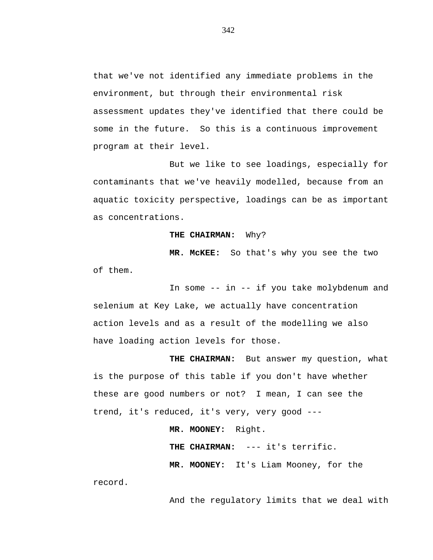that we've not identified any immediate problems in the environment, but through their environmental risk assessment updates they've identified that there could be some in the future. So this is a continuous improvement program at their level.

But we like to see loadings, especially for contaminants that we've heavily modelled, because from an aquatic toxicity perspective, loadings can be as important as concentrations.

### **THE CHAIRMAN:** Why?

**MR. McKEE:** So that's why you see the two of them.

In some -- in -- if you take molybdenum and selenium at Key Lake, we actually have concentration action levels and as a result of the modelling we also have loading action levels for those.

**THE CHAIRMAN:** But answer my question, what is the purpose of this table if you don't have whether these are good numbers or not? I mean, I can see the trend, it's reduced, it's very, very good ---

**MR. MOONEY:** Right.

**THE CHAIRMAN:** --- it's terrific.

**MR. MOONEY:** It's Liam Mooney, for the

record.

And the regulatory limits that we deal with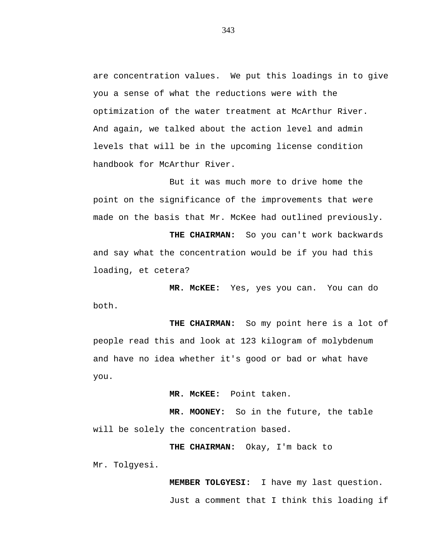are concentration values. We put this loadings in to give you a sense of what the reductions were with the optimization of the water treatment at McArthur River. And again, we talked about the action level and admin levels that will be in the upcoming license condition handbook for McArthur River.

But it was much more to drive home the point on the significance of the improvements that were made on the basis that Mr. McKee had outlined previously.

**THE CHAIRMAN:** So you can't work backwards and say what the concentration would be if you had this loading, et cetera?

**MR. McKEE:** Yes, yes you can. You can do both.

**THE CHAIRMAN:** So my point here is a lot of people read this and look at 123 kilogram of molybdenum and have no idea whether it's good or bad or what have you.

**MR. McKEE:** Point taken.

**MR. MOONEY:** So in the future, the table will be solely the concentration based.

**THE CHAIRMAN:** Okay, I'm back to Mr. Tolgyesi.

> **MEMBER TOLGYESI:** I have my last question. Just a comment that I think this loading if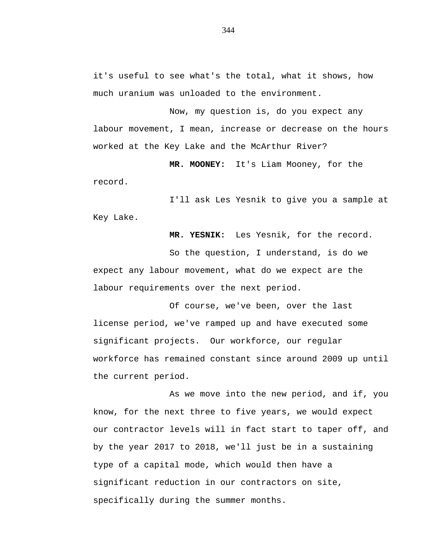it's useful to see what's the total, what it shows, how much uranium was unloaded to the environment.

Now, my question is, do you expect any labour movement, I mean, increase or decrease on the hours worked at the Key Lake and the McArthur River?

**MR. MOONEY:** It's Liam Mooney, for the record.

I'll ask Les Yesnik to give you a sample at Key Lake.

**MR. YESNIK:** Les Yesnik, for the record. So the question, I understand, is do we expect any labour movement, what do we expect are the labour requirements over the next period.

Of course, we've been, over the last license period, we've ramped up and have executed some significant projects. Our workforce, our regular workforce has remained constant since around 2009 up until the current period.

As we move into the new period, and if, you know, for the next three to five years, we would expect our contractor levels will in fact start to taper off, and by the year 2017 to 2018, we'll just be in a sustaining type of a capital mode, which would then have a significant reduction in our contractors on site, specifically during the summer months.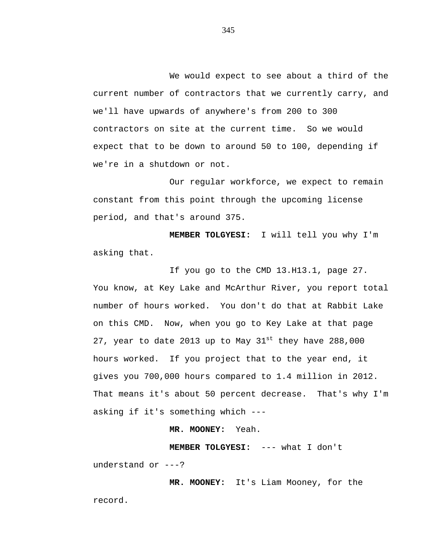We would expect to see about a third of the current number of contractors that we currently carry, and we'll have upwards of anywhere's from 200 to 300 contractors on site at the current time. So we would expect that to be down to around 50 to 100, depending if we're in a shutdown or not.

Our regular workforce, we expect to remain constant from this point through the upcoming license period, and that's around 375.

**MEMBER TOLGYESI:** I will tell you why I'm asking that.

If you go to the CMD 13.H13.1, page 27. You know, at Key Lake and McArthur River, you report total number of hours worked. You don't do that at Rabbit Lake on this CMD. Now, when you go to Key Lake at that page 27, year to date 2013 up to May  $31^{st}$  they have 288,000 hours worked. If you project that to the year end, it gives you 700,000 hours compared to 1.4 million in 2012. That means it's about 50 percent decrease. That's why I'm asking if it's something which ---

### **MR. MOONEY:** Yeah.

**MEMBER TOLGYESI:** --- what I don't understand or ---?

**MR. MOONEY:** It's Liam Mooney, for the record.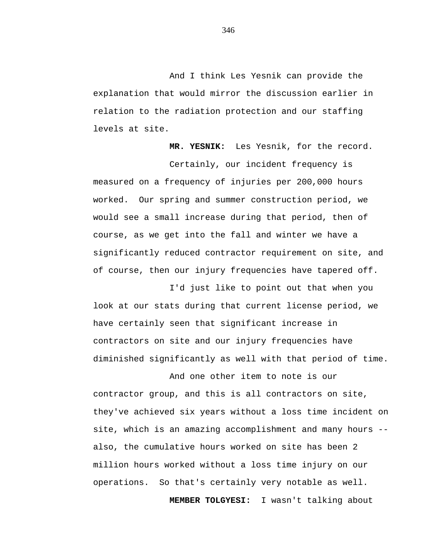And I think Les Yesnik can provide the explanation that would mirror the discussion earlier in relation to the radiation protection and our staffing levels at site.

**MR. YESNIK:** Les Yesnik, for the record.

Certainly, our incident frequency is measured on a frequency of injuries per 200,000 hours worked. Our spring and summer construction period, we would see a small increase during that period, then of course, as we get into the fall and winter we have a significantly reduced contractor requirement on site, and of course, then our injury frequencies have tapered off.

I'd just like to point out that when you look at our stats during that current license period, we have certainly seen that significant increase in contractors on site and our injury frequencies have diminished significantly as well with that period of time.

And one other item to note is our contractor group, and this is all contractors on site, they've achieved six years without a loss time incident on site, which is an amazing accomplishment and many hours - also, the cumulative hours worked on site has been 2 million hours worked without a loss time injury on our operations. So that's certainly very notable as well.

**MEMBER TOLGYESI:** I wasn't talking about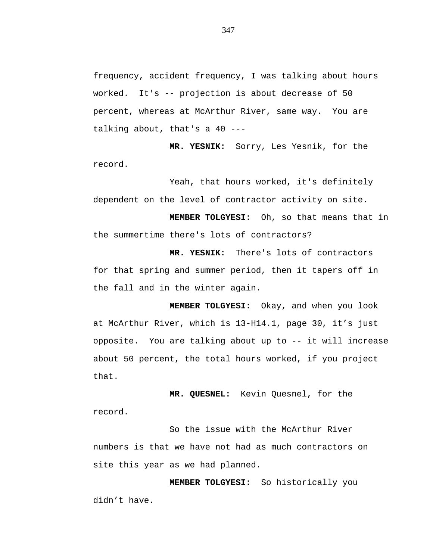frequency, accident frequency, I was talking about hours worked. It's -- projection is about decrease of 50 percent, whereas at McArthur River, same way. You are talking about, that's a 40 ---

**MR. YESNIK:** Sorry, Les Yesnik, for the record.

Yeah, that hours worked, it's definitely dependent on the level of contractor activity on site.

**MEMBER TOLGYESI:** Oh, so that means that in the summertime there's lots of contractors?

**MR. YESNIK:** There's lots of contractors for that spring and summer period, then it tapers off in the fall and in the winter again.

**MEMBER TOLGYESI:** Okay, and when you look at McArthur River, which is 13-H14.1, page 30, it's just opposite. You are talking about up to -- it will increase about 50 percent, the total hours worked, if you project that.

**MR. QUESNEL:** Kevin Quesnel, for the record.

So the issue with the McArthur River numbers is that we have not had as much contractors on site this year as we had planned.

**MEMBER TOLGYESI:** So historically you didn't have.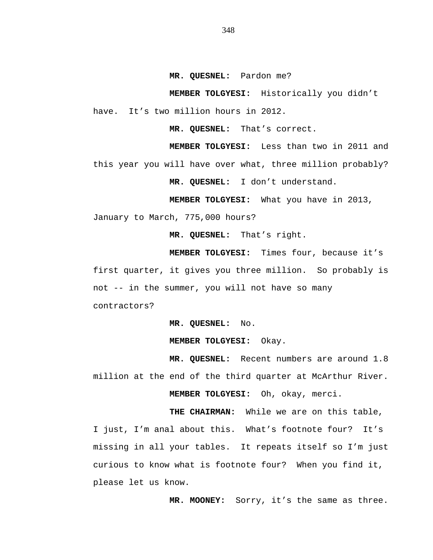**MR. QUESNEL:** Pardon me?

**MEMBER TOLGYESI:** Historically you didn't have. It's two million hours in 2012.

**MR. QUESNEL:** That's correct.

**MEMBER TOLGYESI:** Less than two in 2011 and this year you will have over what, three million probably?

**MR. QUESNEL:** I don't understand.

**MEMBER TOLGYESI:** What you have in 2013,

January to March, 775,000 hours?

**MR. QUESNEL:** That's right.

**MEMBER TOLGYESI:** Times four, because it's first quarter, it gives you three million. So probably is not -- in the summer, you will not have so many contractors?

**MR. QUESNEL:** No.

**MEMBER TOLGYESI:** Okay.

**MR. QUESNEL:** Recent numbers are around 1.8 million at the end of the third quarter at McArthur River.

**MEMBER TOLGYESI:** Oh, okay, merci.

**THE CHAIRMAN:** While we are on this table, I just, I'm anal about this. What's footnote four? It's missing in all your tables. It repeats itself so I'm just curious to know what is footnote four? When you find it, please let us know.

**MR. MOONEY:** Sorry, it's the same as three.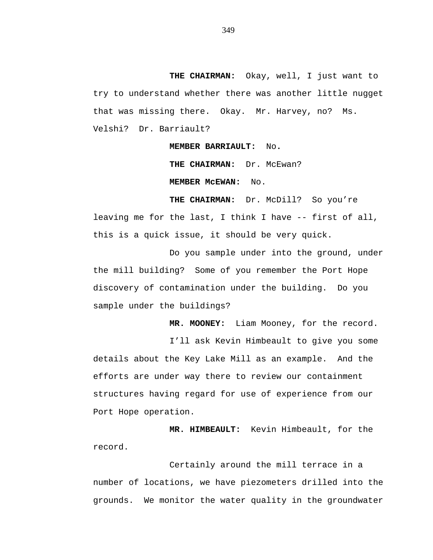**THE CHAIRMAN:** Okay, well, I just want to try to understand whether there was another little nugget that was missing there. Okay. Mr. Harvey, no? Ms. Velshi? Dr. Barriault?

**MEMBER BARRIAULT:** No**.**

THE CHAIRMAN: Dr. McEwan? **MEMBER McEWAN:** No.

**THE CHAIRMAN:** Dr. McDill?So you're leaving me for the last, I think I have -- first of all, this is a quick issue, it should be very quick.

Do you sample under into the ground, under the mill building? Some of you remember the Port Hope discovery of contamination under the building. Do you sample under the buildings?

**MR. MOONEY:** Liam Mooney, for the record.

I'll ask Kevin Himbeault to give you some details about the Key Lake Mill as an example. And the efforts are under way there to review our containment structures having regard for use of experience from our Port Hope operation.

**MR. HIMBEAULT:** Kevin Himbeault, for the record.

Certainly around the mill terrace in a number of locations, we have piezometers drilled into the grounds. We monitor the water quality in the groundwater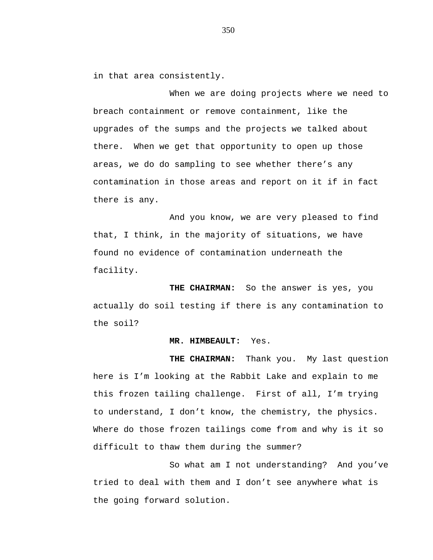in that area consistently.

When we are doing projects where we need to breach containment or remove containment, like the upgrades of the sumps and the projects we talked about there. When we get that opportunity to open up those areas, we do do sampling to see whether there's any contamination in those areas and report on it if in fact there is any.

And you know, we are very pleased to find that, I think, in the majority of situations, we have found no evidence of contamination underneath the facility.

**THE CHAIRMAN:** So the answer is yes, you actually do soil testing if there is any contamination to the soil?

#### **MR. HIMBEAULT:** Yes.

**THE CHAIRMAN:** Thank you. My last question here is I'm looking at the Rabbit Lake and explain to me this frozen tailing challenge. First of all, I'm trying to understand, I don't know, the chemistry, the physics. Where do those frozen tailings come from and why is it so difficult to thaw them during the summer?

So what am I not understanding? And you've tried to deal with them and I don't see anywhere what is the going forward solution.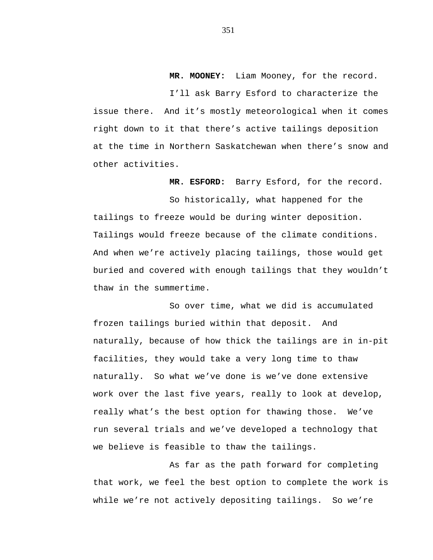# **MR. MOONEY:** Liam Mooney, for the record.

I'll ask Barry Esford to characterize the issue there. And it's mostly meteorological when it comes right down to it that there's active tailings deposition at the time in Northern Saskatchewan when there's snow and other activities.

**MR. ESFORD:** Barry Esford, for the record.

So historically, what happened for the tailings to freeze would be during winter deposition. Tailings would freeze because of the climate conditions. And when we're actively placing tailings, those would get buried and covered with enough tailings that they wouldn't thaw in the summertime.

So over time, what we did is accumulated frozen tailings buried within that deposit. And naturally, because of how thick the tailings are in in-pit facilities, they would take a very long time to thaw naturally. So what we've done is we've done extensive work over the last five years, really to look at develop, really what's the best option for thawing those. We've run several trials and we've developed a technology that we believe is feasible to thaw the tailings.

As far as the path forward for completing that work, we feel the best option to complete the work is while we're not actively depositing tailings. So we're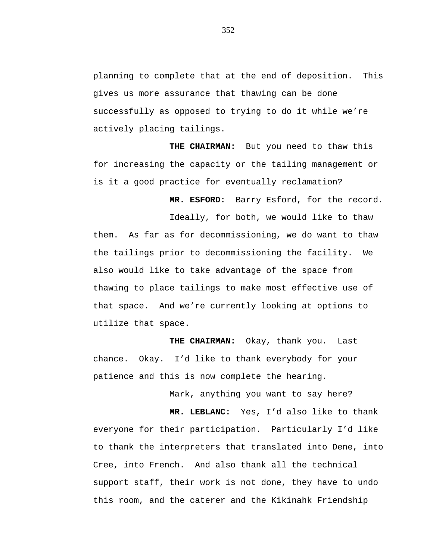planning to complete that at the end of deposition. This gives us more assurance that thawing can be done successfully as opposed to trying to do it while we're actively placing tailings.

**THE CHAIRMAN:** But you need to thaw this for increasing the capacity or the tailing management or is it a good practice for eventually reclamation?

**MR. ESFORD:** Barry Esford, for the record.

Ideally, for both, we would like to thaw them. As far as for decommissioning, we do want to thaw the tailings prior to decommissioning the facility. We also would like to take advantage of the space from thawing to place tailings to make most effective use of that space. And we're currently looking at options to utilize that space.

**THE CHAIRMAN:** Okay, thank you. Last chance. Okay. I'd like to thank everybody for your patience and this is now complete the hearing.

Mark, anything you want to say here?

**MR. LEBLANC:** Yes, I'd also like to thank everyone for their participation. Particularly I'd like to thank the interpreters that translated into Dene, into Cree, into French. And also thank all the technical support staff, their work is not done, they have to undo this room, and the caterer and the Kikinahk Friendship